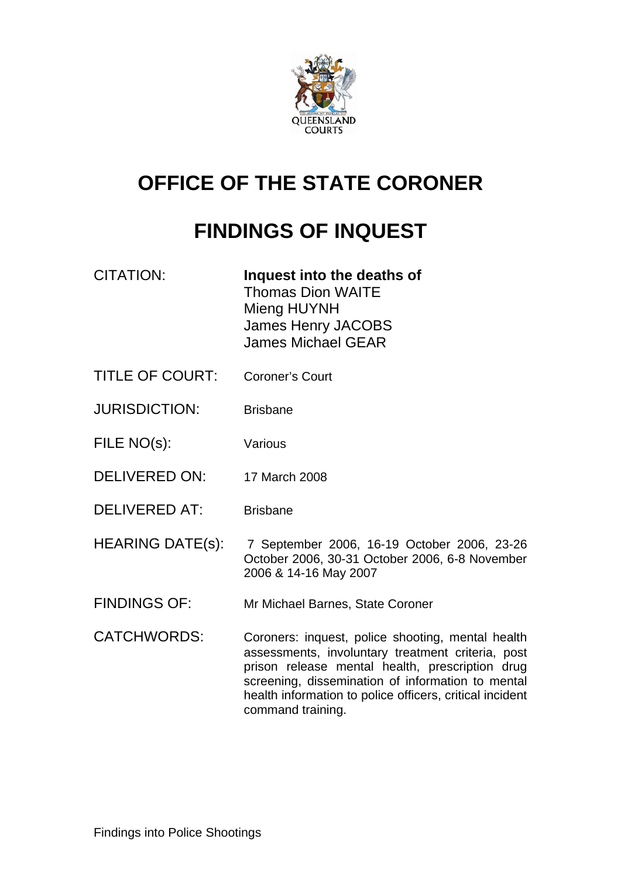

# **OFFICE OF THE STATE CORONER**

# **FINDINGS OF INQUEST**

| CITATION: | Inquest into the deaths of |
|-----------|----------------------------|
|           | <b>Thomas Dion WAITE</b>   |
|           | Mieng HUYNH                |
|           | James Henry JACOBS         |
|           | <b>James Michael GEAR</b>  |
|           |                            |

- TITLE OF COURT: Coroner's Court
- JURISDICTION: Brisbane
- FILE NO(s): Various
- DELIVERED ON: 17 March 2008
- DELIVERED AT: Brisbane
- HEARING DATE(s): 7 September 2006, 16-19 October 2006, 23-26 October 2006, 30-31 October 2006, 6-8 November 2006 & 14-16 May 2007
- FINDINGS OF: Mr Michael Barnes, State Coroner
- CATCHWORDS: Coroners: inquest, police shooting, mental health assessments, involuntary treatment criteria, post prison release mental health, prescription drug screening, dissemination of information to mental health information to police officers, critical incident command training.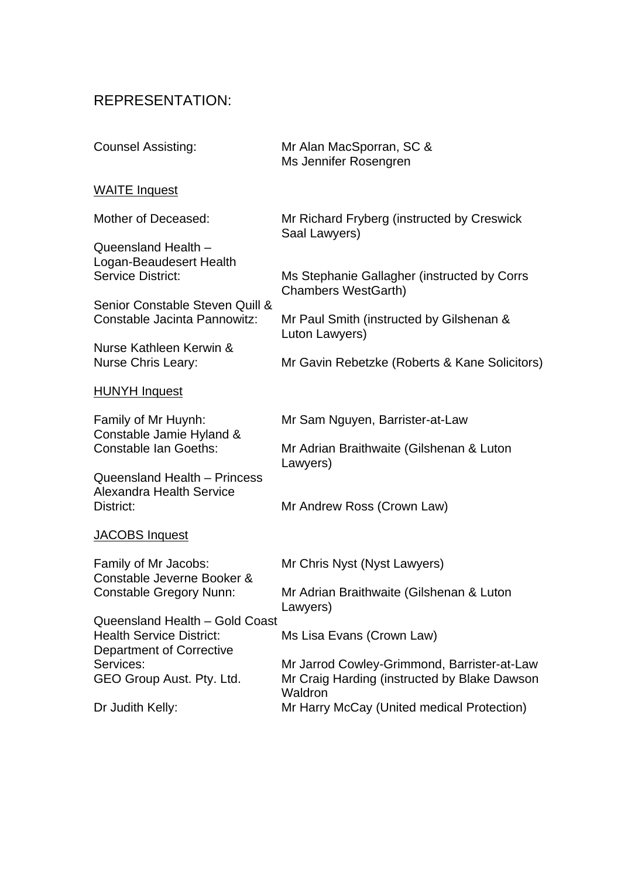### REPRESENTATION:

| <b>Counsel Assisting:</b>                                                                            | Mr Alan MacSporran, SC &<br>Ms Jennifer Rosengren                                                      |
|------------------------------------------------------------------------------------------------------|--------------------------------------------------------------------------------------------------------|
| <b>WAITE Inquest</b>                                                                                 |                                                                                                        |
| Mother of Deceased:                                                                                  | Mr Richard Fryberg (instructed by Creswick<br>Saal Lawyers)                                            |
| Queensland Health -<br>Logan-Beaudesert Health<br><b>Service District:</b>                           | Ms Stephanie Gallagher (instructed by Corrs<br><b>Chambers WestGarth)</b>                              |
| Senior Constable Steven Quill &<br>Constable Jacinta Pannowitz:                                      | Mr Paul Smith (instructed by Gilshenan &<br>Luton Lawyers)                                             |
| Nurse Kathleen Kerwin &<br><b>Nurse Chris Leary:</b>                                                 | Mr Gavin Rebetzke (Roberts & Kane Solicitors)                                                          |
| <b>HUNYH Inquest</b>                                                                                 |                                                                                                        |
| Family of Mr Huynh:                                                                                  | Mr Sam Nguyen, Barrister-at-Law                                                                        |
| Constable Jamie Hyland &<br><b>Constable Ian Goeths:</b>                                             | Mr Adrian Braithwaite (Gilshenan & Luton<br>Lawyers)                                                   |
| Queensland Health - Princess<br><b>Alexandra Health Service</b><br>District:                         | Mr Andrew Ross (Crown Law)                                                                             |
| JACOBS Inquest                                                                                       |                                                                                                        |
| Family of Mr Jacobs:<br>Constable Jeverne Booker &                                                   | Mr Chris Nyst (Nyst Lawyers)                                                                           |
| <b>Constable Gregory Nunn:</b>                                                                       | Mr Adrian Braithwaite (Gilshenan & Luton<br>Lawyers)                                                   |
| Queensland Health - Gold Coast<br><b>Health Service District:</b><br><b>Department of Corrective</b> | Ms Lisa Evans (Crown Law)                                                                              |
| Services:<br>GEO Group Aust. Pty. Ltd.                                                               | Mr Jarrod Cowley-Grimmond, Barrister-at-Law<br>Mr Craig Harding (instructed by Blake Dawson<br>Waldron |
| Dr Judith Kelly:                                                                                     | Mr Harry McCay (United medical Protection)                                                             |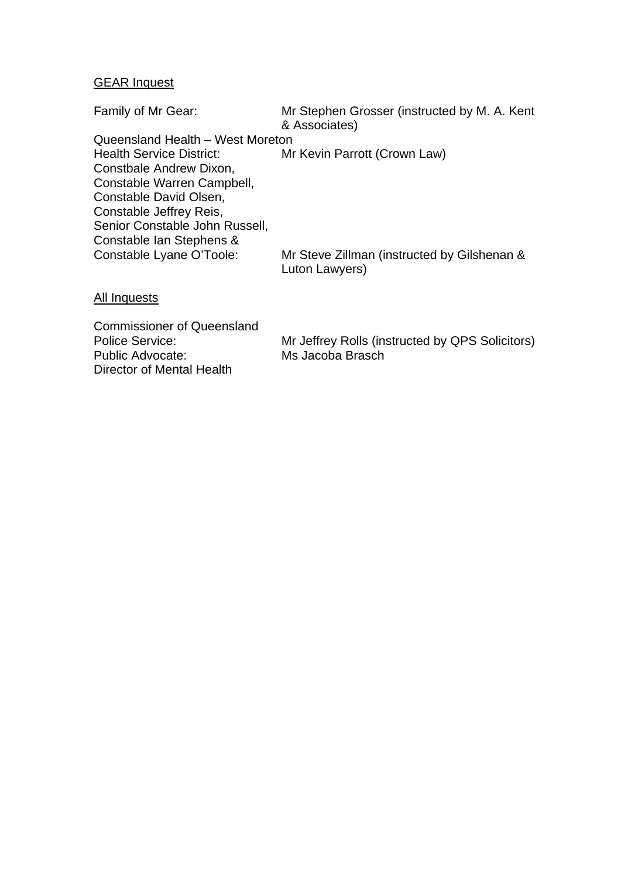### GEAR Inquest

| Family of Mr Gear:               | Mr Stephen Grosser (instructed by M. A. Kent<br>& Associates) |
|----------------------------------|---------------------------------------------------------------|
| Queensland Health - West Moreton |                                                               |
| <b>Health Service District:</b>  | Mr Kevin Parrott (Crown Law)                                  |
| Constbale Andrew Dixon,          |                                                               |
| Constable Warren Campbell,       |                                                               |
| Constable David Olsen,           |                                                               |
| Constable Jeffrey Reis,          |                                                               |
| Senior Constable John Russell,   |                                                               |
| Constable Ian Stephens &         |                                                               |
| Constable Lyane O'Toole:         | Mr Steve Zillman (instructed by Gilshenan &<br>Luton Lawyers) |
|                                  |                                                               |

#### **All Inquests**

Commissioner of Queensland Public Advocate: Ms Jacoba Brasch Director of Mental Health

Police Service: Mr Jeffrey Rolls (instructed by QPS Solicitors)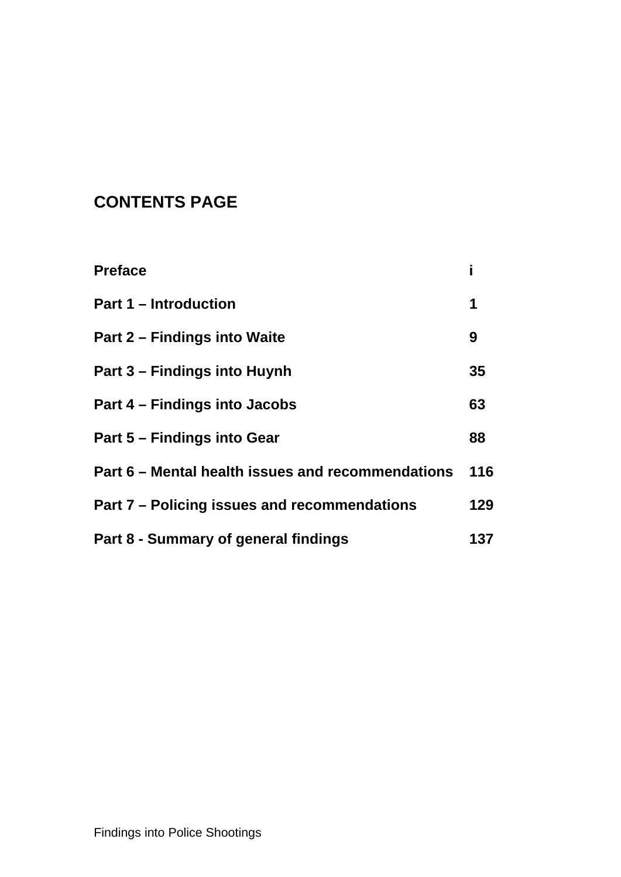# **CONTENTS PAGE**

| <b>Preface</b>                                    |     |
|---------------------------------------------------|-----|
| <b>Part 1 – Introduction</b>                      | 1   |
| Part 2 – Findings into Waite                      | 9   |
| Part 3 – Findings into Huynh                      | 35  |
| Part 4 – Findings into Jacobs                     | 63  |
| Part 5 – Findings into Gear                       | 88  |
| Part 6 – Mental health issues and recommendations | 116 |
| Part 7 – Policing issues and recommendations      | 129 |
| Part 8 - Summary of general findings              | 137 |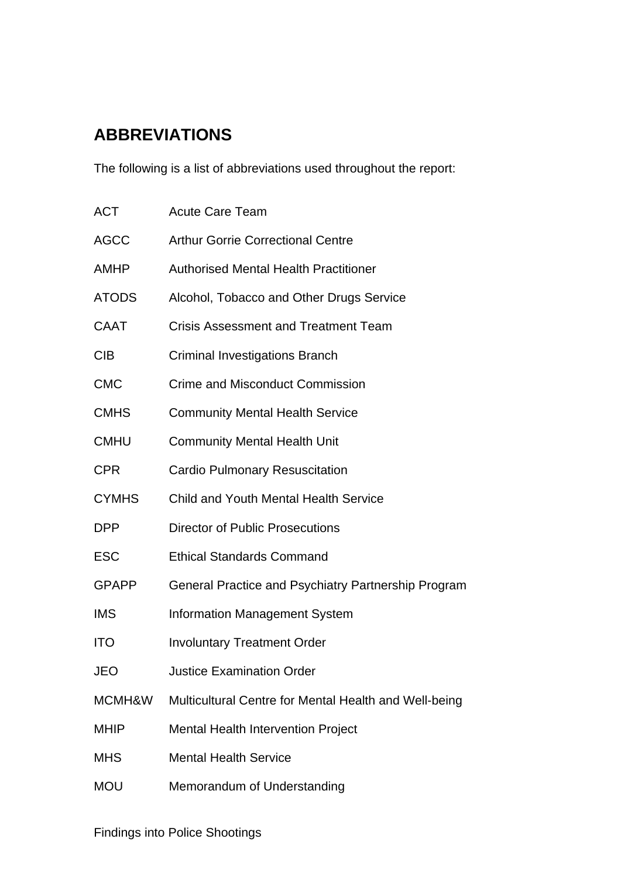# **ABBREVIATIONS**

The following is a list of abbreviations used throughout the report:

| <b>ACT</b>   | <b>Acute Care Team</b>                                |
|--------------|-------------------------------------------------------|
| <b>AGCC</b>  | <b>Arthur Gorrie Correctional Centre</b>              |
| AMHP         | <b>Authorised Mental Health Practitioner</b>          |
| <b>ATODS</b> | Alcohol, Tobacco and Other Drugs Service              |
| <b>CAAT</b>  | <b>Crisis Assessment and Treatment Team</b>           |
| <b>CIB</b>   | <b>Criminal Investigations Branch</b>                 |
| <b>CMC</b>   | <b>Crime and Misconduct Commission</b>                |
| <b>CMHS</b>  | <b>Community Mental Health Service</b>                |
| <b>CMHU</b>  | <b>Community Mental Health Unit</b>                   |
| <b>CPR</b>   | <b>Cardio Pulmonary Resuscitation</b>                 |
| <b>CYMHS</b> | <b>Child and Youth Mental Health Service</b>          |
| <b>DPP</b>   | <b>Director of Public Prosecutions</b>                |
| <b>ESC</b>   | <b>Ethical Standards Command</b>                      |
| <b>GPAPP</b> | General Practice and Psychiatry Partnership Program   |
| <b>IMS</b>   | <b>Information Management System</b>                  |
| <b>ITO</b>   | <b>Involuntary Treatment Order</b>                    |
| <b>JEO</b>   | <b>Justice Examination Order</b>                      |
| MCMH&W       | Multicultural Centre for Mental Health and Well-being |
| <b>MHIP</b>  | <b>Mental Health Intervention Project</b>             |
| <b>MHS</b>   | <b>Mental Health Service</b>                          |
| <b>MOU</b>   | Memorandum of Understanding                           |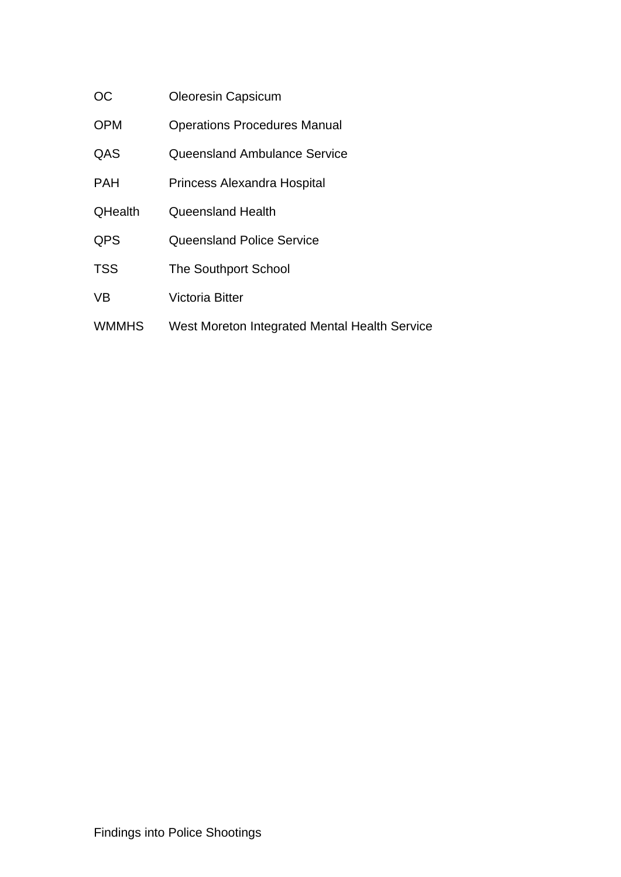| OC             | <b>Oleoresin Capsicum</b>           |
|----------------|-------------------------------------|
| <b>OPM</b>     | <b>Operations Procedures Manual</b> |
| QAS            | Queensland Ambulance Service        |
| <b>PAH</b>     | Princess Alexandra Hospital         |
| <b>QHealth</b> | <b>Queensland Health</b>            |

- QPS Queensland Police Service
- TSS The Southport School
- VB Victoria Bitter
- WMMHS West Moreton Integrated Mental Health Service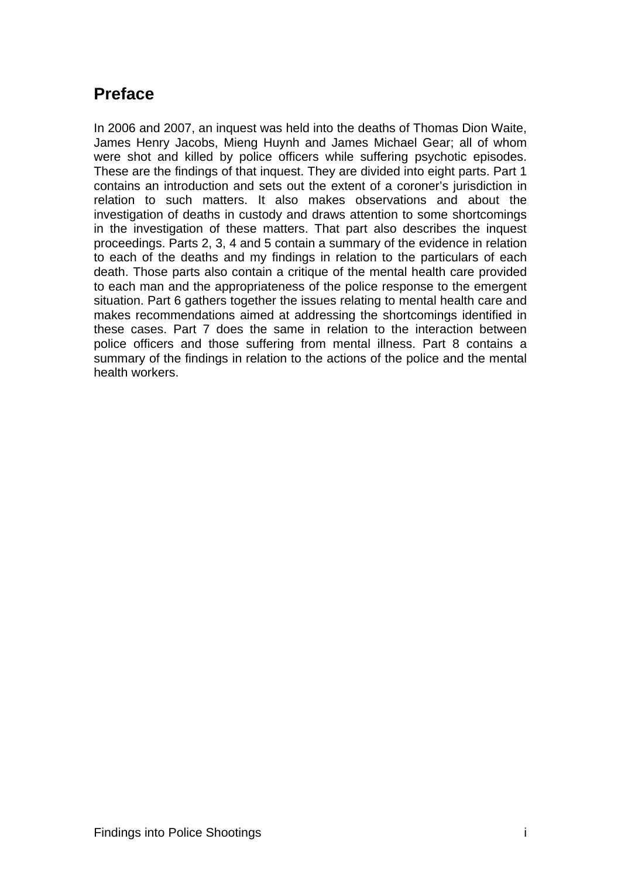# <span id="page-6-0"></span>**Preface**

In 2006 and 2007, an inquest was held into the deaths of Thomas Dion Waite, James Henry Jacobs, Mieng Huynh and James Michael Gear; all of whom were shot and killed by police officers while suffering psychotic episodes. These are the findings of that inquest. They are divided into eight parts. Part 1 contains an introduction and sets out the extent of a coroner's jurisdiction in relation to such matters. It also makes observations and about the investigation of deaths in custody and draws attention to some shortcomings in the investigation of these matters. That part also describes the inquest proceedings. Parts 2, 3, 4 and 5 contain a summary of the evidence in relation to each of the deaths and my findings in relation to the particulars of each death. Those parts also contain a critique of the mental health care provided to each man and the appropriateness of the police response to the emergent situation. Part 6 gathers together the issues relating to mental health care and makes recommendations aimed at addressing the shortcomings identified in these cases. Part 7 does the same in relation to the interaction between police officers and those suffering from mental illness. Part 8 contains a summary of the findings in relation to the actions of the police and the mental health workers.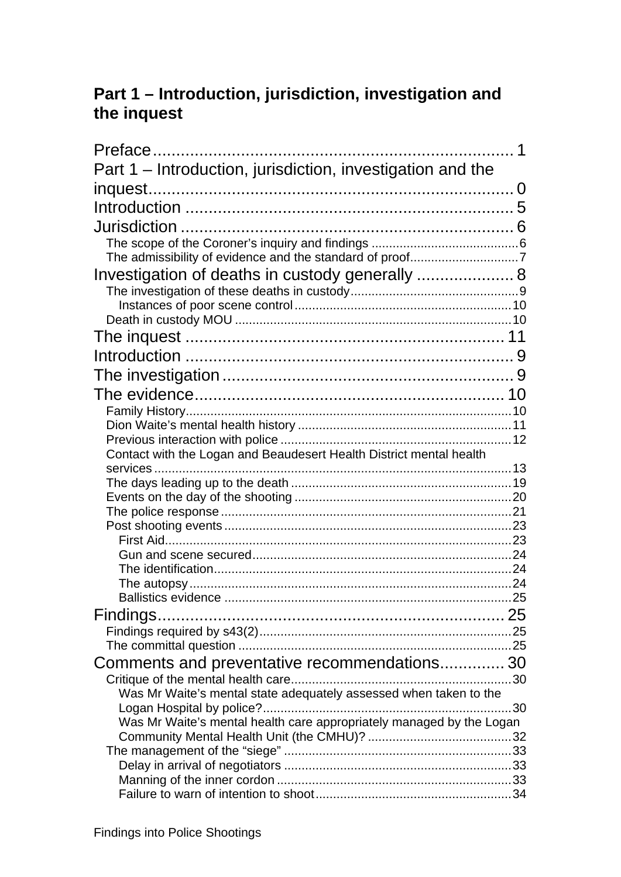# <span id="page-7-0"></span>**Part 1 – Introduction, jurisdiction, investigation and the inquest**

| Part 1 - Introduction, jurisdiction, investigation and the           |  |
|----------------------------------------------------------------------|--|
|                                                                      |  |
|                                                                      |  |
|                                                                      |  |
|                                                                      |  |
|                                                                      |  |
| Investigation of deaths in custody generally  8                      |  |
|                                                                      |  |
|                                                                      |  |
|                                                                      |  |
|                                                                      |  |
|                                                                      |  |
|                                                                      |  |
|                                                                      |  |
|                                                                      |  |
|                                                                      |  |
| Contact with the Logan and Beaudesert Health District mental health  |  |
|                                                                      |  |
|                                                                      |  |
|                                                                      |  |
|                                                                      |  |
|                                                                      |  |
|                                                                      |  |
|                                                                      |  |
|                                                                      |  |
|                                                                      |  |
|                                                                      |  |
|                                                                      |  |
|                                                                      |  |
| Comments and preventative recommendations 30                         |  |
| Was Mr Waite's mental state adequately assessed when taken to the    |  |
|                                                                      |  |
| Was Mr Waite's mental health care appropriately managed by the Logan |  |
|                                                                      |  |
|                                                                      |  |
|                                                                      |  |
|                                                                      |  |
|                                                                      |  |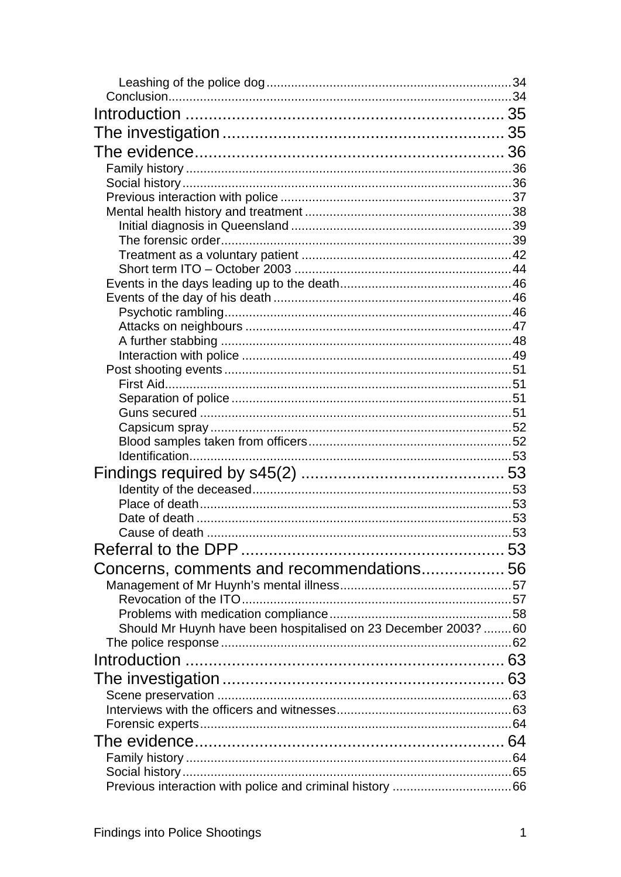| Concerns, comments and recommendations 56                       |  |
|-----------------------------------------------------------------|--|
|                                                                 |  |
|                                                                 |  |
|                                                                 |  |
| Should Mr Huynh have been hospitalised on 23 December 2003?  60 |  |
|                                                                 |  |
|                                                                 |  |
|                                                                 |  |
|                                                                 |  |
|                                                                 |  |
|                                                                 |  |
|                                                                 |  |
|                                                                 |  |
|                                                                 |  |
|                                                                 |  |
|                                                                 |  |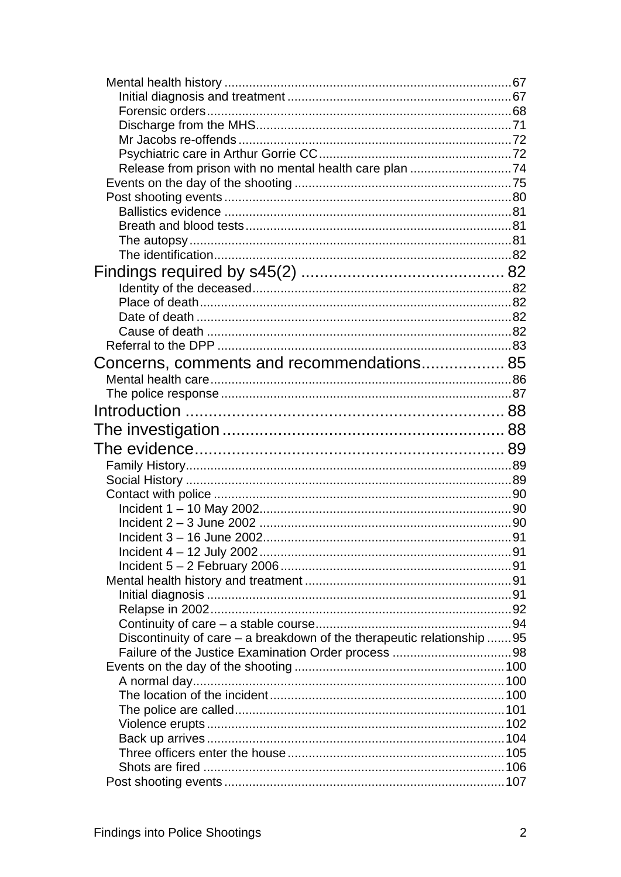| Concerns, comments and recommendations 85                              |  |
|------------------------------------------------------------------------|--|
|                                                                        |  |
|                                                                        |  |
|                                                                        |  |
|                                                                        |  |
|                                                                        |  |
|                                                                        |  |
|                                                                        |  |
|                                                                        |  |
|                                                                        |  |
|                                                                        |  |
|                                                                        |  |
|                                                                        |  |
|                                                                        |  |
|                                                                        |  |
|                                                                        |  |
|                                                                        |  |
|                                                                        |  |
|                                                                        |  |
|                                                                        |  |
|                                                                        |  |
| Discontinuity of care – a breakdown of the therapeutic relationship 95 |  |
|                                                                        |  |
|                                                                        |  |
|                                                                        |  |
|                                                                        |  |
|                                                                        |  |
|                                                                        |  |
|                                                                        |  |
|                                                                        |  |
|                                                                        |  |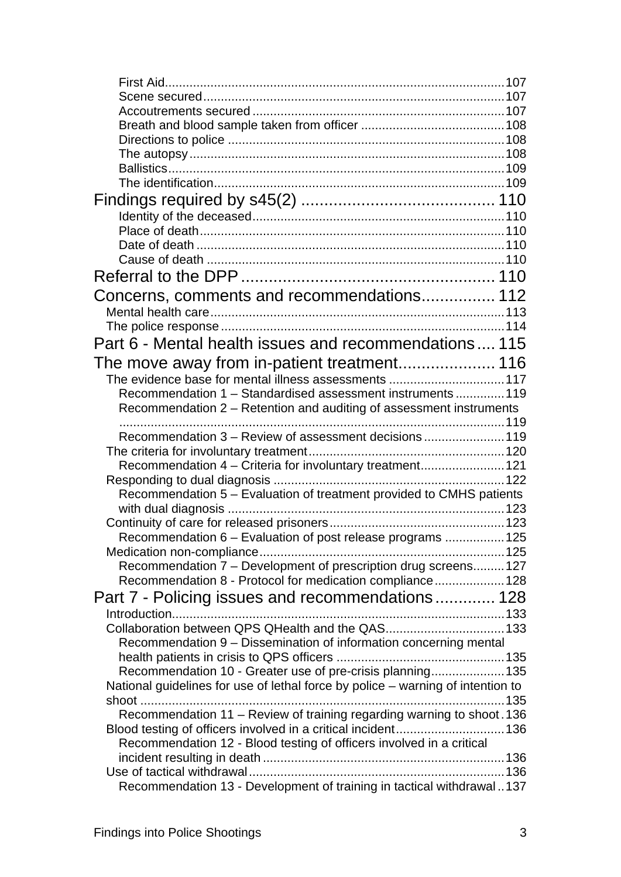| Concerns, comments and recommendations 112                                      |  |
|---------------------------------------------------------------------------------|--|
|                                                                                 |  |
|                                                                                 |  |
| Part 6 - Mental health issues and recommendations 115                           |  |
|                                                                                 |  |
| The evidence base for mental illness assessments 117                            |  |
| Recommendation 1 - Standardised assessment instruments  119                     |  |
| Recommendation 2 – Retention and auditing of assessment instruments             |  |
|                                                                                 |  |
| Recommendation 3 - Review of assessment decisions 119                           |  |
|                                                                                 |  |
| Recommendation 4 - Criteria for involuntary treatment121                        |  |
|                                                                                 |  |
| Recommendation 5 - Evaluation of treatment provided to CMHS patients            |  |
|                                                                                 |  |
|                                                                                 |  |
| Recommendation 6 - Evaluation of post release programs  125                     |  |
|                                                                                 |  |
| Recommendation 7 - Development of prescription drug screens 127                 |  |
| Recommendation 8 - Protocol for medication compliance 128                       |  |
| Part 7 - Policing issues and recommendations 128                                |  |
|                                                                                 |  |
| Collaboration between QPS QHealth and the QAS 133                               |  |
| Recommendation 9 - Dissemination of information concerning mental               |  |
|                                                                                 |  |
| Recommendation 10 - Greater use of pre-crisis planning 135                      |  |
| National guidelines for use of lethal force by police - warning of intention to |  |
|                                                                                 |  |
| Recommendation 11 - Review of training regarding warning to shoot. 136          |  |
| Blood testing of officers involved in a critical incident136                    |  |
| Recommendation 12 - Blood testing of officers involved in a critical            |  |
|                                                                                 |  |
|                                                                                 |  |
| Recommendation 13 - Development of training in tactical withdrawal137           |  |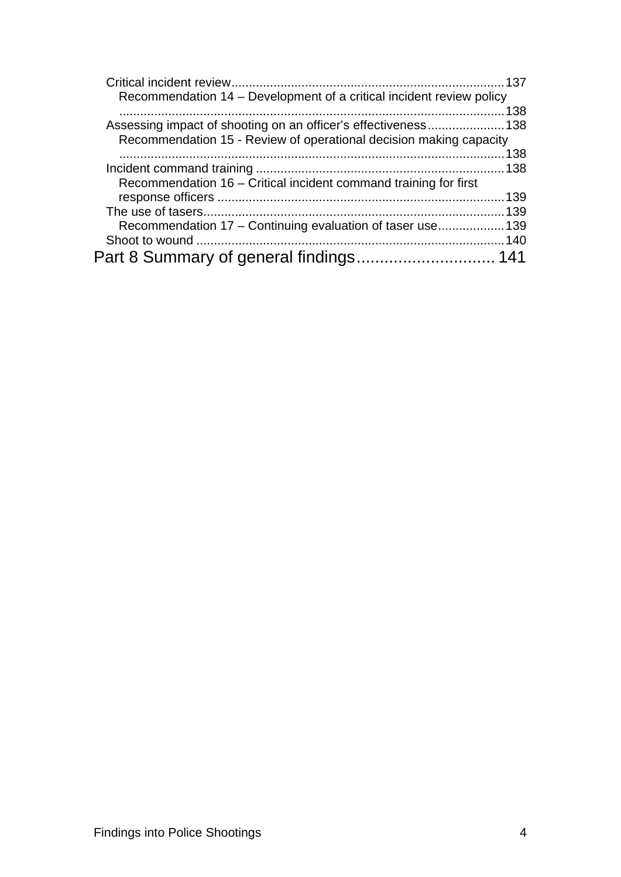| Recommendation 14 – Development of a critical incident review policy |  |
|----------------------------------------------------------------------|--|
|                                                                      |  |
| Assessing impact of shooting on an officer's effectiveness138        |  |
| Recommendation 15 - Review of operational decision making capacity   |  |
|                                                                      |  |
|                                                                      |  |
| Recommendation 16 - Critical incident command training for first     |  |
|                                                                      |  |
|                                                                      |  |
| Recommendation 17 - Continuing evaluation of taser use 139           |  |
|                                                                      |  |
|                                                                      |  |
|                                                                      |  |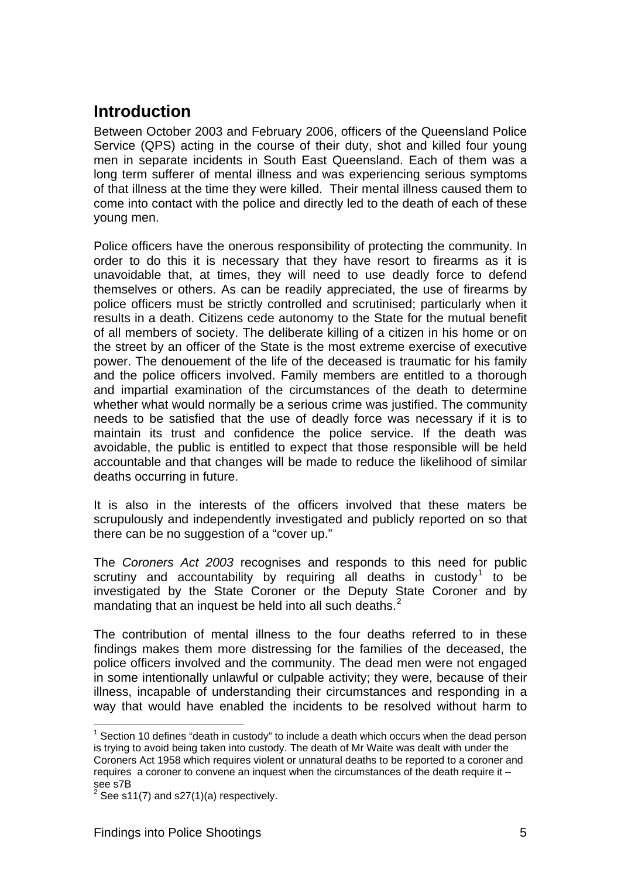### <span id="page-12-0"></span>**Introduction**

Between October 2003 and February 2006, officers of the Queensland Police Service (QPS) acting in the course of their duty, shot and killed four young men in separate incidents in South East Queensland. Each of them was a long term sufferer of mental illness and was experiencing serious symptoms of that illness at the time they were killed. Their mental illness caused them to come into contact with the police and directly led to the death of each of these young men.

Police officers have the onerous responsibility of protecting the community. In order to do this it is necessary that they have resort to firearms as it is unavoidable that, at times, they will need to use deadly force to defend themselves or others. As can be readily appreciated, the use of firearms by police officers must be strictly controlled and scrutinised; particularly when it results in a death. Citizens cede autonomy to the State for the mutual benefit of all members of society. The deliberate killing of a citizen in his home or on the street by an officer of the State is the most extreme exercise of executive power. The denouement of the life of the deceased is traumatic for his family and the police officers involved. Family members are entitled to a thorough and impartial examination of the circumstances of the death to determine whether what would normally be a serious crime was justified. The community needs to be satisfied that the use of deadly force was necessary if it is to maintain its trust and confidence the police service. If the death was avoidable, the public is entitled to expect that those responsible will be held accountable and that changes will be made to reduce the likelihood of similar deaths occurring in future.

It is also in the interests of the officers involved that these maters be scrupulously and independently investigated and publicly reported on so that there can be no suggestion of a "cover up."

The *Coroners Act 2003* recognises and responds to this need for public scrutiny and accountability by requiring all deaths in custody<sup>[1](#page-12-1)</sup> to be investigated by the State Coroner or the Deputy State Coroner and by mandating that an inquest be held into all such deaths.<sup>[2](#page-12-2)</sup>

The contribution of mental illness to the four deaths referred to in these findings makes them more distressing for the families of the deceased, the police officers involved and the community. The dead men were not engaged in some intentionally unlawful or culpable activity; they were, because of their illness, incapable of understanding their circumstances and responding in a way that would have enabled the incidents to be resolved without harm to

l

<span id="page-12-1"></span> $1$  Section 10 defines "death in custody" to include a death which occurs when the dead person is trying to avoid being taken into custody. The death of Mr Waite was dealt with under the Coroners Act 1958 which requires violent or unnatural deaths to be reported to a coroner and requires a coroner to convene an inquest when the circumstances of the death require it – see s7B

<span id="page-12-2"></span> $2$  See s11(7) and s27(1)(a) respectively.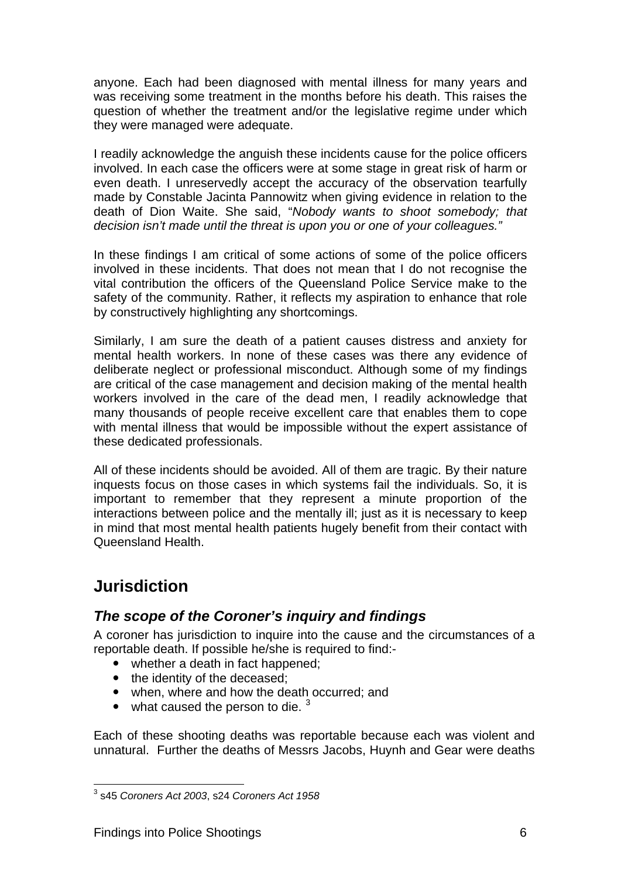anyone. Each had been diagnosed with mental illness for many years and was receiving some treatment in the months before his death. This raises the question of whether the treatment and/or the legislative regime under which they were managed were adequate.

I readily acknowledge the anguish these incidents cause for the police officers involved. In each case the officers were at some stage in great risk of harm or even death. I unreservedly accept the accuracy of the observation tearfully made by Constable Jacinta Pannowitz when giving evidence in relation to the death of Dion Waite. She said, "*Nobody wants to shoot somebody; that decision isn't made until the threat is upon you or one of your colleagues."*

In these findings I am critical of some actions of some of the police officers involved in these incidents. That does not mean that I do not recognise the vital contribution the officers of the Queensland Police Service make to the safety of the community. Rather, it reflects my aspiration to enhance that role by constructively highlighting any shortcomings.

Similarly, I am sure the death of a patient causes distress and anxiety for mental health workers. In none of these cases was there any evidence of deliberate neglect or professional misconduct. Although some of my findings are critical of the case management and decision making of the mental health workers involved in the care of the dead men, I readily acknowledge that many thousands of people receive excellent care that enables them to cope with mental illness that would be impossible without the expert assistance of these dedicated professionals.

All of these incidents should be avoided. All of them are tragic. By their nature inquests focus on those cases in which systems fail the individuals. So, it is important to remember that they represent a minute proportion of the interactions between police and the mentally ill; just as it is necessary to keep in mind that most mental health patients hugely benefit from their contact with Queensland Health.

### <span id="page-13-0"></span>**Jurisdiction**

### <span id="page-13-1"></span>*The scope of the Coroner's inquiry and findings*

A coroner has jurisdiction to inquire into the cause and the circumstances of a reportable death. If possible he/she is required to find:-

- whether a death in fact happened;
- the identity of the deceased;
- when, where and how the death occurred; and
- what caused the person to die.  $3$

Each of these shooting deaths was reportable because each was violent and unnatural. Further the deaths of Messrs Jacobs, Huynh and Gear were deaths

<span id="page-13-2"></span> 3 s45 *Coroners Act 2003*, s24 *Coroners Act 1958*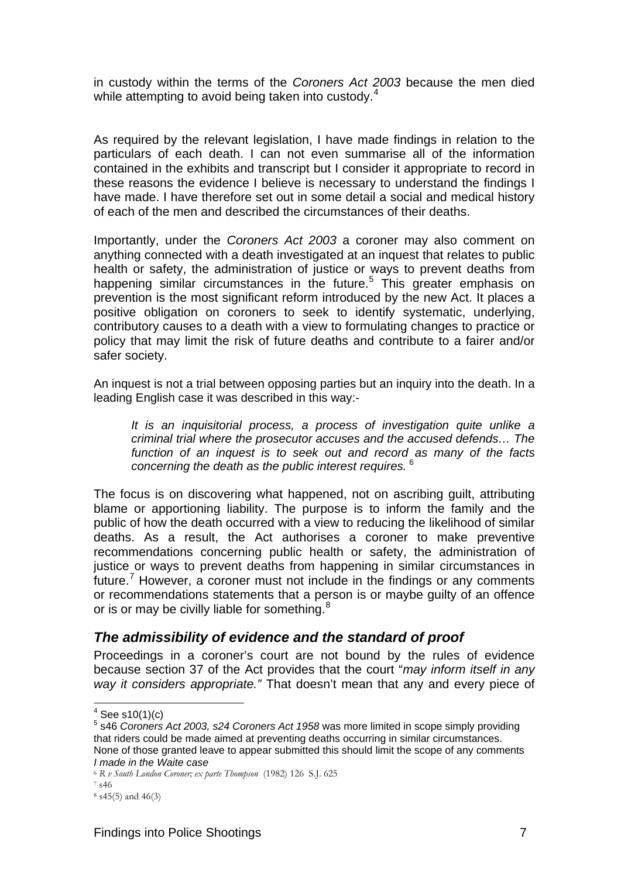in custody within the terms of the *Coroners Act 2003* because the men died while attempting to avoid being taken into custody.<sup>[4](#page-14-1)</sup>

As required by the relevant legislation, I have made findings in relation to the particulars of each death. I can not even summarise all of the information contained in the exhibits and transcript but I consider it appropriate to record in these reasons the evidence I believe is necessary to understand the findings I have made. I have therefore set out in some detail a social and medical history of each of the men and described the circumstances of their deaths.

Importantly, under the *Coroners Act 2003* a coroner may also comment on anything connected with a death investigated at an inquest that relates to public health or safety, the administration of justice or ways to prevent deaths from happening similar circumstances in the future.<sup>[5](#page-14-2)</sup> This greater emphasis on prevention is the most significant reform introduced by the new Act. It places a positive obligation on coroners to seek to identify systematic, underlying, contributory causes to a death with a view to formulating changes to practice or policy that may limit the risk of future deaths and contribute to a fairer and/or safer society.

An inquest is not a trial between opposing parties but an inquiry into the death. In a leading English case it was described in this way:-

*It is an inquisitorial process, a process of investigation quite unlike a criminal trial where the prosecutor accuses and the accused defends… The function of an inquest is to seek out and record as many of the facts concerning the death as the public interest requires.* [6](#page-14-3)

The focus is on discovering what happened, not on ascribing guilt, attributing blame or apportioning liability. The purpose is to inform the family and the public of how the death occurred with a view to reducing the likelihood of similar deaths. As a result, the Act authorises a coroner to make preventive recommendations concerning public health or safety, the administration of justice or ways to prevent deaths from happening in similar circumstances in future.<sup>[7](#page-14-4)</sup> However, a coroner must not include in the findings or any comments or recommendations statements that a person is or maybe guilty of an offence or is or may be civilly liable for something.<sup>[8](#page-14-5)</sup>

#### <span id="page-14-0"></span>*The admissibility of evidence and the standard of proof*

Proceedings in a coroner's court are not bound by the rules of evidence because section 37 of the Act provides that the court "*may inform itself in any way it considers appropriate."* That doesn't mean that any and every piece of

 $4 \text{ See } $10(1)(c)$ 

<span id="page-14-2"></span><span id="page-14-1"></span><sup>&</sup>lt;sup>5</sup> s46 Coroners Act 2003, s24 Coroners Act 1958 was more limited in scope simply providing that riders could be made aimed at preventing deaths occurring in similar circumstances. None of those granted leave to appear submitted this should limit the scope of any comments *I made in the Waite case* 

<sup>6</sup> *R v South London Coroner; ex parte Thompson* (1982) 126 S.J. 625 7 s46

<span id="page-14-5"></span><span id="page-14-4"></span><span id="page-14-3"></span>

<sup>8</sup> s45(5) and 46(3)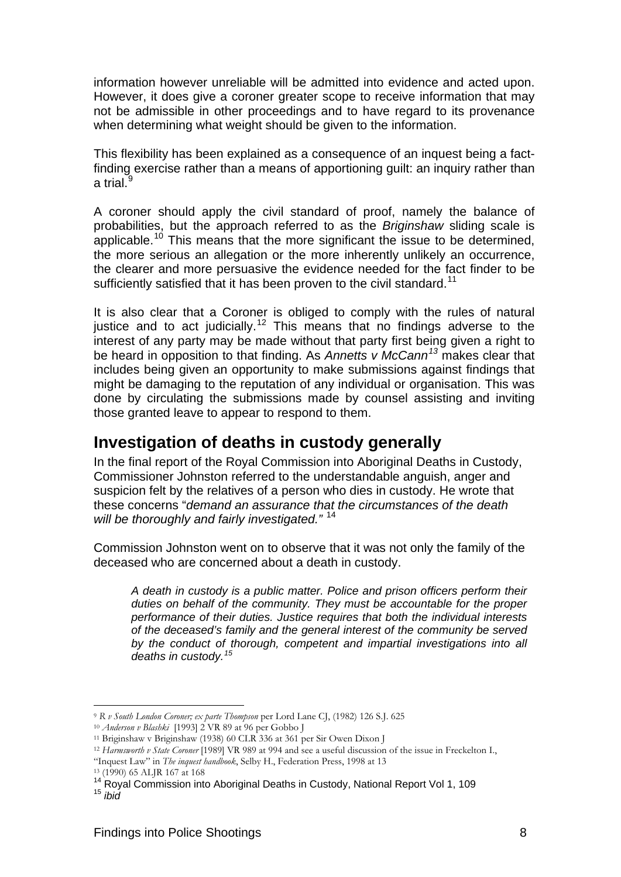information however unreliable will be admitted into evidence and acted upon. However, it does give a coroner greater scope to receive information that may not be admissible in other proceedings and to have regard to its provenance when determining what weight should be given to the information.

This flexibility has been explained as a consequence of an inquest being a factfinding exercise rather than a means of apportioning guilt: an inquiry rather than a trial.

A coroner should apply the civil standard of proof, namely the balance of probabilities, but the approach referred to as the *Briginshaw* sliding scale is applicable.[10](#page-15-2) This means that the more significant the issue to be determined, the more serious an allegation or the more inherently unlikely an occurrence, the clearer and more persuasive the evidence needed for the fact finder to be sufficiently satisfied that it has been proven to the civil standard.<sup>[11](#page-15-3)</sup>

It is also clear that a Coroner is obliged to comply with the rules of natural justice and to act judicially.<sup>[12](#page-15-4)</sup> This means that no findings adverse to the interest of any party may be made without that party first being given a right to be heard in opposition to that finding. As *Annetts v McCann[13](#page-15-5)* makes clear that includes being given an opportunity to make submissions against findings that might be damaging to the reputation of any individual or organisation. This was done by circulating the submissions made by counsel assisting and inviting those granted leave to appear to respond to them.

### <span id="page-15-0"></span>**Investigation of deaths in custody generally**

In the final report of the Royal Commission into Aboriginal Deaths in Custody, Commissioner Johnston referred to the understandable anguish, anger and suspicion felt by the relatives of a person who dies in custody. He wrote that these concerns "*demand an assurance that the circumstances of the death will be thoroughly and fairly investigated."* [14](#page-15-6)

Commission Johnston went on to observe that it was not only the family of the deceased who are concerned about a death in custody.

*A death in custody is a public matter. Police and prison officers perform their duties on behalf of the community. They must be accountable for the proper performance of their duties. Justice requires that both the individual interests of the deceased's family and the general interest of the community be served by the conduct of thorough, competent and impartial investigations into all deaths in custody.[15](#page-15-7)*

l

<span id="page-15-2"></span><span id="page-15-1"></span><sup>&</sup>lt;sup>9</sup> R v South London Coroner; ex parte Thompson per Lord Lane CJ, (1982) 126 S.J. 625<br><sup>10</sup> Anderson v Blashki [1993] 2 VR 89 at 96 per Gobbo J<br><sup>11</sup> Briginshaw v Briginshaw (1938) 60 CLR 336 at 361 per Sir Owen Dixon J

<span id="page-15-4"></span><span id="page-15-3"></span><sup>12</sup> *Harmsworth v State Coroner* [1989] VR 989 at 994 and see a useful discussion of the issue in Freckelton I.,

<sup>&</sup>quot;Inquest Law" in *The inquest handbook*, Selby H., Federation Press, 1998 at 13 13 (1990) 65 ALJR 167 at 168

<span id="page-15-7"></span><span id="page-15-6"></span><span id="page-15-5"></span><sup>&</sup>lt;sup>14</sup> Royal Commission into Aboriginal Deaths in Custody, National Report Vol 1, 109<br><sup>15</sup> *ibid*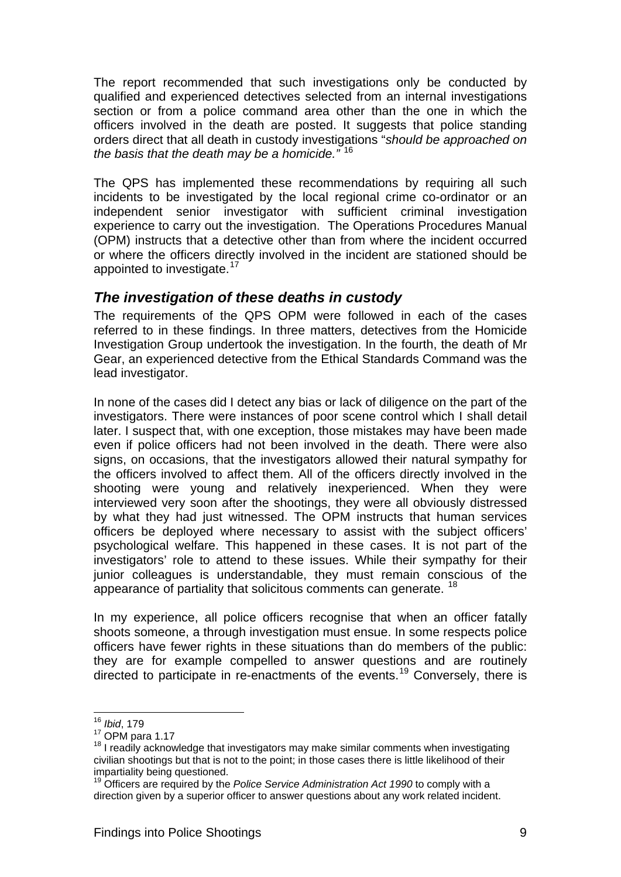The report recommended that such investigations only be conducted by qualified and experienced detectives selected from an internal investigations section or from a police command area other than the one in which the officers involved in the death are posted. It suggests that police standing orders direct that all death in custody investigations "*should be approached on the basis that the death may be a homicide."* [16](#page-16-1)

The QPS has implemented these recommendations by requiring all such incidents to be investigated by the local regional crime co-ordinator or an independent senior investigator with sufficient criminal investigation experience to carry out the investigation. The Operations Procedures Manual (OPM) instructs that a detective other than from where the incident occurred or where the officers directly involved in the incident are stationed should be appointed to investigate.<sup>[17](#page-16-2)</sup>

### <span id="page-16-0"></span>*The investigation of these deaths in custody*

The requirements of the QPS OPM were followed in each of the cases referred to in these findings. In three matters, detectives from the Homicide Investigation Group undertook the investigation. In the fourth, the death of Mr Gear, an experienced detective from the Ethical Standards Command was the lead investigator.

In none of the cases did I detect any bias or lack of diligence on the part of the investigators. There were instances of poor scene control which I shall detail later. I suspect that, with one exception, those mistakes may have been made even if police officers had not been involved in the death. There were also signs, on occasions, that the investigators allowed their natural sympathy for the officers involved to affect them. All of the officers directly involved in the shooting were young and relatively inexperienced. When they were interviewed very soon after the shootings, they were all obviously distressed by what they had just witnessed. The OPM instructs that human services officers be deployed where necessary to assist with the subject officers' psychological welfare. This happened in these cases. It is not part of the investigators' role to attend to these issues. While their sympathy for their junior colleagues is understandable, they must remain conscious of the appearance of partiality that solicitous comments can generate.<sup>[18](#page-16-3)</sup>

In my experience, all police officers recognise that when an officer fatally shoots someone, a through investigation must ensue. In some respects police officers have fewer rights in these situations than do members of the public: they are for example compelled to answer questions and are routinely directed to participate in re-enactments of the events.<sup>19</sup> Conversely, there is

l

<sup>16</sup> *Ibid*, 179

<span id="page-16-3"></span><span id="page-16-2"></span><span id="page-16-1"></span><sup>&</sup>lt;sup>17</sup> OPM para 1.17<br><sup>18</sup> I readily acknowledge that investigators may make similar comments when investigating civilian shootings but that is not to the point; in those cases there is little likelihood of their impartiality being questioned.

<span id="page-16-4"></span><sup>19</sup> Officers are required by the *Police Service Administration Act 1990* to comply with a direction given by a superior officer to answer questions about any work related incident.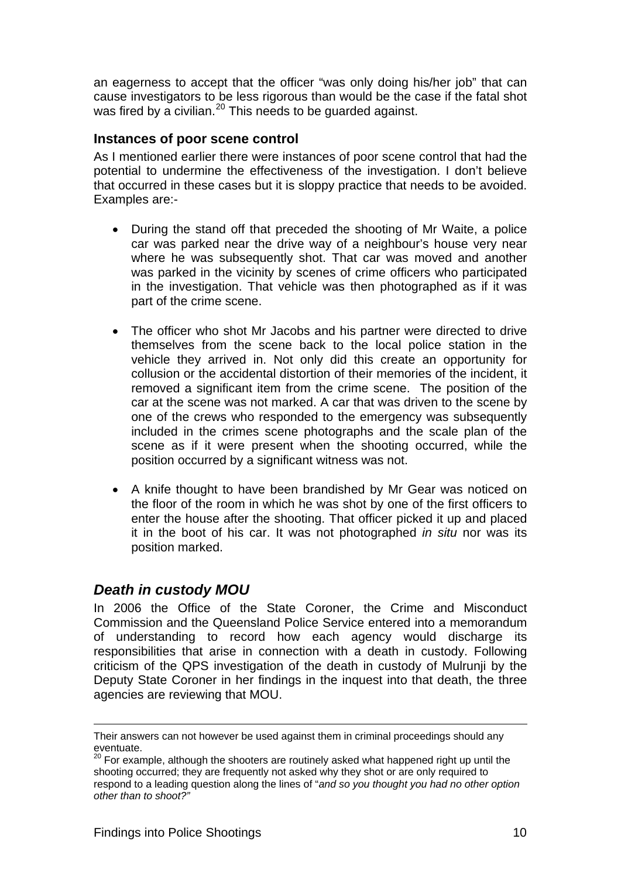an eagerness to accept that the officer "was only doing his/her job" that can cause investigators to be less rigorous than would be the case if the fatal shot was fired by a civilian.<sup>[20](#page-17-2)</sup> This needs to be quarded against.

#### <span id="page-17-0"></span>**Instances of poor scene control**

As I mentioned earlier there were instances of poor scene control that had the potential to undermine the effectiveness of the investigation. I don't believe that occurred in these cases but it is sloppy practice that needs to be avoided. Examples are:-

- During the stand off that preceded the shooting of Mr Waite, a police car was parked near the drive way of a neighbour's house very near where he was subsequently shot. That car was moved and another was parked in the vicinity by scenes of crime officers who participated in the investigation. That vehicle was then photographed as if it was part of the crime scene.
- The officer who shot Mr Jacobs and his partner were directed to drive themselves from the scene back to the local police station in the vehicle they arrived in. Not only did this create an opportunity for collusion or the accidental distortion of their memories of the incident, it removed a significant item from the crime scene. The position of the car at the scene was not marked. A car that was driven to the scene by one of the crews who responded to the emergency was subsequently included in the crimes scene photographs and the scale plan of the scene as if it were present when the shooting occurred, while the position occurred by a significant witness was not.
- A knife thought to have been brandished by Mr Gear was noticed on the floor of the room in which he was shot by one of the first officers to enter the house after the shooting. That officer picked it up and placed it in the boot of his car. It was not photographed *in situ* nor was its position marked.

### <span id="page-17-1"></span>*Death in custody MOU*

In 2006 the Office of the State Coroner, the Crime and Misconduct Commission and the Queensland Police Service entered into a memorandum of understanding to record how each agency would discharge its responsibilities that arise in connection with a death in custody. Following criticism of the QPS investigation of the death in custody of Mulrunji by the Deputy State Coroner in her findings in the inquest into that death, the three agencies are reviewing that MOU.

1

Their answers can not however be used against them in criminal proceedings should any eventuate.

<span id="page-17-2"></span><sup>&</sup>lt;sup>20</sup> For example, although the shooters are routinely asked what happened right up until the shooting occurred; they are frequently not asked why they shot or are only required to respond to a leading question along the lines of "*and so you thought you had no other option other than to shoot?"*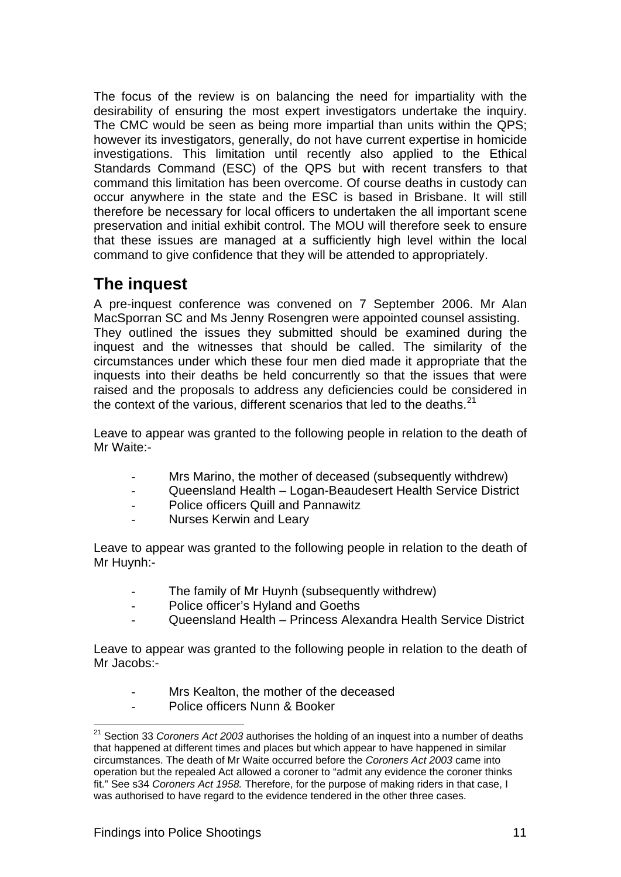The focus of the review is on balancing the need for impartiality with the desirability of ensuring the most expert investigators undertake the inquiry. The CMC would be seen as being more impartial than units within the QPS; however its investigators, generally, do not have current expertise in homicide investigations. This limitation until recently also applied to the Ethical Standards Command (ESC) of the QPS but with recent transfers to that command this limitation has been overcome. Of course deaths in custody can occur anywhere in the state and the ESC is based in Brisbane. It will still therefore be necessary for local officers to undertaken the all important scene preservation and initial exhibit control. The MOU will therefore seek to ensure that these issues are managed at a sufficiently high level within the local command to give confidence that they will be attended to appropriately.

## <span id="page-18-0"></span>**The inquest**

A pre-inquest conference was convened on 7 September 2006. Mr Alan MacSporran SC and Ms Jenny Rosengren were appointed counsel assisting. They outlined the issues they submitted should be examined during the inquest and the witnesses that should be called. The similarity of the circumstances under which these four men died made it appropriate that the inquests into their deaths be held concurrently so that the issues that were raised and the proposals to address any deficiencies could be considered in the context of the various, different scenarios that led to the deaths. $21$ 

Leave to appear was granted to the following people in relation to the death of Mr Waite:-

- Mrs Marino, the mother of deceased (subsequently withdrew)
- Queensland Health Logan-Beaudesert Health Service District
- Police officers Quill and Pannawitz
- Nurses Kerwin and Leary

Leave to appear was granted to the following people in relation to the death of Mr Huynh:-

- The family of Mr Huynh (subsequently withdrew)
- Police officer's Hyland and Goeths
- Queensland Health Princess Alexandra Health Service District

Leave to appear was granted to the following people in relation to the death of Mr Jacobs:-

- Mrs Kealton, the mother of the deceased
- Police officers Nunn & Booker

<span id="page-18-1"></span>l 21 Section 33 *Coroners Act 2003* authorises the holding of an inquest into a number of deaths that happened at different times and places but which appear to have happened in similar circumstances. The death of Mr Waite occurred before the *Coroners Act 2003* came into operation but the repealed Act allowed a coroner to "admit any evidence the coroner thinks fit." See s34 *Coroners Act 1958.* Therefore, for the purpose of making riders in that case, I was authorised to have regard to the evidence tendered in the other three cases.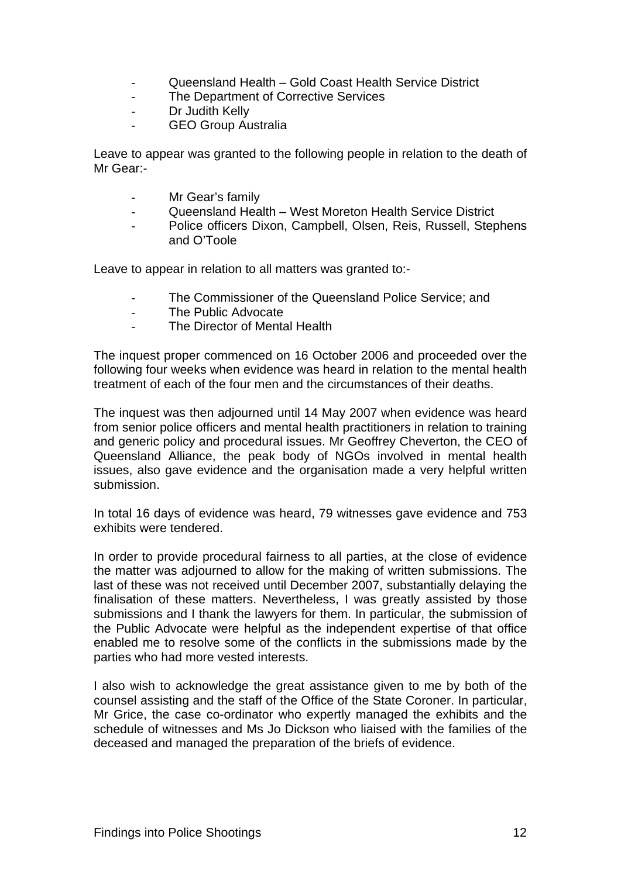- Queensland Health Gold Coast Health Service District
- The Department of Corrective Services
- Dr Judith Kelly
- GEO Group Australia

Leave to appear was granted to the following people in relation to the death of Mr Gear:-

- Mr Gear's family
- Queensland Health West Moreton Health Service District
- Police officers Dixon, Campbell, Olsen, Reis, Russell, Stephens and O'Toole

Leave to appear in relation to all matters was granted to:-

- The Commissioner of the Queensland Police Service; and
- The Public Advocate
- The Director of Mental Health

The inquest proper commenced on 16 October 2006 and proceeded over the following four weeks when evidence was heard in relation to the mental health treatment of each of the four men and the circumstances of their deaths.

The inquest was then adjourned until 14 May 2007 when evidence was heard from senior police officers and mental health practitioners in relation to training and generic policy and procedural issues. Mr Geoffrey Cheverton, the CEO of Queensland Alliance, the peak body of NGOs involved in mental health issues, also gave evidence and the organisation made a very helpful written submission.

In total 16 days of evidence was heard, 79 witnesses gave evidence and 753 exhibits were tendered.

In order to provide procedural fairness to all parties, at the close of evidence the matter was adjourned to allow for the making of written submissions. The last of these was not received until December 2007, substantially delaying the finalisation of these matters. Nevertheless, I was greatly assisted by those submissions and I thank the lawyers for them. In particular, the submission of the Public Advocate were helpful as the independent expertise of that office enabled me to resolve some of the conflicts in the submissions made by the parties who had more vested interests.

I also wish to acknowledge the great assistance given to me by both of the counsel assisting and the staff of the Office of the State Coroner. In particular, Mr Grice, the case co-ordinator who expertly managed the exhibits and the schedule of witnesses and Ms Jo Dickson who liaised with the families of the deceased and managed the preparation of the briefs of evidence.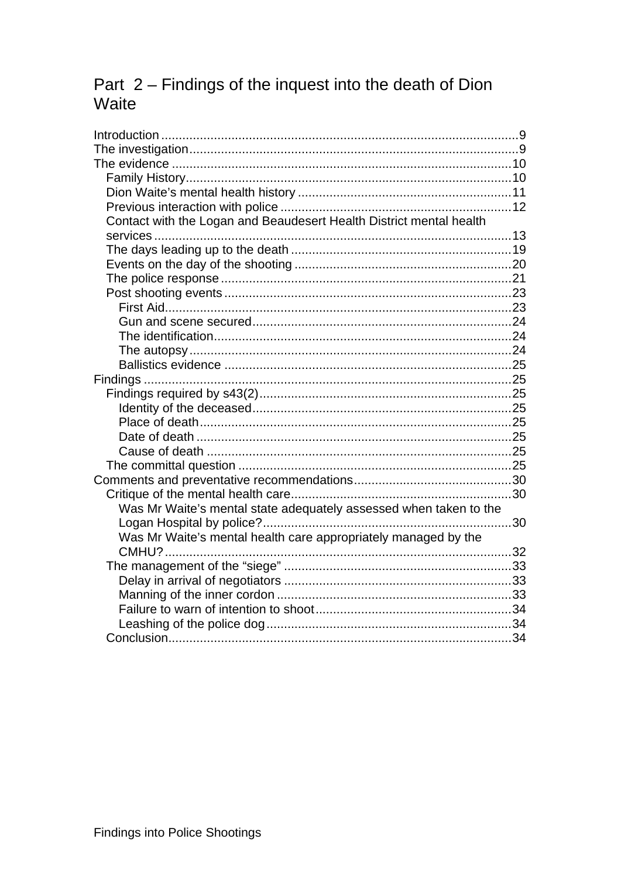# Part 2 - Findings of the inquest into the death of Dion Waite

| Contact with the Logan and Beaudesert Health District mental health |  |
|---------------------------------------------------------------------|--|
|                                                                     |  |
|                                                                     |  |
|                                                                     |  |
|                                                                     |  |
|                                                                     |  |
|                                                                     |  |
|                                                                     |  |
|                                                                     |  |
|                                                                     |  |
|                                                                     |  |
|                                                                     |  |
|                                                                     |  |
|                                                                     |  |
|                                                                     |  |
|                                                                     |  |
|                                                                     |  |
|                                                                     |  |
|                                                                     |  |
|                                                                     |  |
| Was Mr Waite's mental state adequately assessed when taken to the   |  |
| 30                                                                  |  |
| Was Mr Waite's mental health care appropriately managed by the      |  |
|                                                                     |  |
|                                                                     |  |
|                                                                     |  |
|                                                                     |  |
|                                                                     |  |
|                                                                     |  |
|                                                                     |  |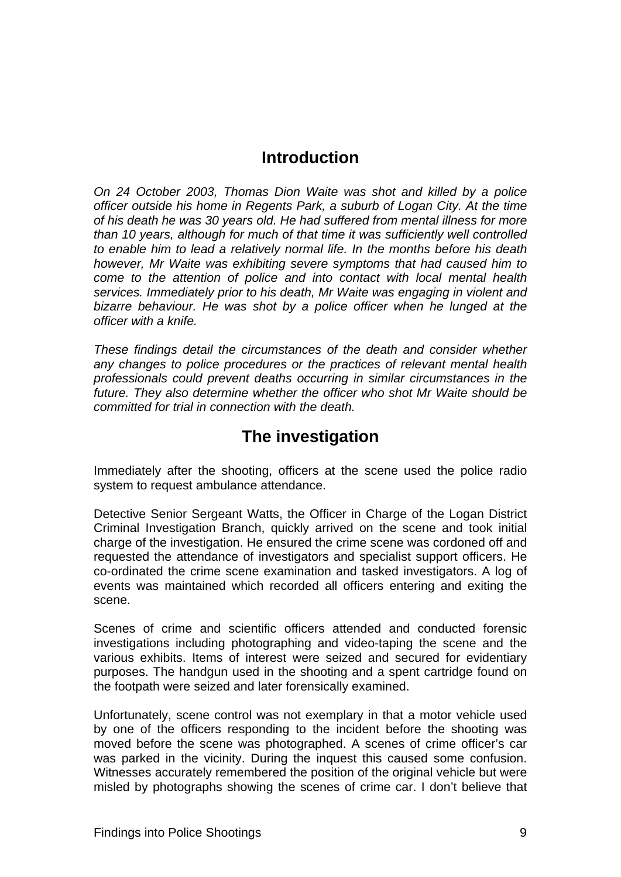### **Introduction**

<span id="page-21-2"></span><span id="page-21-0"></span>*On 24 October 2003, Thomas Dion Waite was shot and killed by a police officer outside his home in Regents Park, a suburb of Logan City. At the time of his death he was 30 years old. He had suffered from mental illness for more than 10 years, although for much of that time it was sufficiently well controlled to enable him to lead a relatively normal life. In the months before his death however, Mr Waite was exhibiting severe symptoms that had caused him to come to the attention of police and into contact with local mental health services. Immediately prior to his death, Mr Waite was engaging in violent and bizarre behaviour. He was shot by a police officer when he lunged at the officer with a knife.* 

*These findings detail the circumstances of the death and consider whether any changes to police procedures or the practices of relevant mental health professionals could prevent deaths occurring in similar circumstances in the future. They also determine whether the officer who shot Mr Waite should be committed for trial in connection with the death.* 

### **The investigation**

<span id="page-21-1"></span>Immediately after the shooting, officers at the scene used the police radio system to request ambulance attendance.

Detective Senior Sergeant Watts, the Officer in Charge of the Logan District Criminal Investigation Branch, quickly arrived on the scene and took initial charge of the investigation. He ensured the crime scene was cordoned off and requested the attendance of investigators and specialist support officers. He co-ordinated the crime scene examination and tasked investigators. A log of events was maintained which recorded all officers entering and exiting the scene.

Scenes of crime and scientific officers attended and conducted forensic investigations including photographing and video-taping the scene and the various exhibits. Items of interest were seized and secured for evidentiary purposes. The handgun used in the shooting and a spent cartridge found on the footpath were seized and later forensically examined.

Unfortunately, scene control was not exemplary in that a motor vehicle used by one of the officers responding to the incident before the shooting was moved before the scene was photographed. A scenes of crime officer's car was parked in the vicinity. During the inquest this caused some confusion. Witnesses accurately remembered the position of the original vehicle but were misled by photographs showing the scenes of crime car. I don't believe that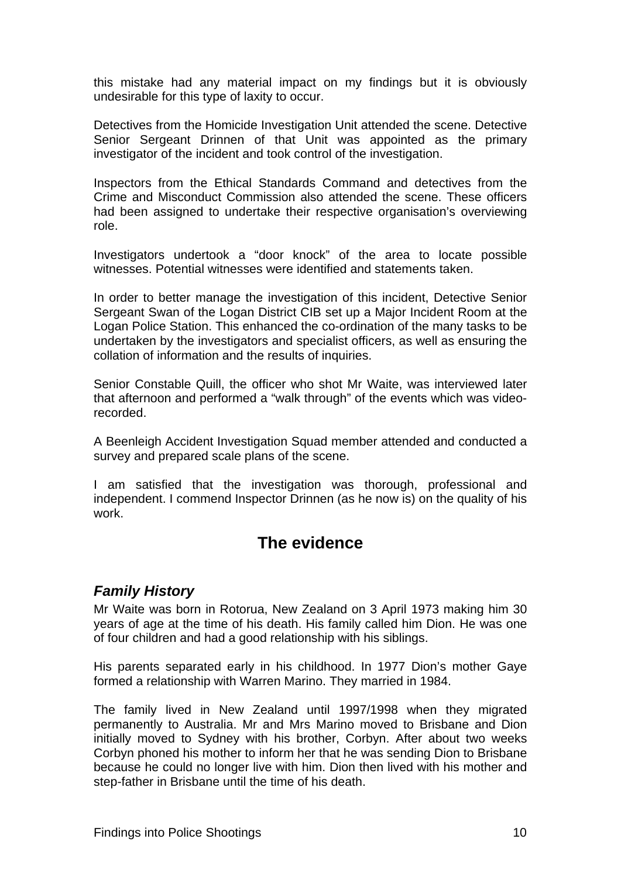<span id="page-22-2"></span>this mistake had any material impact on my findings but it is obviously undesirable for this type of laxity to occur.

Detectives from the Homicide Investigation Unit attended the scene. Detective Senior Sergeant Drinnen of that Unit was appointed as the primary investigator of the incident and took control of the investigation.

Inspectors from the Ethical Standards Command and detectives from the Crime and Misconduct Commission also attended the scene. These officers had been assigned to undertake their respective organisation's overviewing role.

Investigators undertook a "door knock" of the area to locate possible witnesses. Potential witnesses were identified and statements taken.

In order to better manage the investigation of this incident, Detective Senior Sergeant Swan of the Logan District CIB set up a Major Incident Room at the Logan Police Station. This enhanced the co-ordination of the many tasks to be undertaken by the investigators and specialist officers, as well as ensuring the collation of information and the results of inquiries.

Senior Constable Quill, the officer who shot Mr Waite, was interviewed later that afternoon and performed a "walk through" of the events which was videorecorded.

A Beenleigh Accident Investigation Squad member attended and conducted a survey and prepared scale plans of the scene.

I am satisfied that the investigation was thorough, professional and independent. I commend Inspector Drinnen (as he now is) on the quality of his work.

### **The evidence**

### <span id="page-22-1"></span><span id="page-22-0"></span>*Family History*

Mr Waite was born in Rotorua, New Zealand on 3 April 1973 making him 30 years of age at the time of his death. His family called him Dion. He was one of four children and had a good relationship with his siblings.

His parents separated early in his childhood. In 1977 Dion's mother Gaye formed a relationship with Warren Marino. They married in 1984.

The family lived in New Zealand until 1997/1998 when they migrated permanently to Australia. Mr and Mrs Marino moved to Brisbane and Dion initially moved to Sydney with his brother, Corbyn. After about two weeks Corbyn phoned his mother to inform her that he was sending Dion to Brisbane because he could no longer live with him. Dion then lived with his mother and step-father in Brisbane until the time of his death.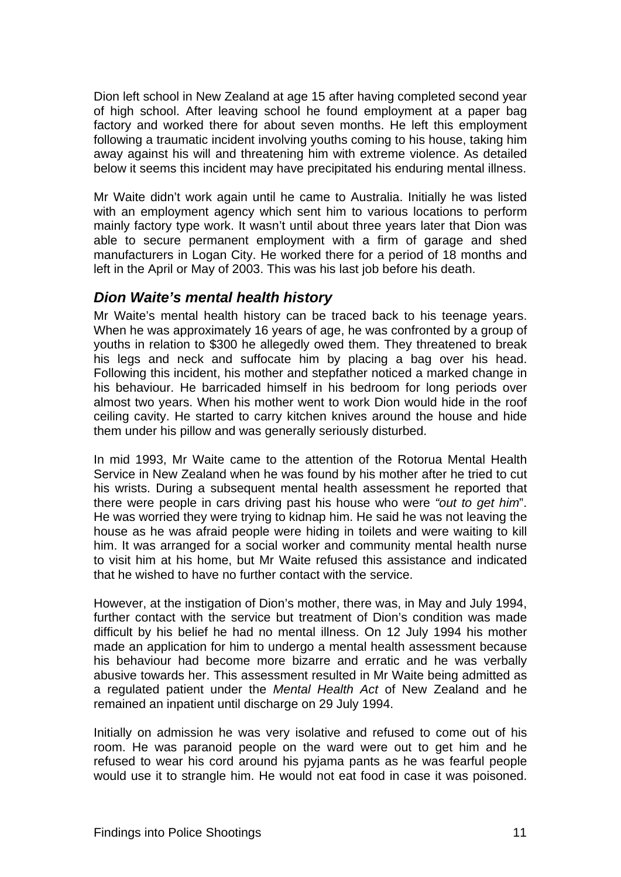<span id="page-23-1"></span>Dion left school in New Zealand at age 15 after having completed second year of high school. After leaving school he found employment at a paper bag factory and worked there for about seven months. He left this employment following a traumatic incident involving youths coming to his house, taking him away against his will and threatening him with extreme violence. As detailed below it seems this incident may have precipitated his enduring mental illness.

Mr Waite didn't work again until he came to Australia. Initially he was listed with an employment agency which sent him to various locations to perform mainly factory type work. It wasn't until about three years later that Dion was able to secure permanent employment with a firm of garage and shed manufacturers in Logan City. He worked there for a period of 18 months and left in the April or May of 2003. This was his last job before his death.

### <span id="page-23-0"></span>*Dion Waite's mental health history*

Mr Waite's mental health history can be traced back to his teenage years. When he was approximately 16 years of age, he was confronted by a group of youths in relation to \$300 he allegedly owed them. They threatened to break his legs and neck and suffocate him by placing a bag over his head. Following this incident, his mother and stepfather noticed a marked change in his behaviour. He barricaded himself in his bedroom for long periods over almost two years. When his mother went to work Dion would hide in the roof ceiling cavity. He started to carry kitchen knives around the house and hide them under his pillow and was generally seriously disturbed.

In mid 1993, Mr Waite came to the attention of the Rotorua Mental Health Service in New Zealand when he was found by his mother after he tried to cut his wrists. During a subsequent mental health assessment he reported that there were people in cars driving past his house who were *"out to get him*". He was worried they were trying to kidnap him. He said he was not leaving the house as he was afraid people were hiding in toilets and were waiting to kill him. It was arranged for a social worker and community mental health nurse to visit him at his home, but Mr Waite refused this assistance and indicated that he wished to have no further contact with the service.

However, at the instigation of Dion's mother, there was, in May and July 1994, further contact with the service but treatment of Dion's condition was made difficult by his belief he had no mental illness. On 12 July 1994 his mother made an application for him to undergo a mental health assessment because his behaviour had become more bizarre and erratic and he was verbally abusive towards her. This assessment resulted in Mr Waite being admitted as a regulated patient under the *Mental Health Act* of New Zealand and he remained an inpatient until discharge on 29 July 1994.

Initially on admission he was very isolative and refused to come out of his room. He was paranoid people on the ward were out to get him and he refused to wear his cord around his pyjama pants as he was fearful people would use it to strangle him. He would not eat food in case it was poisoned.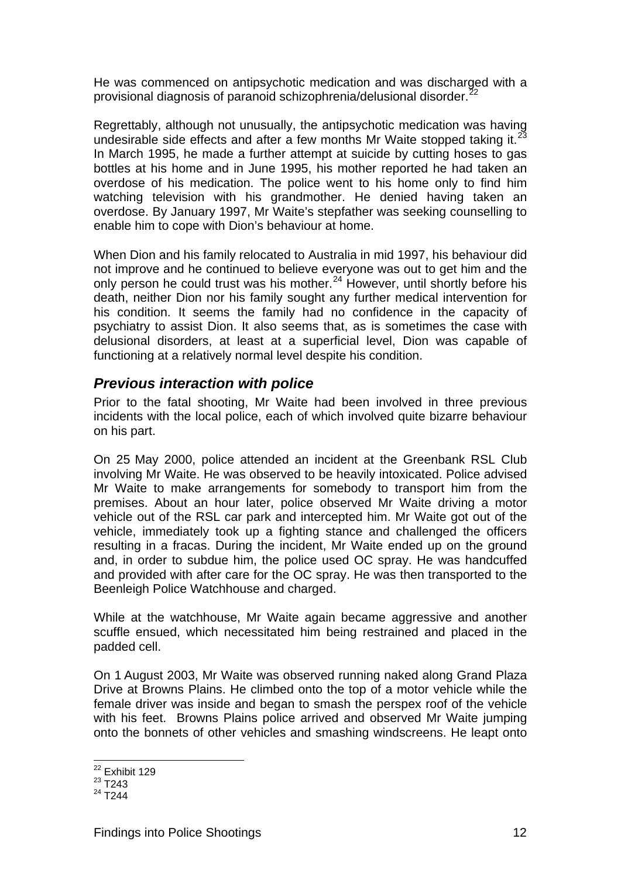<span id="page-24-1"></span>He was commenced on antipsychotic medication and was discharged with a provisional diagnosis of paranoid schizophrenia/delusional disorder.<sup>[22](#page-24-2)</sup>

Regrettably, although not unusually, the antipsychotic medication was having undesirable side effects and after a few months Mr Waite stopped taking it.<sup>2</sup> In March 1995, he made a further attempt at suicide by cutting hoses to gas bottles at his home and in June 1995, his mother reported he had taken an overdose of his medication. The police went to his home only to find him watching television with his grandmother. He denied having taken an overdose. By January 1997, Mr Waite's stepfather was seeking counselling to enable him to cope with Dion's behaviour at home.

When Dion and his family relocated to Australia in mid 1997, his behaviour did not improve and he continued to believe everyone was out to get him and the only person he could trust was his mother.<sup>[24](#page-24-4)</sup> However, until shortly before his death, neither Dion nor his family sought any further medical intervention for his condition. It seems the family had no confidence in the capacity of psychiatry to assist Dion. It also seems that, as is sometimes the case with delusional disorders, at least at a superficial level, Dion was capable of functioning at a relatively normal level despite his condition.

#### <span id="page-24-0"></span>*Previous interaction with police*

Prior to the fatal shooting, Mr Waite had been involved in three previous incidents with the local police, each of which involved quite bizarre behaviour on his part.

On 25 May 2000, police attended an incident at the Greenbank RSL Club involving Mr Waite. He was observed to be heavily intoxicated. Police advised Mr Waite to make arrangements for somebody to transport him from the premises. About an hour later, police observed Mr Waite driving a motor vehicle out of the RSL car park and intercepted him. Mr Waite got out of the vehicle, immediately took up a fighting stance and challenged the officers resulting in a fracas. During the incident, Mr Waite ended up on the ground and, in order to subdue him, the police used OC spray. He was handcuffed and provided with after care for the OC spray. He was then transported to the Beenleigh Police Watchhouse and charged.

While at the watchhouse, Mr Waite again became aggressive and another scuffle ensued, which necessitated him being restrained and placed in the padded cell.

On 1 August 2003, Mr Waite was observed running naked along Grand Plaza Drive at Browns Plains. He climbed onto the top of a motor vehicle while the female driver was inside and began to smash the perspex roof of the vehicle with his feet. Browns Plains police arrived and observed Mr Waite jumping onto the bonnets of other vehicles and smashing windscreens. He leapt onto

l <sup>22</sup> Exhibit 129

<span id="page-24-3"></span><span id="page-24-2"></span> $23 \overline{\text{T}}$ 243

<span id="page-24-4"></span> $^{24}$  T<sub>244</sub>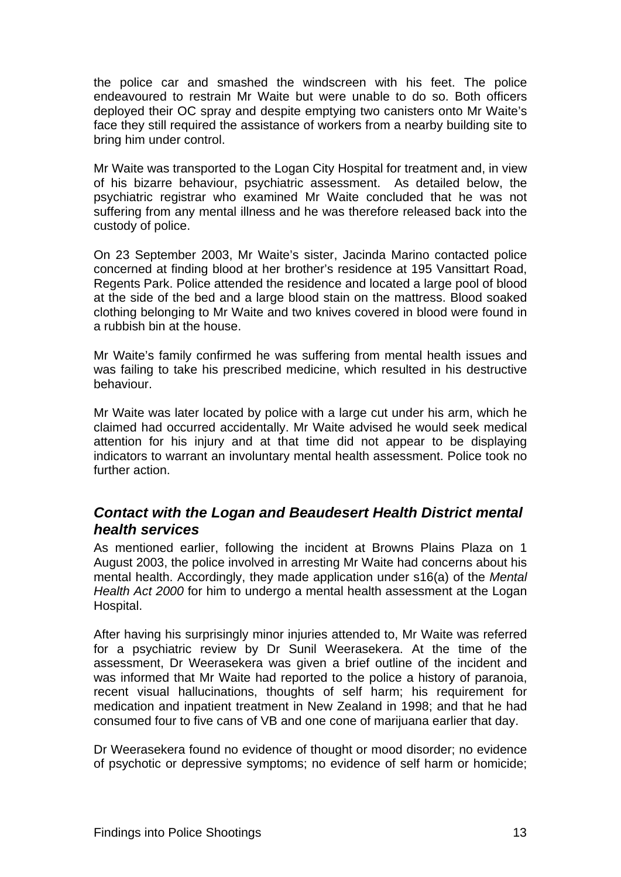<span id="page-25-1"></span>the police car and smashed the windscreen with his feet. The police endeavoured to restrain Mr Waite but were unable to do so. Both officers deployed their OC spray and despite emptying two canisters onto Mr Waite's face they still required the assistance of workers from a nearby building site to bring him under control.

Mr Waite was transported to the Logan City Hospital for treatment and, in view of his bizarre behaviour, psychiatric assessment. As detailed below, the psychiatric registrar who examined Mr Waite concluded that he was not suffering from any mental illness and he was therefore released back into the custody of police.

On 23 September 2003, Mr Waite's sister, Jacinda Marino contacted police concerned at finding blood at her brother's residence at 195 Vansittart Road, Regents Park. Police attended the residence and located a large pool of blood at the side of the bed and a large blood stain on the mattress. Blood soaked clothing belonging to Mr Waite and two knives covered in blood were found in a rubbish bin at the house.

Mr Waite's family confirmed he was suffering from mental health issues and was failing to take his prescribed medicine, which resulted in his destructive behaviour.

Mr Waite was later located by police with a large cut under his arm, which he claimed had occurred accidentally. Mr Waite advised he would seek medical attention for his injury and at that time did not appear to be displaying indicators to warrant an involuntary mental health assessment. Police took no further action.

### <span id="page-25-0"></span>*Contact with the Logan and Beaudesert Health District mental health services*

As mentioned earlier, following the incident at Browns Plains Plaza on 1 August 2003, the police involved in arresting Mr Waite had concerns about his mental health. Accordingly, they made application under s16(a) of the *Mental Health Act 2000* for him to undergo a mental health assessment at the Logan Hospital.

After having his surprisingly minor injuries attended to, Mr Waite was referred for a psychiatric review by Dr Sunil Weerasekera. At the time of the assessment, Dr Weerasekera was given a brief outline of the incident and was informed that Mr Waite had reported to the police a history of paranoia, recent visual hallucinations, thoughts of self harm; his requirement for medication and inpatient treatment in New Zealand in 1998; and that he had consumed four to five cans of VB and one cone of marijuana earlier that day.

Dr Weerasekera found no evidence of thought or mood disorder; no evidence of psychotic or depressive symptoms; no evidence of self harm or homicide;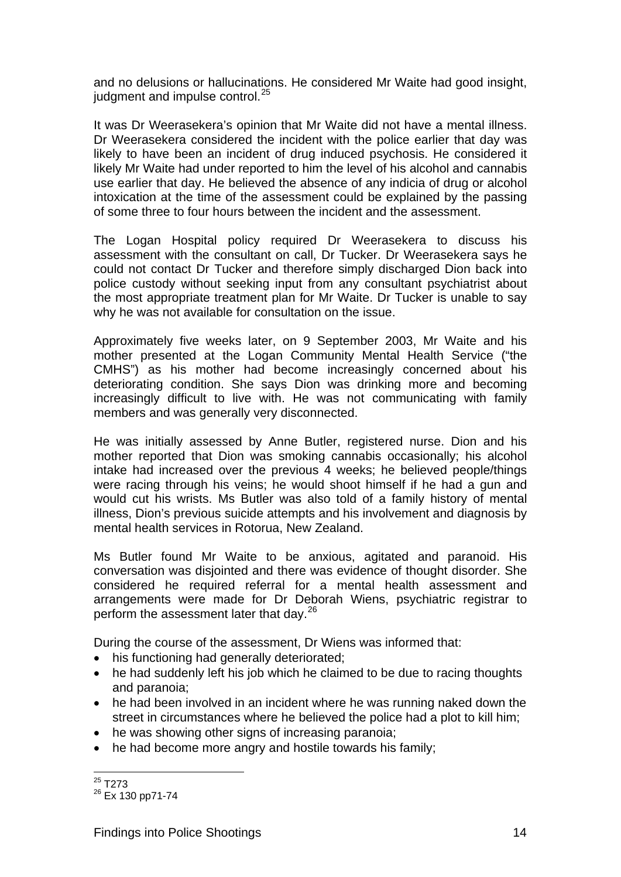and no delusions or hallucinations. He considered Mr Waite had good insight, judgment and impulse control.<sup>[25](#page-26-0)</sup>

It was Dr Weerasekera's opinion that Mr Waite did not have a mental illness. Dr Weerasekera considered the incident with the police earlier that day was likely to have been an incident of drug induced psychosis. He considered it likely Mr Waite had under reported to him the level of his alcohol and cannabis use earlier that day. He believed the absence of any indicia of drug or alcohol intoxication at the time of the assessment could be explained by the passing of some three to four hours between the incident and the assessment.

The Logan Hospital policy required Dr Weerasekera to discuss his assessment with the consultant on call, Dr Tucker. Dr Weerasekera says he could not contact Dr Tucker and therefore simply discharged Dion back into police custody without seeking input from any consultant psychiatrist about the most appropriate treatment plan for Mr Waite. Dr Tucker is unable to say why he was not available for consultation on the issue.

Approximately five weeks later, on 9 September 2003, Mr Waite and his mother presented at the Logan Community Mental Health Service ("the CMHS") as his mother had become increasingly concerned about his deteriorating condition. She says Dion was drinking more and becoming increasingly difficult to live with. He was not communicating with family members and was generally very disconnected.

He was initially assessed by Anne Butler, registered nurse. Dion and his mother reported that Dion was smoking cannabis occasionally; his alcohol intake had increased over the previous 4 weeks; he believed people/things were racing through his veins; he would shoot himself if he had a gun and would cut his wrists. Ms Butler was also told of a family history of mental illness, Dion's previous suicide attempts and his involvement and diagnosis by mental health services in Rotorua, New Zealand.

Ms Butler found Mr Waite to be anxious, agitated and paranoid. His conversation was disjointed and there was evidence of thought disorder. She considered he required referral for a mental health assessment and arrangements were made for Dr Deborah Wiens, psychiatric registrar to perform the assessment later that day.<sup>[26](#page-26-1)</sup>

During the course of the assessment, Dr Wiens was informed that:

- his functioning had generally deteriorated;
- he had suddenly left his job which he claimed to be due to racing thoughts and paranoia;
- he had been involved in an incident where he was running naked down the street in circumstances where he believed the police had a plot to kill him;
- he was showing other signs of increasing paranoia;
- he had become more angry and hostile towards his family;

l  $^{25}$  T273

<span id="page-26-1"></span><span id="page-26-0"></span><sup>26</sup> Ex 130 pp71-74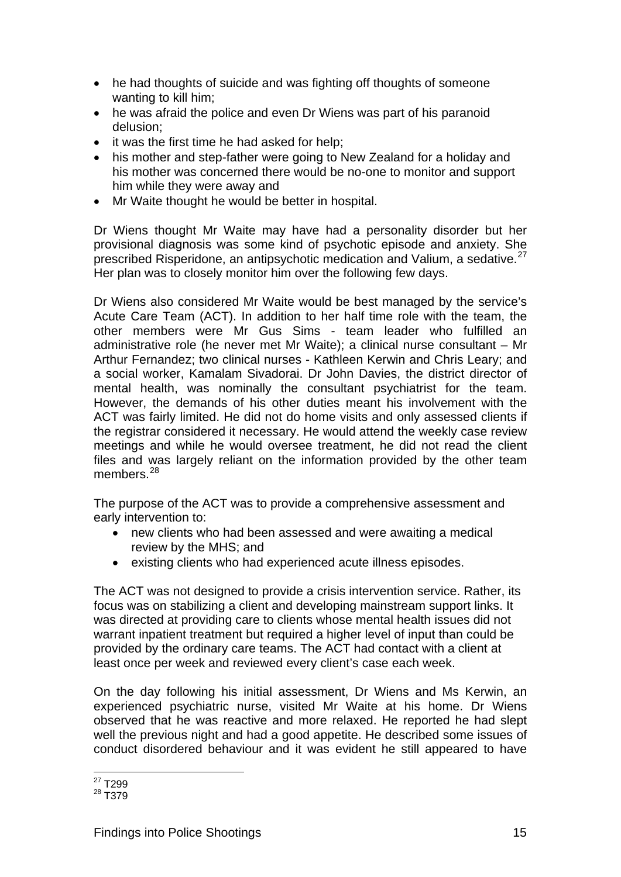- he had thoughts of suicide and was fighting off thoughts of someone wanting to kill him;
- he was afraid the police and even Dr Wiens was part of his paranoid delusion;
- it was the first time he had asked for help;
- his mother and step-father were going to New Zealand for a holiday and his mother was concerned there would be no-one to monitor and support him while they were away and
- Mr Waite thought he would be better in hospital.

Dr Wiens thought Mr Waite may have had a personality disorder but her provisional diagnosis was some kind of psychotic episode and anxiety. She prescribed Risperidone, an antipsychotic medication and Valium, a sedative.<sup>[27](#page-27-0)</sup> Her plan was to closely monitor him over the following few days.

Dr Wiens also considered Mr Waite would be best managed by the service's Acute Care Team (ACT). In addition to her half time role with the team, the other members were Mr Gus Sims - team leader who fulfilled an administrative role (he never met Mr Waite); a clinical nurse consultant – Mr Arthur Fernandez; two clinical nurses - Kathleen Kerwin and Chris Leary; and a social worker, Kamalam Sivadorai. Dr John Davies, the district director of mental health, was nominally the consultant psychiatrist for the team. However, the demands of his other duties meant his involvement with the ACT was fairly limited. He did not do home visits and only assessed clients if the registrar considered it necessary. He would attend the weekly case review meetings and while he would oversee treatment, he did not read the client files and was largely reliant on the information provided by the other team members.<sup>[28](#page-27-1)</sup>

The purpose of the ACT was to provide a comprehensive assessment and early intervention to:

- new clients who had been assessed and were awaiting a medical review by the MHS; and
- existing clients who had experienced acute illness episodes.

The ACT was not designed to provide a crisis intervention service. Rather, its focus was on stabilizing a client and developing mainstream support links. It was directed at providing care to clients whose mental health issues did not warrant inpatient treatment but required a higher level of input than could be provided by the ordinary care teams. The ACT had contact with a client at least once per week and reviewed every client's case each week.

On the day following his initial assessment, Dr Wiens and Ms Kerwin, an experienced psychiatric nurse, visited Mr Waite at his home. Dr Wiens observed that he was reactive and more relaxed. He reported he had slept well the previous night and had a good appetite. He described some issues of conduct disordered behaviour and it was evident he still appeared to have

l <sup>27</sup> T299

<span id="page-27-1"></span><span id="page-27-0"></span> $^{28}$  T<sub>379</sub>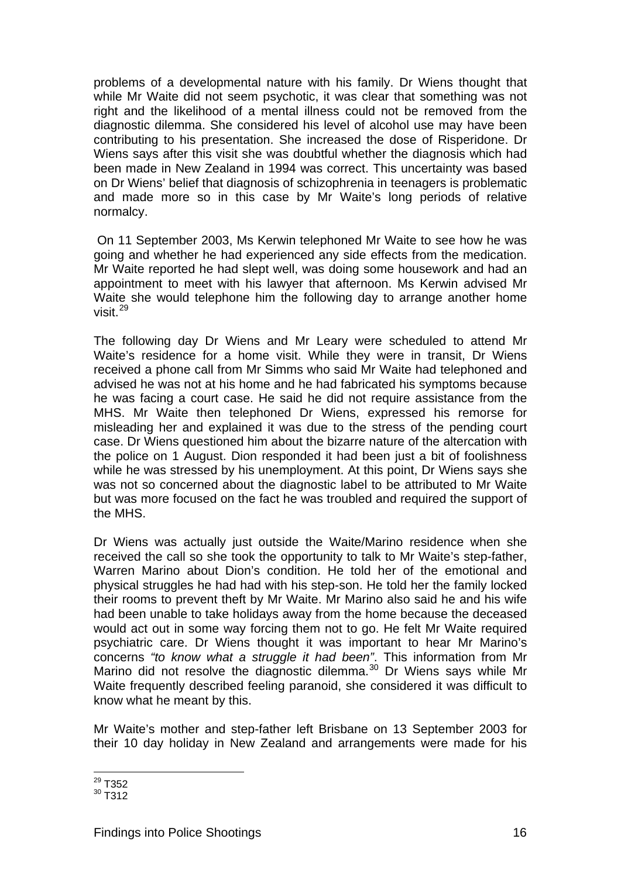problems of a developmental nature with his family. Dr Wiens thought that while Mr Waite did not seem psychotic, it was clear that something was not right and the likelihood of a mental illness could not be removed from the diagnostic dilemma. She considered his level of alcohol use may have been contributing to his presentation. She increased the dose of Risperidone. Dr Wiens says after this visit she was doubtful whether the diagnosis which had been made in New Zealand in 1994 was correct. This uncertainty was based on Dr Wiens' belief that diagnosis of schizophrenia in teenagers is problematic and made more so in this case by Mr Waite's long periods of relative normalcy.

 On 11 September 2003, Ms Kerwin telephoned Mr Waite to see how he was going and whether he had experienced any side effects from the medication. Mr Waite reported he had slept well, was doing some housework and had an appointment to meet with his lawyer that afternoon. Ms Kerwin advised Mr Waite she would telephone him the following day to arrange another home visit.[29](#page-28-0)

The following day Dr Wiens and Mr Leary were scheduled to attend Mr Waite's residence for a home visit. While they were in transit, Dr Wiens received a phone call from Mr Simms who said Mr Waite had telephoned and advised he was not at his home and he had fabricated his symptoms because he was facing a court case. He said he did not require assistance from the MHS. Mr Waite then telephoned Dr Wiens, expressed his remorse for misleading her and explained it was due to the stress of the pending court case. Dr Wiens questioned him about the bizarre nature of the altercation with the police on 1 August. Dion responded it had been just a bit of foolishness while he was stressed by his unemployment. At this point, Dr Wiens says she was not so concerned about the diagnostic label to be attributed to Mr Waite but was more focused on the fact he was troubled and required the support of the MHS.

Dr Wiens was actually just outside the Waite/Marino residence when she received the call so she took the opportunity to talk to Mr Waite's step-father, Warren Marino about Dion's condition. He told her of the emotional and physical struggles he had had with his step-son. He told her the family locked their rooms to prevent theft by Mr Waite. Mr Marino also said he and his wife had been unable to take holidays away from the home because the deceased would act out in some way forcing them not to go. He felt Mr Waite required psychiatric care. Dr Wiens thought it was important to hear Mr Marino's concerns *"to know what a struggle it had been"*. This information from Mr Marino did not resolve the diagnostic dilemma. $30$  Dr Wiens says while Mr Waite frequently described feeling paranoid, she considered it was difficult to know what he meant by this.

Mr Waite's mother and step-father left Brisbane on 13 September 2003 for their 10 day holiday in New Zealand and arrangements were made for his

l  $^{29}$  T352

<span id="page-28-1"></span><span id="page-28-0"></span> $30$  T<sub>312</sub>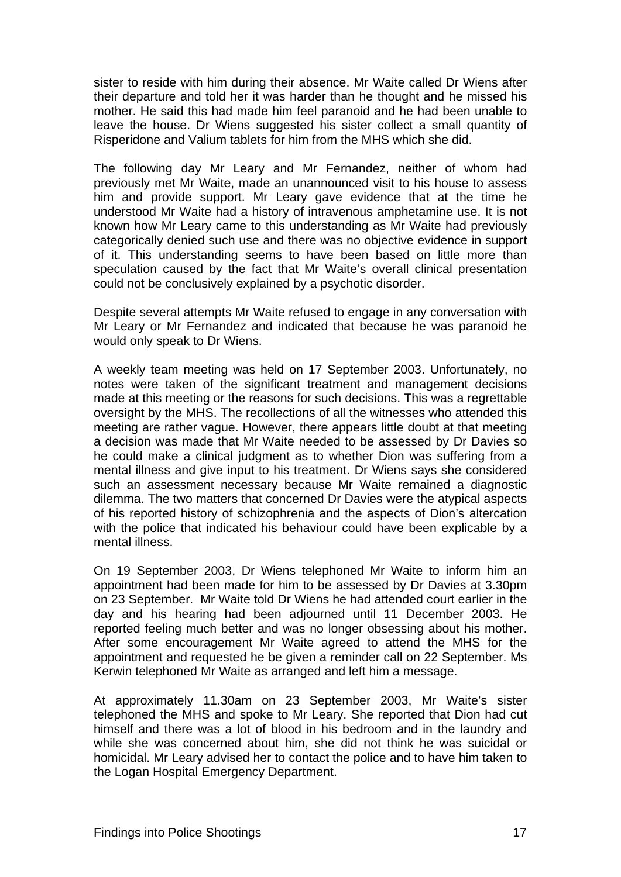sister to reside with him during their absence. Mr Waite called Dr Wiens after their departure and told her it was harder than he thought and he missed his mother. He said this had made him feel paranoid and he had been unable to leave the house. Dr Wiens suggested his sister collect a small quantity of Risperidone and Valium tablets for him from the MHS which she did.

The following day Mr Leary and Mr Fernandez, neither of whom had previously met Mr Waite, made an unannounced visit to his house to assess him and provide support. Mr Leary gave evidence that at the time he understood Mr Waite had a history of intravenous amphetamine use. It is not known how Mr Leary came to this understanding as Mr Waite had previously categorically denied such use and there was no objective evidence in support of it. This understanding seems to have been based on little more than speculation caused by the fact that Mr Waite's overall clinical presentation could not be conclusively explained by a psychotic disorder.

Despite several attempts Mr Waite refused to engage in any conversation with Mr Leary or Mr Fernandez and indicated that because he was paranoid he would only speak to Dr Wiens.

A weekly team meeting was held on 17 September 2003. Unfortunately, no notes were taken of the significant treatment and management decisions made at this meeting or the reasons for such decisions. This was a regrettable oversight by the MHS. The recollections of all the witnesses who attended this meeting are rather vague. However, there appears little doubt at that meeting a decision was made that Mr Waite needed to be assessed by Dr Davies so he could make a clinical judgment as to whether Dion was suffering from a mental illness and give input to his treatment. Dr Wiens says she considered such an assessment necessary because Mr Waite remained a diagnostic dilemma. The two matters that concerned Dr Davies were the atypical aspects of his reported history of schizophrenia and the aspects of Dion's altercation with the police that indicated his behaviour could have been explicable by a mental illness.

On 19 September 2003, Dr Wiens telephoned Mr Waite to inform him an appointment had been made for him to be assessed by Dr Davies at 3.30pm on 23 September. Mr Waite told Dr Wiens he had attended court earlier in the day and his hearing had been adjourned until 11 December 2003. He reported feeling much better and was no longer obsessing about his mother. After some encouragement Mr Waite agreed to attend the MHS for the appointment and requested he be given a reminder call on 22 September. Ms Kerwin telephoned Mr Waite as arranged and left him a message.

At approximately 11.30am on 23 September 2003, Mr Waite's sister telephoned the MHS and spoke to Mr Leary. She reported that Dion had cut himself and there was a lot of blood in his bedroom and in the laundry and while she was concerned about him, she did not think he was suicidal or homicidal. Mr Leary advised her to contact the police and to have him taken to the Logan Hospital Emergency Department.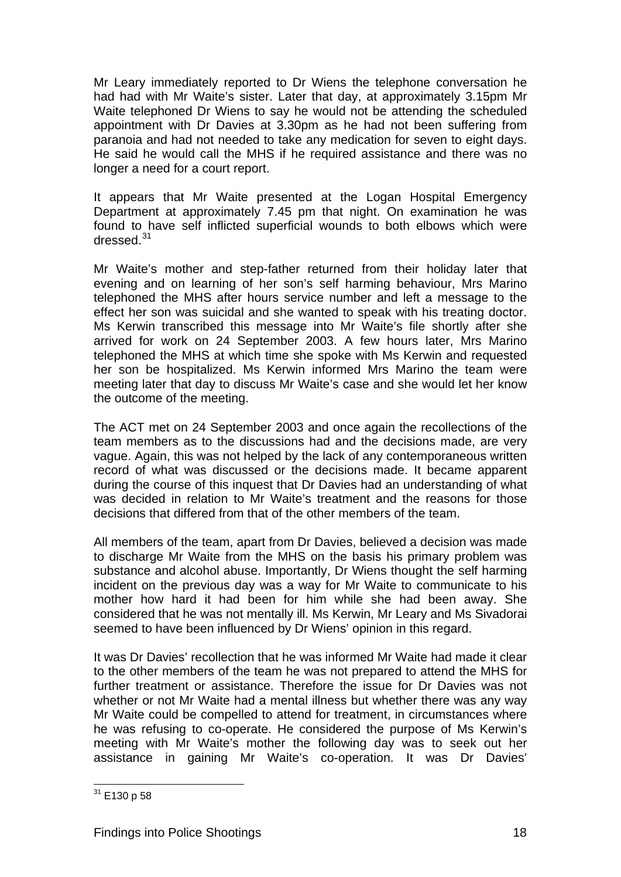Mr Leary immediately reported to Dr Wiens the telephone conversation he had had with Mr Waite's sister. Later that day, at approximately 3.15pm Mr Waite telephoned Dr Wiens to say he would not be attending the scheduled appointment with Dr Davies at 3.30pm as he had not been suffering from paranoia and had not needed to take any medication for seven to eight days. He said he would call the MHS if he required assistance and there was no longer a need for a court report.

It appears that Mr Waite presented at the Logan Hospital Emergency Department at approximately 7.45 pm that night. On examination he was found to have self inflicted superficial wounds to both elbows which were dressed.<sup>[31](#page-30-0)</sup>

Mr Waite's mother and step-father returned from their holiday later that evening and on learning of her son's self harming behaviour, Mrs Marino telephoned the MHS after hours service number and left a message to the effect her son was suicidal and she wanted to speak with his treating doctor. Ms Kerwin transcribed this message into Mr Waite's file shortly after she arrived for work on 24 September 2003. A few hours later, Mrs Marino telephoned the MHS at which time she spoke with Ms Kerwin and requested her son be hospitalized. Ms Kerwin informed Mrs Marino the team were meeting later that day to discuss Mr Waite's case and she would let her know the outcome of the meeting.

The ACT met on 24 September 2003 and once again the recollections of the team members as to the discussions had and the decisions made, are very vague. Again, this was not helped by the lack of any contemporaneous written record of what was discussed or the decisions made. It became apparent during the course of this inquest that Dr Davies had an understanding of what was decided in relation to Mr Waite's treatment and the reasons for those decisions that differed from that of the other members of the team.

All members of the team, apart from Dr Davies, believed a decision was made to discharge Mr Waite from the MHS on the basis his primary problem was substance and alcohol abuse. Importantly, Dr Wiens thought the self harming incident on the previous day was a way for Mr Waite to communicate to his mother how hard it had been for him while she had been away. She considered that he was not mentally ill. Ms Kerwin, Mr Leary and Ms Sivadorai seemed to have been influenced by Dr Wiens' opinion in this regard.

It was Dr Davies' recollection that he was informed Mr Waite had made it clear to the other members of the team he was not prepared to attend the MHS for further treatment or assistance. Therefore the issue for Dr Davies was not whether or not Mr Waite had a mental illness but whether there was any way Mr Waite could be compelled to attend for treatment, in circumstances where he was refusing to co-operate. He considered the purpose of Ms Kerwin's meeting with Mr Waite's mother the following day was to seek out her assistance in gaining Mr Waite's co-operation. It was Dr Davies'

<span id="page-30-0"></span>l  $31$  E130 p 58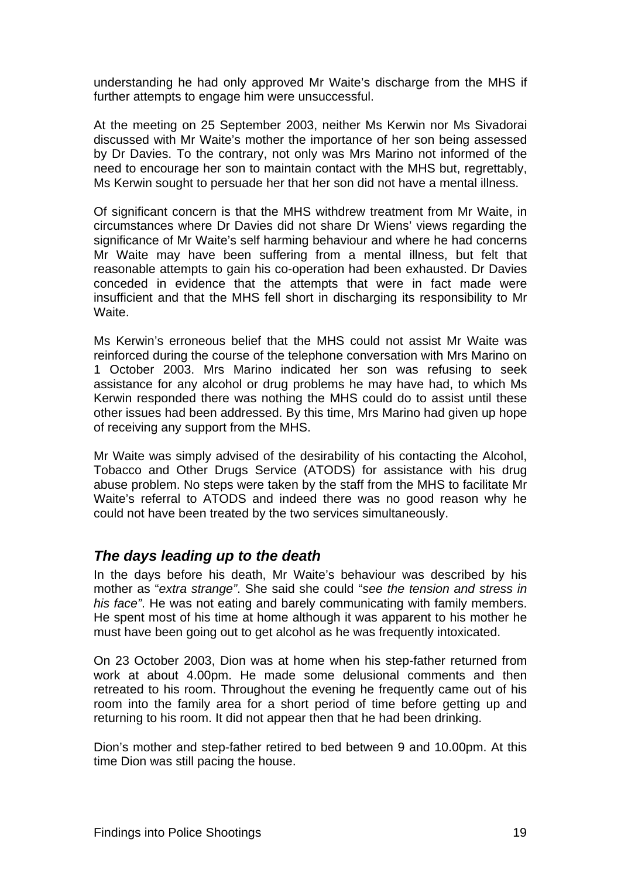<span id="page-31-1"></span>understanding he had only approved Mr Waite's discharge from the MHS if further attempts to engage him were unsuccessful.

At the meeting on 25 September 2003, neither Ms Kerwin nor Ms Sivadorai discussed with Mr Waite's mother the importance of her son being assessed by Dr Davies. To the contrary, not only was Mrs Marino not informed of the need to encourage her son to maintain contact with the MHS but, regrettably, Ms Kerwin sought to persuade her that her son did not have a mental illness.

Of significant concern is that the MHS withdrew treatment from Mr Waite, in circumstances where Dr Davies did not share Dr Wiens' views regarding the significance of Mr Waite's self harming behaviour and where he had concerns Mr Waite may have been suffering from a mental illness, but felt that reasonable attempts to gain his co-operation had been exhausted. Dr Davies conceded in evidence that the attempts that were in fact made were insufficient and that the MHS fell short in discharging its responsibility to Mr Waite.

Ms Kerwin's erroneous belief that the MHS could not assist Mr Waite was reinforced during the course of the telephone conversation with Mrs Marino on 1 October 2003. Mrs Marino indicated her son was refusing to seek assistance for any alcohol or drug problems he may have had, to which Ms Kerwin responded there was nothing the MHS could do to assist until these other issues had been addressed. By this time, Mrs Marino had given up hope of receiving any support from the MHS.

Mr Waite was simply advised of the desirability of his contacting the Alcohol, Tobacco and Other Drugs Service (ATODS) for assistance with his drug abuse problem. No steps were taken by the staff from the MHS to facilitate Mr Waite's referral to ATODS and indeed there was no good reason why he could not have been treated by the two services simultaneously.

#### <span id="page-31-0"></span>*The days leading up to the death*

In the days before his death, Mr Waite's behaviour was described by his mother as "*extra strange"*. She said she could "*see the tension and stress in his face"*. He was not eating and barely communicating with family members. He spent most of his time at home although it was apparent to his mother he must have been going out to get alcohol as he was frequently intoxicated.

On 23 October 2003, Dion was at home when his step-father returned from work at about 4.00pm. He made some delusional comments and then retreated to his room. Throughout the evening he frequently came out of his room into the family area for a short period of time before getting up and returning to his room. It did not appear then that he had been drinking.

Dion's mother and step-father retired to bed between 9 and 10.00pm. At this time Dion was still pacing the house.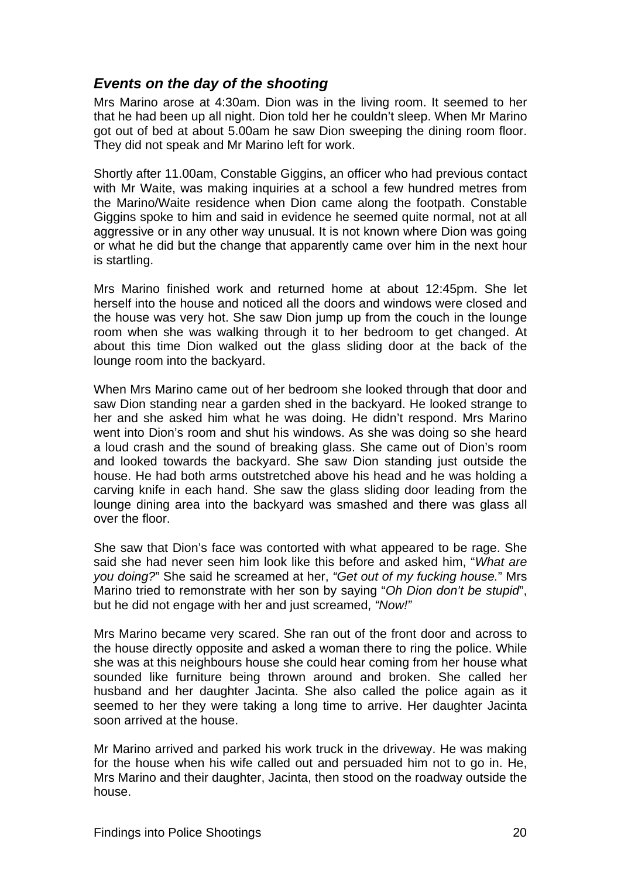### <span id="page-32-1"></span><span id="page-32-0"></span>*Events on the day of the shooting*

Mrs Marino arose at 4:30am. Dion was in the living room. It seemed to her that he had been up all night. Dion told her he couldn't sleep. When Mr Marino got out of bed at about 5.00am he saw Dion sweeping the dining room floor. They did not speak and Mr Marino left for work.

Shortly after 11.00am, Constable Giggins, an officer who had previous contact with Mr Waite, was making inquiries at a school a few hundred metres from the Marino/Waite residence when Dion came along the footpath. Constable Giggins spoke to him and said in evidence he seemed quite normal, not at all aggressive or in any other way unusual. It is not known where Dion was going or what he did but the change that apparently came over him in the next hour is startling.

Mrs Marino finished work and returned home at about 12:45pm. She let herself into the house and noticed all the doors and windows were closed and the house was very hot. She saw Dion jump up from the couch in the lounge room when she was walking through it to her bedroom to get changed. At about this time Dion walked out the glass sliding door at the back of the lounge room into the backyard.

When Mrs Marino came out of her bedroom she looked through that door and saw Dion standing near a garden shed in the backyard. He looked strange to her and she asked him what he was doing. He didn't respond. Mrs Marino went into Dion's room and shut his windows. As she was doing so she heard a loud crash and the sound of breaking glass. She came out of Dion's room and looked towards the backyard. She saw Dion standing just outside the house. He had both arms outstretched above his head and he was holding a carving knife in each hand. She saw the glass sliding door leading from the lounge dining area into the backyard was smashed and there was glass all over the floor.

She saw that Dion's face was contorted with what appeared to be rage. She said she had never seen him look like this before and asked him, "*What are you doing?*" She said he screamed at her, *"Get out of my fucking house.*" Mrs Marino tried to remonstrate with her son by saying "*Oh Dion don't be stupid*", but he did not engage with her and just screamed, *"Now!"*

Mrs Marino became very scared. She ran out of the front door and across to the house directly opposite and asked a woman there to ring the police. While she was at this neighbours house she could hear coming from her house what sounded like furniture being thrown around and broken. She called her husband and her daughter Jacinta. She also called the police again as it seemed to her they were taking a long time to arrive. Her daughter Jacinta soon arrived at the house.

Mr Marino arrived and parked his work truck in the driveway. He was making for the house when his wife called out and persuaded him not to go in. He, Mrs Marino and their daughter, Jacinta, then stood on the roadway outside the house.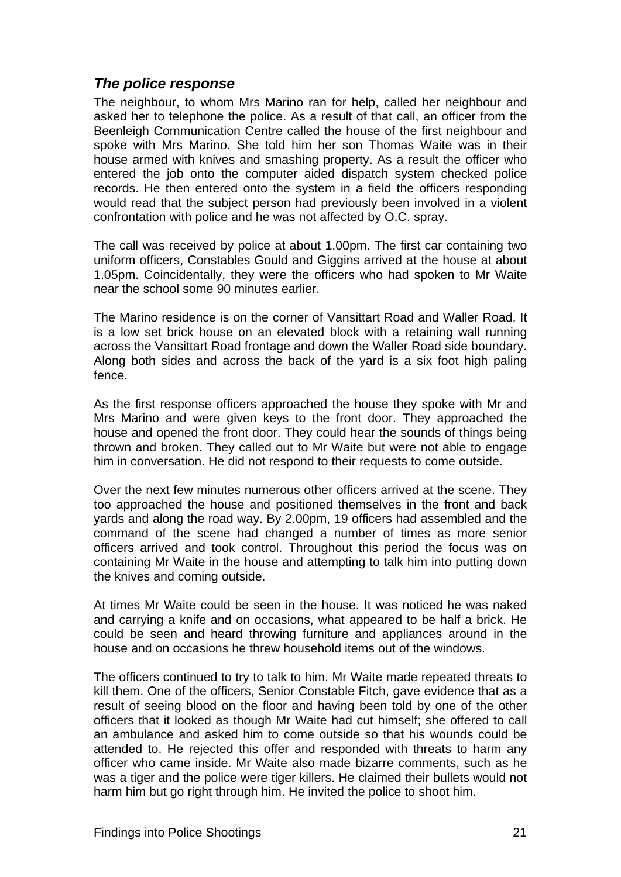### <span id="page-33-1"></span><span id="page-33-0"></span>*The police response*

The neighbour, to whom Mrs Marino ran for help, called her neighbour and asked her to telephone the police. As a result of that call, an officer from the Beenleigh Communication Centre called the house of the first neighbour and spoke with Mrs Marino. She told him her son Thomas Waite was in their house armed with knives and smashing property. As a result the officer who entered the job onto the computer aided dispatch system checked police records. He then entered onto the system in a field the officers responding would read that the subject person had previously been involved in a violent confrontation with police and he was not affected by O.C. spray.

The call was received by police at about 1.00pm. The first car containing two uniform officers, Constables Gould and Giggins arrived at the house at about 1.05pm. Coincidentally, they were the officers who had spoken to Mr Waite near the school some 90 minutes earlier.

The Marino residence is on the corner of Vansittart Road and Waller Road. It is a low set brick house on an elevated block with a retaining wall running across the Vansittart Road frontage and down the Waller Road side boundary. Along both sides and across the back of the yard is a six foot high paling fence.

As the first response officers approached the house they spoke with Mr and Mrs Marino and were given keys to the front door. They approached the house and opened the front door. They could hear the sounds of things being thrown and broken. They called out to Mr Waite but were not able to engage him in conversation. He did not respond to their requests to come outside.

Over the next few minutes numerous other officers arrived at the scene. They too approached the house and positioned themselves in the front and back yards and along the road way. By 2.00pm, 19 officers had assembled and the command of the scene had changed a number of times as more senior officers arrived and took control. Throughout this period the focus was on containing Mr Waite in the house and attempting to talk him into putting down the knives and coming outside.

At times Mr Waite could be seen in the house. It was noticed he was naked and carrying a knife and on occasions, what appeared to be half a brick. He could be seen and heard throwing furniture and appliances around in the house and on occasions he threw household items out of the windows.

The officers continued to try to talk to him. Mr Waite made repeated threats to kill them. One of the officers, Senior Constable Fitch, gave evidence that as a result of seeing blood on the floor and having been told by one of the other officers that it looked as though Mr Waite had cut himself; she offered to call an ambulance and asked him to come outside so that his wounds could be attended to. He rejected this offer and responded with threats to harm any officer who came inside. Mr Waite also made bizarre comments, such as he was a tiger and the police were tiger killers. He claimed their bullets would not harm him but go right through him. He invited the police to shoot him.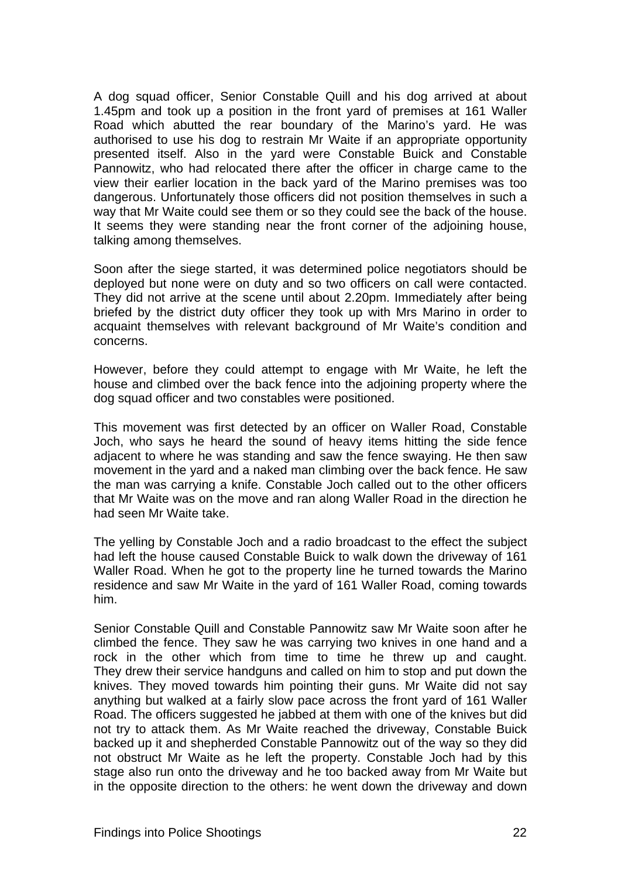A dog squad officer, Senior Constable Quill and his dog arrived at about 1.45pm and took up a position in the front yard of premises at 161 Waller Road which abutted the rear boundary of the Marino's yard. He was authorised to use his dog to restrain Mr Waite if an appropriate opportunity presented itself. Also in the yard were Constable Buick and Constable Pannowitz, who had relocated there after the officer in charge came to the view their earlier location in the back yard of the Marino premises was too dangerous. Unfortunately those officers did not position themselves in such a way that Mr Waite could see them or so they could see the back of the house. It seems they were standing near the front corner of the adjoining house, talking among themselves.

Soon after the siege started, it was determined police negotiators should be deployed but none were on duty and so two officers on call were contacted. They did not arrive at the scene until about 2.20pm. Immediately after being briefed by the district duty officer they took up with Mrs Marino in order to acquaint themselves with relevant background of Mr Waite's condition and concerns.

However, before they could attempt to engage with Mr Waite, he left the house and climbed over the back fence into the adjoining property where the dog squad officer and two constables were positioned.

This movement was first detected by an officer on Waller Road, Constable Joch, who says he heard the sound of heavy items hitting the side fence adjacent to where he was standing and saw the fence swaying. He then saw movement in the yard and a naked man climbing over the back fence. He saw the man was carrying a knife. Constable Joch called out to the other officers that Mr Waite was on the move and ran along Waller Road in the direction he had seen Mr Waite take.

The yelling by Constable Joch and a radio broadcast to the effect the subject had left the house caused Constable Buick to walk down the driveway of 161 Waller Road. When he got to the property line he turned towards the Marino residence and saw Mr Waite in the yard of 161 Waller Road, coming towards him.

Senior Constable Quill and Constable Pannowitz saw Mr Waite soon after he climbed the fence. They saw he was carrying two knives in one hand and a rock in the other which from time to time he threw up and caught. They drew their service handguns and called on him to stop and put down the knives. They moved towards him pointing their guns. Mr Waite did not say anything but walked at a fairly slow pace across the front yard of 161 Waller Road. The officers suggested he jabbed at them with one of the knives but did not try to attack them. As Mr Waite reached the driveway, Constable Buick backed up it and shepherded Constable Pannowitz out of the way so they did not obstruct Mr Waite as he left the property. Constable Joch had by this stage also run onto the driveway and he too backed away from Mr Waite but in the opposite direction to the others: he went down the driveway and down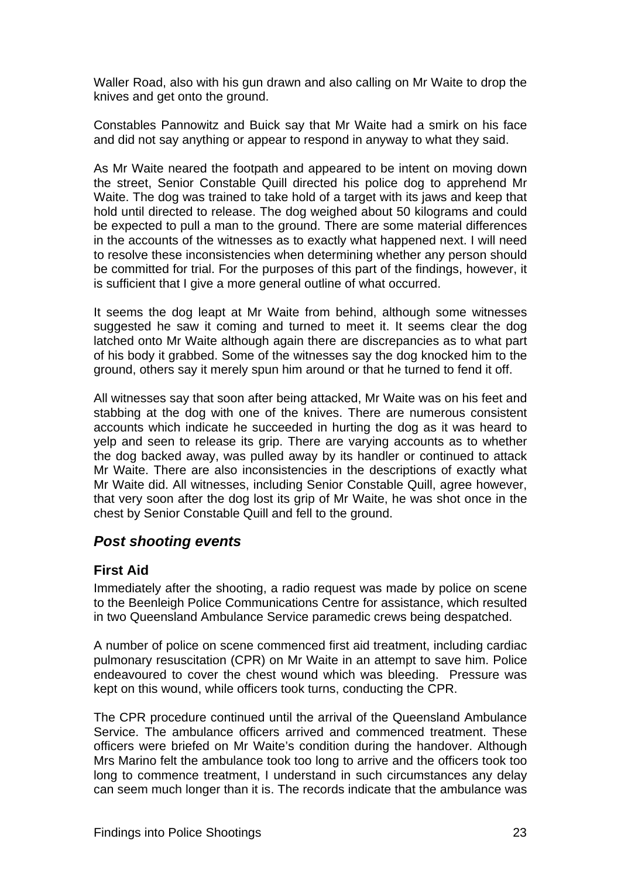<span id="page-35-2"></span>Waller Road, also with his gun drawn and also calling on Mr Waite to drop the knives and get onto the ground.

Constables Pannowitz and Buick say that Mr Waite had a smirk on his face and did not say anything or appear to respond in anyway to what they said.

As Mr Waite neared the footpath and appeared to be intent on moving down the street, Senior Constable Quill directed his police dog to apprehend Mr Waite. The dog was trained to take hold of a target with its jaws and keep that hold until directed to release. The dog weighed about 50 kilograms and could be expected to pull a man to the ground. There are some material differences in the accounts of the witnesses as to exactly what happened next. I will need to resolve these inconsistencies when determining whether any person should be committed for trial. For the purposes of this part of the findings, however, it is sufficient that I give a more general outline of what occurred.

It seems the dog leapt at Mr Waite from behind, although some witnesses suggested he saw it coming and turned to meet it. It seems clear the dog latched onto Mr Waite although again there are discrepancies as to what part of his body it grabbed. Some of the witnesses say the dog knocked him to the ground, others say it merely spun him around or that he turned to fend it off.

All witnesses say that soon after being attacked, Mr Waite was on his feet and stabbing at the dog with one of the knives. There are numerous consistent accounts which indicate he succeeded in hurting the dog as it was heard to yelp and seen to release its grip. There are varying accounts as to whether the dog backed away, was pulled away by its handler or continued to attack Mr Waite. There are also inconsistencies in the descriptions of exactly what Mr Waite did. All witnesses, including Senior Constable Quill, agree however, that very soon after the dog lost its grip of Mr Waite, he was shot once in the chest by Senior Constable Quill and fell to the ground.

### <span id="page-35-0"></span>*Post shooting events*

#### <span id="page-35-1"></span>**First Aid**

Immediately after the shooting, a radio request was made by police on scene to the Beenleigh Police Communications Centre for assistance, which resulted in two Queensland Ambulance Service paramedic crews being despatched.

A number of police on scene commenced first aid treatment, including cardiac pulmonary resuscitation (CPR) on Mr Waite in an attempt to save him. Police endeavoured to cover the chest wound which was bleeding. Pressure was kept on this wound, while officers took turns, conducting the CPR.

The CPR procedure continued until the arrival of the Queensland Ambulance Service. The ambulance officers arrived and commenced treatment. These officers were briefed on Mr Waite's condition during the handover. Although Mrs Marino felt the ambulance took too long to arrive and the officers took too long to commence treatment, I understand in such circumstances any delay can seem much longer than it is. The records indicate that the ambulance was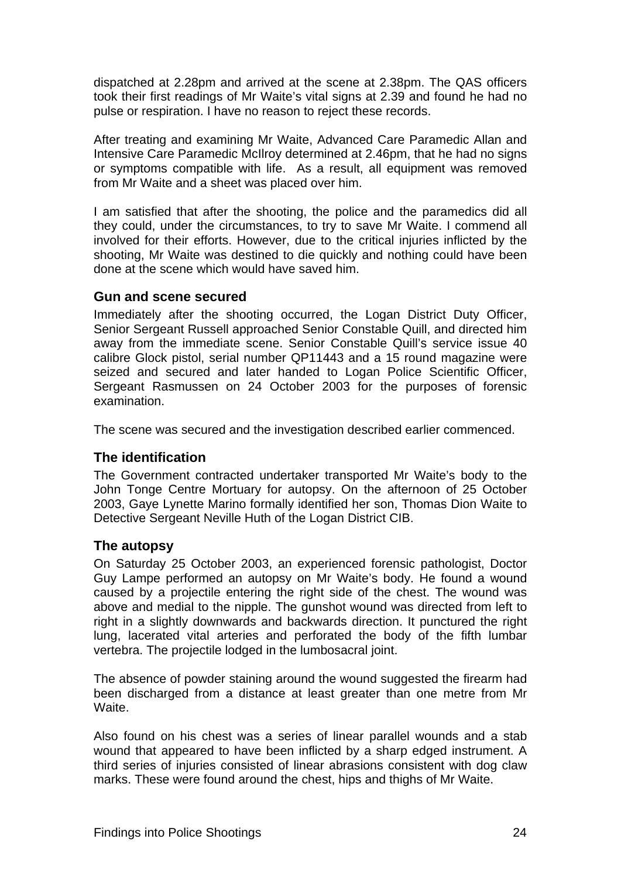dispatched at 2.28pm and arrived at the scene at 2.38pm. The QAS officers took their first readings of Mr Waite's vital signs at 2.39 and found he had no pulse or respiration. I have no reason to reject these records.

After treating and examining Mr Waite, Advanced Care Paramedic Allan and Intensive Care Paramedic McIlroy determined at 2.46pm, that he had no signs or symptoms compatible with life. As a result, all equipment was removed from Mr Waite and a sheet was placed over him.

I am satisfied that after the shooting, the police and the paramedics did all they could, under the circumstances, to try to save Mr Waite. I commend all involved for their efforts. However, due to the critical injuries inflicted by the shooting, Mr Waite was destined to die quickly and nothing could have been done at the scene which would have saved him.

#### **Gun and scene secured**

Immediately after the shooting occurred, the Logan District Duty Officer, Senior Sergeant Russell approached Senior Constable Quill, and directed him away from the immediate scene. Senior Constable Quill's service issue 40 calibre Glock pistol, serial number QP11443 and a 15 round magazine were seized and secured and later handed to Logan Police Scientific Officer, Sergeant Rasmussen on 24 October 2003 for the purposes of forensic examination.

The scene was secured and the investigation described earlier commenced.

#### **The identification**

The Government contracted undertaker transported Mr Waite's body to the John Tonge Centre Mortuary for autopsy. On the afternoon of 25 October 2003, Gaye Lynette Marino formally identified her son, Thomas Dion Waite to Detective Sergeant Neville Huth of the Logan District CIB.

#### **The autopsy**

On Saturday 25 October 2003, an experienced forensic pathologist, Doctor Guy Lampe performed an autopsy on Mr Waite's body. He found a wound caused by a projectile entering the right side of the chest. The wound was above and medial to the nipple. The gunshot wound was directed from left to right in a slightly downwards and backwards direction. It punctured the right lung, lacerated vital arteries and perforated the body of the fifth lumbar vertebra. The projectile lodged in the lumbosacral joint.

The absence of powder staining around the wound suggested the firearm had been discharged from a distance at least greater than one metre from Mr Waite.

Also found on his chest was a series of linear parallel wounds and a stab wound that appeared to have been inflicted by a sharp edged instrument. A third series of injuries consisted of linear abrasions consistent with dog claw marks. These were found around the chest, hips and thighs of Mr Waite.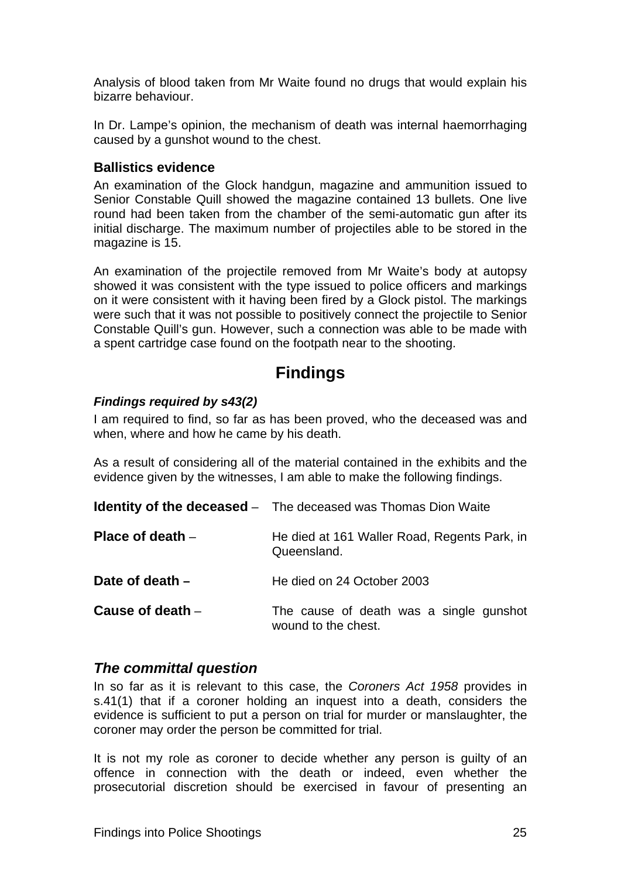Analysis of blood taken from Mr Waite found no drugs that would explain his bizarre behaviour.

In Dr. Lampe's opinion, the mechanism of death was internal haemorrhaging caused by a gunshot wound to the chest.

#### **Ballistics evidence**

An examination of the Glock handgun, magazine and ammunition issued to Senior Constable Quill showed the magazine contained 13 bullets. One live round had been taken from the chamber of the semi-automatic gun after its initial discharge. The maximum number of projectiles able to be stored in the magazine is 15.

An examination of the projectile removed from Mr Waite's body at autopsy showed it was consistent with the type issued to police officers and markings on it were consistent with it having been fired by a Glock pistol. The markings were such that it was not possible to positively connect the projectile to Senior Constable Quill's gun. However, such a connection was able to be made with a spent cartridge case found on the footpath near to the shooting.

# **Findings**

#### *Findings required by s43(2)*

I am required to find, so far as has been proved, who the deceased was and when, where and how he came by his death.

As a result of considering all of the material contained in the exhibits and the evidence given by the witnesses, I am able to make the following findings.

|                    | <b>Identity of the deceased</b> - The deceased was Thomas Dion Waite |
|--------------------|----------------------------------------------------------------------|
| Place of death $-$ | He died at 161 Waller Road, Regents Park, in<br>Queensland.          |
| Date of death $-$  | He died on 24 October 2003                                           |
| Cause of death $-$ | The cause of death was a single gunshot<br>wound to the chest.       |

### *The committal question*

In so far as it is relevant to this case, the *Coroners Act 1958* provides in s.41(1) that if a coroner holding an inquest into a death, considers the evidence is sufficient to put a person on trial for murder or manslaughter, the coroner may order the person be committed for trial.

It is not my role as coroner to decide whether any person is guilty of an offence in connection with the death or indeed, even whether the prosecutorial discretion should be exercised in favour of presenting an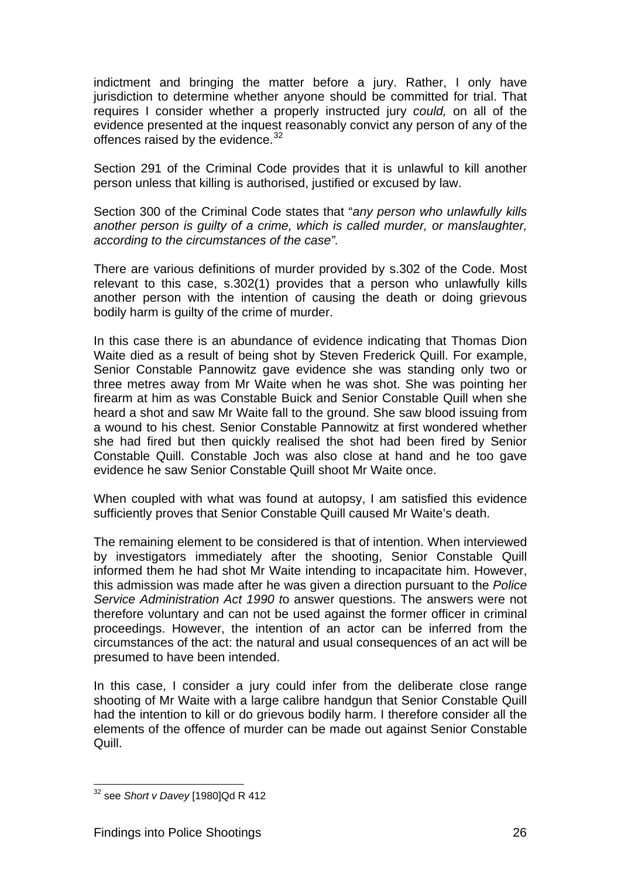indictment and bringing the matter before a jury. Rather, I only have jurisdiction to determine whether anyone should be committed for trial. That requires I consider whether a properly instructed jury *could,* on all of the evidence presented at the inquest reasonably convict any person of any of the offences raised by the evidence.  $32$ 

Section 291 of the Criminal Code provides that it is unlawful to kill another person unless that killing is authorised, justified or excused by law.

Section 300 of the Criminal Code states that "*any person who unlawfully kills another person is guilty of a crime, which is called murder, or manslaughter, according to the circumstances of the case".* 

There are various definitions of murder provided by s.302 of the Code. Most relevant to this case, s.302(1) provides that a person who unlawfully kills another person with the intention of causing the death or doing grievous bodily harm is guilty of the crime of murder.

In this case there is an abundance of evidence indicating that Thomas Dion Waite died as a result of being shot by Steven Frederick Quill. For example, Senior Constable Pannowitz gave evidence she was standing only two or three metres away from Mr Waite when he was shot. She was pointing her firearm at him as was Constable Buick and Senior Constable Quill when she heard a shot and saw Mr Waite fall to the ground. She saw blood issuing from a wound to his chest. Senior Constable Pannowitz at first wondered whether she had fired but then quickly realised the shot had been fired by Senior Constable Quill. Constable Joch was also close at hand and he too gave evidence he saw Senior Constable Quill shoot Mr Waite once.

When coupled with what was found at autopsy, I am satisfied this evidence sufficiently proves that Senior Constable Quill caused Mr Waite's death.

The remaining element to be considered is that of intention. When interviewed by investigators immediately after the shooting, Senior Constable Quill informed them he had shot Mr Waite intending to incapacitate him. However, this admission was made after he was given a direction pursuant to the *Police Service Administration Act 1990 t*o answer questions. The answers were not therefore voluntary and can not be used against the former officer in criminal proceedings. However, the intention of an actor can be inferred from the circumstances of the act: the natural and usual consequences of an act will be presumed to have been intended.

In this case, I consider a jury could infer from the deliberate close range shooting of Mr Waite with a large calibre handgun that Senior Constable Quill had the intention to kill or do grievous bodily harm. I therefore consider all the elements of the offence of murder can be made out against Senior Constable Quill.

<span id="page-38-0"></span> 32 see *Short v Davey* [1980]Qd R 412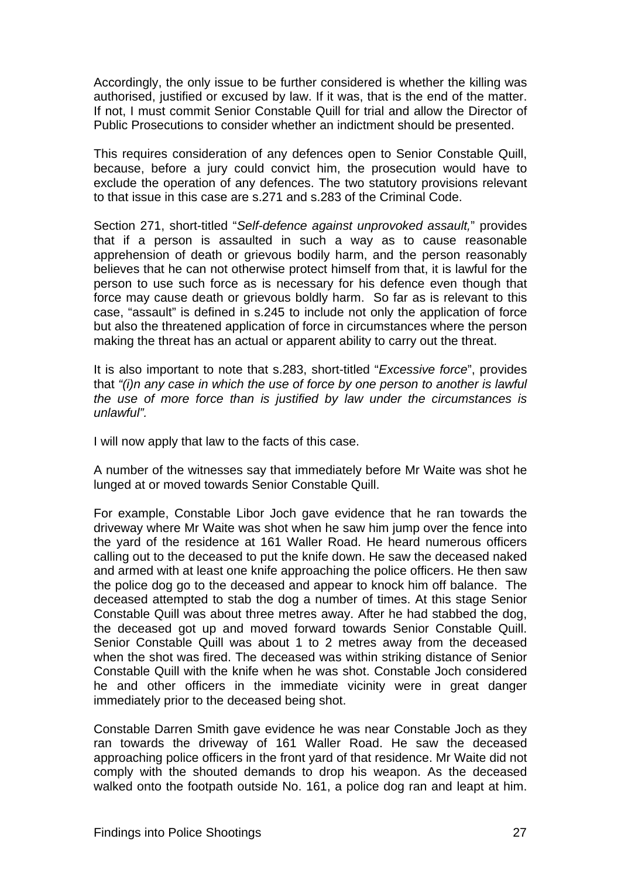Accordingly, the only issue to be further considered is whether the killing was authorised, justified or excused by law. If it was, that is the end of the matter. If not, I must commit Senior Constable Quill for trial and allow the Director of Public Prosecutions to consider whether an indictment should be presented.

This requires consideration of any defences open to Senior Constable Quill, because, before a jury could convict him, the prosecution would have to exclude the operation of any defences. The two statutory provisions relevant to that issue in this case are s.271 and s.283 of the Criminal Code.

Section 271, short-titled "*Self-defence against unprovoked assault,*" provides that if a person is assaulted in such a way as to cause reasonable apprehension of death or grievous bodily harm, and the person reasonably believes that he can not otherwise protect himself from that, it is lawful for the person to use such force as is necessary for his defence even though that force may cause death or grievous boldly harm. So far as is relevant to this case, "assault" is defined in s.245 to include not only the application of force but also the threatened application of force in circumstances where the person making the threat has an actual or apparent ability to carry out the threat.

It is also important to note that s.283, short-titled "*Excessive force*", provides that *"(i)n any case in which the use of force by one person to another is lawful the use of more force than is justified by law under the circumstances is unlawful".* 

I will now apply that law to the facts of this case.

A number of the witnesses say that immediately before Mr Waite was shot he lunged at or moved towards Senior Constable Quill.

For example, Constable Libor Joch gave evidence that he ran towards the driveway where Mr Waite was shot when he saw him jump over the fence into the yard of the residence at 161 Waller Road. He heard numerous officers calling out to the deceased to put the knife down. He saw the deceased naked and armed with at least one knife approaching the police officers. He then saw the police dog go to the deceased and appear to knock him off balance. The deceased attempted to stab the dog a number of times. At this stage Senior Constable Quill was about three metres away. After he had stabbed the dog, the deceased got up and moved forward towards Senior Constable Quill. Senior Constable Quill was about 1 to 2 metres away from the deceased when the shot was fired. The deceased was within striking distance of Senior Constable Quill with the knife when he was shot. Constable Joch considered he and other officers in the immediate vicinity were in great danger immediately prior to the deceased being shot.

Constable Darren Smith gave evidence he was near Constable Joch as they ran towards the driveway of 161 Waller Road. He saw the deceased approaching police officers in the front yard of that residence. Mr Waite did not comply with the shouted demands to drop his weapon. As the deceased walked onto the footpath outside No. 161, a police dog ran and leapt at him.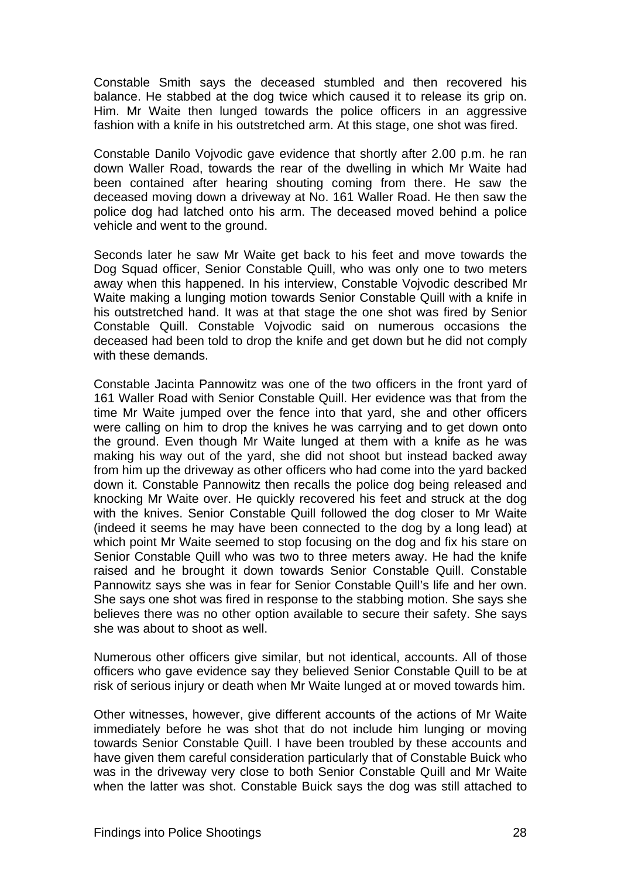Constable Smith says the deceased stumbled and then recovered his balance. He stabbed at the dog twice which caused it to release its grip on. Him. Mr Waite then lunged towards the police officers in an aggressive fashion with a knife in his outstretched arm. At this stage, one shot was fired.

Constable Danilo Vojvodic gave evidence that shortly after 2.00 p.m. he ran down Waller Road, towards the rear of the dwelling in which Mr Waite had been contained after hearing shouting coming from there. He saw the deceased moving down a driveway at No. 161 Waller Road. He then saw the police dog had latched onto his arm. The deceased moved behind a police vehicle and went to the ground.

Seconds later he saw Mr Waite get back to his feet and move towards the Dog Squad officer, Senior Constable Quill, who was only one to two meters away when this happened. In his interview, Constable Vojvodic described Mr Waite making a lunging motion towards Senior Constable Quill with a knife in his outstretched hand. It was at that stage the one shot was fired by Senior Constable Quill. Constable Vojvodic said on numerous occasions the deceased had been told to drop the knife and get down but he did not comply with these demands.

Constable Jacinta Pannowitz was one of the two officers in the front yard of 161 Waller Road with Senior Constable Quill. Her evidence was that from the time Mr Waite jumped over the fence into that yard, she and other officers were calling on him to drop the knives he was carrying and to get down onto the ground. Even though Mr Waite lunged at them with a knife as he was making his way out of the yard, she did not shoot but instead backed away from him up the driveway as other officers who had come into the yard backed down it. Constable Pannowitz then recalls the police dog being released and knocking Mr Waite over. He quickly recovered his feet and struck at the dog with the knives. Senior Constable Quill followed the dog closer to Mr Waite (indeed it seems he may have been connected to the dog by a long lead) at which point Mr Waite seemed to stop focusing on the dog and fix his stare on Senior Constable Quill who was two to three meters away. He had the knife raised and he brought it down towards Senior Constable Quill. Constable Pannowitz says she was in fear for Senior Constable Quill's life and her own. She says one shot was fired in response to the stabbing motion. She says she believes there was no other option available to secure their safety. She says she was about to shoot as well.

Numerous other officers give similar, but not identical, accounts. All of those officers who gave evidence say they believed Senior Constable Quill to be at risk of serious injury or death when Mr Waite lunged at or moved towards him.

Other witnesses, however, give different accounts of the actions of Mr Waite immediately before he was shot that do not include him lunging or moving towards Senior Constable Quill. I have been troubled by these accounts and have given them careful consideration particularly that of Constable Buick who was in the driveway very close to both Senior Constable Quill and Mr Waite when the latter was shot. Constable Buick says the dog was still attached to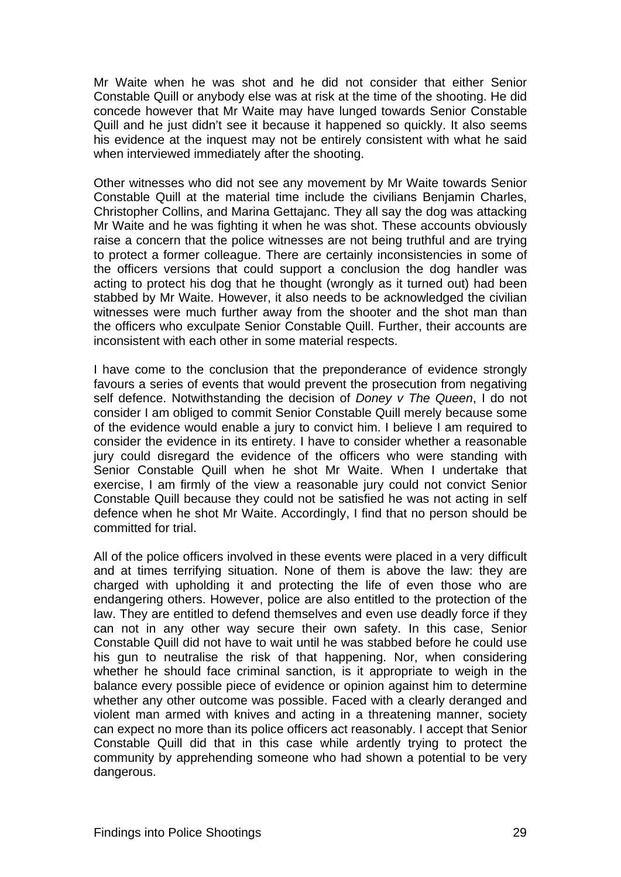Mr Waite when he was shot and he did not consider that either Senior Constable Quill or anybody else was at risk at the time of the shooting. He did concede however that Mr Waite may have lunged towards Senior Constable Quill and he just didn't see it because it happened so quickly. It also seems his evidence at the inquest may not be entirely consistent with what he said when interviewed immediately after the shooting.

Other witnesses who did not see any movement by Mr Waite towards Senior Constable Quill at the material time include the civilians Benjamin Charles, Christopher Collins, and Marina Gettajanc. They all say the dog was attacking Mr Waite and he was fighting it when he was shot. These accounts obviously raise a concern that the police witnesses are not being truthful and are trying to protect a former colleague. There are certainly inconsistencies in some of the officers versions that could support a conclusion the dog handler was acting to protect his dog that he thought (wrongly as it turned out) had been stabbed by Mr Waite. However, it also needs to be acknowledged the civilian witnesses were much further away from the shooter and the shot man than the officers who exculpate Senior Constable Quill. Further, their accounts are inconsistent with each other in some material respects.

I have come to the conclusion that the preponderance of evidence strongly favours a series of events that would prevent the prosecution from negativing self defence. Notwithstanding the decision of *Doney v The Queen*, I do not consider I am obliged to commit Senior Constable Quill merely because some of the evidence would enable a jury to convict him. I believe I am required to consider the evidence in its entirety. I have to consider whether a reasonable jury could disregard the evidence of the officers who were standing with Senior Constable Quill when he shot Mr Waite. When I undertake that exercise, I am firmly of the view a reasonable jury could not convict Senior Constable Quill because they could not be satisfied he was not acting in self defence when he shot Mr Waite. Accordingly, I find that no person should be committed for trial.

All of the police officers involved in these events were placed in a very difficult and at times terrifying situation. None of them is above the law: they are charged with upholding it and protecting the life of even those who are endangering others. However, police are also entitled to the protection of the law. They are entitled to defend themselves and even use deadly force if they can not in any other way secure their own safety. In this case, Senior Constable Quill did not have to wait until he was stabbed before he could use his gun to neutralise the risk of that happening. Nor, when considering whether he should face criminal sanction, is it appropriate to weigh in the balance every possible piece of evidence or opinion against him to determine whether any other outcome was possible. Faced with a clearly deranged and violent man armed with knives and acting in a threatening manner, society can expect no more than its police officers act reasonably. I accept that Senior Constable Quill did that in this case while ardently trying to protect the community by apprehending someone who had shown a potential to be very dangerous.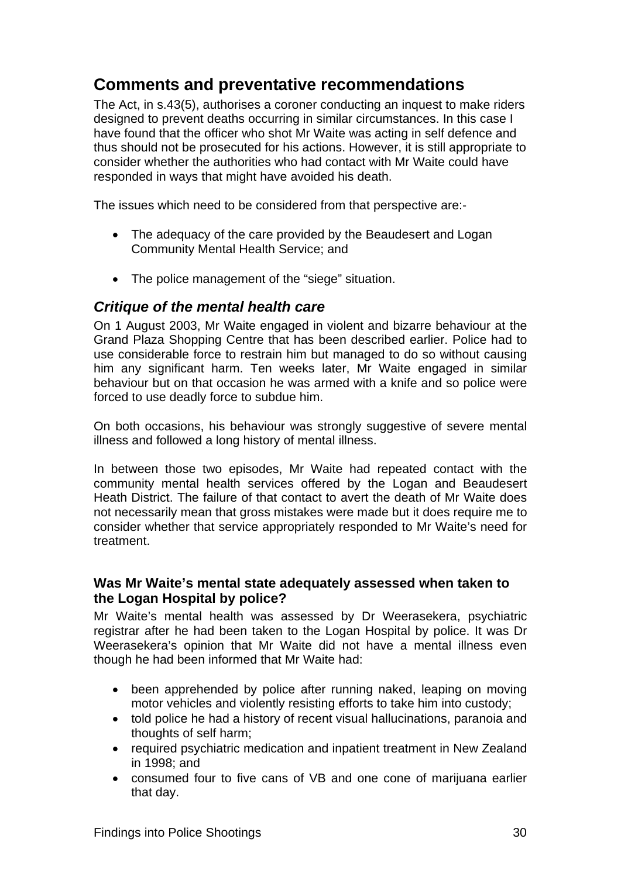# **Comments and preventative recommendations**

The Act, in s.43(5), authorises a coroner conducting an inquest to make riders designed to prevent deaths occurring in similar circumstances. In this case I have found that the officer who shot Mr Waite was acting in self defence and thus should not be prosecuted for his actions. However, it is still appropriate to consider whether the authorities who had contact with Mr Waite could have responded in ways that might have avoided his death.

The issues which need to be considered from that perspective are:-

- The adequacy of the care provided by the Beaudesert and Logan Community Mental Health Service; and
- The police management of the "siege" situation.

### *Critique of the mental health care*

On 1 August 2003, Mr Waite engaged in violent and bizarre behaviour at the Grand Plaza Shopping Centre that has been described earlier. Police had to use considerable force to restrain him but managed to do so without causing him any significant harm. Ten weeks later, Mr Waite engaged in similar behaviour but on that occasion he was armed with a knife and so police were forced to use deadly force to subdue him.

On both occasions, his behaviour was strongly suggestive of severe mental illness and followed a long history of mental illness.

In between those two episodes, Mr Waite had repeated contact with the community mental health services offered by the Logan and Beaudesert Heath District. The failure of that contact to avert the death of Mr Waite does not necessarily mean that gross mistakes were made but it does require me to consider whether that service appropriately responded to Mr Waite's need for treatment.

#### **Was Mr Waite's mental state adequately assessed when taken to the Logan Hospital by police?**

Mr Waite's mental health was assessed by Dr Weerasekera, psychiatric registrar after he had been taken to the Logan Hospital by police. It was Dr Weerasekera's opinion that Mr Waite did not have a mental illness even though he had been informed that Mr Waite had:

- been apprehended by police after running naked, leaping on moving motor vehicles and violently resisting efforts to take him into custody;
- told police he had a history of recent visual hallucinations, paranoia and thoughts of self harm;
- required psychiatric medication and inpatient treatment in New Zealand in 1998; and
- consumed four to five cans of VB and one cone of marijuana earlier that day.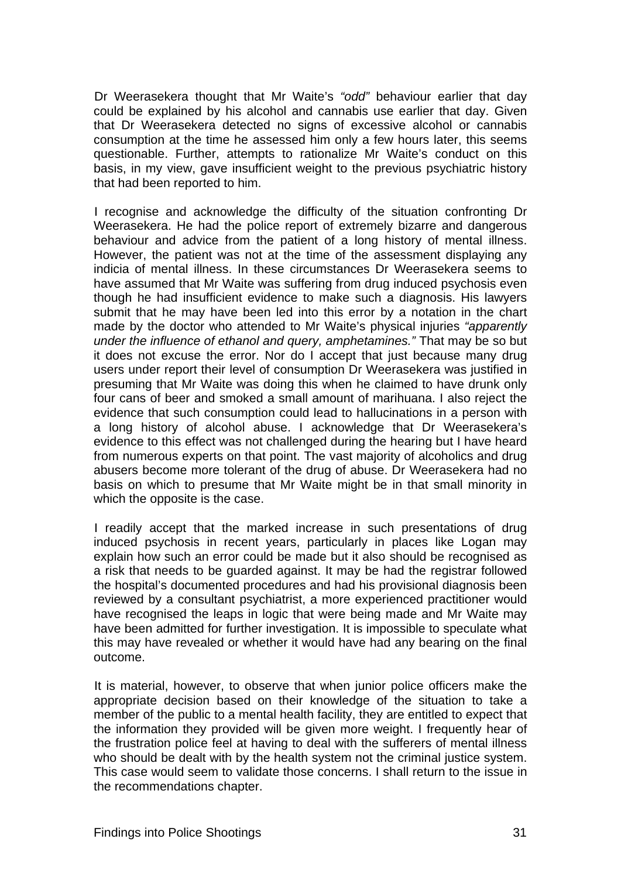Dr Weerasekera thought that Mr Waite's *"odd"* behaviour earlier that day could be explained by his alcohol and cannabis use earlier that day. Given that Dr Weerasekera detected no signs of excessive alcohol or cannabis consumption at the time he assessed him only a few hours later, this seems questionable. Further, attempts to rationalize Mr Waite's conduct on this basis, in my view, gave insufficient weight to the previous psychiatric history that had been reported to him.

I recognise and acknowledge the difficulty of the situation confronting Dr Weerasekera. He had the police report of extremely bizarre and dangerous behaviour and advice from the patient of a long history of mental illness. However, the patient was not at the time of the assessment displaying any indicia of mental illness. In these circumstances Dr Weerasekera seems to have assumed that Mr Waite was suffering from drug induced psychosis even though he had insufficient evidence to make such a diagnosis. His lawyers submit that he may have been led into this error by a notation in the chart made by the doctor who attended to Mr Waite's physical injuries *"apparently under the influence of ethanol and query, amphetamines."* That may be so but it does not excuse the error. Nor do I accept that just because many drug users under report their level of consumption Dr Weerasekera was justified in presuming that Mr Waite was doing this when he claimed to have drunk only four cans of beer and smoked a small amount of marihuana. I also reject the evidence that such consumption could lead to hallucinations in a person with a long history of alcohol abuse. I acknowledge that Dr Weerasekera's evidence to this effect was not challenged during the hearing but I have heard from numerous experts on that point. The vast majority of alcoholics and drug abusers become more tolerant of the drug of abuse. Dr Weerasekera had no basis on which to presume that Mr Waite might be in that small minority in which the opposite is the case.

I readily accept that the marked increase in such presentations of drug induced psychosis in recent years, particularly in places like Logan may explain how such an error could be made but it also should be recognised as a risk that needs to be guarded against. It may be had the registrar followed the hospital's documented procedures and had his provisional diagnosis been reviewed by a consultant psychiatrist, a more experienced practitioner would have recognised the leaps in logic that were being made and Mr Waite may have been admitted for further investigation. It is impossible to speculate what this may have revealed or whether it would have had any bearing on the final outcome.

It is material, however, to observe that when junior police officers make the appropriate decision based on their knowledge of the situation to take a member of the public to a mental health facility, they are entitled to expect that the information they provided will be given more weight. I frequently hear of the frustration police feel at having to deal with the sufferers of mental illness who should be dealt with by the health system not the criminal justice system. This case would seem to validate those concerns. I shall return to the issue in the recommendations chapter.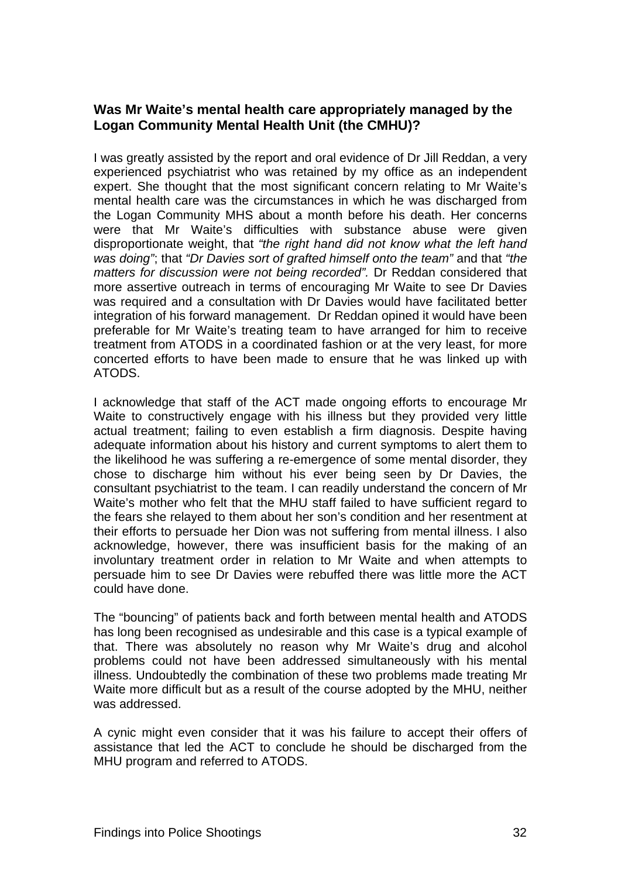#### **Was Mr Waite's mental health care appropriately managed by the Logan Community Mental Health Unit (the CMHU)?**

I was greatly assisted by the report and oral evidence of Dr Jill Reddan, a very experienced psychiatrist who was retained by my office as an independent expert. She thought that the most significant concern relating to Mr Waite's mental health care was the circumstances in which he was discharged from the Logan Community MHS about a month before his death. Her concerns were that Mr Waite's difficulties with substance abuse were given disproportionate weight, that *"the right hand did not know what the left hand was doing"*; that *"Dr Davies sort of grafted himself onto the team"* and that *"the matters for discussion were not being recorded".* Dr Reddan considered that more assertive outreach in terms of encouraging Mr Waite to see Dr Davies was required and a consultation with Dr Davies would have facilitated better integration of his forward management. Dr Reddan opined it would have been preferable for Mr Waite's treating team to have arranged for him to receive treatment from ATODS in a coordinated fashion or at the very least, for more concerted efforts to have been made to ensure that he was linked up with ATODS.

I acknowledge that staff of the ACT made ongoing efforts to encourage Mr Waite to constructively engage with his illness but they provided very little actual treatment; failing to even establish a firm diagnosis. Despite having adequate information about his history and current symptoms to alert them to the likelihood he was suffering a re-emergence of some mental disorder, they chose to discharge him without his ever being seen by Dr Davies, the consultant psychiatrist to the team. I can readily understand the concern of Mr Waite's mother who felt that the MHU staff failed to have sufficient regard to the fears she relayed to them about her son's condition and her resentment at their efforts to persuade her Dion was not suffering from mental illness. I also acknowledge, however, there was insufficient basis for the making of an involuntary treatment order in relation to Mr Waite and when attempts to persuade him to see Dr Davies were rebuffed there was little more the ACT could have done.

The "bouncing" of patients back and forth between mental health and ATODS has long been recognised as undesirable and this case is a typical example of that. There was absolutely no reason why Mr Waite's drug and alcohol problems could not have been addressed simultaneously with his mental illness. Undoubtedly the combination of these two problems made treating Mr Waite more difficult but as a result of the course adopted by the MHU, neither was addressed.

A cynic might even consider that it was his failure to accept their offers of assistance that led the ACT to conclude he should be discharged from the MHU program and referred to ATODS.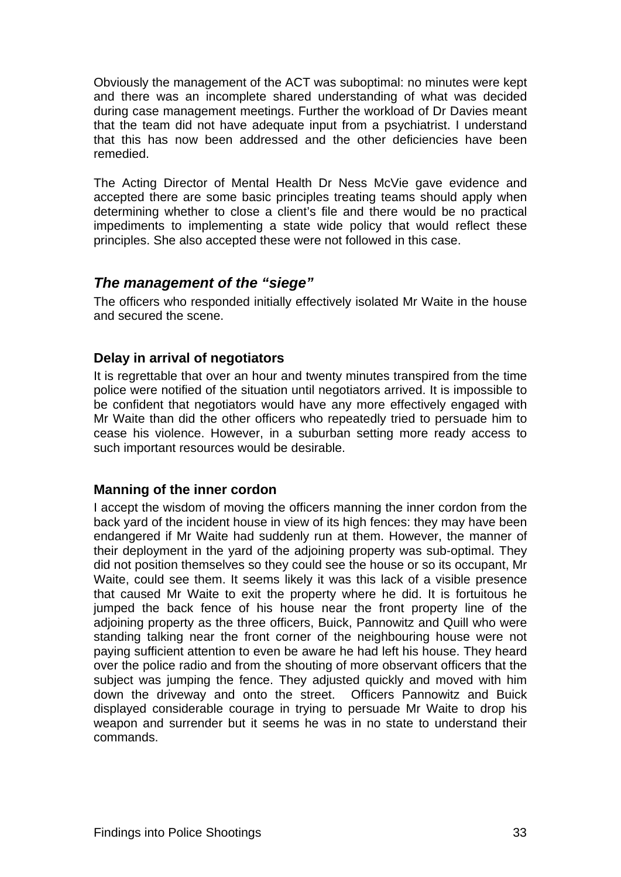Obviously the management of the ACT was suboptimal: no minutes were kept and there was an incomplete shared understanding of what was decided during case management meetings. Further the workload of Dr Davies meant that the team did not have adequate input from a psychiatrist. I understand that this has now been addressed and the other deficiencies have been remedied.

The Acting Director of Mental Health Dr Ness McVie gave evidence and accepted there are some basic principles treating teams should apply when determining whether to close a client's file and there would be no practical impediments to implementing a state wide policy that would reflect these principles. She also accepted these were not followed in this case.

#### *The management of the "siege"*

The officers who responded initially effectively isolated Mr Waite in the house and secured the scene.

#### **Delay in arrival of negotiators**

It is regrettable that over an hour and twenty minutes transpired from the time police were notified of the situation until negotiators arrived. It is impossible to be confident that negotiators would have any more effectively engaged with Mr Waite than did the other officers who repeatedly tried to persuade him to cease his violence. However, in a suburban setting more ready access to such important resources would be desirable.

#### **Manning of the inner cordon**

I accept the wisdom of moving the officers manning the inner cordon from the back yard of the incident house in view of its high fences: they may have been endangered if Mr Waite had suddenly run at them. However, the manner of their deployment in the yard of the adjoining property was sub-optimal. They did not position themselves so they could see the house or so its occupant, Mr Waite, could see them. It seems likely it was this lack of a visible presence that caused Mr Waite to exit the property where he did. It is fortuitous he jumped the back fence of his house near the front property line of the adjoining property as the three officers, Buick, Pannowitz and Quill who were standing talking near the front corner of the neighbouring house were not paying sufficient attention to even be aware he had left his house. They heard over the police radio and from the shouting of more observant officers that the subject was jumping the fence. They adjusted quickly and moved with him down the driveway and onto the street. Officers Pannowitz and Buick displayed considerable courage in trying to persuade Mr Waite to drop his weapon and surrender but it seems he was in no state to understand their commands.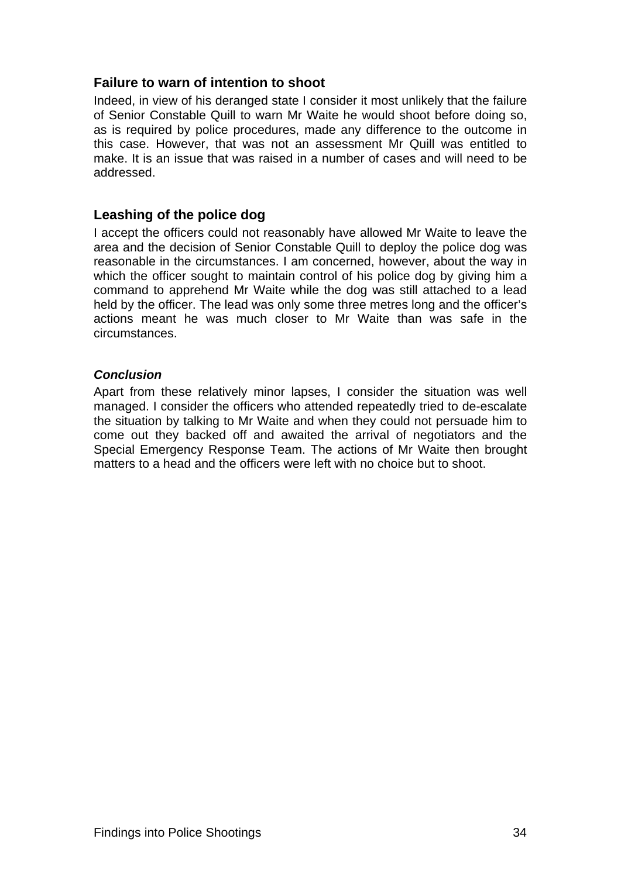#### **Failure to warn of intention to shoot**

Indeed, in view of his deranged state I consider it most unlikely that the failure of Senior Constable Quill to warn Mr Waite he would shoot before doing so, as is required by police procedures, made any difference to the outcome in this case. However, that was not an assessment Mr Quill was entitled to make. It is an issue that was raised in a number of cases and will need to be addressed.

#### **Leashing of the police dog**

I accept the officers could not reasonably have allowed Mr Waite to leave the area and the decision of Senior Constable Quill to deploy the police dog was reasonable in the circumstances. I am concerned, however, about the way in which the officer sought to maintain control of his police dog by giving him a command to apprehend Mr Waite while the dog was still attached to a lead held by the officer. The lead was only some three metres long and the officer's actions meant he was much closer to Mr Waite than was safe in the circumstances.

#### *Conclusion*

Apart from these relatively minor lapses, I consider the situation was well managed. I consider the officers who attended repeatedly tried to de-escalate the situation by talking to Mr Waite and when they could not persuade him to come out they backed off and awaited the arrival of negotiators and the Special Emergency Response Team. The actions of Mr Waite then brought matters to a head and the officers were left with no choice but to shoot.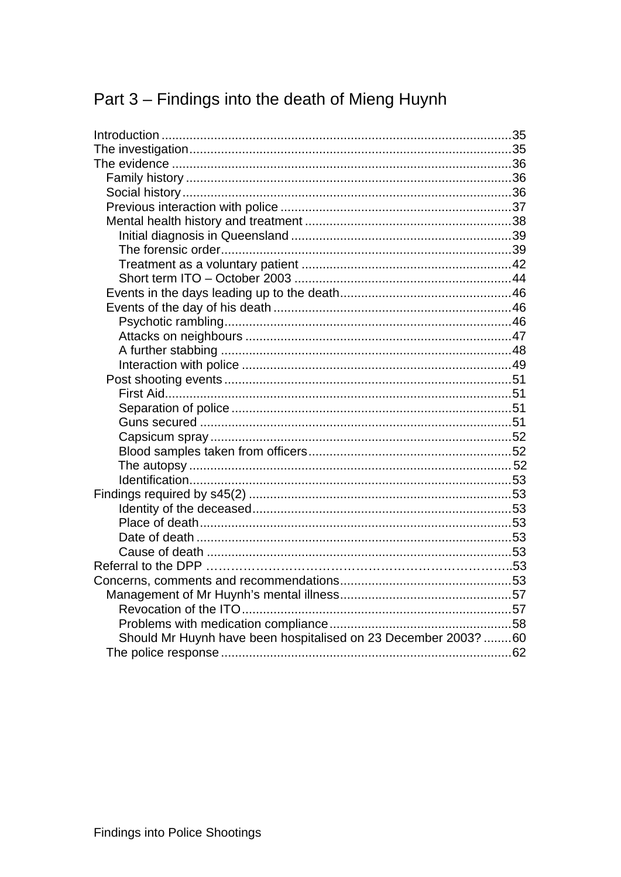# Part 3 - Findings into the death of Mieng Huynh

| Should Mr Huynh have been hospitalised on 23 December 2003? 60 |  |
|----------------------------------------------------------------|--|
|                                                                |  |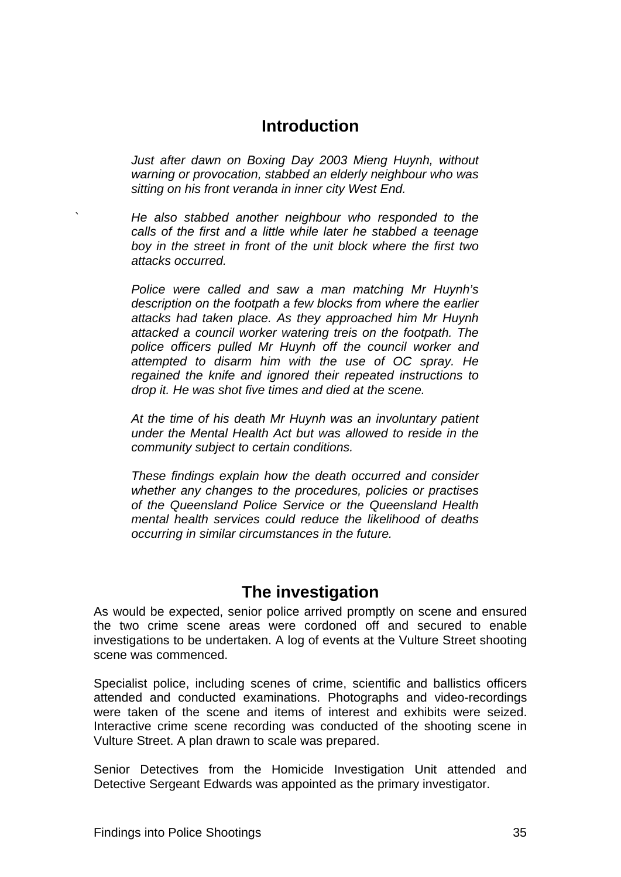### **Introduction**

<span id="page-48-1"></span><span id="page-48-0"></span>*Just after dawn on Boxing Day 2003 Mieng Huynh, without warning or provocation, stabbed an elderly neighbour who was sitting on his front veranda in inner city West End.* 

*` He also stabbed another neighbour who responded to the calls of the first and a little while later he stabbed a teenage boy in the street in front of the unit block where the first two attacks occurred.* 

*Police were called and saw a man matching Mr Huynh's description on the footpath a few blocks from where the earlier attacks had taken place. As they approached him Mr Huynh attacked a council worker watering treis on the footpath. The police officers pulled Mr Huynh off the council worker and attempted to disarm him with the use of OC spray. He regained the knife and ignored their repeated instructions to drop it. He was shot five times and died at the scene.* 

*At the time of his death Mr Huynh was an involuntary patient under the Mental Health Act but was allowed to reside in the community subject to certain conditions.* 

*These findings explain how the death occurred and consider whether any changes to the procedures, policies or practises of the Queensland Police Service or the Queensland Health mental health services could reduce the likelihood of deaths occurring in similar circumstances in the future.* 

### **The investigation**

<span id="page-48-2"></span>As would be expected, senior police arrived promptly on scene and ensured the two crime scene areas were cordoned off and secured to enable investigations to be undertaken. A log of events at the Vulture Street shooting scene was commenced.

Specialist police, including scenes of crime, scientific and ballistics officers attended and conducted examinations. Photographs and video-recordings were taken of the scene and items of interest and exhibits were seized. Interactive crime scene recording was conducted of the shooting scene in Vulture Street. A plan drawn to scale was prepared.

Senior Detectives from the Homicide Investigation Unit attended and Detective Sergeant Edwards was appointed as the primary investigator.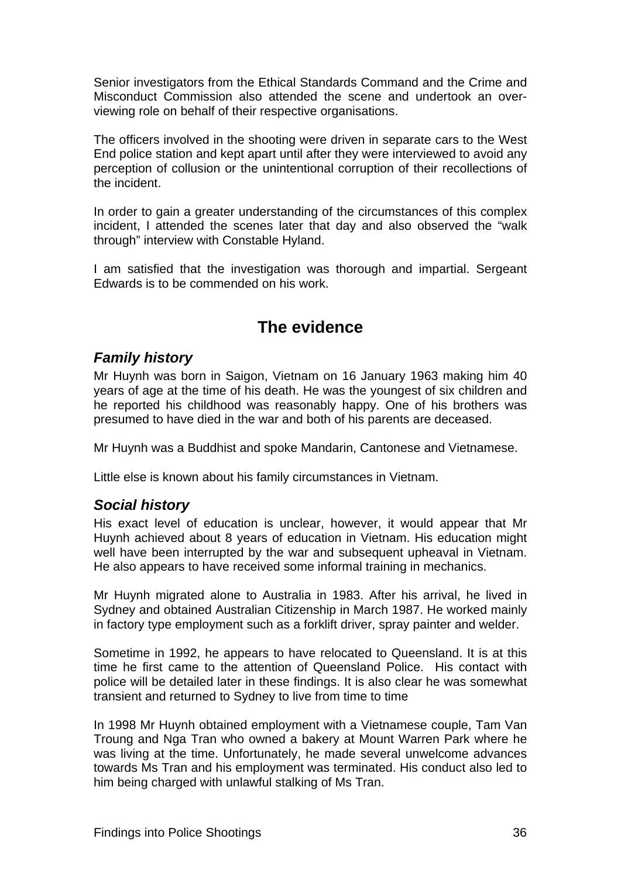<span id="page-49-0"></span>Senior investigators from the Ethical Standards Command and the Crime and Misconduct Commission also attended the scene and undertook an overviewing role on behalf of their respective organisations.

The officers involved in the shooting were driven in separate cars to the West End police station and kept apart until after they were interviewed to avoid any perception of collusion or the unintentional corruption of their recollections of the incident.

In order to gain a greater understanding of the circumstances of this complex incident, I attended the scenes later that day and also observed the "walk through" interview with Constable Hyland.

I am satisfied that the investigation was thorough and impartial. Sergeant Edwards is to be commended on his work.

# **The evidence**

### <span id="page-49-2"></span><span id="page-49-1"></span>*Family history*

Mr Huynh was born in Saigon, Vietnam on 16 January 1963 making him 40 years of age at the time of his death. He was the youngest of six children and he reported his childhood was reasonably happy. One of his brothers was presumed to have died in the war and both of his parents are deceased.

Mr Huynh was a Buddhist and spoke Mandarin, Cantonese and Vietnamese.

Little else is known about his family circumstances in Vietnam.

### <span id="page-49-3"></span>*Social history*

His exact level of education is unclear, however, it would appear that Mr Huynh achieved about 8 years of education in Vietnam. His education might well have been interrupted by the war and subsequent upheaval in Vietnam. He also appears to have received some informal training in mechanics.

Mr Huynh migrated alone to Australia in 1983. After his arrival, he lived in Sydney and obtained Australian Citizenship in March 1987. He worked mainly in factory type employment such as a forklift driver, spray painter and welder.

Sometime in 1992, he appears to have relocated to Queensland. It is at this time he first came to the attention of Queensland Police. His contact with police will be detailed later in these findings. It is also clear he was somewhat transient and returned to Sydney to live from time to time

In 1998 Mr Huynh obtained employment with a Vietnamese couple, Tam Van Troung and Nga Tran who owned a bakery at Mount Warren Park where he was living at the time. Unfortunately, he made several unwelcome advances towards Ms Tran and his employment was terminated. His conduct also led to him being charged with unlawful stalking of Ms Tran.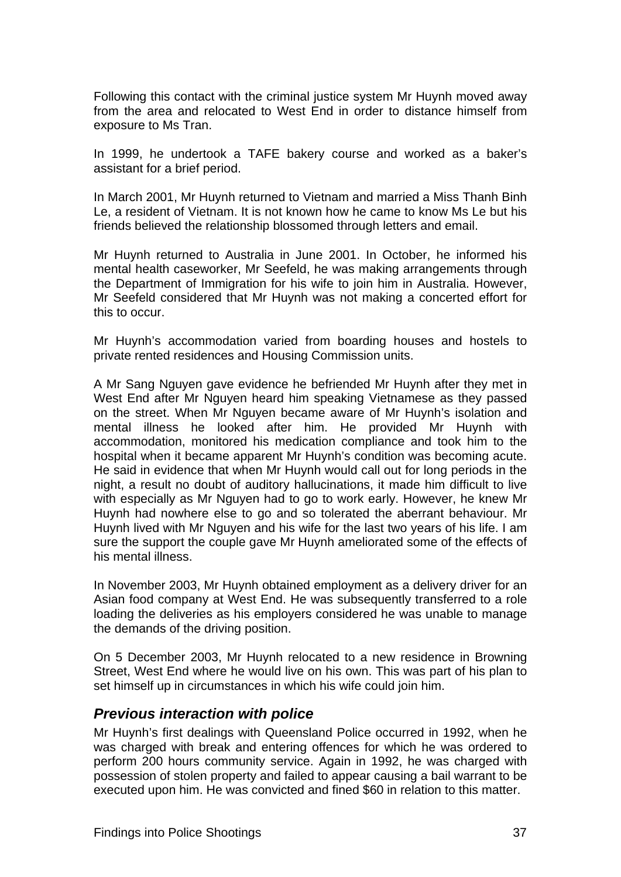<span id="page-50-0"></span>Following this contact with the criminal justice system Mr Huynh moved away from the area and relocated to West End in order to distance himself from exposure to Ms Tran.

In 1999, he undertook a TAFE bakery course and worked as a baker's assistant for a brief period.

In March 2001, Mr Huynh returned to Vietnam and married a Miss Thanh Binh Le, a resident of Vietnam. It is not known how he came to know Ms Le but his friends believed the relationship blossomed through letters and email.

Mr Huynh returned to Australia in June 2001. In October, he informed his mental health caseworker, Mr Seefeld, he was making arrangements through the Department of Immigration for his wife to join him in Australia. However, Mr Seefeld considered that Mr Huynh was not making a concerted effort for this to occur.

Mr Huynh's accommodation varied from boarding houses and hostels to private rented residences and Housing Commission units.

A Mr Sang Nguyen gave evidence he befriended Mr Huynh after they met in West End after Mr Nguyen heard him speaking Vietnamese as they passed on the street. When Mr Nguyen became aware of Mr Huynh's isolation and mental illness he looked after him. He provided Mr Huynh with accommodation, monitored his medication compliance and took him to the hospital when it became apparent Mr Huynh's condition was becoming acute. He said in evidence that when Mr Huynh would call out for long periods in the night, a result no doubt of auditory hallucinations, it made him difficult to live with especially as Mr Nguyen had to go to work early. However, he knew Mr Huynh had nowhere else to go and so tolerated the aberrant behaviour. Mr Huynh lived with Mr Nguyen and his wife for the last two years of his life. I am sure the support the couple gave Mr Huynh ameliorated some of the effects of his mental illness.

In November 2003, Mr Huynh obtained employment as a delivery driver for an Asian food company at West End. He was subsequently transferred to a role loading the deliveries as his employers considered he was unable to manage the demands of the driving position.

On 5 December 2003, Mr Huynh relocated to a new residence in Browning Street, West End where he would live on his own. This was part of his plan to set himself up in circumstances in which his wife could join him.

#### <span id="page-50-1"></span>*Previous interaction with police*

Mr Huynh's first dealings with Queensland Police occurred in 1992, when he was charged with break and entering offences for which he was ordered to perform 200 hours community service. Again in 1992, he was charged with possession of stolen property and failed to appear causing a bail warrant to be executed upon him. He was convicted and fined \$60 in relation to this matter.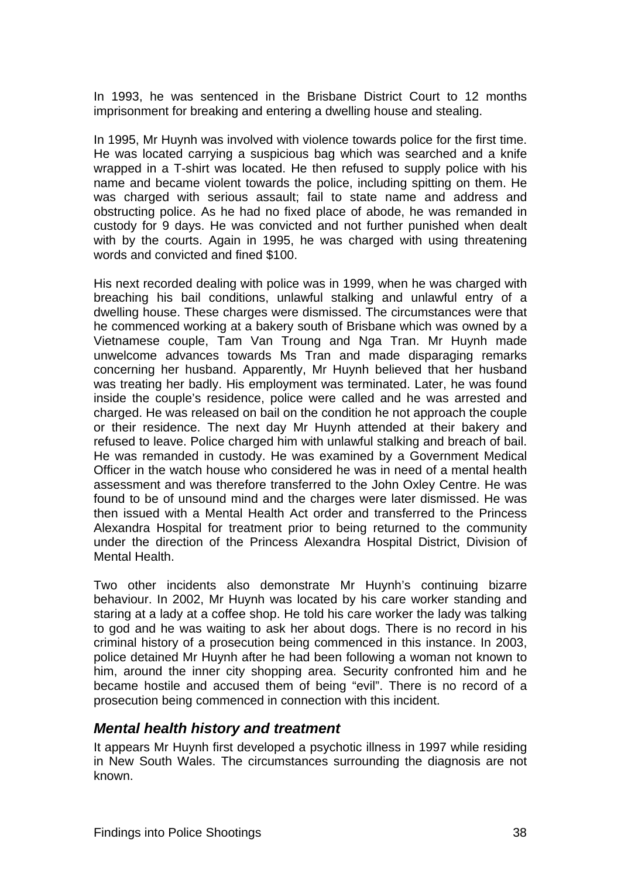<span id="page-51-0"></span>In 1993, he was sentenced in the Brisbane District Court to 12 months imprisonment for breaking and entering a dwelling house and stealing.

In 1995, Mr Huynh was involved with violence towards police for the first time. He was located carrying a suspicious bag which was searched and a knife wrapped in a T-shirt was located. He then refused to supply police with his name and became violent towards the police, including spitting on them. He was charged with serious assault; fail to state name and address and obstructing police. As he had no fixed place of abode, he was remanded in custody for 9 days. He was convicted and not further punished when dealt with by the courts. Again in 1995, he was charged with using threatening words and convicted and fined \$100.

His next recorded dealing with police was in 1999, when he was charged with breaching his bail conditions, unlawful stalking and unlawful entry of a dwelling house. These charges were dismissed. The circumstances were that he commenced working at a bakery south of Brisbane which was owned by a Vietnamese couple, Tam Van Troung and Nga Tran. Mr Huynh made unwelcome advances towards Ms Tran and made disparaging remarks concerning her husband. Apparently, Mr Huynh believed that her husband was treating her badly. His employment was terminated. Later, he was found inside the couple's residence, police were called and he was arrested and charged. He was released on bail on the condition he not approach the couple or their residence. The next day Mr Huynh attended at their bakery and refused to leave. Police charged him with unlawful stalking and breach of bail. He was remanded in custody. He was examined by a Government Medical Officer in the watch house who considered he was in need of a mental health assessment and was therefore transferred to the John Oxley Centre. He was found to be of unsound mind and the charges were later dismissed. He was then issued with a Mental Health Act order and transferred to the Princess Alexandra Hospital for treatment prior to being returned to the community under the direction of the Princess Alexandra Hospital District, Division of Mental Health.

Two other incidents also demonstrate Mr Huynh's continuing bizarre behaviour. In 2002, Mr Huynh was located by his care worker standing and staring at a lady at a coffee shop. He told his care worker the lady was talking to god and he was waiting to ask her about dogs. There is no record in his criminal history of a prosecution being commenced in this instance. In 2003, police detained Mr Huynh after he had been following a woman not known to him, around the inner city shopping area. Security confronted him and he became hostile and accused them of being "evil". There is no record of a prosecution being commenced in connection with this incident.

#### <span id="page-51-1"></span>*Mental health history and treatment*

It appears Mr Huynh first developed a psychotic illness in 1997 while residing in New South Wales. The circumstances surrounding the diagnosis are not known.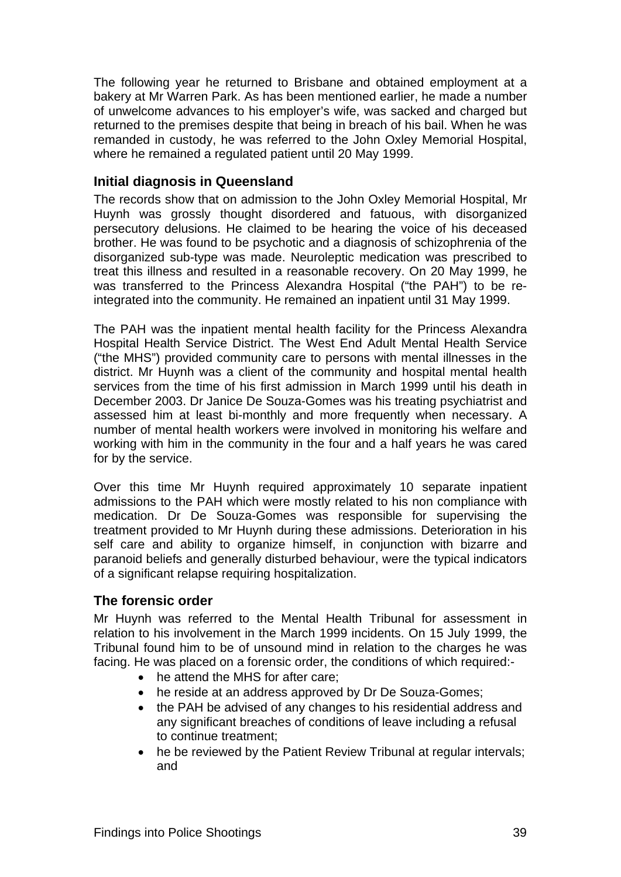<span id="page-52-0"></span>The following year he returned to Brisbane and obtained employment at a bakery at Mr Warren Park. As has been mentioned earlier, he made a number of unwelcome advances to his employer's wife, was sacked and charged but returned to the premises despite that being in breach of his bail. When he was remanded in custody, he was referred to the John Oxley Memorial Hospital, where he remained a regulated patient until 20 May 1999.

#### <span id="page-52-1"></span>**Initial diagnosis in Queensland**

The records show that on admission to the John Oxley Memorial Hospital, Mr Huynh was grossly thought disordered and fatuous, with disorganized persecutory delusions. He claimed to be hearing the voice of his deceased brother. He was found to be psychotic and a diagnosis of schizophrenia of the disorganized sub-type was made. Neuroleptic medication was prescribed to treat this illness and resulted in a reasonable recovery. On 20 May 1999, he was transferred to the Princess Alexandra Hospital ("the PAH") to be reintegrated into the community. He remained an inpatient until 31 May 1999.

The PAH was the inpatient mental health facility for the Princess Alexandra Hospital Health Service District. The West End Adult Mental Health Service ("the MHS") provided community care to persons with mental illnesses in the district. Mr Huynh was a client of the community and hospital mental health services from the time of his first admission in March 1999 until his death in December 2003. Dr Janice De Souza-Gomes was his treating psychiatrist and assessed him at least bi-monthly and more frequently when necessary. A number of mental health workers were involved in monitoring his welfare and working with him in the community in the four and a half years he was cared for by the service.

Over this time Mr Huynh required approximately 10 separate inpatient admissions to the PAH which were mostly related to his non compliance with medication. Dr De Souza-Gomes was responsible for supervising the treatment provided to Mr Huynh during these admissions. Deterioration in his self care and ability to organize himself, in conjunction with bizarre and paranoid beliefs and generally disturbed behaviour, were the typical indicators of a significant relapse requiring hospitalization.

#### <span id="page-52-2"></span>**The forensic order**

Mr Huynh was referred to the Mental Health Tribunal for assessment in relation to his involvement in the March 1999 incidents. On 15 July 1999, the Tribunal found him to be of unsound mind in relation to the charges he was facing. He was placed on a forensic order, the conditions of which required:-

- he attend the MHS for after care;
- he reside at an address approved by Dr De Souza-Gomes:
- the PAH be advised of any changes to his residential address and any significant breaches of conditions of leave including a refusal to continue treatment;
- he be reviewed by the Patient Review Tribunal at regular intervals; and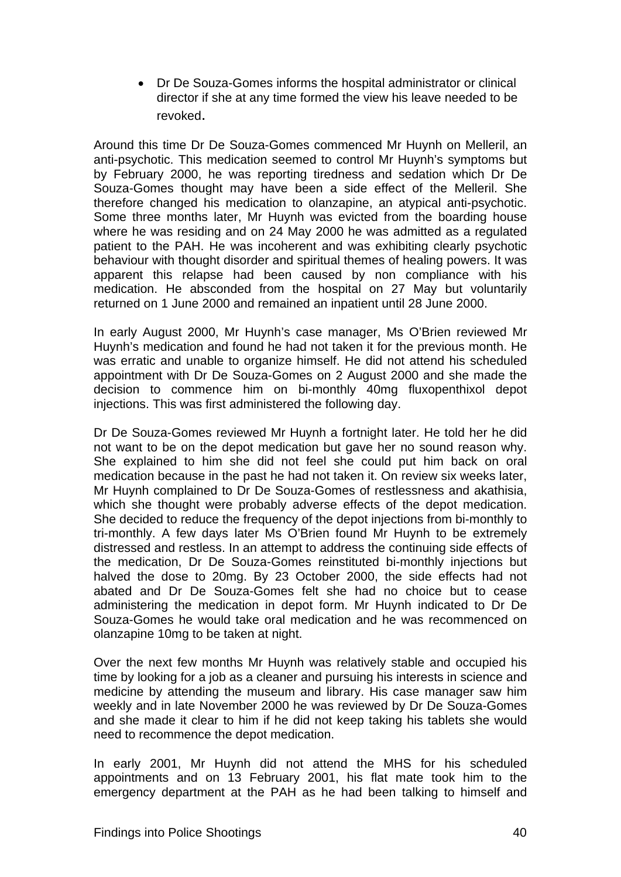• Dr De Souza-Gomes informs the hospital administrator or clinical director if she at any time formed the view his leave needed to be revoked.

Around this time Dr De Souza-Gomes commenced Mr Huynh on Melleril, an anti-psychotic. This medication seemed to control Mr Huynh's symptoms but by February 2000, he was reporting tiredness and sedation which Dr De Souza-Gomes thought may have been a side effect of the Melleril. She therefore changed his medication to olanzapine, an atypical anti-psychotic. Some three months later, Mr Huynh was evicted from the boarding house where he was residing and on 24 May 2000 he was admitted as a regulated patient to the PAH. He was incoherent and was exhibiting clearly psychotic behaviour with thought disorder and spiritual themes of healing powers. It was apparent this relapse had been caused by non compliance with his medication. He absconded from the hospital on 27 May but voluntarily returned on 1 June 2000 and remained an inpatient until 28 June 2000.

In early August 2000, Mr Huynh's case manager, Ms O'Brien reviewed Mr Huynh's medication and found he had not taken it for the previous month. He was erratic and unable to organize himself. He did not attend his scheduled appointment with Dr De Souza-Gomes on 2 August 2000 and she made the decision to commence him on bi-monthly 40mg fluxopenthixol depot injections. This was first administered the following day.

Dr De Souza-Gomes reviewed Mr Huynh a fortnight later. He told her he did not want to be on the depot medication but gave her no sound reason why. She explained to him she did not feel she could put him back on oral medication because in the past he had not taken it. On review six weeks later, Mr Huynh complained to Dr De Souza-Gomes of restlessness and akathisia, which she thought were probably adverse effects of the depot medication. She decided to reduce the frequency of the depot injections from bi-monthly to tri-monthly. A few days later Ms O'Brien found Mr Huynh to be extremely distressed and restless. In an attempt to address the continuing side effects of the medication, Dr De Souza-Gomes reinstituted bi-monthly injections but halved the dose to 20mg. By 23 October 2000, the side effects had not abated and Dr De Souza-Gomes felt she had no choice but to cease administering the medication in depot form. Mr Huynh indicated to Dr De Souza-Gomes he would take oral medication and he was recommenced on olanzapine 10mg to be taken at night.

Over the next few months Mr Huynh was relatively stable and occupied his time by looking for a job as a cleaner and pursuing his interests in science and medicine by attending the museum and library. His case manager saw him weekly and in late November 2000 he was reviewed by Dr De Souza-Gomes and she made it clear to him if he did not keep taking his tablets she would need to recommence the depot medication.

In early 2001, Mr Huynh did not attend the MHS for his scheduled appointments and on 13 February 2001, his flat mate took him to the emergency department at the PAH as he had been talking to himself and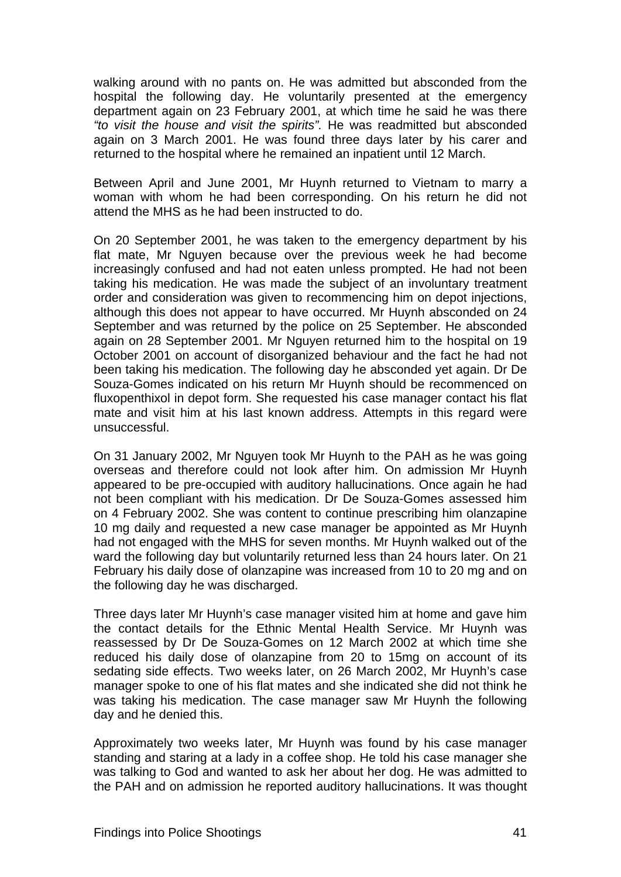walking around with no pants on. He was admitted but absconded from the hospital the following day. He voluntarily presented at the emergency department again on 23 February 2001, at which time he said he was there *"to visit the house and visit the spirits".* He was readmitted but absconded again on 3 March 2001. He was found three days later by his carer and returned to the hospital where he remained an inpatient until 12 March.

Between April and June 2001, Mr Huynh returned to Vietnam to marry a woman with whom he had been corresponding. On his return he did not attend the MHS as he had been instructed to do.

On 20 September 2001, he was taken to the emergency department by his flat mate, Mr Nguyen because over the previous week he had become increasingly confused and had not eaten unless prompted. He had not been taking his medication. He was made the subject of an involuntary treatment order and consideration was given to recommencing him on depot injections, although this does not appear to have occurred. Mr Huynh absconded on 24 September and was returned by the police on 25 September. He absconded again on 28 September 2001. Mr Nguyen returned him to the hospital on 19 October 2001 on account of disorganized behaviour and the fact he had not been taking his medication. The following day he absconded yet again. Dr De Souza-Gomes indicated on his return Mr Huynh should be recommenced on fluxopenthixol in depot form. She requested his case manager contact his flat mate and visit him at his last known address. Attempts in this regard were unsuccessful.

On 31 January 2002, Mr Nguyen took Mr Huynh to the PAH as he was going overseas and therefore could not look after him. On admission Mr Huynh appeared to be pre-occupied with auditory hallucinations. Once again he had not been compliant with his medication. Dr De Souza-Gomes assessed him on 4 February 2002. She was content to continue prescribing him olanzapine 10 mg daily and requested a new case manager be appointed as Mr Huynh had not engaged with the MHS for seven months. Mr Huynh walked out of the ward the following day but voluntarily returned less than 24 hours later. On 21 February his daily dose of olanzapine was increased from 10 to 20 mg and on the following day he was discharged.

Three days later Mr Huynh's case manager visited him at home and gave him the contact details for the Ethnic Mental Health Service. Mr Huynh was reassessed by Dr De Souza-Gomes on 12 March 2002 at which time she reduced his daily dose of olanzapine from 20 to 15mg on account of its sedating side effects. Two weeks later, on 26 March 2002, Mr Huynh's case manager spoke to one of his flat mates and she indicated she did not think he was taking his medication. The case manager saw Mr Huynh the following day and he denied this.

Approximately two weeks later, Mr Huynh was found by his case manager standing and staring at a lady in a coffee shop. He told his case manager she was talking to God and wanted to ask her about her dog. He was admitted to the PAH and on admission he reported auditory hallucinations. It was thought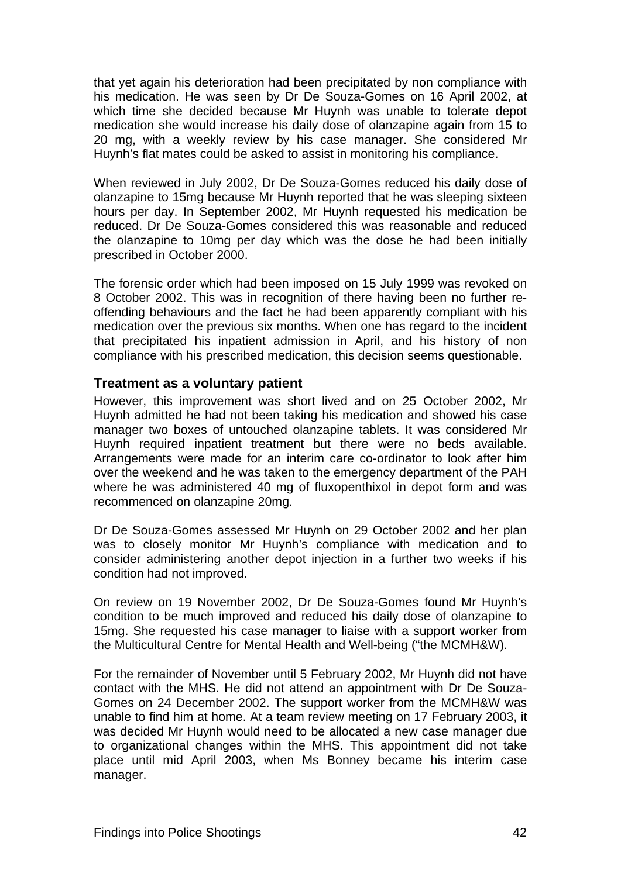<span id="page-55-0"></span>that yet again his deterioration had been precipitated by non compliance with his medication. He was seen by Dr De Souza-Gomes on 16 April 2002, at which time she decided because Mr Huynh was unable to tolerate depot medication she would increase his daily dose of olanzapine again from 15 to 20 mg, with a weekly review by his case manager. She considered Mr Huynh's flat mates could be asked to assist in monitoring his compliance.

When reviewed in July 2002, Dr De Souza-Gomes reduced his daily dose of olanzapine to 15mg because Mr Huynh reported that he was sleeping sixteen hours per day. In September 2002, Mr Huynh requested his medication be reduced. Dr De Souza-Gomes considered this was reasonable and reduced the olanzapine to 10mg per day which was the dose he had been initially prescribed in October 2000.

The forensic order which had been imposed on 15 July 1999 was revoked on 8 October 2002. This was in recognition of there having been no further reoffending behaviours and the fact he had been apparently compliant with his medication over the previous six months. When one has regard to the incident that precipitated his inpatient admission in April, and his history of non compliance with his prescribed medication, this decision seems questionable.

#### <span id="page-55-1"></span>**Treatment as a voluntary patient**

However, this improvement was short lived and on 25 October 2002, Mr Huynh admitted he had not been taking his medication and showed his case manager two boxes of untouched olanzapine tablets. It was considered Mr Huynh required inpatient treatment but there were no beds available. Arrangements were made for an interim care co-ordinator to look after him over the weekend and he was taken to the emergency department of the PAH where he was administered 40 mg of fluxopenthixol in depot form and was recommenced on olanzapine 20mg.

Dr De Souza-Gomes assessed Mr Huynh on 29 October 2002 and her plan was to closely monitor Mr Huynh's compliance with medication and to consider administering another depot injection in a further two weeks if his condition had not improved.

On review on 19 November 2002, Dr De Souza-Gomes found Mr Huynh's condition to be much improved and reduced his daily dose of olanzapine to 15mg. She requested his case manager to liaise with a support worker from the Multicultural Centre for Mental Health and Well-being ("the MCMH&W).

For the remainder of November until 5 February 2002, Mr Huynh did not have contact with the MHS. He did not attend an appointment with Dr De Souza-Gomes on 24 December 2002. The support worker from the MCMH&W was unable to find him at home. At a team review meeting on 17 February 2003, it was decided Mr Huynh would need to be allocated a new case manager due to organizational changes within the MHS. This appointment did not take place until mid April 2003, when Ms Bonney became his interim case manager.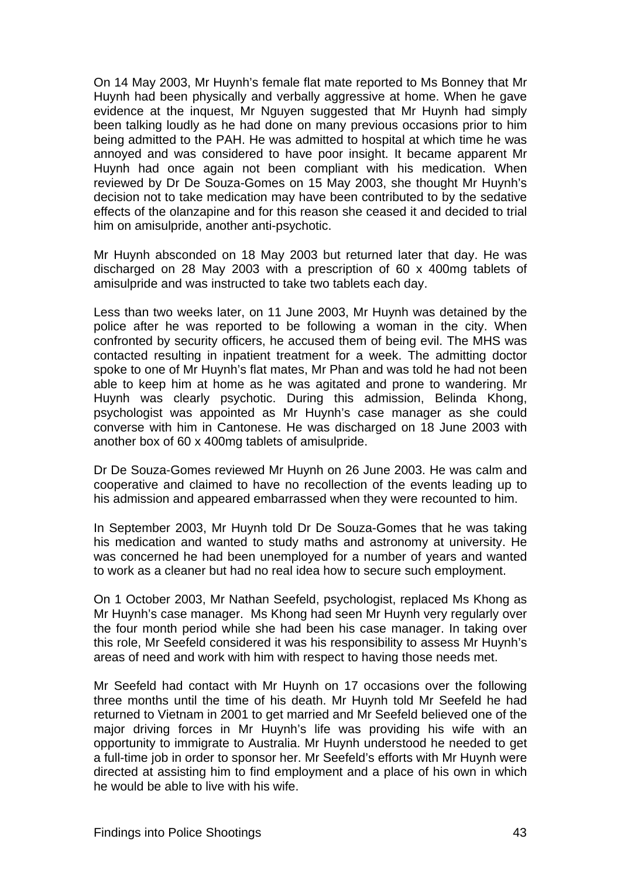On 14 May 2003, Mr Huynh's female flat mate reported to Ms Bonney that Mr Huynh had been physically and verbally aggressive at home. When he gave evidence at the inquest, Mr Nguyen suggested that Mr Huynh had simply been talking loudly as he had done on many previous occasions prior to him being admitted to the PAH. He was admitted to hospital at which time he was annoyed and was considered to have poor insight. It became apparent Mr Huynh had once again not been compliant with his medication. When reviewed by Dr De Souza-Gomes on 15 May 2003, she thought Mr Huynh's decision not to take medication may have been contributed to by the sedative effects of the olanzapine and for this reason she ceased it and decided to trial him on amisulpride, another anti-psychotic.

Mr Huynh absconded on 18 May 2003 but returned later that day. He was discharged on 28 May 2003 with a prescription of 60 x 400mg tablets of amisulpride and was instructed to take two tablets each day.

Less than two weeks later, on 11 June 2003, Mr Huynh was detained by the police after he was reported to be following a woman in the city. When confronted by security officers, he accused them of being evil. The MHS was contacted resulting in inpatient treatment for a week. The admitting doctor spoke to one of Mr Huynh's flat mates, Mr Phan and was told he had not been able to keep him at home as he was agitated and prone to wandering. Mr Huynh was clearly psychotic. During this admission, Belinda Khong, psychologist was appointed as Mr Huynh's case manager as she could converse with him in Cantonese. He was discharged on 18 June 2003 with another box of 60 x 400mg tablets of amisulpride.

Dr De Souza-Gomes reviewed Mr Huynh on 26 June 2003. He was calm and cooperative and claimed to have no recollection of the events leading up to his admission and appeared embarrassed when they were recounted to him.

In September 2003, Mr Huynh told Dr De Souza-Gomes that he was taking his medication and wanted to study maths and astronomy at university. He was concerned he had been unemployed for a number of years and wanted to work as a cleaner but had no real idea how to secure such employment.

On 1 October 2003, Mr Nathan Seefeld, psychologist, replaced Ms Khong as Mr Huynh's case manager. Ms Khong had seen Mr Huynh very regularly over the four month period while she had been his case manager. In taking over this role, Mr Seefeld considered it was his responsibility to assess Mr Huynh's areas of need and work with him with respect to having those needs met.

Mr Seefeld had contact with Mr Huynh on 17 occasions over the following three months until the time of his death. Mr Huynh told Mr Seefeld he had returned to Vietnam in 2001 to get married and Mr Seefeld believed one of the major driving forces in Mr Huynh's life was providing his wife with an opportunity to immigrate to Australia. Mr Huynh understood he needed to get a full-time job in order to sponsor her. Mr Seefeld's efforts with Mr Huynh were directed at assisting him to find employment and a place of his own in which he would be able to live with his wife.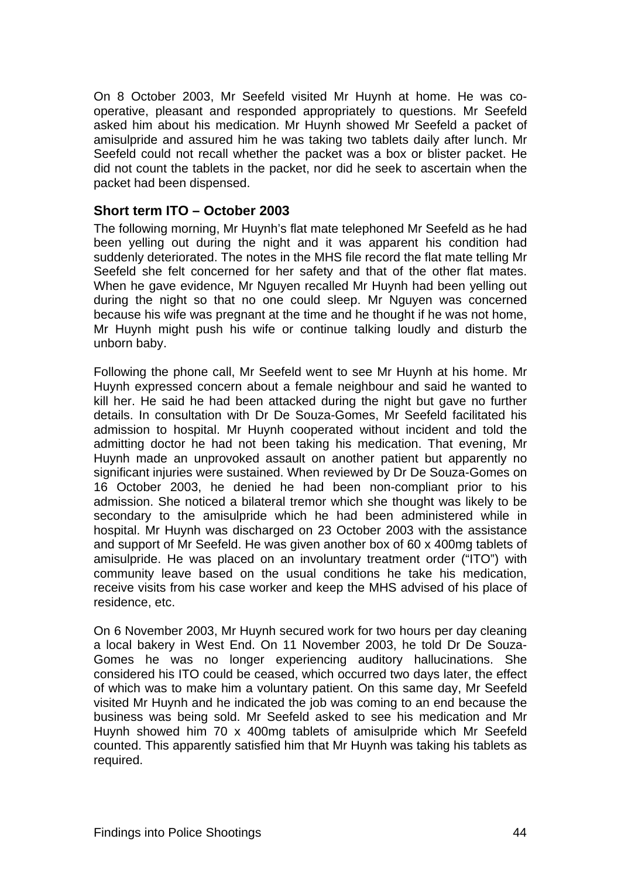<span id="page-57-0"></span>On 8 October 2003, Mr Seefeld visited Mr Huynh at home. He was cooperative, pleasant and responded appropriately to questions. Mr Seefeld asked him about his medication. Mr Huynh showed Mr Seefeld a packet of amisulpride and assured him he was taking two tablets daily after lunch. Mr Seefeld could not recall whether the packet was a box or blister packet. He did not count the tablets in the packet, nor did he seek to ascertain when the packet had been dispensed.

#### <span id="page-57-1"></span>**Short term ITO – October 2003**

The following morning, Mr Huynh's flat mate telephoned Mr Seefeld as he had been yelling out during the night and it was apparent his condition had suddenly deteriorated. The notes in the MHS file record the flat mate telling Mr Seefeld she felt concerned for her safety and that of the other flat mates. When he gave evidence, Mr Nguyen recalled Mr Huynh had been yelling out during the night so that no one could sleep. Mr Nguyen was concerned because his wife was pregnant at the time and he thought if he was not home, Mr Huynh might push his wife or continue talking loudly and disturb the unborn baby.

Following the phone call, Mr Seefeld went to see Mr Huynh at his home. Mr Huynh expressed concern about a female neighbour and said he wanted to kill her. He said he had been attacked during the night but gave no further details. In consultation with Dr De Souza-Gomes, Mr Seefeld facilitated his admission to hospital. Mr Huynh cooperated without incident and told the admitting doctor he had not been taking his medication. That evening, Mr Huynh made an unprovoked assault on another patient but apparently no significant injuries were sustained. When reviewed by Dr De Souza-Gomes on 16 October 2003, he denied he had been non-compliant prior to his admission. She noticed a bilateral tremor which she thought was likely to be secondary to the amisulpride which he had been administered while in hospital. Mr Huynh was discharged on 23 October 2003 with the assistance and support of Mr Seefeld. He was given another box of 60 x 400mg tablets of amisulpride. He was placed on an involuntary treatment order ("ITO") with community leave based on the usual conditions he take his medication, receive visits from his case worker and keep the MHS advised of his place of residence, etc.

On 6 November 2003, Mr Huynh secured work for two hours per day cleaning a local bakery in West End. On 11 November 2003, he told Dr De Souza-Gomes he was no longer experiencing auditory hallucinations. She considered his ITO could be ceased, which occurred two days later, the effect of which was to make him a voluntary patient. On this same day, Mr Seefeld visited Mr Huynh and he indicated the job was coming to an end because the business was being sold. Mr Seefeld asked to see his medication and Mr Huynh showed him 70 x 400mg tablets of amisulpride which Mr Seefeld counted. This apparently satisfied him that Mr Huynh was taking his tablets as required.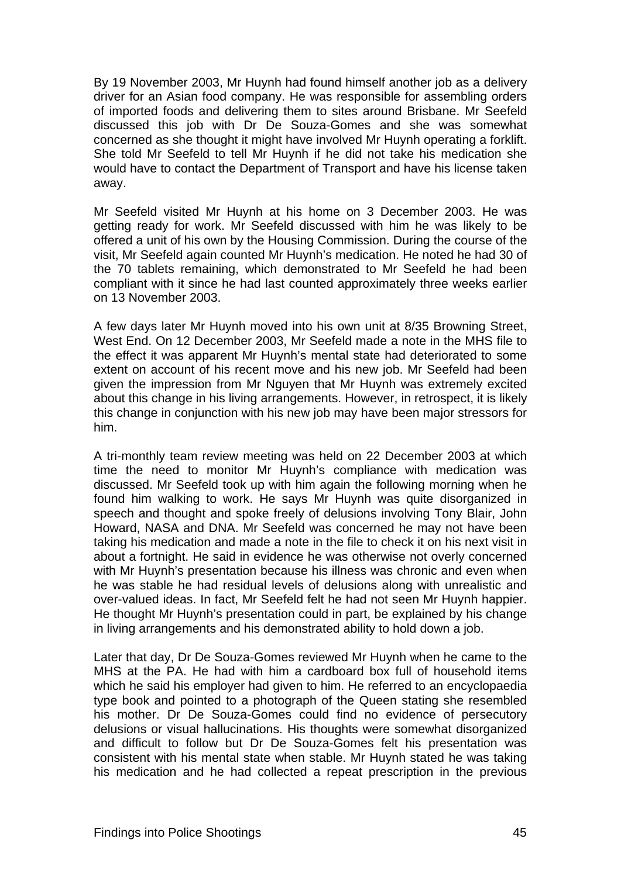By 19 November 2003, Mr Huynh had found himself another job as a delivery driver for an Asian food company. He was responsible for assembling orders of imported foods and delivering them to sites around Brisbane. Mr Seefeld discussed this job with Dr De Souza-Gomes and she was somewhat concerned as she thought it might have involved Mr Huynh operating a forklift. She told Mr Seefeld to tell Mr Huynh if he did not take his medication she would have to contact the Department of Transport and have his license taken away.

Mr Seefeld visited Mr Huynh at his home on 3 December 2003. He was getting ready for work. Mr Seefeld discussed with him he was likely to be offered a unit of his own by the Housing Commission. During the course of the visit, Mr Seefeld again counted Mr Huynh's medication. He noted he had 30 of the 70 tablets remaining, which demonstrated to Mr Seefeld he had been compliant with it since he had last counted approximately three weeks earlier on 13 November 2003.

A few days later Mr Huynh moved into his own unit at 8/35 Browning Street, West End. On 12 December 2003, Mr Seefeld made a note in the MHS file to the effect it was apparent Mr Huynh's mental state had deteriorated to some extent on account of his recent move and his new job. Mr Seefeld had been given the impression from Mr Nguyen that Mr Huynh was extremely excited about this change in his living arrangements. However, in retrospect, it is likely this change in conjunction with his new job may have been major stressors for him.

A tri-monthly team review meeting was held on 22 December 2003 at which time the need to monitor Mr Huynh's compliance with medication was discussed. Mr Seefeld took up with him again the following morning when he found him walking to work. He says Mr Huynh was quite disorganized in speech and thought and spoke freely of delusions involving Tony Blair, John Howard, NASA and DNA. Mr Seefeld was concerned he may not have been taking his medication and made a note in the file to check it on his next visit in about a fortnight. He said in evidence he was otherwise not overly concerned with Mr Huynh's presentation because his illness was chronic and even when he was stable he had residual levels of delusions along with unrealistic and over-valued ideas. In fact, Mr Seefeld felt he had not seen Mr Huynh happier. He thought Mr Huynh's presentation could in part, be explained by his change in living arrangements and his demonstrated ability to hold down a job.

Later that day, Dr De Souza-Gomes reviewed Mr Huynh when he came to the MHS at the PA. He had with him a cardboard box full of household items which he said his employer had given to him. He referred to an encyclopaedia type book and pointed to a photograph of the Queen stating she resembled his mother. Dr De Souza-Gomes could find no evidence of persecutory delusions or visual hallucinations. His thoughts were somewhat disorganized and difficult to follow but Dr De Souza-Gomes felt his presentation was consistent with his mental state when stable. Mr Huynh stated he was taking his medication and he had collected a repeat prescription in the previous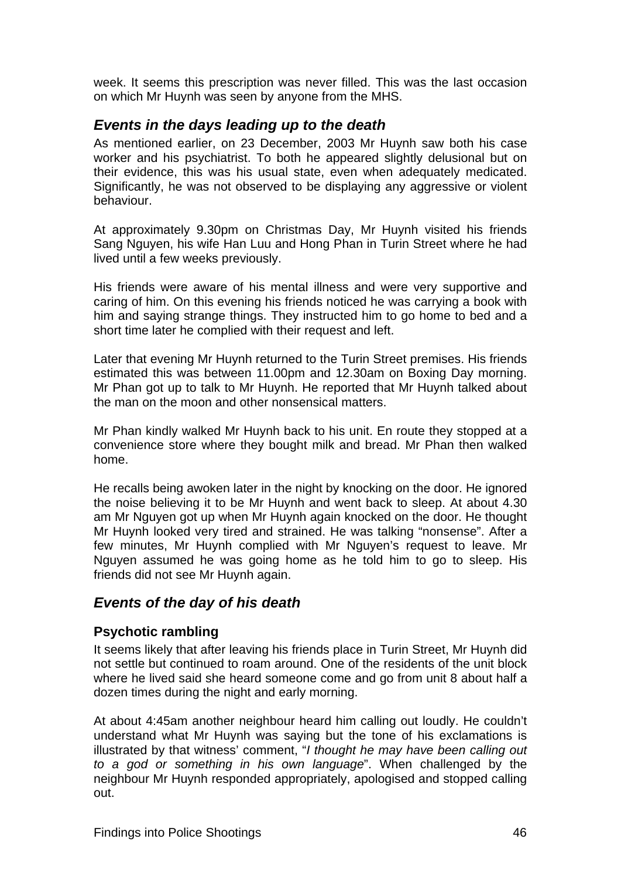<span id="page-59-0"></span>week. It seems this prescription was never filled. This was the last occasion on which Mr Huynh was seen by anyone from the MHS.

### <span id="page-59-1"></span>*Events in the days leading up to the death*

As mentioned earlier, on 23 December, 2003 Mr Huynh saw both his case worker and his psychiatrist. To both he appeared slightly delusional but on their evidence, this was his usual state, even when adequately medicated. Significantly, he was not observed to be displaying any aggressive or violent behaviour.

At approximately 9.30pm on Christmas Day, Mr Huynh visited his friends Sang Nguyen, his wife Han Luu and Hong Phan in Turin Street where he had lived until a few weeks previously.

His friends were aware of his mental illness and were very supportive and caring of him. On this evening his friends noticed he was carrying a book with him and saying strange things. They instructed him to go home to bed and a short time later he complied with their request and left.

Later that evening Mr Huynh returned to the Turin Street premises. His friends estimated this was between 11.00pm and 12.30am on Boxing Day morning. Mr Phan got up to talk to Mr Huynh. He reported that Mr Huynh talked about the man on the moon and other nonsensical matters.

Mr Phan kindly walked Mr Huynh back to his unit. En route they stopped at a convenience store where they bought milk and bread. Mr Phan then walked home.

He recalls being awoken later in the night by knocking on the door. He ignored the noise believing it to be Mr Huynh and went back to sleep. At about 4.30 am Mr Nguyen got up when Mr Huynh again knocked on the door. He thought Mr Huynh looked very tired and strained. He was talking "nonsense". After a few minutes, Mr Huynh complied with Mr Nguyen's request to leave. Mr Nguyen assumed he was going home as he told him to go to sleep. His friends did not see Mr Huynh again.

### <span id="page-59-2"></span>*Events of the day of his death*

#### <span id="page-59-3"></span>**Psychotic rambling**

It seems likely that after leaving his friends place in Turin Street, Mr Huynh did not settle but continued to roam around. One of the residents of the unit block where he lived said she heard someone come and go from unit 8 about half a dozen times during the night and early morning.

At about 4:45am another neighbour heard him calling out loudly. He couldn't understand what Mr Huynh was saying but the tone of his exclamations is illustrated by that witness' comment, "*I thought he may have been calling out to a god or something in his own language*". When challenged by the neighbour Mr Huynh responded appropriately, apologised and stopped calling out.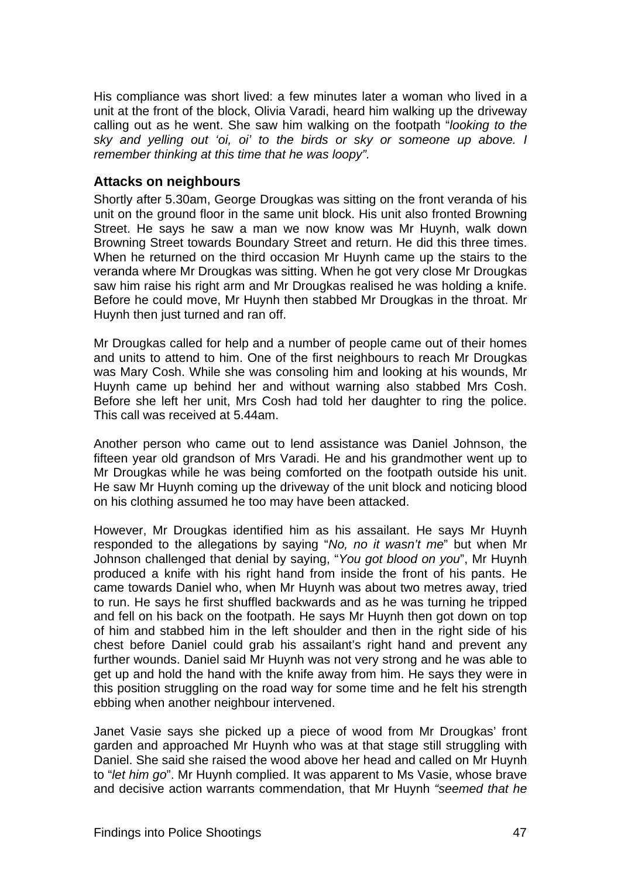<span id="page-60-0"></span>His compliance was short lived: a few minutes later a woman who lived in a unit at the front of the block, Olivia Varadi, heard him walking up the driveway calling out as he went. She saw him walking on the footpath "*looking to the sky and yelling out 'oi, oi' to the birds or sky or someone up above. I remember thinking at this time that he was loopy".* 

#### <span id="page-60-1"></span>**Attacks on neighbours**

Shortly after 5.30am, George Drougkas was sitting on the front veranda of his unit on the ground floor in the same unit block. His unit also fronted Browning Street. He says he saw a man we now know was Mr Huynh, walk down Browning Street towards Boundary Street and return. He did this three times. When he returned on the third occasion Mr Huynh came up the stairs to the veranda where Mr Drougkas was sitting. When he got very close Mr Drougkas saw him raise his right arm and Mr Drougkas realised he was holding a knife. Before he could move, Mr Huynh then stabbed Mr Drougkas in the throat. Mr Huynh then just turned and ran off.

Mr Drougkas called for help and a number of people came out of their homes and units to attend to him. One of the first neighbours to reach Mr Drougkas was Mary Cosh. While she was consoling him and looking at his wounds, Mr Huynh came up behind her and without warning also stabbed Mrs Cosh. Before she left her unit, Mrs Cosh had told her daughter to ring the police. This call was received at 5.44am.

Another person who came out to lend assistance was Daniel Johnson, the fifteen year old grandson of Mrs Varadi. He and his grandmother went up to Mr Drougkas while he was being comforted on the footpath outside his unit. He saw Mr Huynh coming up the driveway of the unit block and noticing blood on his clothing assumed he too may have been attacked.

However, Mr Drougkas identified him as his assailant. He says Mr Huynh responded to the allegations by saying "*No, no it wasn't me*" but when Mr Johnson challenged that denial by saying, "*You got blood on you*", Mr Huynh produced a knife with his right hand from inside the front of his pants. He came towards Daniel who, when Mr Huynh was about two metres away, tried to run. He says he first shuffled backwards and as he was turning he tripped and fell on his back on the footpath. He says Mr Huynh then got down on top of him and stabbed him in the left shoulder and then in the right side of his chest before Daniel could grab his assailant's right hand and prevent any further wounds. Daniel said Mr Huynh was not very strong and he was able to get up and hold the hand with the knife away from him. He says they were in this position struggling on the road way for some time and he felt his strength ebbing when another neighbour intervened.

Janet Vasie says she picked up a piece of wood from Mr Drougkas' front garden and approached Mr Huynh who was at that stage still struggling with Daniel. She said she raised the wood above her head and called on Mr Huynh to "*let him go*". Mr Huynh complied. It was apparent to Ms Vasie, whose brave and decisive action warrants commendation, that Mr Huynh *"seemed that he*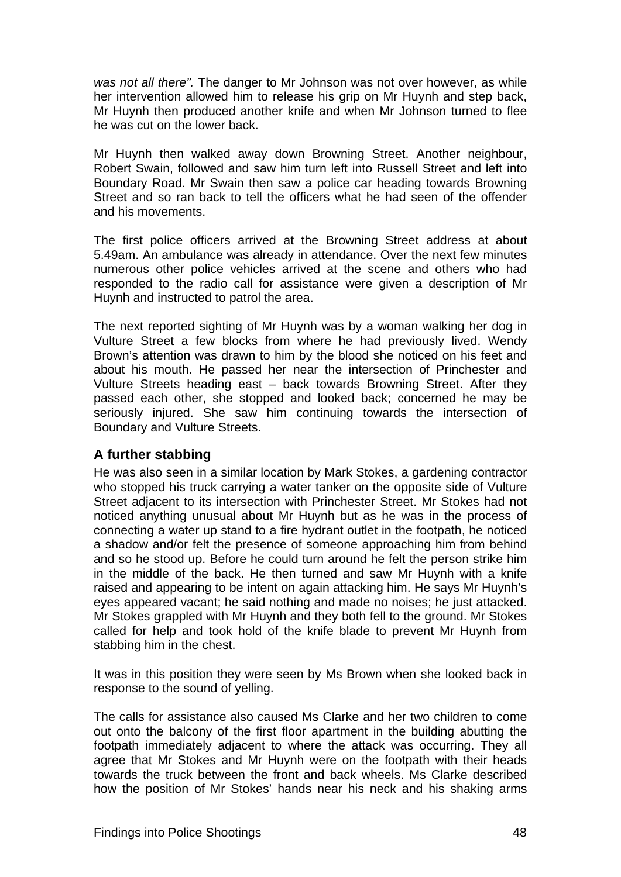<span id="page-61-0"></span>*was not all there".* The danger to Mr Johnson was not over however, as while her intervention allowed him to release his grip on Mr Huynh and step back, Mr Huynh then produced another knife and when Mr Johnson turned to flee he was cut on the lower back.

Mr Huynh then walked away down Browning Street. Another neighbour, Robert Swain, followed and saw him turn left into Russell Street and left into Boundary Road. Mr Swain then saw a police car heading towards Browning Street and so ran back to tell the officers what he had seen of the offender and his movements.

The first police officers arrived at the Browning Street address at about 5.49am. An ambulance was already in attendance. Over the next few minutes numerous other police vehicles arrived at the scene and others who had responded to the radio call for assistance were given a description of Mr Huynh and instructed to patrol the area.

The next reported sighting of Mr Huynh was by a woman walking her dog in Vulture Street a few blocks from where he had previously lived. Wendy Brown's attention was drawn to him by the blood she noticed on his feet and about his mouth. He passed her near the intersection of Princhester and Vulture Streets heading east – back towards Browning Street. After they passed each other, she stopped and looked back; concerned he may be seriously injured. She saw him continuing towards the intersection of Boundary and Vulture Streets.

#### <span id="page-61-1"></span>**A further stabbing**

He was also seen in a similar location by Mark Stokes, a gardening contractor who stopped his truck carrying a water tanker on the opposite side of Vulture Street adjacent to its intersection with Princhester Street. Mr Stokes had not noticed anything unusual about Mr Huynh but as he was in the process of connecting a water up stand to a fire hydrant outlet in the footpath, he noticed a shadow and/or felt the presence of someone approaching him from behind and so he stood up. Before he could turn around he felt the person strike him in the middle of the back. He then turned and saw Mr Huynh with a knife raised and appearing to be intent on again attacking him. He says Mr Huynh's eyes appeared vacant; he said nothing and made no noises; he just attacked. Mr Stokes grappled with Mr Huynh and they both fell to the ground. Mr Stokes called for help and took hold of the knife blade to prevent Mr Huynh from stabbing him in the chest.

It was in this position they were seen by Ms Brown when she looked back in response to the sound of yelling.

The calls for assistance also caused Ms Clarke and her two children to come out onto the balcony of the first floor apartment in the building abutting the footpath immediately adjacent to where the attack was occurring. They all agree that Mr Stokes and Mr Huynh were on the footpath with their heads towards the truck between the front and back wheels. Ms Clarke described how the position of Mr Stokes' hands near his neck and his shaking arms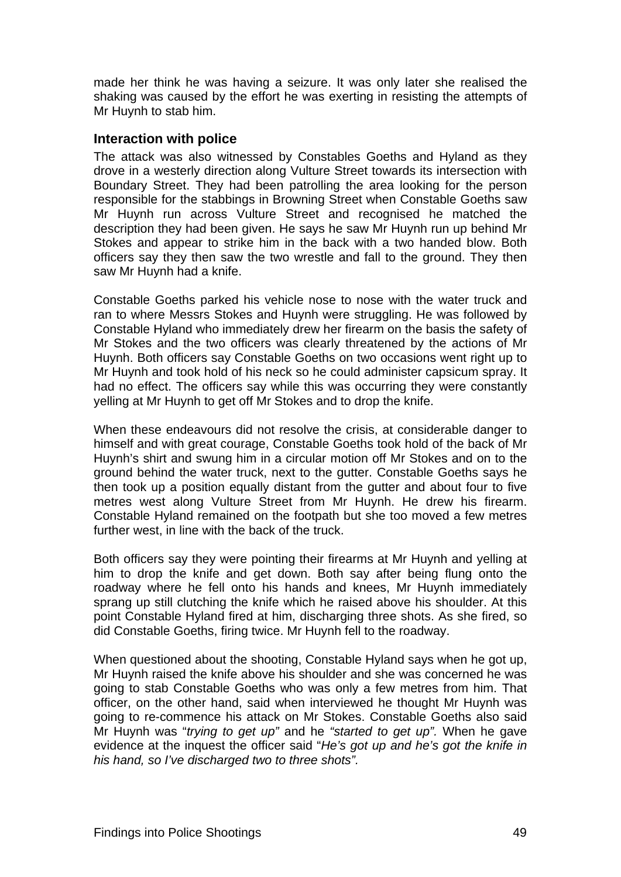<span id="page-62-0"></span>made her think he was having a seizure. It was only later she realised the shaking was caused by the effort he was exerting in resisting the attempts of Mr Huynh to stab him.

#### <span id="page-62-1"></span>**Interaction with police**

The attack was also witnessed by Constables Goeths and Hyland as they drove in a westerly direction along Vulture Street towards its intersection with Boundary Street. They had been patrolling the area looking for the person responsible for the stabbings in Browning Street when Constable Goeths saw Mr Huynh run across Vulture Street and recognised he matched the description they had been given. He says he saw Mr Huynh run up behind Mr Stokes and appear to strike him in the back with a two handed blow. Both officers say they then saw the two wrestle and fall to the ground. They then saw Mr Huynh had a knife.

Constable Goeths parked his vehicle nose to nose with the water truck and ran to where Messrs Stokes and Huynh were struggling. He was followed by Constable Hyland who immediately drew her firearm on the basis the safety of Mr Stokes and the two officers was clearly threatened by the actions of Mr Huynh. Both officers say Constable Goeths on two occasions went right up to Mr Huynh and took hold of his neck so he could administer capsicum spray. It had no effect. The officers say while this was occurring they were constantly yelling at Mr Huynh to get off Mr Stokes and to drop the knife.

When these endeavours did not resolve the crisis, at considerable danger to himself and with great courage, Constable Goeths took hold of the back of Mr Huynh's shirt and swung him in a circular motion off Mr Stokes and on to the ground behind the water truck, next to the gutter. Constable Goeths says he then took up a position equally distant from the gutter and about four to five metres west along Vulture Street from Mr Huynh. He drew his firearm. Constable Hyland remained on the footpath but she too moved a few metres further west, in line with the back of the truck.

Both officers say they were pointing their firearms at Mr Huynh and yelling at him to drop the knife and get down. Both say after being flung onto the roadway where he fell onto his hands and knees, Mr Huynh immediately sprang up still clutching the knife which he raised above his shoulder. At this point Constable Hyland fired at him, discharging three shots. As she fired, so did Constable Goeths, firing twice. Mr Huynh fell to the roadway.

When questioned about the shooting, Constable Hyland says when he got up, Mr Huynh raised the knife above his shoulder and she was concerned he was going to stab Constable Goeths who was only a few metres from him. That officer, on the other hand, said when interviewed he thought Mr Huynh was going to re-commence his attack on Mr Stokes. Constable Goeths also said Mr Huynh was "*trying to get up"* and he *"started to get up".* When he gave evidence at the inquest the officer said "*He's got up and he's got the knife in his hand, so I've discharged two to three shots".*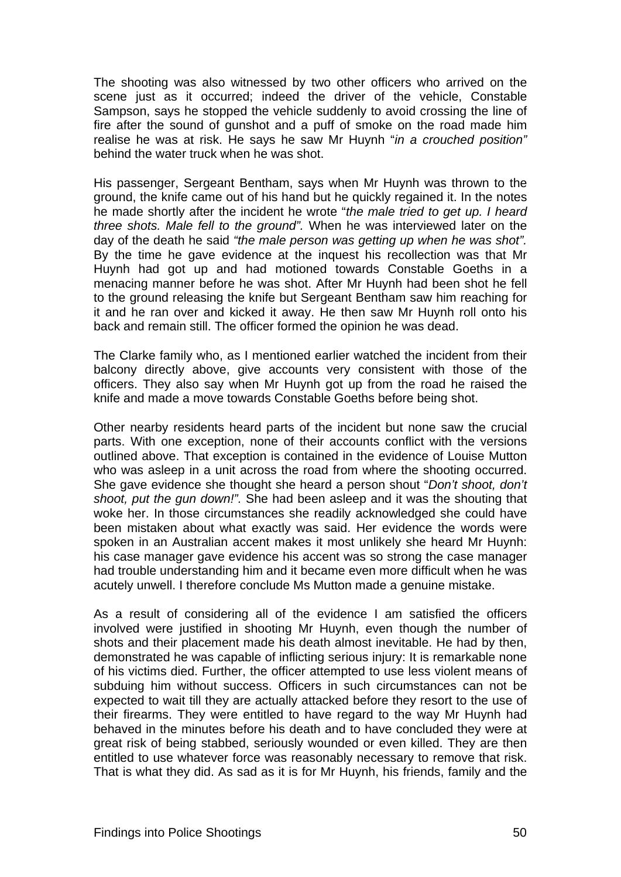The shooting was also witnessed by two other officers who arrived on the scene just as it occurred; indeed the driver of the vehicle, Constable Sampson, says he stopped the vehicle suddenly to avoid crossing the line of fire after the sound of gunshot and a puff of smoke on the road made him realise he was at risk. He says he saw Mr Huynh "*in a crouched position"* behind the water truck when he was shot.

His passenger, Sergeant Bentham, says when Mr Huynh was thrown to the ground, the knife came out of his hand but he quickly regained it. In the notes he made shortly after the incident he wrote "*the male tried to get up. I heard three shots. Male fell to the ground".* When he was interviewed later on the day of the death he said *"the male person was getting up when he was shot".* By the time he gave evidence at the inquest his recollection was that Mr Huynh had got up and had motioned towards Constable Goeths in a menacing manner before he was shot. After Mr Huynh had been shot he fell to the ground releasing the knife but Sergeant Bentham saw him reaching for it and he ran over and kicked it away. He then saw Mr Huynh roll onto his back and remain still. The officer formed the opinion he was dead.

The Clarke family who, as I mentioned earlier watched the incident from their balcony directly above, give accounts very consistent with those of the officers. They also say when Mr Huynh got up from the road he raised the knife and made a move towards Constable Goeths before being shot.

Other nearby residents heard parts of the incident but none saw the crucial parts. With one exception, none of their accounts conflict with the versions outlined above. That exception is contained in the evidence of Louise Mutton who was asleep in a unit across the road from where the shooting occurred. She gave evidence she thought she heard a person shout "*Don't shoot, don't shoot, put the gun down!".* She had been asleep and it was the shouting that woke her. In those circumstances she readily acknowledged she could have been mistaken about what exactly was said. Her evidence the words were spoken in an Australian accent makes it most unlikely she heard Mr Huynh: his case manager gave evidence his accent was so strong the case manager had trouble understanding him and it became even more difficult when he was acutely unwell. I therefore conclude Ms Mutton made a genuine mistake.

As a result of considering all of the evidence I am satisfied the officers involved were justified in shooting Mr Huynh, even though the number of shots and their placement made his death almost inevitable. He had by then, demonstrated he was capable of inflicting serious injury: It is remarkable none of his victims died. Further, the officer attempted to use less violent means of subduing him without success. Officers in such circumstances can not be expected to wait till they are actually attacked before they resort to the use of their firearms. They were entitled to have regard to the way Mr Huynh had behaved in the minutes before his death and to have concluded they were at great risk of being stabbed, seriously wounded or even killed. They are then entitled to use whatever force was reasonably necessary to remove that risk. That is what they did. As sad as it is for Mr Huynh, his friends, family and the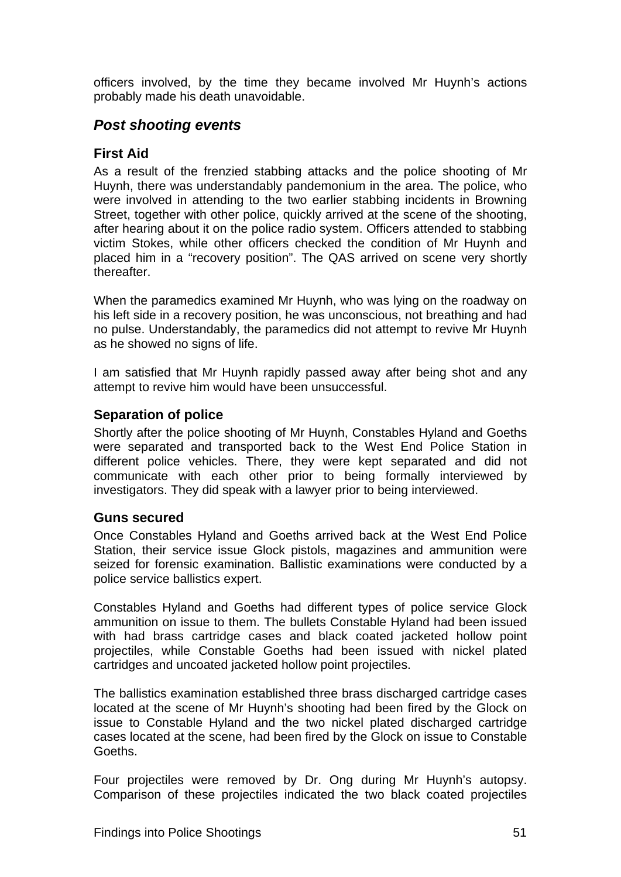<span id="page-64-0"></span>officers involved, by the time they became involved Mr Huynh's actions probably made his death unavoidable.

### <span id="page-64-1"></span>*Post shooting events*

#### <span id="page-64-2"></span>**First Aid**

As a result of the frenzied stabbing attacks and the police shooting of Mr Huynh, there was understandably pandemonium in the area. The police, who were involved in attending to the two earlier stabbing incidents in Browning Street, together with other police, quickly arrived at the scene of the shooting, after hearing about it on the police radio system. Officers attended to stabbing victim Stokes, while other officers checked the condition of Mr Huynh and placed him in a "recovery position". The QAS arrived on scene very shortly thereafter.

When the paramedics examined Mr Huynh, who was lying on the roadway on his left side in a recovery position, he was unconscious, not breathing and had no pulse. Understandably, the paramedics did not attempt to revive Mr Huynh as he showed no signs of life.

I am satisfied that Mr Huynh rapidly passed away after being shot and any attempt to revive him would have been unsuccessful.

#### <span id="page-64-3"></span>**Separation of police**

Shortly after the police shooting of Mr Huynh, Constables Hyland and Goeths were separated and transported back to the West End Police Station in different police vehicles. There, they were kept separated and did not communicate with each other prior to being formally interviewed by investigators. They did speak with a lawyer prior to being interviewed.

#### <span id="page-64-4"></span>**Guns secured**

Once Constables Hyland and Goeths arrived back at the West End Police Station, their service issue Glock pistols, magazines and ammunition were seized for forensic examination. Ballistic examinations were conducted by a police service ballistics expert.

Constables Hyland and Goeths had different types of police service Glock ammunition on issue to them. The bullets Constable Hyland had been issued with had brass cartridge cases and black coated jacketed hollow point projectiles, while Constable Goeths had been issued with nickel plated cartridges and uncoated jacketed hollow point projectiles.

The ballistics examination established three brass discharged cartridge cases located at the scene of Mr Huynh's shooting had been fired by the Glock on issue to Constable Hyland and the two nickel plated discharged cartridge cases located at the scene, had been fired by the Glock on issue to Constable Goeths.

Four projectiles were removed by Dr. Ong during Mr Huynh's autopsy. Comparison of these projectiles indicated the two black coated projectiles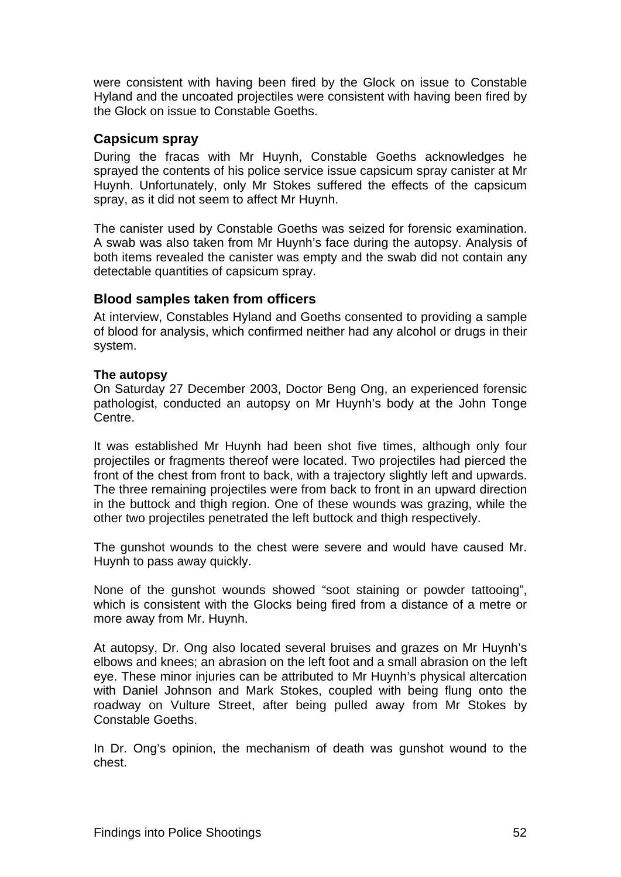<span id="page-65-0"></span>were consistent with having been fired by the Glock on issue to Constable Hyland and the uncoated projectiles were consistent with having been fired by the Glock on issue to Constable Goeths.

#### <span id="page-65-1"></span>**Capsicum spray**

During the fracas with Mr Huynh, Constable Goeths acknowledges he sprayed the contents of his police service issue capsicum spray canister at Mr Huynh. Unfortunately, only Mr Stokes suffered the effects of the capsicum spray, as it did not seem to affect Mr Huynh.

The canister used by Constable Goeths was seized for forensic examination. A swab was also taken from Mr Huynh's face during the autopsy. Analysis of both items revealed the canister was empty and the swab did not contain any detectable quantities of capsicum spray.

#### <span id="page-65-2"></span>**Blood samples taken from officers**

At interview, Constables Hyland and Goeths consented to providing a sample of blood for analysis, which confirmed neither had any alcohol or drugs in their system.

#### **The autopsy**

On Saturday 27 December 2003, Doctor Beng Ong, an experienced forensic pathologist, conducted an autopsy on Mr Huynh's body at the John Tonge Centre.

It was established Mr Huynh had been shot five times, although only four projectiles or fragments thereof were located. Two projectiles had pierced the front of the chest from front to back, with a trajectory slightly left and upwards. The three remaining projectiles were from back to front in an upward direction in the buttock and thigh region. One of these wounds was grazing, while the other two projectiles penetrated the left buttock and thigh respectively.

The gunshot wounds to the chest were severe and would have caused Mr. Huynh to pass away quickly.

None of the gunshot wounds showed "soot staining or powder tattooing", which is consistent with the Glocks being fired from a distance of a metre or more away from Mr. Huynh.

At autopsy, Dr. Ong also located several bruises and grazes on Mr Huynh's elbows and knees; an abrasion on the left foot and a small abrasion on the left eye. These minor injuries can be attributed to Mr Huynh's physical altercation with Daniel Johnson and Mark Stokes, coupled with being flung onto the roadway on Vulture Street, after being pulled away from Mr Stokes by Constable Goeths.

In Dr. Ong's opinion, the mechanism of death was gunshot wound to the chest.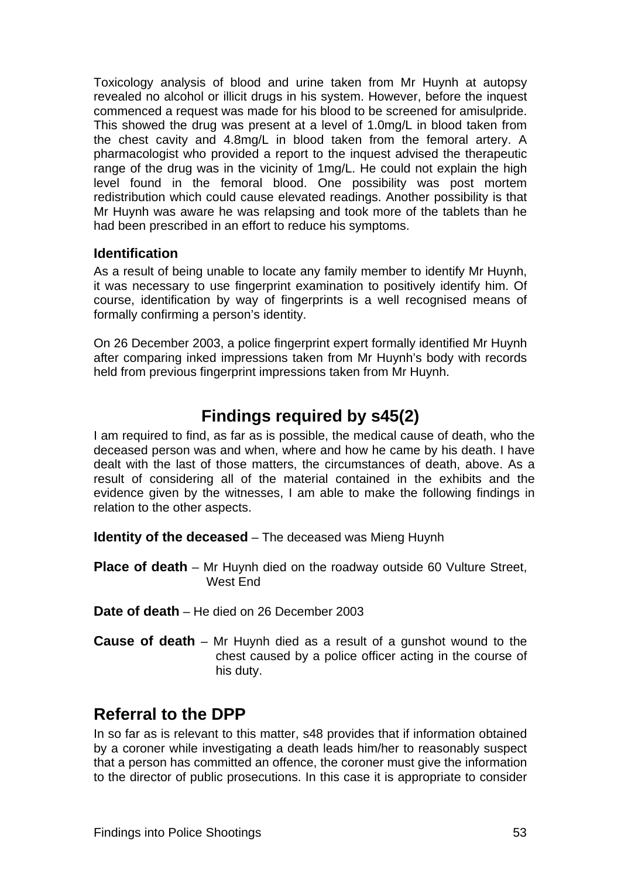<span id="page-66-0"></span>Toxicology analysis of blood and urine taken from Mr Huynh at autopsy revealed no alcohol or illicit drugs in his system. However, before the inquest commenced a request was made for his blood to be screened for amisulpride. This showed the drug was present at a level of 1.0mg/L in blood taken from the chest cavity and 4.8mg/L in blood taken from the femoral artery. A pharmacologist who provided a report to the inquest advised the therapeutic range of the drug was in the vicinity of 1mg/L. He could not explain the high level found in the femoral blood. One possibility was post mortem redistribution which could cause elevated readings. Another possibility is that Mr Huynh was aware he was relapsing and took more of the tablets than he had been prescribed in an effort to reduce his symptoms.

#### <span id="page-66-1"></span>**Identification**

As a result of being unable to locate any family member to identify Mr Huynh, it was necessary to use fingerprint examination to positively identify him. Of course, identification by way of fingerprints is a well recognised means of formally confirming a person's identity.

On 26 December 2003, a police fingerprint expert formally identified Mr Huynh after comparing inked impressions taken from Mr Huynh's body with records held from previous fingerprint impressions taken from Mr Huynh.

# **Findings required by s45(2)**

<span id="page-66-2"></span>I am required to find, as far as is possible, the medical cause of death, who the deceased person was and when, where and how he came by his death. I have dealt with the last of those matters, the circumstances of death, above. As a result of considering all of the material contained in the exhibits and the evidence given by the witnesses, I am able to make the following findings in relation to the other aspects.

<span id="page-66-3"></span>**Identity of the deceased** – The deceased was Mieng Huynh

<span id="page-66-4"></span>**Place of death** – Mr Huynh died on the roadway outside 60 Vulture Street, West End

- <span id="page-66-5"></span>**Date of death** – He died on 26 December 2003
- <span id="page-66-6"></span>**Cause of death** – Mr Huynh died as a result of a gunshot wound to the chest caused by a police officer acting in the course of his duty.

## **Referral to the DPP**

In so far as is relevant to this matter, s48 provides that if information obtained by a coroner while investigating a death leads him/her to reasonably suspect that a person has committed an offence, the coroner must give the information to the director of public prosecutions. In this case it is appropriate to consider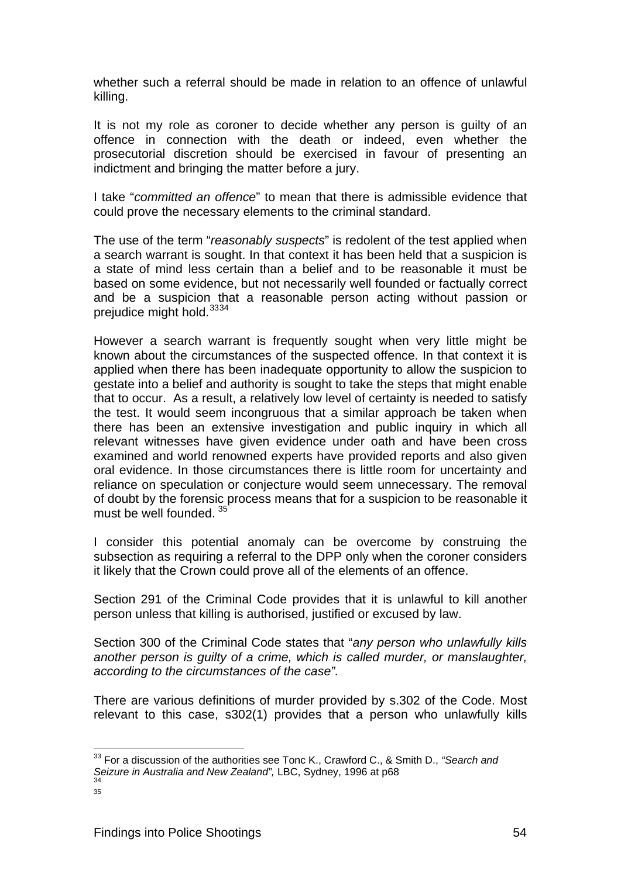whether such a referral should be made in relation to an offence of unlawful killing.

It is not my role as coroner to decide whether any person is guilty of an offence in connection with the death or indeed, even whether the prosecutorial discretion should be exercised in favour of presenting an indictment and bringing the matter before a jury.

I take "*committed an offence*" to mean that there is admissible evidence that could prove the necessary elements to the criminal standard.

The use of the term "*reasonably suspects*" is redolent of the test applied when a search warrant is sought. In that context it has been held that a suspicion is a state of mind less certain than a belief and to be reasonable it must be based on some evidence, but not necessarily well founded or factually correct and be a suspicion that a reasonable person acting without passion or prejudice might hold.<sup>[33](#page-67-0)[34](#page-67-1)</sup>

However a search warrant is frequently sought when very little might be known about the circumstances of the suspected offence. In that context it is applied when there has been inadequate opportunity to allow the suspicion to gestate into a belief and authority is sought to take the steps that might enable that to occur. As a result, a relatively low level of certainty is needed to satisfy the test. It would seem incongruous that a similar approach be taken when there has been an extensive investigation and public inquiry in which all relevant witnesses have given evidence under oath and have been cross examined and world renowned experts have provided reports and also given oral evidence. In those circumstances there is little room for uncertainty and reliance on speculation or conjecture would seem unnecessary. The removal of doubt by the forensic process means that for a suspicion to be reasonable it must be well founded.<sup>[35](#page-67-2)</sup>

I consider this potential anomaly can be overcome by construing the subsection as requiring a referral to the DPP only when the coroner considers it likely that the Crown could prove all of the elements of an offence.

Section 291 of the Criminal Code provides that it is unlawful to kill another person unless that killing is authorised, justified or excused by law.

Section 300 of the Criminal Code states that "*any person who unlawfully kills another person is guilty of a crime, which is called murder, or manslaughter, according to the circumstances of the case".* 

There are various definitions of murder provided by s.302 of the Code. Most relevant to this case, s302(1) provides that a person who unlawfully kills

<span id="page-67-0"></span><sup>33</sup> For a discussion of the authorities see Tonc K., Crawford C., & Smith D., *"Search and Seizure in Australia and New Zealand"*, LBC, Sydney, 1996 at p68 34<br>34

<span id="page-67-2"></span><span id="page-67-1"></span>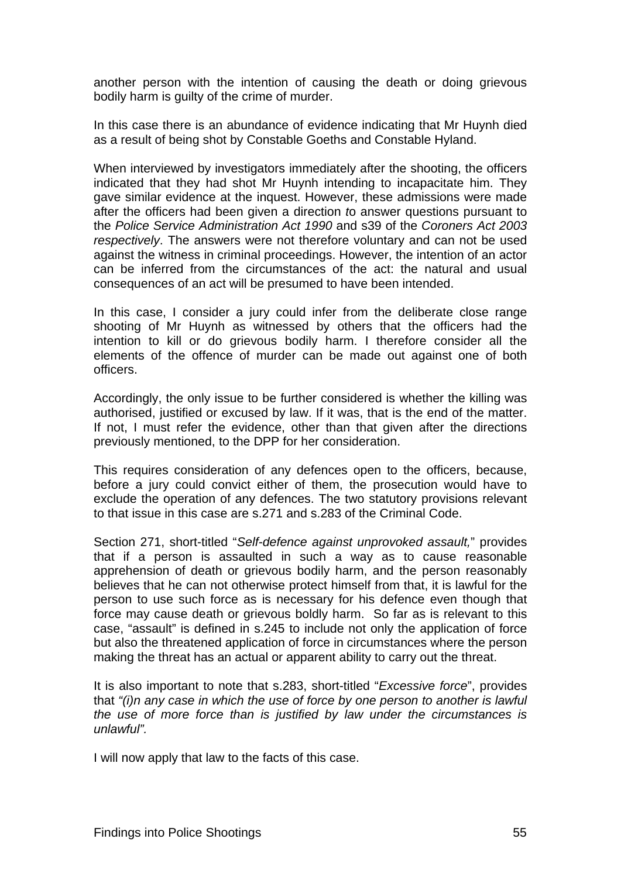another person with the intention of causing the death or doing grievous bodily harm is guilty of the crime of murder.

In this case there is an abundance of evidence indicating that Mr Huynh died as a result of being shot by Constable Goeths and Constable Hyland.

When interviewed by investigators immediately after the shooting, the officers indicated that they had shot Mr Huynh intending to incapacitate him. They gave similar evidence at the inquest. However, these admissions were made after the officers had been given a direction *t*o answer questions pursuant to the *Police Service Administration Act 1990* and s39 of the *Coroners Act 2003 respectively*. The answers were not therefore voluntary and can not be used against the witness in criminal proceedings. However, the intention of an actor can be inferred from the circumstances of the act: the natural and usual consequences of an act will be presumed to have been intended.

In this case, I consider a jury could infer from the deliberate close range shooting of Mr Huynh as witnessed by others that the officers had the intention to kill or do grievous bodily harm. I therefore consider all the elements of the offence of murder can be made out against one of both officers.

Accordingly, the only issue to be further considered is whether the killing was authorised, justified or excused by law. If it was, that is the end of the matter. If not, I must refer the evidence, other than that given after the directions previously mentioned, to the DPP for her consideration.

This requires consideration of any defences open to the officers, because, before a jury could convict either of them, the prosecution would have to exclude the operation of any defences. The two statutory provisions relevant to that issue in this case are s.271 and s.283 of the Criminal Code.

Section 271, short-titled "*Self-defence against unprovoked assault,*" provides that if a person is assaulted in such a way as to cause reasonable apprehension of death or grievous bodily harm, and the person reasonably believes that he can not otherwise protect himself from that, it is lawful for the person to use such force as is necessary for his defence even though that force may cause death or grievous boldly harm. So far as is relevant to this case, "assault" is defined in s.245 to include not only the application of force but also the threatened application of force in circumstances where the person making the threat has an actual or apparent ability to carry out the threat.

It is also important to note that s.283, short-titled "*Excessive force*", provides that *"(i)n any case in which the use of force by one person to another is lawful the use of more force than is justified by law under the circumstances is unlawful".* 

I will now apply that law to the facts of this case.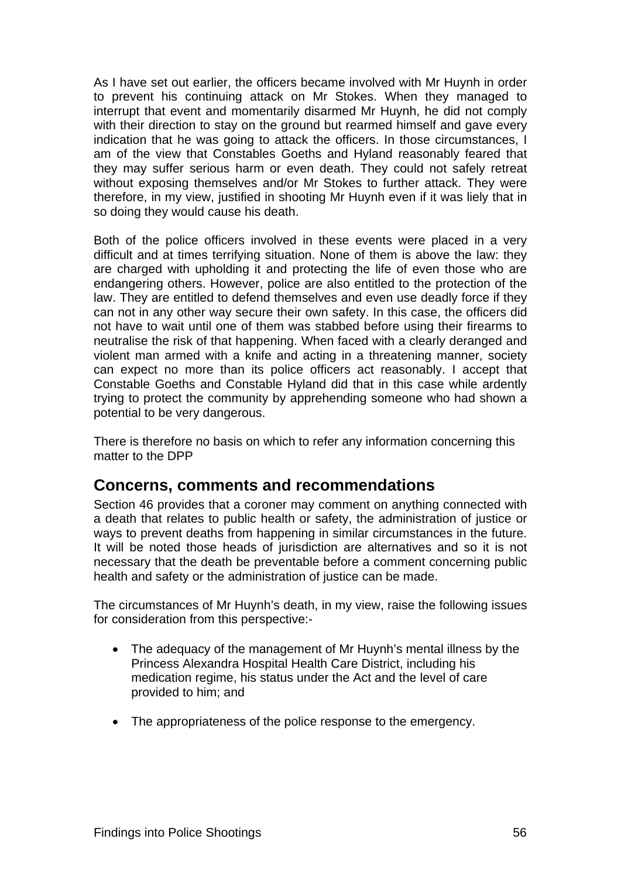<span id="page-69-0"></span>As I have set out earlier, the officers became involved with Mr Huynh in order to prevent his continuing attack on Mr Stokes. When they managed to interrupt that event and momentarily disarmed Mr Huynh, he did not comply with their direction to stay on the ground but rearmed himself and gave every indication that he was going to attack the officers. In those circumstances, I am of the view that Constables Goeths and Hyland reasonably feared that they may suffer serious harm or even death. They could not safely retreat without exposing themselves and/or Mr Stokes to further attack. They were therefore, in my view, justified in shooting Mr Huynh even if it was liely that in so doing they would cause his death.

Both of the police officers involved in these events were placed in a very difficult and at times terrifying situation. None of them is above the law: they are charged with upholding it and protecting the life of even those who are endangering others. However, police are also entitled to the protection of the law. They are entitled to defend themselves and even use deadly force if they can not in any other way secure their own safety. In this case, the officers did not have to wait until one of them was stabbed before using their firearms to neutralise the risk of that happening. When faced with a clearly deranged and violent man armed with a knife and acting in a threatening manner, society can expect no more than its police officers act reasonably. I accept that Constable Goeths and Constable Hyland did that in this case while ardently trying to protect the community by apprehending someone who had shown a potential to be very dangerous.

There is therefore no basis on which to refer any information concerning this matter to the DPP

### **Concerns, comments and recommendations**

Section 46 provides that a coroner may comment on anything connected with a death that relates to public health or safety, the administration of justice or ways to prevent deaths from happening in similar circumstances in the future. It will be noted those heads of jurisdiction are alternatives and so it is not necessary that the death be preventable before a comment concerning public health and safety or the administration of justice can be made.

The circumstances of Mr Huynh's death, in my view, raise the following issues for consideration from this perspective:-

- The adequacy of the management of Mr Huynh's mental illness by the Princess Alexandra Hospital Health Care District, including his medication regime, his status under the Act and the level of care provided to him; and
- <span id="page-69-1"></span>• The appropriateness of the police response to the emergency.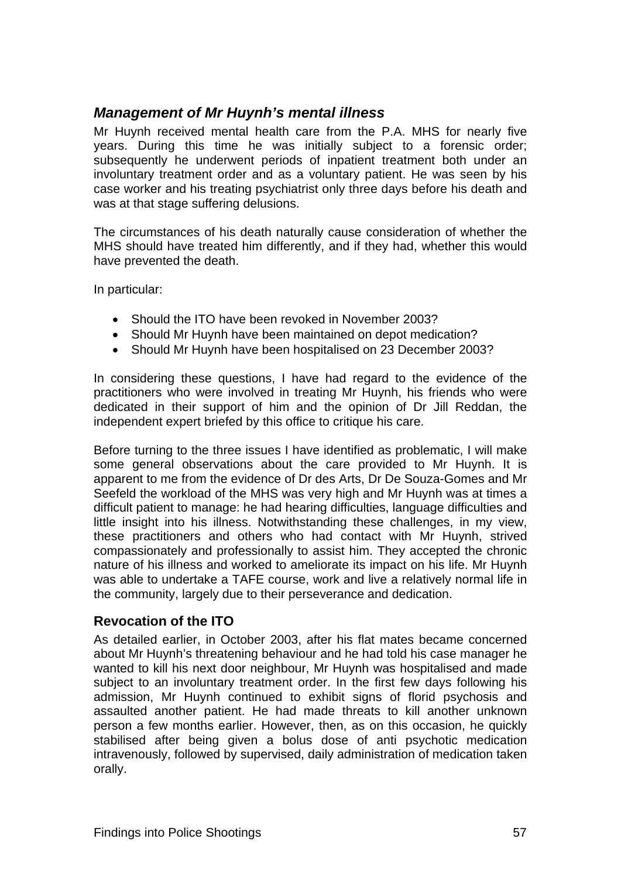### <span id="page-70-1"></span><span id="page-70-0"></span>*Management of Mr Huynh's mental illness*

Mr Huynh received mental health care from the P.A. MHS for nearly five years. During this time he was initially subject to a forensic order; subsequently he underwent periods of inpatient treatment both under an involuntary treatment order and as a voluntary patient. He was seen by his case worker and his treating psychiatrist only three days before his death and was at that stage suffering delusions.

The circumstances of his death naturally cause consideration of whether the MHS should have treated him differently, and if they had, whether this would have prevented the death.

In particular:

- Should the ITO have been revoked in November 2003?
- Should Mr Huynh have been maintained on depot medication?
- Should Mr Huynh have been hospitalised on 23 December 2003?

In considering these questions, I have had regard to the evidence of the practitioners who were involved in treating Mr Huynh, his friends who were dedicated in their support of him and the opinion of Dr Jill Reddan, the independent expert briefed by this office to critique his care.

Before turning to the three issues I have identified as problematic, I will make some general observations about the care provided to Mr Huynh. It is apparent to me from the evidence of Dr des Arts, Dr De Souza-Gomes and Mr Seefeld the workload of the MHS was very high and Mr Huynh was at times a difficult patient to manage: he had hearing difficulties, language difficulties and little insight into his illness. Notwithstanding these challenges, in my view, these practitioners and others who had contact with Mr Huynh, strived compassionately and professionally to assist him. They accepted the chronic nature of his illness and worked to ameliorate its impact on his life. Mr Huynh was able to undertake a TAFE course, work and live a relatively normal life in the community, largely due to their perseverance and dedication.

#### <span id="page-70-2"></span>**Revocation of the ITO**

As detailed earlier, in October 2003, after his flat mates became concerned about Mr Huynh's threatening behaviour and he had told his case manager he wanted to kill his next door neighbour, Mr Huynh was hospitalised and made subject to an involuntary treatment order. In the first few days following his admission, Mr Huynh continued to exhibit signs of florid psychosis and assaulted another patient. He had made threats to kill another unknown person a few months earlier. However, then, as on this occasion, he quickly stabilised after being given a bolus dose of anti psychotic medication intravenously, followed by supervised, daily administration of medication taken orally.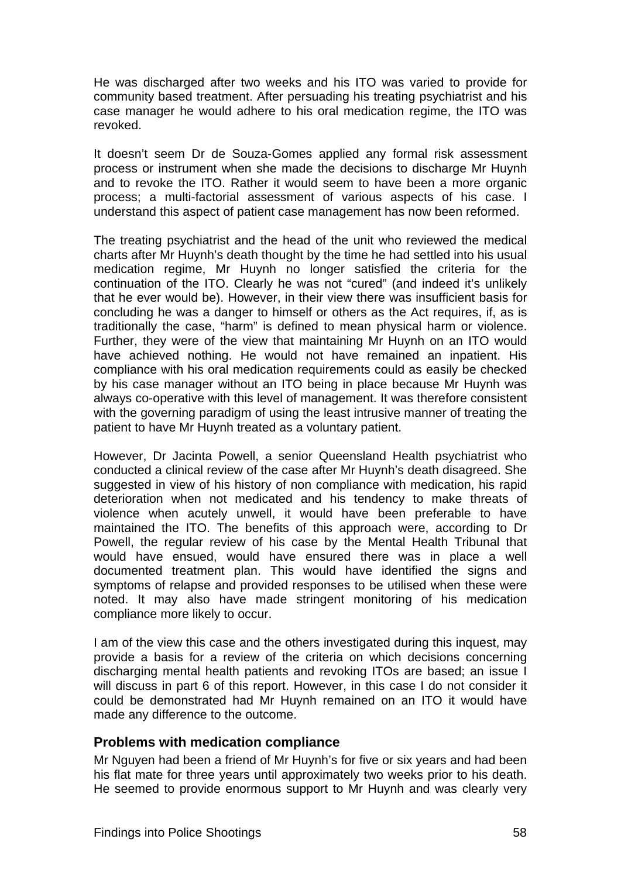<span id="page-71-0"></span>He was discharged after two weeks and his ITO was varied to provide for community based treatment. After persuading his treating psychiatrist and his case manager he would adhere to his oral medication regime, the ITO was revoked.

It doesn't seem Dr de Souza-Gomes applied any formal risk assessment process or instrument when she made the decisions to discharge Mr Huynh and to revoke the ITO. Rather it would seem to have been a more organic process; a multi-factorial assessment of various aspects of his case. I understand this aspect of patient case management has now been reformed.

The treating psychiatrist and the head of the unit who reviewed the medical charts after Mr Huynh's death thought by the time he had settled into his usual medication regime, Mr Huynh no longer satisfied the criteria for the continuation of the ITO. Clearly he was not "cured" (and indeed it's unlikely that he ever would be). However, in their view there was insufficient basis for concluding he was a danger to himself or others as the Act requires, if, as is traditionally the case, "harm" is defined to mean physical harm or violence. Further, they were of the view that maintaining Mr Huynh on an ITO would have achieved nothing. He would not have remained an inpatient. His compliance with his oral medication requirements could as easily be checked by his case manager without an ITO being in place because Mr Huynh was always co-operative with this level of management. It was therefore consistent with the governing paradigm of using the least intrusive manner of treating the patient to have Mr Huynh treated as a voluntary patient.

However, Dr Jacinta Powell, a senior Queensland Health psychiatrist who conducted a clinical review of the case after Mr Huynh's death disagreed. She suggested in view of his history of non compliance with medication, his rapid deterioration when not medicated and his tendency to make threats of violence when acutely unwell, it would have been preferable to have maintained the ITO. The benefits of this approach were, according to Dr Powell, the regular review of his case by the Mental Health Tribunal that would have ensued, would have ensured there was in place a well documented treatment plan. This would have identified the signs and symptoms of relapse and provided responses to be utilised when these were noted. It may also have made stringent monitoring of his medication compliance more likely to occur.

I am of the view this case and the others investigated during this inquest, may provide a basis for a review of the criteria on which decisions concerning discharging mental health patients and revoking ITOs are based; an issue I will discuss in part 6 of this report. However, in this case I do not consider it could be demonstrated had Mr Huynh remained on an ITO it would have made any difference to the outcome.

#### <span id="page-71-1"></span>**Problems with medication compliance**

Mr Nguyen had been a friend of Mr Huynh's for five or six years and had been his flat mate for three years until approximately two weeks prior to his death. He seemed to provide enormous support to Mr Huynh and was clearly very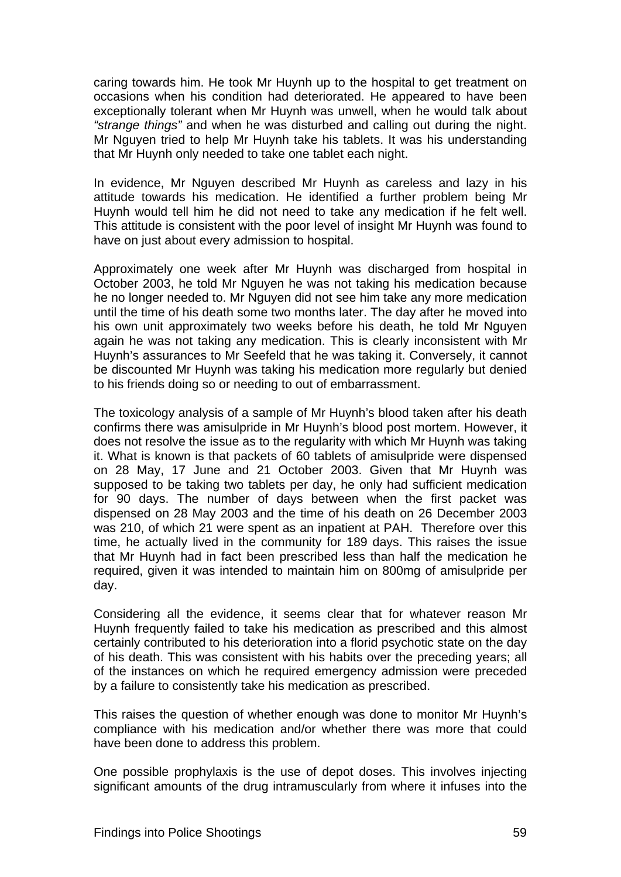caring towards him. He took Mr Huynh up to the hospital to get treatment on occasions when his condition had deteriorated. He appeared to have been exceptionally tolerant when Mr Huynh was unwell, when he would talk about *"strange things"* and when he was disturbed and calling out during the night. Mr Nguyen tried to help Mr Huynh take his tablets. It was his understanding that Mr Huynh only needed to take one tablet each night.

In evidence, Mr Nguyen described Mr Huynh as careless and lazy in his attitude towards his medication. He identified a further problem being Mr Huynh would tell him he did not need to take any medication if he felt well. This attitude is consistent with the poor level of insight Mr Huynh was found to have on just about every admission to hospital.

Approximately one week after Mr Huynh was discharged from hospital in October 2003, he told Mr Nguyen he was not taking his medication because he no longer needed to. Mr Nguyen did not see him take any more medication until the time of his death some two months later. The day after he moved into his own unit approximately two weeks before his death, he told Mr Nguyen again he was not taking any medication. This is clearly inconsistent with Mr Huynh's assurances to Mr Seefeld that he was taking it. Conversely, it cannot be discounted Mr Huynh was taking his medication more regularly but denied to his friends doing so or needing to out of embarrassment.

The toxicology analysis of a sample of Mr Huynh's blood taken after his death confirms there was amisulpride in Mr Huynh's blood post mortem. However, it does not resolve the issue as to the regularity with which Mr Huynh was taking it. What is known is that packets of 60 tablets of amisulpride were dispensed on 28 May, 17 June and 21 October 2003. Given that Mr Huynh was supposed to be taking two tablets per day, he only had sufficient medication for 90 days. The number of days between when the first packet was dispensed on 28 May 2003 and the time of his death on 26 December 2003 was 210, of which 21 were spent as an inpatient at PAH. Therefore over this time, he actually lived in the community for 189 days. This raises the issue that Mr Huynh had in fact been prescribed less than half the medication he required, given it was intended to maintain him on 800mg of amisulpride per day.

Considering all the evidence, it seems clear that for whatever reason Mr Huynh frequently failed to take his medication as prescribed and this almost certainly contributed to his deterioration into a florid psychotic state on the day of his death. This was consistent with his habits over the preceding years; all of the instances on which he required emergency admission were preceded by a failure to consistently take his medication as prescribed.

This raises the question of whether enough was done to monitor Mr Huynh's compliance with his medication and/or whether there was more that could have been done to address this problem.

One possible prophylaxis is the use of depot doses. This involves injecting significant amounts of the drug intramuscularly from where it infuses into the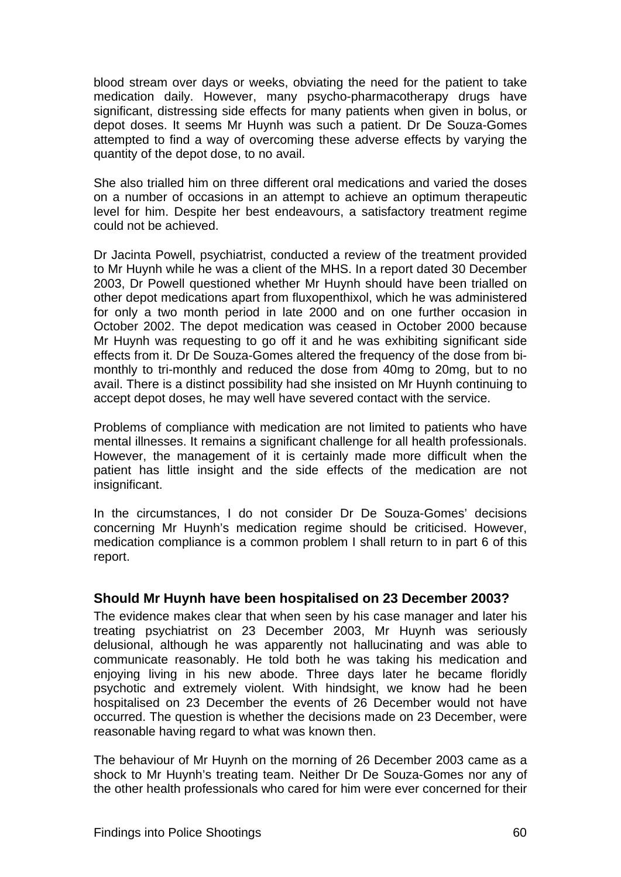blood stream over days or weeks, obviating the need for the patient to take medication daily. However, many psycho-pharmacotherapy drugs have significant, distressing side effects for many patients when given in bolus, or depot doses. It seems Mr Huynh was such a patient. Dr De Souza-Gomes attempted to find a way of overcoming these adverse effects by varying the quantity of the depot dose, to no avail.

She also trialled him on three different oral medications and varied the doses on a number of occasions in an attempt to achieve an optimum therapeutic level for him. Despite her best endeavours, a satisfactory treatment regime could not be achieved.

Dr Jacinta Powell, psychiatrist, conducted a review of the treatment provided to Mr Huynh while he was a client of the MHS. In a report dated 30 December 2003, Dr Powell questioned whether Mr Huynh should have been trialled on other depot medications apart from fluxopenthixol, which he was administered for only a two month period in late 2000 and on one further occasion in October 2002. The depot medication was ceased in October 2000 because Mr Huynh was requesting to go off it and he was exhibiting significant side effects from it. Dr De Souza-Gomes altered the frequency of the dose from bimonthly to tri-monthly and reduced the dose from 40mg to 20mg, but to no avail. There is a distinct possibility had she insisted on Mr Huynh continuing to accept depot doses, he may well have severed contact with the service.

Problems of compliance with medication are not limited to patients who have mental illnesses. It remains a significant challenge for all health professionals. However, the management of it is certainly made more difficult when the patient has little insight and the side effects of the medication are not insignificant.

In the circumstances, I do not consider Dr De Souza-Gomes' decisions concerning Mr Huynh's medication regime should be criticised. However, medication compliance is a common problem I shall return to in part 6 of this report.

# **Should Mr Huynh have been hospitalised on 23 December 2003?**

The evidence makes clear that when seen by his case manager and later his treating psychiatrist on 23 December 2003, Mr Huynh was seriously delusional, although he was apparently not hallucinating and was able to communicate reasonably. He told both he was taking his medication and enjoying living in his new abode. Three days later he became floridly psychotic and extremely violent. With hindsight, we know had he been hospitalised on 23 December the events of 26 December would not have occurred. The question is whether the decisions made on 23 December, were reasonable having regard to what was known then.

The behaviour of Mr Huynh on the morning of 26 December 2003 came as a shock to Mr Huynh's treating team. Neither Dr De Souza-Gomes nor any of the other health professionals who cared for him were ever concerned for their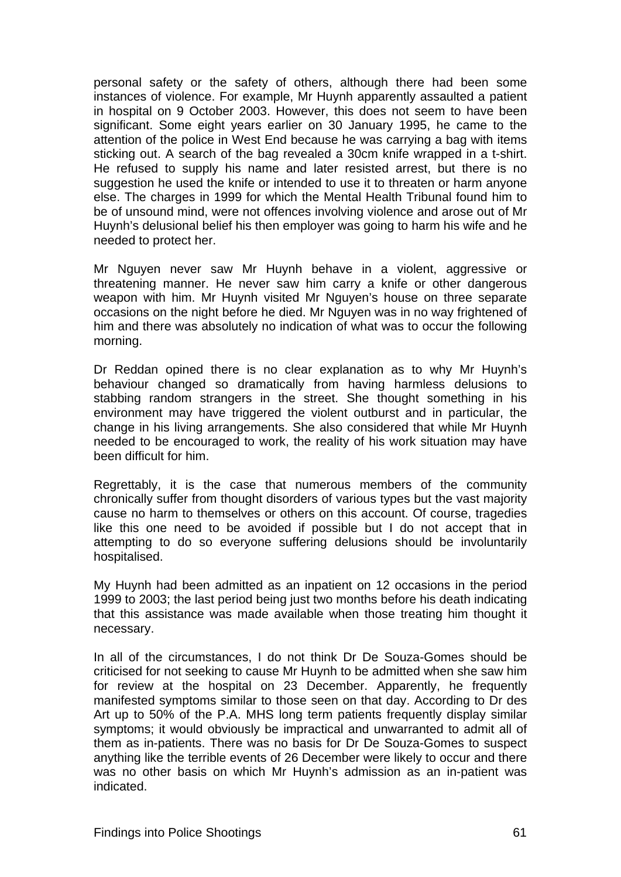personal safety or the safety of others, although there had been some instances of violence. For example, Mr Huynh apparently assaulted a patient in hospital on 9 October 2003. However, this does not seem to have been significant. Some eight years earlier on 30 January 1995, he came to the attention of the police in West End because he was carrying a bag with items sticking out. A search of the bag revealed a 30cm knife wrapped in a t-shirt. He refused to supply his name and later resisted arrest, but there is no suggestion he used the knife or intended to use it to threaten or harm anyone else. The charges in 1999 for which the Mental Health Tribunal found him to be of unsound mind, were not offences involving violence and arose out of Mr Huynh's delusional belief his then employer was going to harm his wife and he needed to protect her.

Mr Nguyen never saw Mr Huynh behave in a violent, aggressive or threatening manner. He never saw him carry a knife or other dangerous weapon with him. Mr Huynh visited Mr Nguyen's house on three separate occasions on the night before he died. Mr Nguyen was in no way frightened of him and there was absolutely no indication of what was to occur the following morning.

Dr Reddan opined there is no clear explanation as to why Mr Huynh's behaviour changed so dramatically from having harmless delusions to stabbing random strangers in the street. She thought something in his environment may have triggered the violent outburst and in particular, the change in his living arrangements. She also considered that while Mr Huynh needed to be encouraged to work, the reality of his work situation may have been difficult for him.

Regrettably, it is the case that numerous members of the community chronically suffer from thought disorders of various types but the vast majority cause no harm to themselves or others on this account. Of course, tragedies like this one need to be avoided if possible but I do not accept that in attempting to do so everyone suffering delusions should be involuntarily hospitalised.

My Huynh had been admitted as an inpatient on 12 occasions in the period 1999 to 2003; the last period being just two months before his death indicating that this assistance was made available when those treating him thought it necessary.

In all of the circumstances, I do not think Dr De Souza-Gomes should be criticised for not seeking to cause Mr Huynh to be admitted when she saw him for review at the hospital on 23 December. Apparently, he frequently manifested symptoms similar to those seen on that day. According to Dr des Art up to 50% of the P.A. MHS long term patients frequently display similar symptoms; it would obviously be impractical and unwarranted to admit all of them as in-patients. There was no basis for Dr De Souza-Gomes to suspect anything like the terrible events of 26 December were likely to occur and there was no other basis on which Mr Huynh's admission as an in-patient was indicated.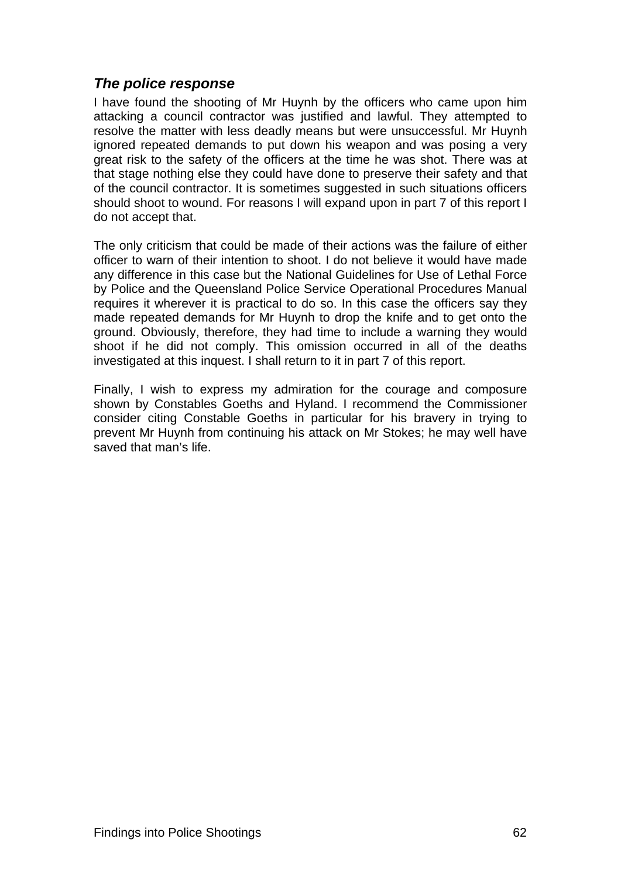# *The police response*

I have found the shooting of Mr Huynh by the officers who came upon him attacking a council contractor was justified and lawful. They attempted to resolve the matter with less deadly means but were unsuccessful. Mr Huynh ignored repeated demands to put down his weapon and was posing a very great risk to the safety of the officers at the time he was shot. There was at that stage nothing else they could have done to preserve their safety and that of the council contractor. It is sometimes suggested in such situations officers should shoot to wound. For reasons I will expand upon in part 7 of this report I do not accept that.

The only criticism that could be made of their actions was the failure of either officer to warn of their intention to shoot. I do not believe it would have made any difference in this case but the National Guidelines for Use of Lethal Force by Police and the Queensland Police Service Operational Procedures Manual requires it wherever it is practical to do so. In this case the officers say they made repeated demands for Mr Huynh to drop the knife and to get onto the ground. Obviously, therefore, they had time to include a warning they would shoot if he did not comply. This omission occurred in all of the deaths investigated at this inquest. I shall return to it in part 7 of this report.

Finally, I wish to express my admiration for the courage and composure shown by Constables Goeths and Hyland. I recommend the Commissioner consider citing Constable Goeths in particular for his bravery in trying to prevent Mr Huynh from continuing his attack on Mr Stokes; he may well have saved that man's life.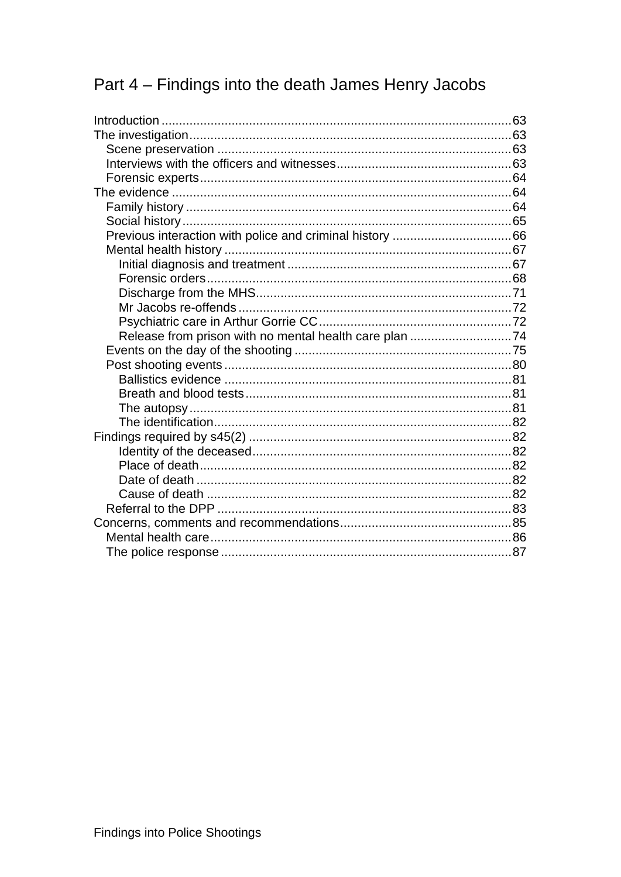# Part 4 - Findings into the death James Henry Jacobs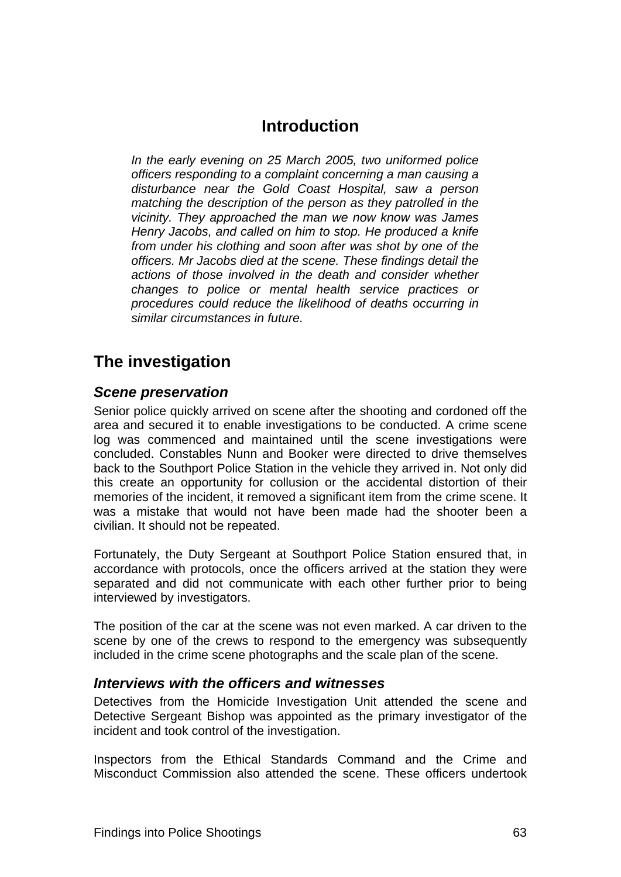# **Introduction**

<span id="page-77-1"></span><span id="page-77-0"></span>*In the early evening on 25 March 2005, two uniformed police officers responding to a complaint concerning a man causing a disturbance near the Gold Coast Hospital, saw a person matching the description of the person as they patrolled in the vicinity. They approached the man we now know was James Henry Jacobs, and called on him to stop. He produced a knife from under his clothing and soon after was shot by one of the officers. Mr Jacobs died at the scene. These findings detail the actions of those involved in the death and consider whether changes to police or mental health service practices or procedures could reduce the likelihood of deaths occurring in similar circumstances in future.* 

# <span id="page-77-2"></span>**The investigation**

# <span id="page-77-3"></span>*Scene preservation*

Senior police quickly arrived on scene after the shooting and cordoned off the area and secured it to enable investigations to be conducted. A crime scene log was commenced and maintained until the scene investigations were concluded. Constables Nunn and Booker were directed to drive themselves back to the Southport Police Station in the vehicle they arrived in. Not only did this create an opportunity for collusion or the accidental distortion of their memories of the incident, it removed a significant item from the crime scene. It was a mistake that would not have been made had the shooter been a civilian. It should not be repeated.

Fortunately, the Duty Sergeant at Southport Police Station ensured that, in accordance with protocols, once the officers arrived at the station they were separated and did not communicate with each other further prior to being interviewed by investigators.

The position of the car at the scene was not even marked. A car driven to the scene by one of the crews to respond to the emergency was subsequently included in the crime scene photographs and the scale plan of the scene.

# <span id="page-77-4"></span>*Interviews with the officers and witnesses*

Detectives from the Homicide Investigation Unit attended the scene and Detective Sergeant Bishop was appointed as the primary investigator of the incident and took control of the investigation.

Inspectors from the Ethical Standards Command and the Crime and Misconduct Commission also attended the scene. These officers undertook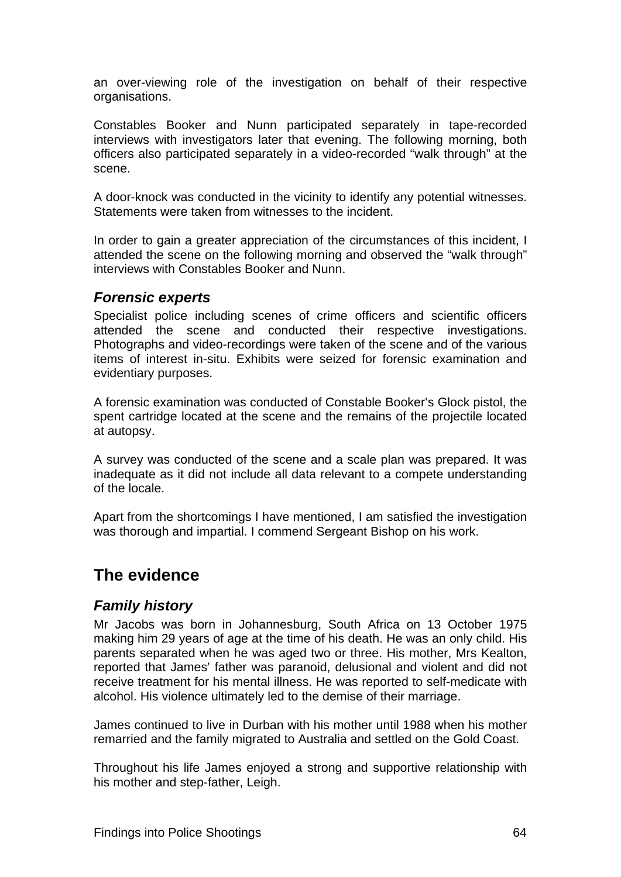<span id="page-78-0"></span>an over-viewing role of the investigation on behalf of their respective organisations.

Constables Booker and Nunn participated separately in tape-recorded interviews with investigators later that evening. The following morning, both officers also participated separately in a video-recorded "walk through" at the scene.

A door-knock was conducted in the vicinity to identify any potential witnesses. Statements were taken from witnesses to the incident.

In order to gain a greater appreciation of the circumstances of this incident, I attended the scene on the following morning and observed the "walk through" interviews with Constables Booker and Nunn.

# <span id="page-78-1"></span>*Forensic experts*

Specialist police including scenes of crime officers and scientific officers attended the scene and conducted their respective investigations. Photographs and video-recordings were taken of the scene and of the various items of interest in-situ. Exhibits were seized for forensic examination and evidentiary purposes.

A forensic examination was conducted of Constable Booker's Glock pistol, the spent cartridge located at the scene and the remains of the projectile located at autopsy.

A survey was conducted of the scene and a scale plan was prepared. It was inadequate as it did not include all data relevant to a compete understanding of the locale.

Apart from the shortcomings I have mentioned, I am satisfied the investigation was thorough and impartial. I commend Sergeant Bishop on his work.

# <span id="page-78-2"></span>**The evidence**

# <span id="page-78-3"></span>*Family history*

Mr Jacobs was born in Johannesburg, South Africa on 13 October 1975 making him 29 years of age at the time of his death. He was an only child. His parents separated when he was aged two or three. His mother, Mrs Kealton, reported that James' father was paranoid, delusional and violent and did not receive treatment for his mental illness. He was reported to self-medicate with alcohol. His violence ultimately led to the demise of their marriage.

James continued to live in Durban with his mother until 1988 when his mother remarried and the family migrated to Australia and settled on the Gold Coast.

Throughout his life James enjoyed a strong and supportive relationship with his mother and step-father, Leigh.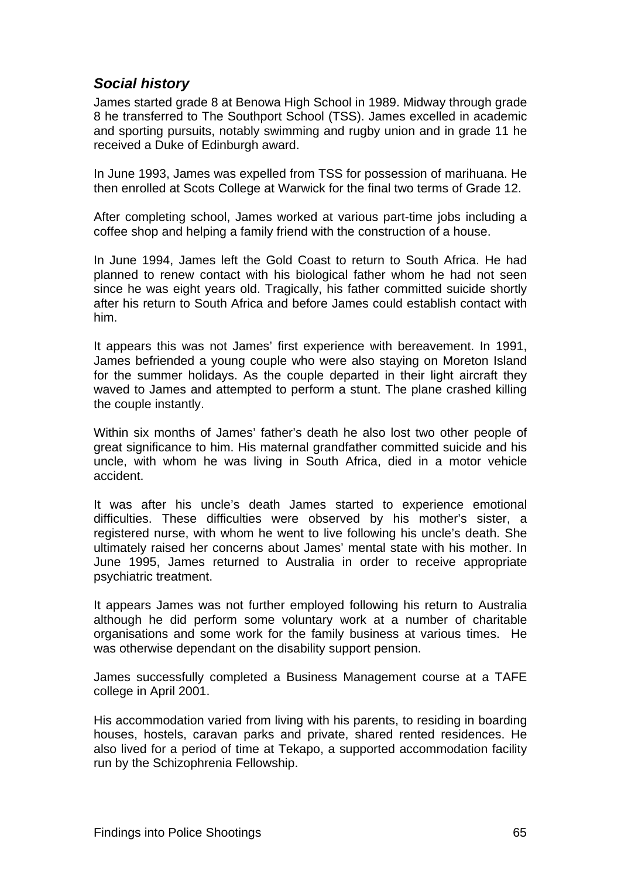# <span id="page-79-1"></span><span id="page-79-0"></span>*Social history*

James started grade 8 at Benowa High School in 1989. Midway through grade 8 he transferred to The Southport School (TSS). James excelled in academic and sporting pursuits, notably swimming and rugby union and in grade 11 he received a Duke of Edinburgh award.

In June 1993, James was expelled from TSS for possession of marihuana. He then enrolled at Scots College at Warwick for the final two terms of Grade 12.

After completing school, James worked at various part-time jobs including a coffee shop and helping a family friend with the construction of a house.

In June 1994, James left the Gold Coast to return to South Africa. He had planned to renew contact with his biological father whom he had not seen since he was eight years old. Tragically, his father committed suicide shortly after his return to South Africa and before James could establish contact with him.

It appears this was not James' first experience with bereavement. In 1991, James befriended a young couple who were also staying on Moreton Island for the summer holidays. As the couple departed in their light aircraft they waved to James and attempted to perform a stunt. The plane crashed killing the couple instantly.

Within six months of James' father's death he also lost two other people of great significance to him. His maternal grandfather committed suicide and his uncle, with whom he was living in South Africa, died in a motor vehicle accident.

It was after his uncle's death James started to experience emotional difficulties. These difficulties were observed by his mother's sister, a registered nurse, with whom he went to live following his uncle's death. She ultimately raised her concerns about James' mental state with his mother. In June 1995, James returned to Australia in order to receive appropriate psychiatric treatment.

It appears James was not further employed following his return to Australia although he did perform some voluntary work at a number of charitable organisations and some work for the family business at various times. He was otherwise dependant on the disability support pension.

James successfully completed a Business Management course at a TAFE college in April 2001.

His accommodation varied from living with his parents, to residing in boarding houses, hostels, caravan parks and private, shared rented residences. He also lived for a period of time at Tekapo, a supported accommodation facility run by the Schizophrenia Fellowship.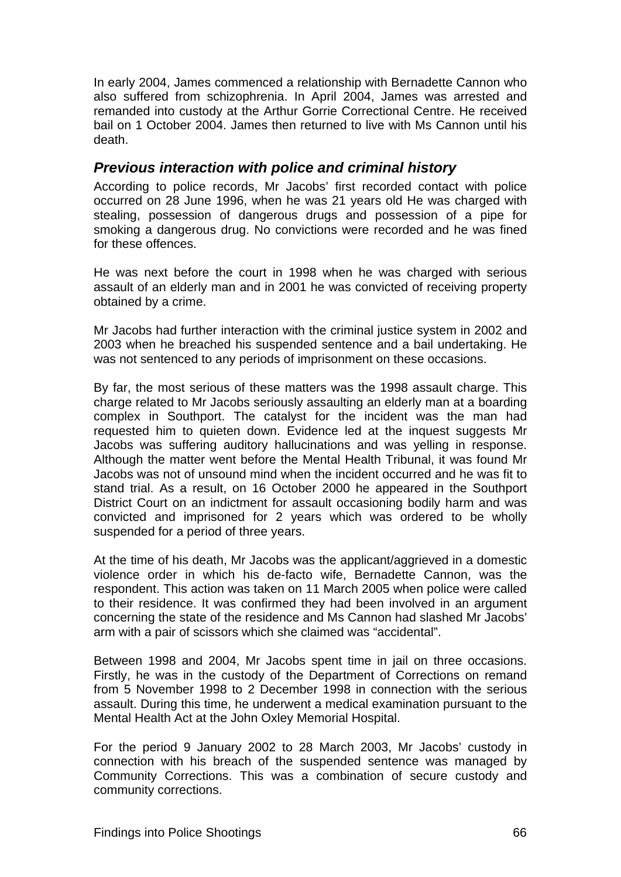<span id="page-80-0"></span>In early 2004, James commenced a relationship with Bernadette Cannon who also suffered from schizophrenia. In April 2004, James was arrested and remanded into custody at the Arthur Gorrie Correctional Centre. He received bail on 1 October 2004. James then returned to live with Ms Cannon until his death.

# <span id="page-80-1"></span>*Previous interaction with police and criminal history*

According to police records, Mr Jacobs' first recorded contact with police occurred on 28 June 1996, when he was 21 years old He was charged with stealing, possession of dangerous drugs and possession of a pipe for smoking a dangerous drug. No convictions were recorded and he was fined for these offences.

He was next before the court in 1998 when he was charged with serious assault of an elderly man and in 2001 he was convicted of receiving property obtained by a crime.

Mr Jacobs had further interaction with the criminal justice system in 2002 and 2003 when he breached his suspended sentence and a bail undertaking. He was not sentenced to any periods of imprisonment on these occasions.

By far, the most serious of these matters was the 1998 assault charge. This charge related to Mr Jacobs seriously assaulting an elderly man at a boarding complex in Southport. The catalyst for the incident was the man had requested him to quieten down. Evidence led at the inquest suggests Mr Jacobs was suffering auditory hallucinations and was yelling in response. Although the matter went before the Mental Health Tribunal, it was found Mr Jacobs was not of unsound mind when the incident occurred and he was fit to stand trial. As a result, on 16 October 2000 he appeared in the Southport District Court on an indictment for assault occasioning bodily harm and was convicted and imprisoned for 2 years which was ordered to be wholly suspended for a period of three years.

At the time of his death, Mr Jacobs was the applicant/aggrieved in a domestic violence order in which his de-facto wife, Bernadette Cannon, was the respondent. This action was taken on 11 March 2005 when police were called to their residence. It was confirmed they had been involved in an argument concerning the state of the residence and Ms Cannon had slashed Mr Jacobs' arm with a pair of scissors which she claimed was "accidental".

Between 1998 and 2004, Mr Jacobs spent time in jail on three occasions. Firstly, he was in the custody of the Department of Corrections on remand from 5 November 1998 to 2 December 1998 in connection with the serious assault. During this time, he underwent a medical examination pursuant to the Mental Health Act at the John Oxley Memorial Hospital.

For the period 9 January 2002 to 28 March 2003, Mr Jacobs' custody in connection with his breach of the suspended sentence was managed by Community Corrections. This was a combination of secure custody and community corrections.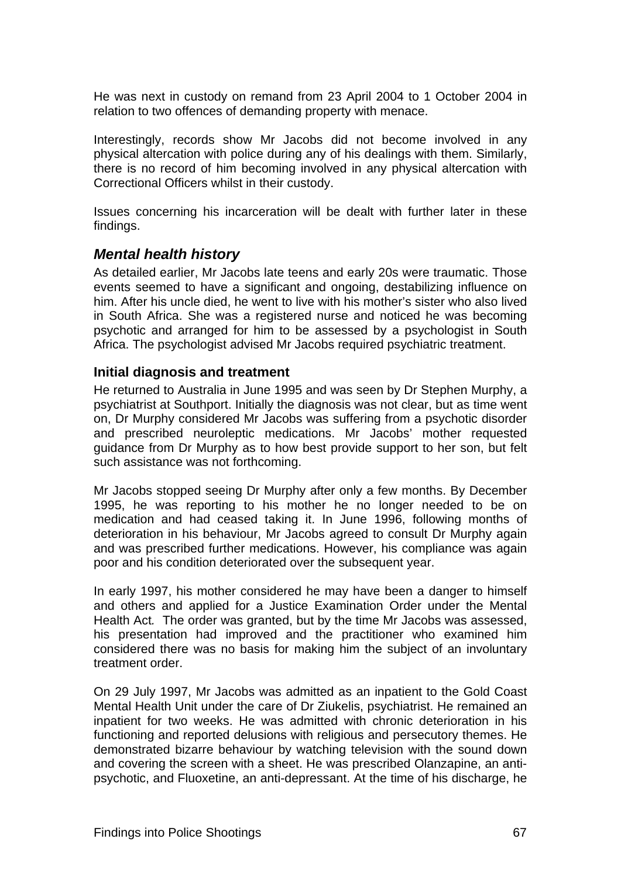<span id="page-81-0"></span>He was next in custody on remand from 23 April 2004 to 1 October 2004 in relation to two offences of demanding property with menace.

Interestingly, records show Mr Jacobs did not become involved in any physical altercation with police during any of his dealings with them. Similarly, there is no record of him becoming involved in any physical altercation with Correctional Officers whilst in their custody.

Issues concerning his incarceration will be dealt with further later in these findings.

# <span id="page-81-1"></span>*Mental health history*

As detailed earlier, Mr Jacobs late teens and early 20s were traumatic. Those events seemed to have a significant and ongoing, destabilizing influence on him. After his uncle died, he went to live with his mother's sister who also lived in South Africa. She was a registered nurse and noticed he was becoming psychotic and arranged for him to be assessed by a psychologist in South Africa. The psychologist advised Mr Jacobs required psychiatric treatment.

#### <span id="page-81-2"></span>**Initial diagnosis and treatment**

He returned to Australia in June 1995 and was seen by Dr Stephen Murphy, a psychiatrist at Southport. Initially the diagnosis was not clear, but as time went on, Dr Murphy considered Mr Jacobs was suffering from a psychotic disorder and prescribed neuroleptic medications. Mr Jacobs' mother requested guidance from Dr Murphy as to how best provide support to her son, but felt such assistance was not forthcoming.

Mr Jacobs stopped seeing Dr Murphy after only a few months. By December 1995, he was reporting to his mother he no longer needed to be on medication and had ceased taking it. In June 1996, following months of deterioration in his behaviour, Mr Jacobs agreed to consult Dr Murphy again and was prescribed further medications. However, his compliance was again poor and his condition deteriorated over the subsequent year.

In early 1997, his mother considered he may have been a danger to himself and others and applied for a Justice Examination Order under the Mental Health Act*.* The order was granted, but by the time Mr Jacobs was assessed, his presentation had improved and the practitioner who examined him considered there was no basis for making him the subject of an involuntary treatment order.

On 29 July 1997, Mr Jacobs was admitted as an inpatient to the Gold Coast Mental Health Unit under the care of Dr Ziukelis, psychiatrist. He remained an inpatient for two weeks. He was admitted with chronic deterioration in his functioning and reported delusions with religious and persecutory themes. He demonstrated bizarre behaviour by watching television with the sound down and covering the screen with a sheet. He was prescribed Olanzapine, an antipsychotic, and Fluoxetine, an anti-depressant. At the time of his discharge, he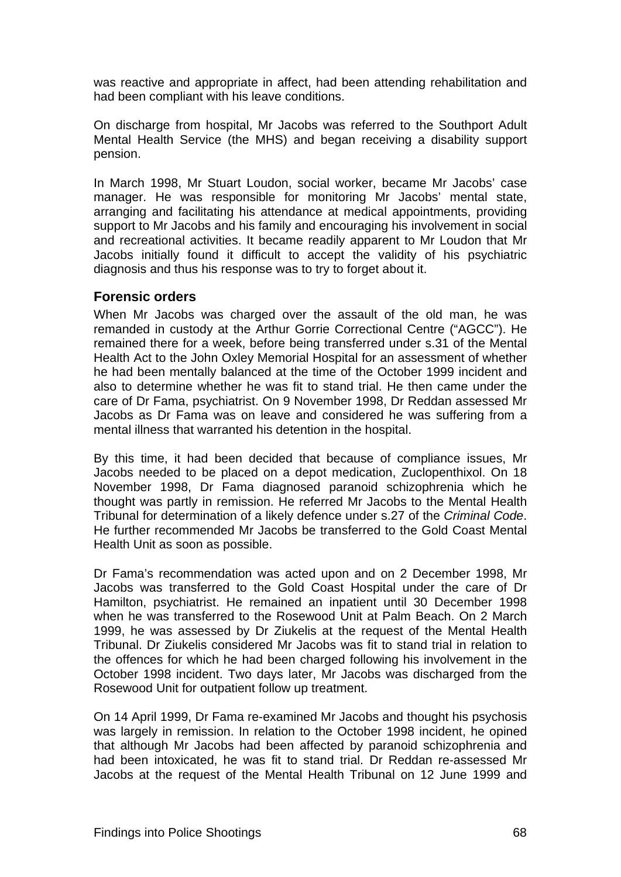<span id="page-82-0"></span>was reactive and appropriate in affect, had been attending rehabilitation and had been compliant with his leave conditions.

On discharge from hospital, Mr Jacobs was referred to the Southport Adult Mental Health Service (the MHS) and began receiving a disability support pension.

In March 1998, Mr Stuart Loudon, social worker, became Mr Jacobs' case manager. He was responsible for monitoring Mr Jacobs' mental state, arranging and facilitating his attendance at medical appointments, providing support to Mr Jacobs and his family and encouraging his involvement in social and recreational activities. It became readily apparent to Mr Loudon that Mr Jacobs initially found it difficult to accept the validity of his psychiatric diagnosis and thus his response was to try to forget about it.

#### <span id="page-82-1"></span>**Forensic orders**

When Mr Jacobs was charged over the assault of the old man, he was remanded in custody at the Arthur Gorrie Correctional Centre ("AGCC"). He remained there for a week, before being transferred under s.31 of the Mental Health Act to the John Oxley Memorial Hospital for an assessment of whether he had been mentally balanced at the time of the October 1999 incident and also to determine whether he was fit to stand trial. He then came under the care of Dr Fama, psychiatrist. On 9 November 1998, Dr Reddan assessed Mr Jacobs as Dr Fama was on leave and considered he was suffering from a mental illness that warranted his detention in the hospital.

By this time, it had been decided that because of compliance issues, Mr Jacobs needed to be placed on a depot medication, Zuclopenthixol. On 18 November 1998, Dr Fama diagnosed paranoid schizophrenia which he thought was partly in remission. He referred Mr Jacobs to the Mental Health Tribunal for determination of a likely defence under s.27 of the *Criminal Code*. He further recommended Mr Jacobs be transferred to the Gold Coast Mental Health Unit as soon as possible.

Dr Fama's recommendation was acted upon and on 2 December 1998, Mr Jacobs was transferred to the Gold Coast Hospital under the care of Dr Hamilton, psychiatrist. He remained an inpatient until 30 December 1998 when he was transferred to the Rosewood Unit at Palm Beach. On 2 March 1999, he was assessed by Dr Ziukelis at the request of the Mental Health Tribunal. Dr Ziukelis considered Mr Jacobs was fit to stand trial in relation to the offences for which he had been charged following his involvement in the October 1998 incident. Two days later, Mr Jacobs was discharged from the Rosewood Unit for outpatient follow up treatment.

On 14 April 1999, Dr Fama re-examined Mr Jacobs and thought his psychosis was largely in remission. In relation to the October 1998 incident, he opined that although Mr Jacobs had been affected by paranoid schizophrenia and had been intoxicated, he was fit to stand trial. Dr Reddan re-assessed Mr Jacobs at the request of the Mental Health Tribunal on 12 June 1999 and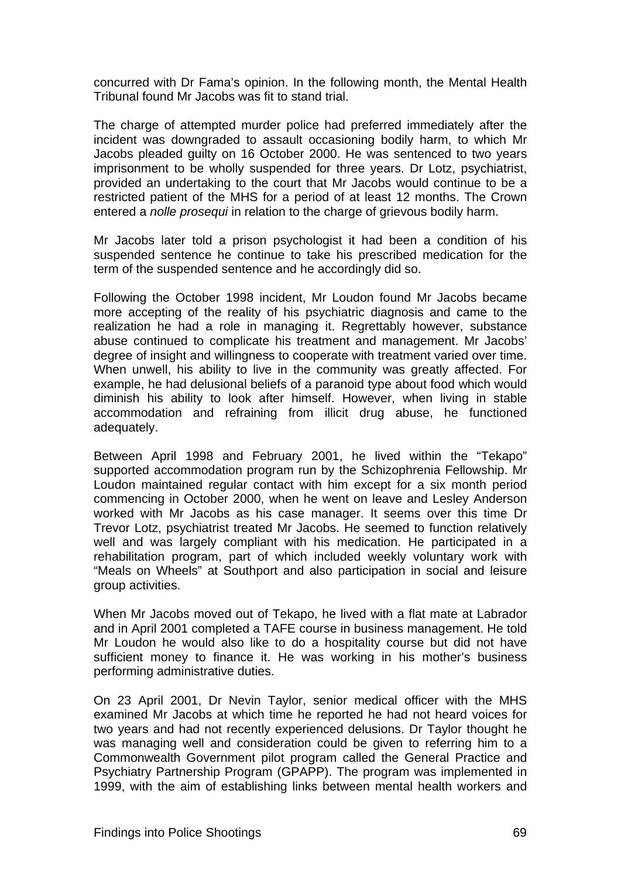concurred with Dr Fama's opinion. In the following month, the Mental Health Tribunal found Mr Jacobs was fit to stand trial.

The charge of attempted murder police had preferred immediately after the incident was downgraded to assault occasioning bodily harm, to which Mr Jacobs pleaded guilty on 16 October 2000. He was sentenced to two years imprisonment to be wholly suspended for three years. Dr Lotz, psychiatrist, provided an undertaking to the court that Mr Jacobs would continue to be a restricted patient of the MHS for a period of at least 12 months. The Crown entered a *nolle prosequi* in relation to the charge of grievous bodily harm.

Mr Jacobs later told a prison psychologist it had been a condition of his suspended sentence he continue to take his prescribed medication for the term of the suspended sentence and he accordingly did so.

Following the October 1998 incident, Mr Loudon found Mr Jacobs became more accepting of the reality of his psychiatric diagnosis and came to the realization he had a role in managing it. Regrettably however, substance abuse continued to complicate his treatment and management. Mr Jacobs' degree of insight and willingness to cooperate with treatment varied over time. When unwell, his ability to live in the community was greatly affected. For example, he had delusional beliefs of a paranoid type about food which would diminish his ability to look after himself. However, when living in stable accommodation and refraining from illicit drug abuse, he functioned adequately.

Between April 1998 and February 2001, he lived within the "Tekapo" supported accommodation program run by the Schizophrenia Fellowship. Mr Loudon maintained regular contact with him except for a six month period commencing in October 2000, when he went on leave and Lesley Anderson worked with Mr Jacobs as his case manager. It seems over this time Dr Trevor Lotz, psychiatrist treated Mr Jacobs. He seemed to function relatively well and was largely compliant with his medication. He participated in a rehabilitation program, part of which included weekly voluntary work with "Meals on Wheels" at Southport and also participation in social and leisure group activities.

When Mr Jacobs moved out of Tekapo, he lived with a flat mate at Labrador and in April 2001 completed a TAFE course in business management. He told Mr Loudon he would also like to do a hospitality course but did not have sufficient money to finance it. He was working in his mother's business performing administrative duties.

On 23 April 2001, Dr Nevin Taylor, senior medical officer with the MHS examined Mr Jacobs at which time he reported he had not heard voices for two years and had not recently experienced delusions. Dr Taylor thought he was managing well and consideration could be given to referring him to a Commonwealth Government pilot program called the General Practice and Psychiatry Partnership Program (GPAPP). The program was implemented in 1999, with the aim of establishing links between mental health workers and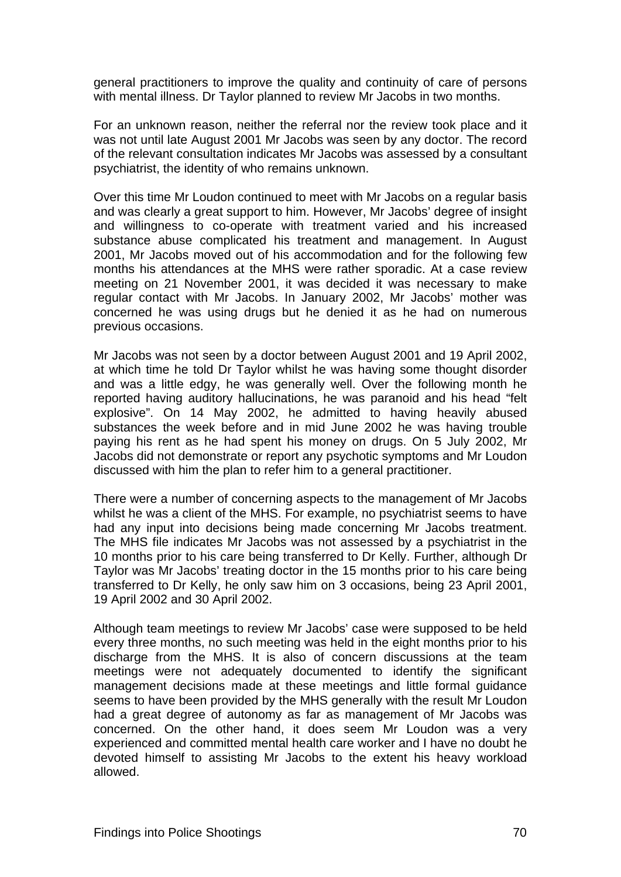general practitioners to improve the quality and continuity of care of persons with mental illness. Dr Taylor planned to review Mr Jacobs in two months.

For an unknown reason, neither the referral nor the review took place and it was not until late August 2001 Mr Jacobs was seen by any doctor. The record of the relevant consultation indicates Mr Jacobs was assessed by a consultant psychiatrist, the identity of who remains unknown.

Over this time Mr Loudon continued to meet with Mr Jacobs on a regular basis and was clearly a great support to him. However, Mr Jacobs' degree of insight and willingness to co-operate with treatment varied and his increased substance abuse complicated his treatment and management. In August 2001, Mr Jacobs moved out of his accommodation and for the following few months his attendances at the MHS were rather sporadic. At a case review meeting on 21 November 2001, it was decided it was necessary to make regular contact with Mr Jacobs. In January 2002, Mr Jacobs' mother was concerned he was using drugs but he denied it as he had on numerous previous occasions.

Mr Jacobs was not seen by a doctor between August 2001 and 19 April 2002, at which time he told Dr Taylor whilst he was having some thought disorder and was a little edgy, he was generally well. Over the following month he reported having auditory hallucinations, he was paranoid and his head "felt explosive". On 14 May 2002, he admitted to having heavily abused substances the week before and in mid June 2002 he was having trouble paying his rent as he had spent his money on drugs. On 5 July 2002, Mr Jacobs did not demonstrate or report any psychotic symptoms and Mr Loudon discussed with him the plan to refer him to a general practitioner.

There were a number of concerning aspects to the management of Mr Jacobs whilst he was a client of the MHS. For example, no psychiatrist seems to have had any input into decisions being made concerning Mr Jacobs treatment. The MHS file indicates Mr Jacobs was not assessed by a psychiatrist in the 10 months prior to his care being transferred to Dr Kelly. Further, although Dr Taylor was Mr Jacobs' treating doctor in the 15 months prior to his care being transferred to Dr Kelly, he only saw him on 3 occasions, being 23 April 2001, 19 April 2002 and 30 April 2002.

Although team meetings to review Mr Jacobs' case were supposed to be held every three months, no such meeting was held in the eight months prior to his discharge from the MHS. It is also of concern discussions at the team meetings were not adequately documented to identify the significant management decisions made at these meetings and little formal guidance seems to have been provided by the MHS generally with the result Mr Loudon had a great degree of autonomy as far as management of Mr Jacobs was concerned. On the other hand, it does seem Mr Loudon was a very experienced and committed mental health care worker and I have no doubt he devoted himself to assisting Mr Jacobs to the extent his heavy workload allowed.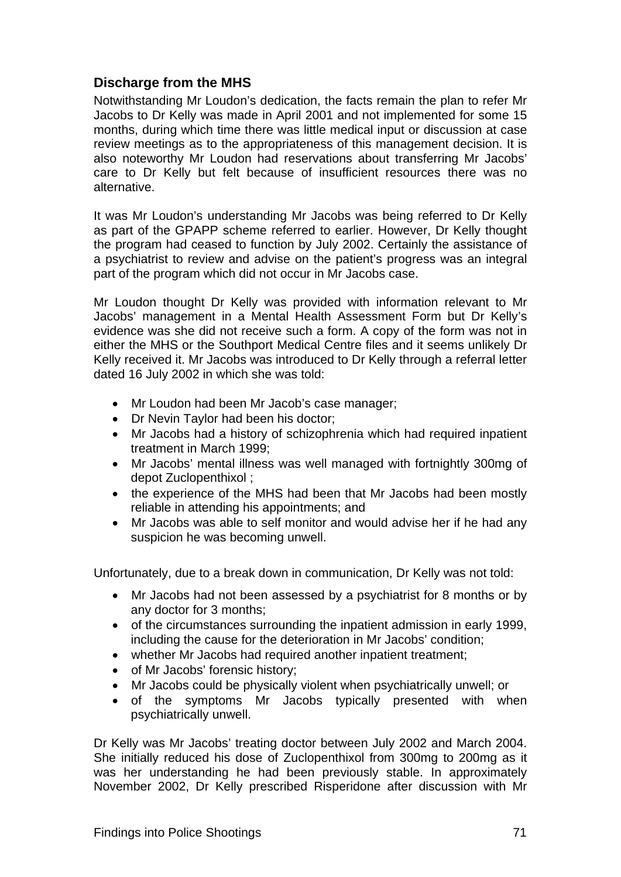# <span id="page-85-1"></span><span id="page-85-0"></span>**Discharge from the MHS**

Notwithstanding Mr Loudon's dedication, the facts remain the plan to refer Mr Jacobs to Dr Kelly was made in April 2001 and not implemented for some 15 months, during which time there was little medical input or discussion at case review meetings as to the appropriateness of this management decision. It is also noteworthy Mr Loudon had reservations about transferring Mr Jacobs' care to Dr Kelly but felt because of insufficient resources there was no alternative.

It was Mr Loudon's understanding Mr Jacobs was being referred to Dr Kelly as part of the GPAPP scheme referred to earlier. However, Dr Kelly thought the program had ceased to function by July 2002. Certainly the assistance of a psychiatrist to review and advise on the patient's progress was an integral part of the program which did not occur in Mr Jacobs case.

Mr Loudon thought Dr Kelly was provided with information relevant to Mr Jacobs' management in a Mental Health Assessment Form but Dr Kelly's evidence was she did not receive such a form. A copy of the form was not in either the MHS or the Southport Medical Centre files and it seems unlikely Dr Kelly received it. Mr Jacobs was introduced to Dr Kelly through a referral letter dated 16 July 2002 in which she was told:

- Mr Loudon had been Mr Jacob's case manager;
- Dr Nevin Taylor had been his doctor;
- Mr Jacobs had a history of schizophrenia which had required inpatient treatment in March 1999;
- Mr Jacobs' mental illness was well managed with fortnightly 300mg of depot Zuclopenthixol ;
- the experience of the MHS had been that Mr Jacobs had been mostly reliable in attending his appointments; and
- Mr Jacobs was able to self monitor and would advise her if he had any suspicion he was becoming unwell.

Unfortunately, due to a break down in communication, Dr Kelly was not told:

- Mr Jacobs had not been assessed by a psychiatrist for 8 months or by any doctor for 3 months;
- of the circumstances surrounding the inpatient admission in early 1999, including the cause for the deterioration in Mr Jacobs' condition;
- whether Mr Jacobs had required another inpatient treatment;
- of Mr Jacobs' forensic history;
- Mr Jacobs could be physically violent when psychiatrically unwell; or
- of the symptoms Mr Jacobs typically presented with when psychiatrically unwell.

Dr Kelly was Mr Jacobs' treating doctor between July 2002 and March 2004. She initially reduced his dose of Zuclopenthixol from 300mg to 200mg as it was her understanding he had been previously stable. In approximately November 2002, Dr Kelly prescribed Risperidone after discussion with Mr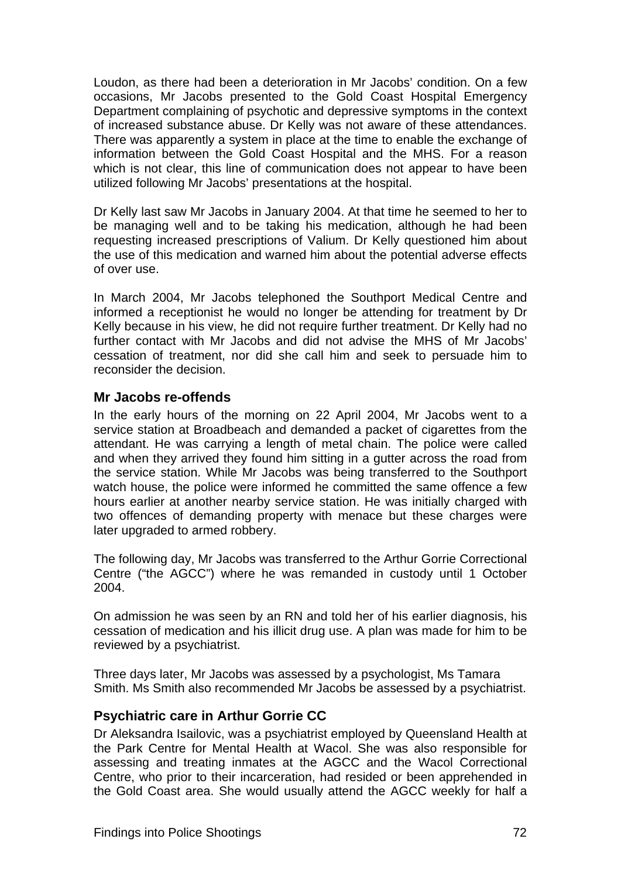<span id="page-86-0"></span>Loudon, as there had been a deterioration in Mr Jacobs' condition. On a few occasions, Mr Jacobs presented to the Gold Coast Hospital Emergency Department complaining of psychotic and depressive symptoms in the context of increased substance abuse. Dr Kelly was not aware of these attendances. There was apparently a system in place at the time to enable the exchange of information between the Gold Coast Hospital and the MHS. For a reason which is not clear, this line of communication does not appear to have been utilized following Mr Jacobs' presentations at the hospital.

Dr Kelly last saw Mr Jacobs in January 2004. At that time he seemed to her to be managing well and to be taking his medication, although he had been requesting increased prescriptions of Valium. Dr Kelly questioned him about the use of this medication and warned him about the potential adverse effects of over use.

In March 2004, Mr Jacobs telephoned the Southport Medical Centre and informed a receptionist he would no longer be attending for treatment by Dr Kelly because in his view, he did not require further treatment. Dr Kelly had no further contact with Mr Jacobs and did not advise the MHS of Mr Jacobs' cessation of treatment, nor did she call him and seek to persuade him to reconsider the decision.

# <span id="page-86-1"></span>**Mr Jacobs re-offends**

In the early hours of the morning on 22 April 2004, Mr Jacobs went to a service station at Broadbeach and demanded a packet of cigarettes from the attendant. He was carrying a length of metal chain. The police were called and when they arrived they found him sitting in a gutter across the road from the service station. While Mr Jacobs was being transferred to the Southport watch house, the police were informed he committed the same offence a few hours earlier at another nearby service station. He was initially charged with two offences of demanding property with menace but these charges were later upgraded to armed robbery.

The following day, Mr Jacobs was transferred to the Arthur Gorrie Correctional Centre ("the AGCC") where he was remanded in custody until 1 October 2004.

On admission he was seen by an RN and told her of his earlier diagnosis, his cessation of medication and his illicit drug use. A plan was made for him to be reviewed by a psychiatrist.

Three days later, Mr Jacobs was assessed by a psychologist, Ms Tamara Smith. Ms Smith also recommended Mr Jacobs be assessed by a psychiatrist.

# <span id="page-86-2"></span>**Psychiatric care in Arthur Gorrie CC**

Dr Aleksandra Isailovic, was a psychiatrist employed by Queensland Health at the Park Centre for Mental Health at Wacol. She was also responsible for assessing and treating inmates at the AGCC and the Wacol Correctional Centre, who prior to their incarceration, had resided or been apprehended in the Gold Coast area. She would usually attend the AGCC weekly for half a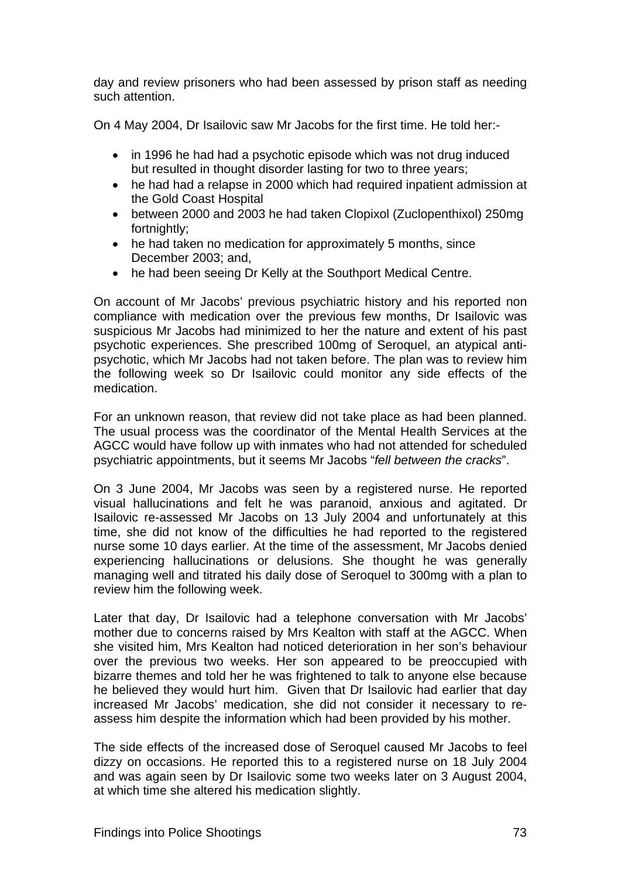day and review prisoners who had been assessed by prison staff as needing such attention.

On 4 May 2004, Dr Isailovic saw Mr Jacobs for the first time. He told her:-

- in 1996 he had had a psychotic episode which was not drug induced but resulted in thought disorder lasting for two to three years:
- he had had a relapse in 2000 which had required inpatient admission at the Gold Coast Hospital
- between 2000 and 2003 he had taken Clopixol (Zuclopenthixol) 250mg fortnightly;
- he had taken no medication for approximately 5 months, since December 2003; and,
- he had been seeing Dr Kelly at the Southport Medical Centre.

On account of Mr Jacobs' previous psychiatric history and his reported non compliance with medication over the previous few months, Dr Isailovic was suspicious Mr Jacobs had minimized to her the nature and extent of his past psychotic experiences. She prescribed 100mg of Seroquel, an atypical antipsychotic, which Mr Jacobs had not taken before. The plan was to review him the following week so Dr Isailovic could monitor any side effects of the medication.

For an unknown reason, that review did not take place as had been planned. The usual process was the coordinator of the Mental Health Services at the AGCC would have follow up with inmates who had not attended for scheduled psychiatric appointments, but it seems Mr Jacobs "*fell between the cracks*".

On 3 June 2004, Mr Jacobs was seen by a registered nurse. He reported visual hallucinations and felt he was paranoid, anxious and agitated. Dr Isailovic re-assessed Mr Jacobs on 13 July 2004 and unfortunately at this time, she did not know of the difficulties he had reported to the registered nurse some 10 days earlier. At the time of the assessment, Mr Jacobs denied experiencing hallucinations or delusions. She thought he was generally managing well and titrated his daily dose of Seroquel to 300mg with a plan to review him the following week.

Later that day, Dr Isailovic had a telephone conversation with Mr Jacobs' mother due to concerns raised by Mrs Kealton with staff at the AGCC. When she visited him, Mrs Kealton had noticed deterioration in her son's behaviour over the previous two weeks. Her son appeared to be preoccupied with bizarre themes and told her he was frightened to talk to anyone else because he believed they would hurt him. Given that Dr Isailovic had earlier that day increased Mr Jacobs' medication, she did not consider it necessary to reassess him despite the information which had been provided by his mother.

The side effects of the increased dose of Seroquel caused Mr Jacobs to feel dizzy on occasions. He reported this to a registered nurse on 18 July 2004 and was again seen by Dr Isailovic some two weeks later on 3 August 2004, at which time she altered his medication slightly.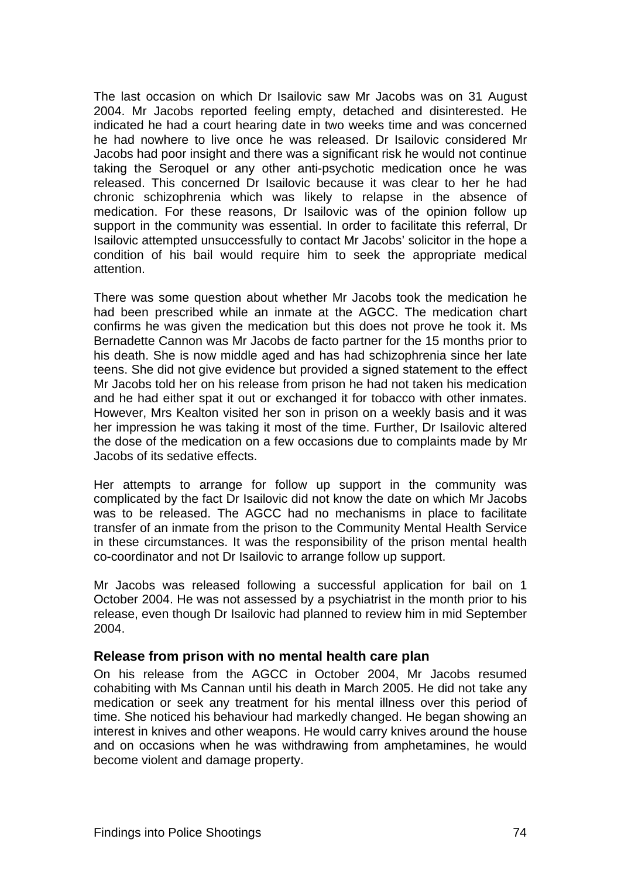<span id="page-88-0"></span>The last occasion on which Dr Isailovic saw Mr Jacobs was on 31 August 2004. Mr Jacobs reported feeling empty, detached and disinterested. He indicated he had a court hearing date in two weeks time and was concerned he had nowhere to live once he was released. Dr Isailovic considered Mr Jacobs had poor insight and there was a significant risk he would not continue taking the Seroquel or any other anti-psychotic medication once he was released. This concerned Dr Isailovic because it was clear to her he had chronic schizophrenia which was likely to relapse in the absence of medication. For these reasons, Dr Isailovic was of the opinion follow up support in the community was essential. In order to facilitate this referral, Dr Isailovic attempted unsuccessfully to contact Mr Jacobs' solicitor in the hope a condition of his bail would require him to seek the appropriate medical attention.

There was some question about whether Mr Jacobs took the medication he had been prescribed while an inmate at the AGCC. The medication chart confirms he was given the medication but this does not prove he took it. Ms Bernadette Cannon was Mr Jacobs de facto partner for the 15 months prior to his death. She is now middle aged and has had schizophrenia since her late teens. She did not give evidence but provided a signed statement to the effect Mr Jacobs told her on his release from prison he had not taken his medication and he had either spat it out or exchanged it for tobacco with other inmates. However, Mrs Kealton visited her son in prison on a weekly basis and it was her impression he was taking it most of the time. Further, Dr Isailovic altered the dose of the medication on a few occasions due to complaints made by Mr Jacobs of its sedative effects.

Her attempts to arrange for follow up support in the community was complicated by the fact Dr Isailovic did not know the date on which Mr Jacobs was to be released. The AGCC had no mechanisms in place to facilitate transfer of an inmate from the prison to the Community Mental Health Service in these circumstances. It was the responsibility of the prison mental health co-coordinator and not Dr Isailovic to arrange follow up support.

Mr Jacobs was released following a successful application for bail on 1 October 2004. He was not assessed by a psychiatrist in the month prior to his release, even though Dr Isailovic had planned to review him in mid September 2004.

#### <span id="page-88-1"></span>**Release from prison with no mental health care plan**

On his release from the AGCC in October 2004, Mr Jacobs resumed cohabiting with Ms Cannan until his death in March 2005. He did not take any medication or seek any treatment for his mental illness over this period of time. She noticed his behaviour had markedly changed. He began showing an interest in knives and other weapons. He would carry knives around the house and on occasions when he was withdrawing from amphetamines, he would become violent and damage property.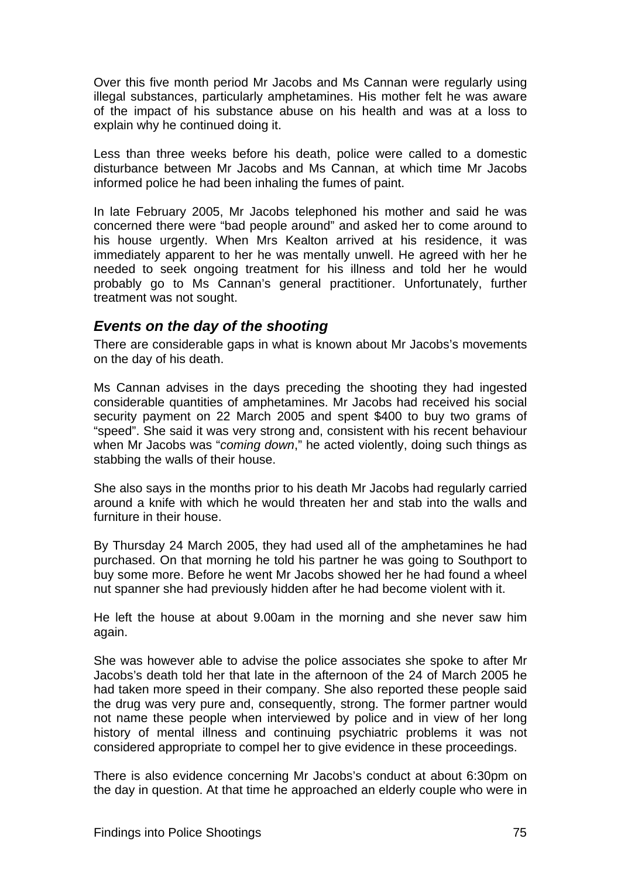<span id="page-89-0"></span>Over this five month period Mr Jacobs and Ms Cannan were regularly using illegal substances, particularly amphetamines. His mother felt he was aware of the impact of his substance abuse on his health and was at a loss to explain why he continued doing it.

Less than three weeks before his death, police were called to a domestic disturbance between Mr Jacobs and Ms Cannan, at which time Mr Jacobs informed police he had been inhaling the fumes of paint.

In late February 2005, Mr Jacobs telephoned his mother and said he was concerned there were "bad people around" and asked her to come around to his house urgently. When Mrs Kealton arrived at his residence, it was immediately apparent to her he was mentally unwell. He agreed with her he needed to seek ongoing treatment for his illness and told her he would probably go to Ms Cannan's general practitioner. Unfortunately, further treatment was not sought.

# <span id="page-89-1"></span>*Events on the day of the shooting*

There are considerable gaps in what is known about Mr Jacobs's movements on the day of his death.

Ms Cannan advises in the days preceding the shooting they had ingested considerable quantities of amphetamines. Mr Jacobs had received his social security payment on 22 March 2005 and spent \$400 to buy two grams of "speed". She said it was very strong and, consistent with his recent behaviour when Mr Jacobs was "*coming down*," he acted violently, doing such things as stabbing the walls of their house.

She also says in the months prior to his death Mr Jacobs had regularly carried around a knife with which he would threaten her and stab into the walls and furniture in their house.

By Thursday 24 March 2005, they had used all of the amphetamines he had purchased. On that morning he told his partner he was going to Southport to buy some more. Before he went Mr Jacobs showed her he had found a wheel nut spanner she had previously hidden after he had become violent with it.

He left the house at about 9.00am in the morning and she never saw him again.

She was however able to advise the police associates she spoke to after Mr Jacobs's death told her that late in the afternoon of the 24 of March 2005 he had taken more speed in their company. She also reported these people said the drug was very pure and, consequently, strong. The former partner would not name these people when interviewed by police and in view of her long history of mental illness and continuing psychiatric problems it was not considered appropriate to compel her to give evidence in these proceedings.

There is also evidence concerning Mr Jacobs's conduct at about 6:30pm on the day in question. At that time he approached an elderly couple who were in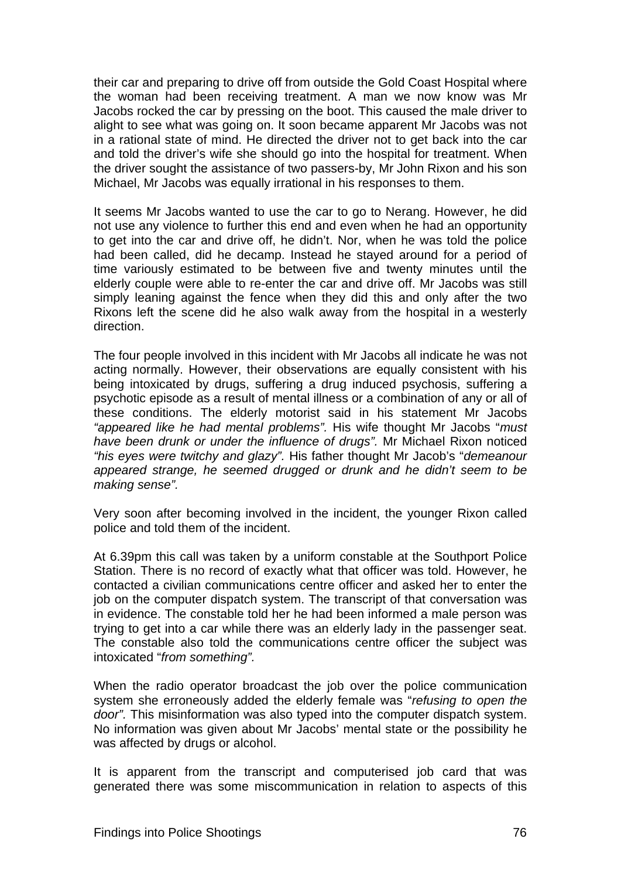their car and preparing to drive off from outside the Gold Coast Hospital where the woman had been receiving treatment. A man we now know was Mr Jacobs rocked the car by pressing on the boot. This caused the male driver to alight to see what was going on. It soon became apparent Mr Jacobs was not in a rational state of mind. He directed the driver not to get back into the car and told the driver's wife she should go into the hospital for treatment. When the driver sought the assistance of two passers-by, Mr John Rixon and his son Michael, Mr Jacobs was equally irrational in his responses to them.

It seems Mr Jacobs wanted to use the car to go to Nerang. However, he did not use any violence to further this end and even when he had an opportunity to get into the car and drive off, he didn't. Nor, when he was told the police had been called, did he decamp. Instead he stayed around for a period of time variously estimated to be between five and twenty minutes until the elderly couple were able to re-enter the car and drive off. Mr Jacobs was still simply leaning against the fence when they did this and only after the two Rixons left the scene did he also walk away from the hospital in a westerly direction.

The four people involved in this incident with Mr Jacobs all indicate he was not acting normally. However, their observations are equally consistent with his being intoxicated by drugs, suffering a drug induced psychosis, suffering a psychotic episode as a result of mental illness or a combination of any or all of these conditions. The elderly motorist said in his statement Mr Jacobs *"appeared like he had mental problems".* His wife thought Mr Jacobs "*must have been drunk or under the influence of drugs".* Mr Michael Rixon noticed *"his eyes were twitchy and glazy".* His father thought Mr Jacob's "*demeanour appeared strange, he seemed drugged or drunk and he didn't seem to be making sense".*

Very soon after becoming involved in the incident, the younger Rixon called police and told them of the incident.

At 6.39pm this call was taken by a uniform constable at the Southport Police Station. There is no record of exactly what that officer was told. However, he contacted a civilian communications centre officer and asked her to enter the job on the computer dispatch system. The transcript of that conversation was in evidence. The constable told her he had been informed a male person was trying to get into a car while there was an elderly lady in the passenger seat. The constable also told the communications centre officer the subject was intoxicated "*from something".* 

When the radio operator broadcast the job over the police communication system she erroneously added the elderly female was "*refusing to open the door".* This misinformation was also typed into the computer dispatch system. No information was given about Mr Jacobs' mental state or the possibility he was affected by drugs or alcohol.

It is apparent from the transcript and computerised job card that was generated there was some miscommunication in relation to aspects of this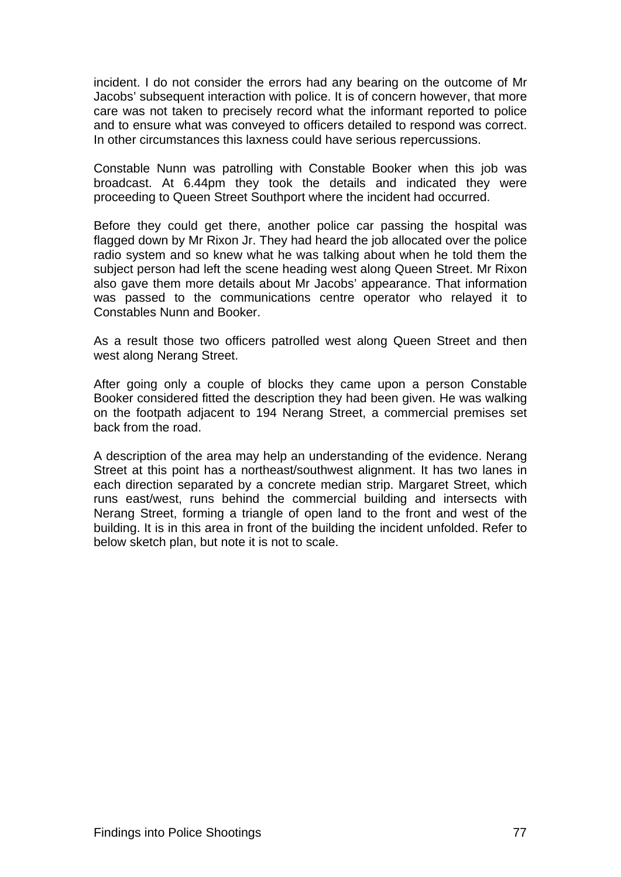incident. I do not consider the errors had any bearing on the outcome of Mr Jacobs' subsequent interaction with police. It is of concern however, that more care was not taken to precisely record what the informant reported to police and to ensure what was conveyed to officers detailed to respond was correct. In other circumstances this laxness could have serious repercussions.

Constable Nunn was patrolling with Constable Booker when this job was broadcast. At 6.44pm they took the details and indicated they were proceeding to Queen Street Southport where the incident had occurred.

Before they could get there, another police car passing the hospital was flagged down by Mr Rixon Jr. They had heard the job allocated over the police radio system and so knew what he was talking about when he told them the subject person had left the scene heading west along Queen Street. Mr Rixon also gave them more details about Mr Jacobs' appearance. That information was passed to the communications centre operator who relayed it to Constables Nunn and Booker.

As a result those two officers patrolled west along Queen Street and then west along Nerang Street.

After going only a couple of blocks they came upon a person Constable Booker considered fitted the description they had been given. He was walking on the footpath adjacent to 194 Nerang Street, a commercial premises set back from the road.

A description of the area may help an understanding of the evidence. Nerang Street at this point has a northeast/southwest alignment. It has two lanes in each direction separated by a concrete median strip. Margaret Street, which runs east/west, runs behind the commercial building and intersects with Nerang Street, forming a triangle of open land to the front and west of the building. It is in this area in front of the building the incident unfolded. Refer to below sketch plan, but note it is not to scale.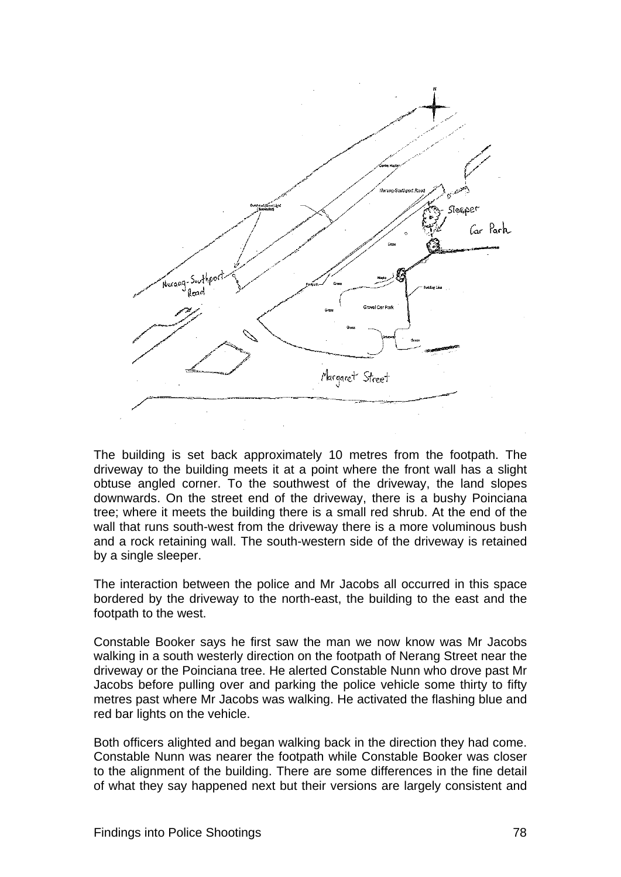

The building is set back approximately 10 metres from the footpath. The driveway to the building meets it at a point where the front wall has a slight obtuse angled corner. To the southwest of the driveway, the land slopes downwards. On the street end of the driveway, there is a bushy Poinciana tree; where it meets the building there is a small red shrub. At the end of the wall that runs south-west from the driveway there is a more voluminous bush and a rock retaining wall. The south-western side of the driveway is retained by a single sleeper.

The interaction between the police and Mr Jacobs all occurred in this space bordered by the driveway to the north-east, the building to the east and the footpath to the west.

Constable Booker says he first saw the man we now know was Mr Jacobs walking in a south westerly direction on the footpath of Nerang Street near the driveway or the Poinciana tree. He alerted Constable Nunn who drove past Mr Jacobs before pulling over and parking the police vehicle some thirty to fifty metres past where Mr Jacobs was walking. He activated the flashing blue and red bar lights on the vehicle.

Both officers alighted and began walking back in the direction they had come. Constable Nunn was nearer the footpath while Constable Booker was closer to the alignment of the building. There are some differences in the fine detail of what they say happened next but their versions are largely consistent and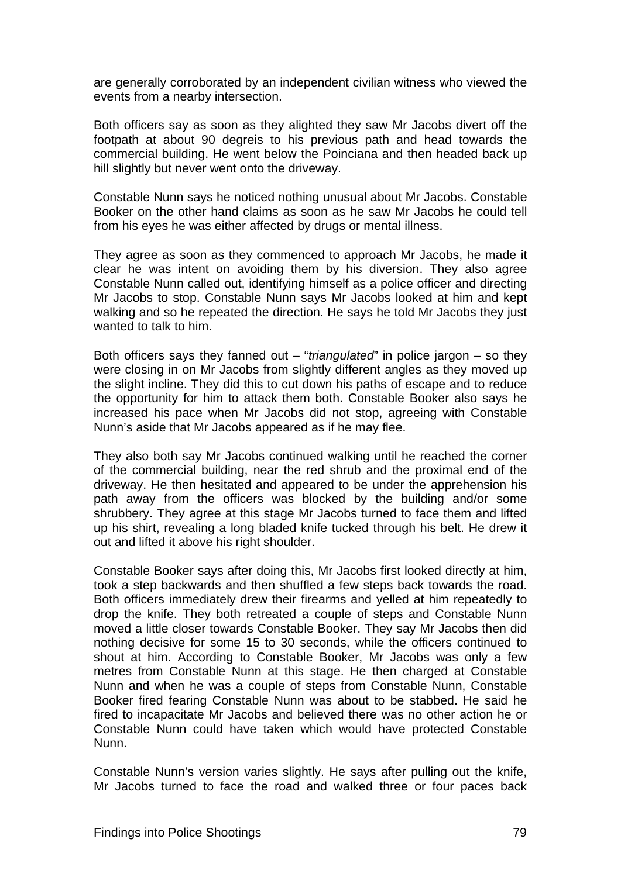are generally corroborated by an independent civilian witness who viewed the events from a nearby intersection.

Both officers say as soon as they alighted they saw Mr Jacobs divert off the footpath at about 90 degreis to his previous path and head towards the commercial building. He went below the Poinciana and then headed back up hill slightly but never went onto the driveway.

Constable Nunn says he noticed nothing unusual about Mr Jacobs. Constable Booker on the other hand claims as soon as he saw Mr Jacobs he could tell from his eyes he was either affected by drugs or mental illness.

They agree as soon as they commenced to approach Mr Jacobs, he made it clear he was intent on avoiding them by his diversion. They also agree Constable Nunn called out, identifying himself as a police officer and directing Mr Jacobs to stop. Constable Nunn says Mr Jacobs looked at him and kept walking and so he repeated the direction. He says he told Mr Jacobs they just wanted to talk to him.

Both officers says they fanned out – "*triangulated*" in police jargon – so they were closing in on Mr Jacobs from slightly different angles as they moved up the slight incline. They did this to cut down his paths of escape and to reduce the opportunity for him to attack them both. Constable Booker also says he increased his pace when Mr Jacobs did not stop, agreeing with Constable Nunn's aside that Mr Jacobs appeared as if he may flee.

They also both say Mr Jacobs continued walking until he reached the corner of the commercial building, near the red shrub and the proximal end of the driveway. He then hesitated and appeared to be under the apprehension his path away from the officers was blocked by the building and/or some shrubbery. They agree at this stage Mr Jacobs turned to face them and lifted up his shirt, revealing a long bladed knife tucked through his belt. He drew it out and lifted it above his right shoulder.

Constable Booker says after doing this, Mr Jacobs first looked directly at him, took a step backwards and then shuffled a few steps back towards the road. Both officers immediately drew their firearms and yelled at him repeatedly to drop the knife. They both retreated a couple of steps and Constable Nunn moved a little closer towards Constable Booker. They say Mr Jacobs then did nothing decisive for some 15 to 30 seconds, while the officers continued to shout at him. According to Constable Booker, Mr Jacobs was only a few metres from Constable Nunn at this stage. He then charged at Constable Nunn and when he was a couple of steps from Constable Nunn, Constable Booker fired fearing Constable Nunn was about to be stabbed. He said he fired to incapacitate Mr Jacobs and believed there was no other action he or Constable Nunn could have taken which would have protected Constable Nunn.

Constable Nunn's version varies slightly. He says after pulling out the knife, Mr Jacobs turned to face the road and walked three or four paces back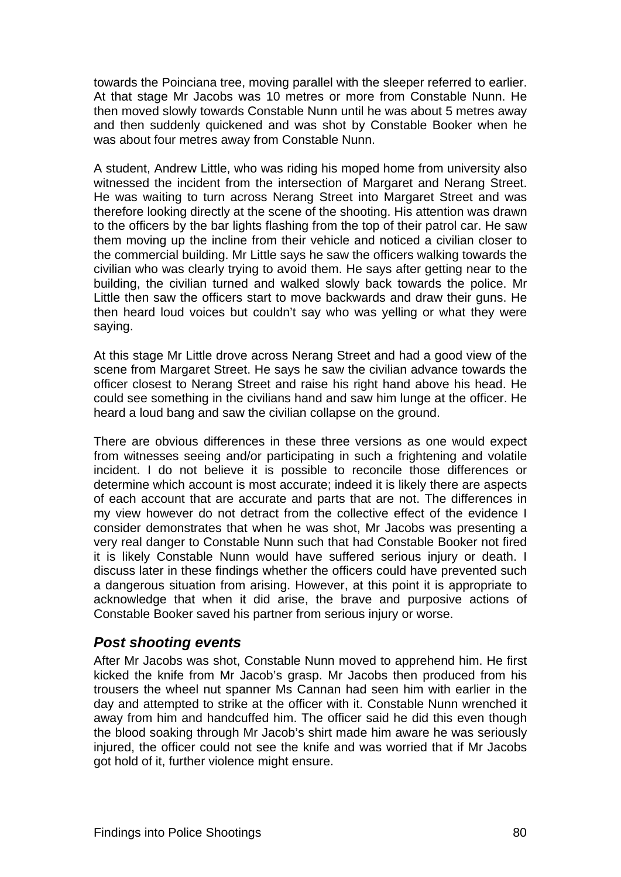<span id="page-94-0"></span>towards the Poinciana tree, moving parallel with the sleeper referred to earlier. At that stage Mr Jacobs was 10 metres or more from Constable Nunn. He then moved slowly towards Constable Nunn until he was about 5 metres away and then suddenly quickened and was shot by Constable Booker when he was about four metres away from Constable Nunn.

A student, Andrew Little, who was riding his moped home from university also witnessed the incident from the intersection of Margaret and Nerang Street. He was waiting to turn across Nerang Street into Margaret Street and was therefore looking directly at the scene of the shooting. His attention was drawn to the officers by the bar lights flashing from the top of their patrol car. He saw them moving up the incline from their vehicle and noticed a civilian closer to the commercial building. Mr Little says he saw the officers walking towards the civilian who was clearly trying to avoid them. He says after getting near to the building, the civilian turned and walked slowly back towards the police. Mr Little then saw the officers start to move backwards and draw their guns. He then heard loud voices but couldn't say who was yelling or what they were saying.

At this stage Mr Little drove across Nerang Street and had a good view of the scene from Margaret Street. He says he saw the civilian advance towards the officer closest to Nerang Street and raise his right hand above his head. He could see something in the civilians hand and saw him lunge at the officer. He heard a loud bang and saw the civilian collapse on the ground.

There are obvious differences in these three versions as one would expect from witnesses seeing and/or participating in such a frightening and volatile incident. I do not believe it is possible to reconcile those differences or determine which account is most accurate; indeed it is likely there are aspects of each account that are accurate and parts that are not. The differences in my view however do not detract from the collective effect of the evidence I consider demonstrates that when he was shot, Mr Jacobs was presenting a very real danger to Constable Nunn such that had Constable Booker not fired it is likely Constable Nunn would have suffered serious injury or death. I discuss later in these findings whether the officers could have prevented such a dangerous situation from arising. However, at this point it is appropriate to acknowledge that when it did arise, the brave and purposive actions of Constable Booker saved his partner from serious injury or worse.

# <span id="page-94-1"></span>*Post shooting events*

After Mr Jacobs was shot, Constable Nunn moved to apprehend him. He first kicked the knife from Mr Jacob's grasp. Mr Jacobs then produced from his trousers the wheel nut spanner Ms Cannan had seen him with earlier in the day and attempted to strike at the officer with it. Constable Nunn wrenched it away from him and handcuffed him. The officer said he did this even though the blood soaking through Mr Jacob's shirt made him aware he was seriously injured, the officer could not see the knife and was worried that if Mr Jacobs got hold of it, further violence might ensure.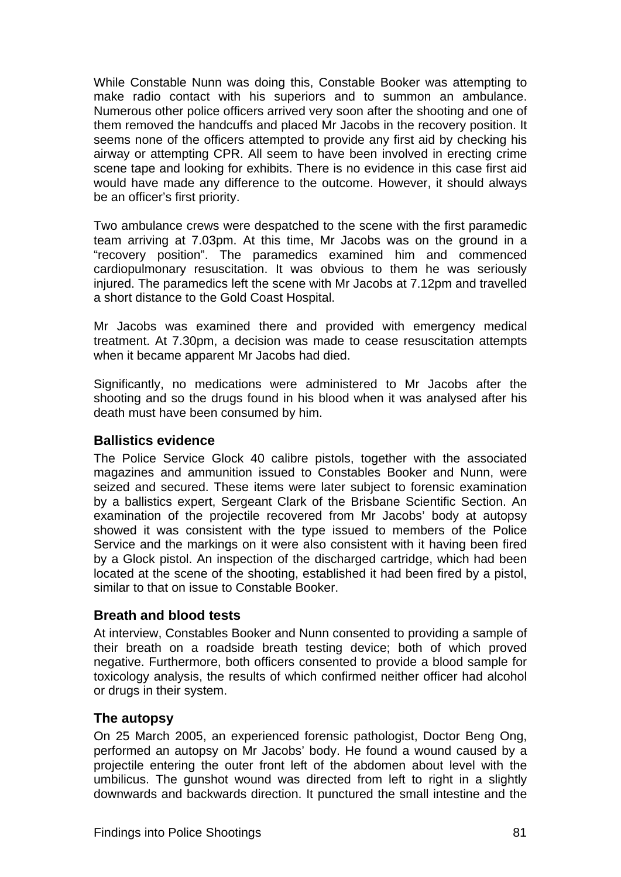<span id="page-95-0"></span>While Constable Nunn was doing this, Constable Booker was attempting to make radio contact with his superiors and to summon an ambulance. Numerous other police officers arrived very soon after the shooting and one of them removed the handcuffs and placed Mr Jacobs in the recovery position. It seems none of the officers attempted to provide any first aid by checking his airway or attempting CPR. All seem to have been involved in erecting crime scene tape and looking for exhibits. There is no evidence in this case first aid would have made any difference to the outcome. However, it should always be an officer's first priority.

Two ambulance crews were despatched to the scene with the first paramedic team arriving at 7.03pm. At this time, Mr Jacobs was on the ground in a "recovery position". The paramedics examined him and commenced cardiopulmonary resuscitation. It was obvious to them he was seriously injured. The paramedics left the scene with Mr Jacobs at 7.12pm and travelled a short distance to the Gold Coast Hospital.

Mr Jacobs was examined there and provided with emergency medical treatment. At 7.30pm, a decision was made to cease resuscitation attempts when it became apparent Mr Jacobs had died.

Significantly, no medications were administered to Mr Jacobs after the shooting and so the drugs found in his blood when it was analysed after his death must have been consumed by him.

#### <span id="page-95-1"></span>**Ballistics evidence**

The Police Service Glock 40 calibre pistols, together with the associated magazines and ammunition issued to Constables Booker and Nunn, were seized and secured. These items were later subject to forensic examination by a ballistics expert, Sergeant Clark of the Brisbane Scientific Section. An examination of the projectile recovered from Mr Jacobs' body at autopsy showed it was consistent with the type issued to members of the Police Service and the markings on it were also consistent with it having been fired by a Glock pistol. An inspection of the discharged cartridge, which had been located at the scene of the shooting, established it had been fired by a pistol, similar to that on issue to Constable Booker.

# <span id="page-95-2"></span>**Breath and blood tests**

At interview, Constables Booker and Nunn consented to providing a sample of their breath on a roadside breath testing device; both of which proved negative. Furthermore, both officers consented to provide a blood sample for toxicology analysis, the results of which confirmed neither officer had alcohol or drugs in their system.

# <span id="page-95-3"></span>**The autopsy**

On 25 March 2005, an experienced forensic pathologist, Doctor Beng Ong, performed an autopsy on Mr Jacobs' body. He found a wound caused by a projectile entering the outer front left of the abdomen about level with the umbilicus. The gunshot wound was directed from left to right in a slightly downwards and backwards direction. It punctured the small intestine and the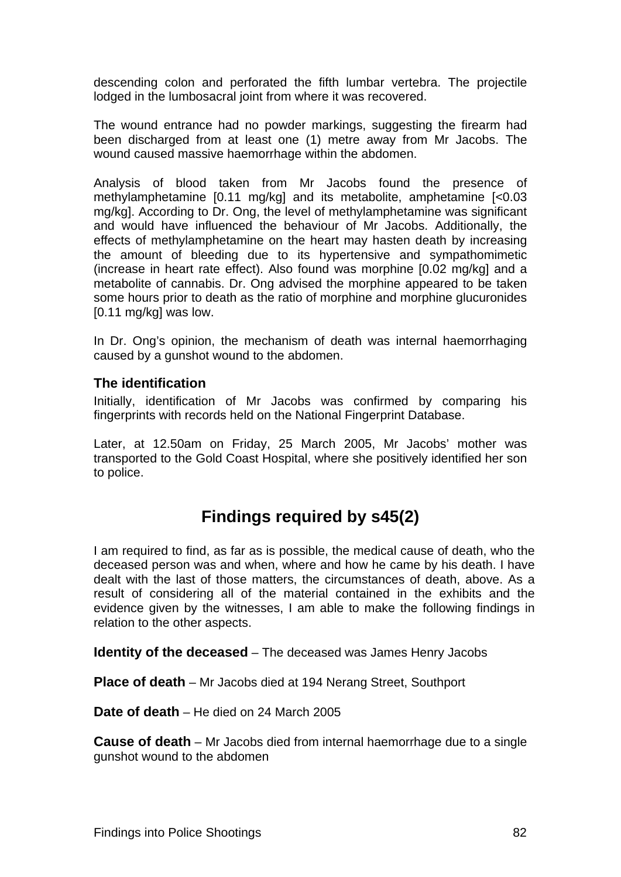<span id="page-96-0"></span>descending colon and perforated the fifth lumbar vertebra. The projectile lodged in the lumbosacral joint from where it was recovered.

The wound entrance had no powder markings, suggesting the firearm had been discharged from at least one (1) metre away from Mr Jacobs. The wound caused massive haemorrhage within the abdomen.

Analysis of blood taken from Mr Jacobs found the presence of methylamphetamine [0.11 mg/kg] and its metabolite, amphetamine [<0.03 mg/kg]. According to Dr. Ong, the level of methylamphetamine was significant and would have influenced the behaviour of Mr Jacobs. Additionally, the effects of methylamphetamine on the heart may hasten death by increasing the amount of bleeding due to its hypertensive and sympathomimetic (increase in heart rate effect). Also found was morphine [0.02 mg/kg] and a metabolite of cannabis. Dr. Ong advised the morphine appeared to be taken some hours prior to death as the ratio of morphine and morphine glucuronides [0.11 mg/kg] was low.

In Dr. Ong's opinion, the mechanism of death was internal haemorrhaging caused by a gunshot wound to the abdomen.

#### <span id="page-96-1"></span>**The identification**

Initially, identification of Mr Jacobs was confirmed by comparing his fingerprints with records held on the National Fingerprint Database.

Later, at 12.50am on Friday, 25 March 2005, Mr Jacobs' mother was transported to the Gold Coast Hospital, where she positively identified her son to police.

# **Findings required by s45(2)**

<span id="page-96-2"></span>I am required to find, as far as is possible, the medical cause of death, who the deceased person was and when, where and how he came by his death. I have dealt with the last of those matters, the circumstances of death, above. As a result of considering all of the material contained in the exhibits and the evidence given by the witnesses, I am able to make the following findings in relation to the other aspects.

<span id="page-96-3"></span>**Identity of the deceased** – The deceased was James Henry Jacobs

<span id="page-96-4"></span>**Place of death** – Mr Jacobs died at 194 Nerang Street, Southport

<span id="page-96-5"></span>**Date of death** – He died on 24 March 2005

<span id="page-96-6"></span>**Cause of death** – Mr Jacobs died from internal haemorrhage due to a single gunshot wound to the abdomen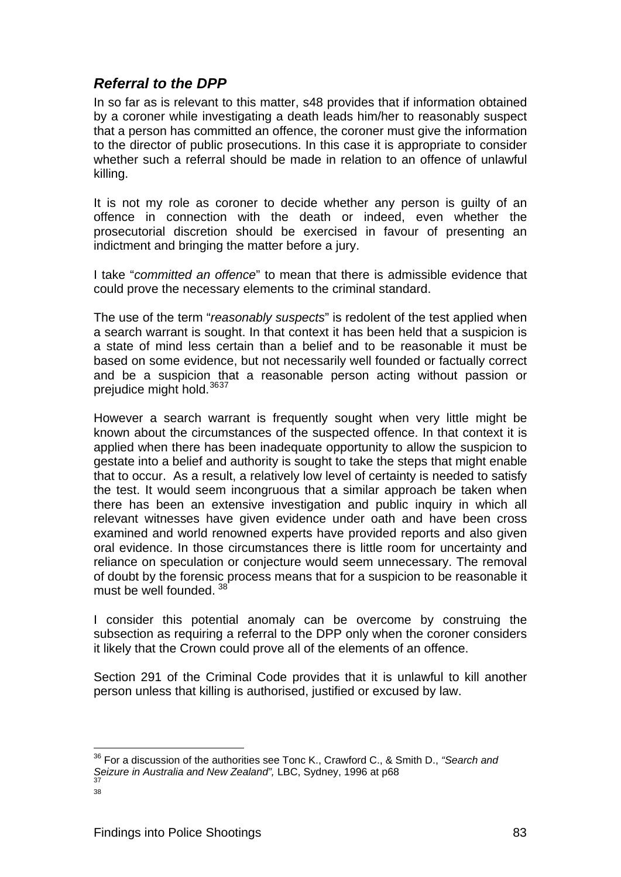# <span id="page-97-1"></span><span id="page-97-0"></span>*Referral to the DPP*

In so far as is relevant to this matter, s48 provides that if information obtained by a coroner while investigating a death leads him/her to reasonably suspect that a person has committed an offence, the coroner must give the information to the director of public prosecutions. In this case it is appropriate to consider whether such a referral should be made in relation to an offence of unlawful killing.

It is not my role as coroner to decide whether any person is guilty of an offence in connection with the death or indeed, even whether the prosecutorial discretion should be exercised in favour of presenting an indictment and bringing the matter before a jury.

I take "*committed an offence*" to mean that there is admissible evidence that could prove the necessary elements to the criminal standard.

The use of the term "*reasonably suspects*" is redolent of the test applied when a search warrant is sought. In that context it has been held that a suspicion is a state of mind less certain than a belief and to be reasonable it must be based on some evidence, but not necessarily well founded or factually correct and be a suspicion that a reasonable person acting without passion or prejudice might hold.<sup>[36](#page-97-2)[37](#page-97-3)</sup>

However a search warrant is frequently sought when very little might be known about the circumstances of the suspected offence. In that context it is applied when there has been inadequate opportunity to allow the suspicion to gestate into a belief and authority is sought to take the steps that might enable that to occur. As a result, a relatively low level of certainty is needed to satisfy the test. It would seem incongruous that a similar approach be taken when there has been an extensive investigation and public inquiry in which all relevant witnesses have given evidence under oath and have been cross examined and world renowned experts have provided reports and also given oral evidence. In those circumstances there is little room for uncertainty and reliance on speculation or conjecture would seem unnecessary. The removal of doubt by the forensic process means that for a suspicion to be reasonable it must be well founded. [38](#page-97-4)

I consider this potential anomaly can be overcome by construing the subsection as requiring a referral to the DPP only when the coroner considers it likely that the Crown could prove all of the elements of an offence.

Section 291 of the Criminal Code provides that it is unlawful to kill another person unless that killing is authorised, justified or excused by law.

l

<span id="page-97-2"></span><sup>36</sup> For a discussion of the authorities see Tonc K., Crawford C., & Smith D., *"Search and Seizure in Australia and New Zealand"*, LBC, Sydney, 1996 at p68<br><sup>37</sup>

<span id="page-97-4"></span><span id="page-97-3"></span>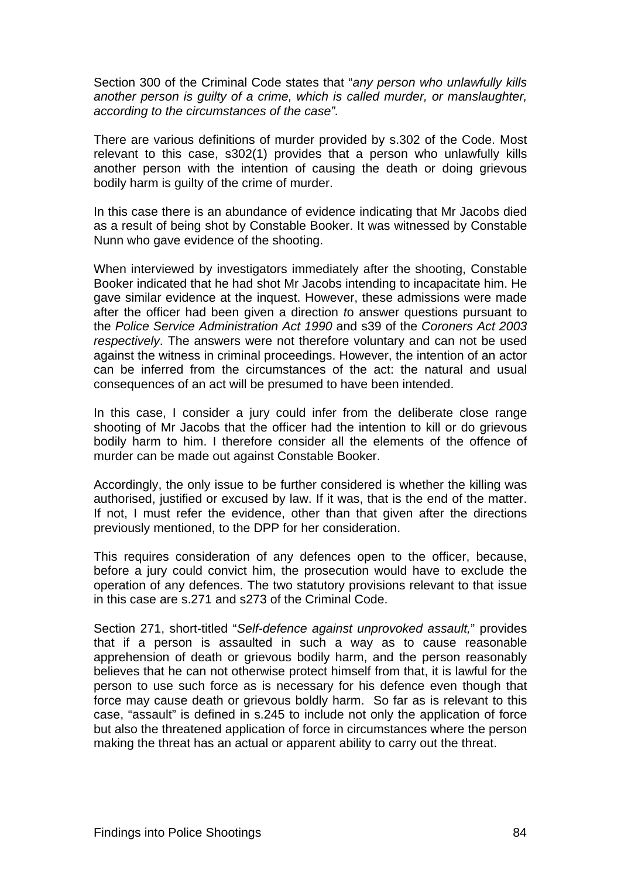Section 300 of the Criminal Code states that "*any person who unlawfully kills another person is guilty of a crime, which is called murder, or manslaughter, according to the circumstances of the case".* 

There are various definitions of murder provided by s.302 of the Code. Most relevant to this case, s302(1) provides that a person who unlawfully kills another person with the intention of causing the death or doing grievous bodily harm is guilty of the crime of murder.

In this case there is an abundance of evidence indicating that Mr Jacobs died as a result of being shot by Constable Booker. It was witnessed by Constable Nunn who gave evidence of the shooting.

When interviewed by investigators immediately after the shooting, Constable Booker indicated that he had shot Mr Jacobs intending to incapacitate him. He gave similar evidence at the inquest. However, these admissions were made after the officer had been given a direction *t*o answer questions pursuant to the *Police Service Administration Act 1990* and s39 of the *Coroners Act 2003 respectively*. The answers were not therefore voluntary and can not be used against the witness in criminal proceedings. However, the intention of an actor can be inferred from the circumstances of the act: the natural and usual consequences of an act will be presumed to have been intended.

In this case, I consider a jury could infer from the deliberate close range shooting of Mr Jacobs that the officer had the intention to kill or do grievous bodily harm to him. I therefore consider all the elements of the offence of murder can be made out against Constable Booker.

Accordingly, the only issue to be further considered is whether the killing was authorised, justified or excused by law. If it was, that is the end of the matter. If not, I must refer the evidence, other than that given after the directions previously mentioned, to the DPP for her consideration.

This requires consideration of any defences open to the officer, because, before a jury could convict him, the prosecution would have to exclude the operation of any defences. The two statutory provisions relevant to that issue in this case are s.271 and s273 of the Criminal Code.

Section 271, short-titled "*Self-defence against unprovoked assault,*" provides that if a person is assaulted in such a way as to cause reasonable apprehension of death or grievous bodily harm, and the person reasonably believes that he can not otherwise protect himself from that, it is lawful for the person to use such force as is necessary for his defence even though that force may cause death or grievous boldly harm. So far as is relevant to this case, "assault" is defined in s.245 to include not only the application of force but also the threatened application of force in circumstances where the person making the threat has an actual or apparent ability to carry out the threat.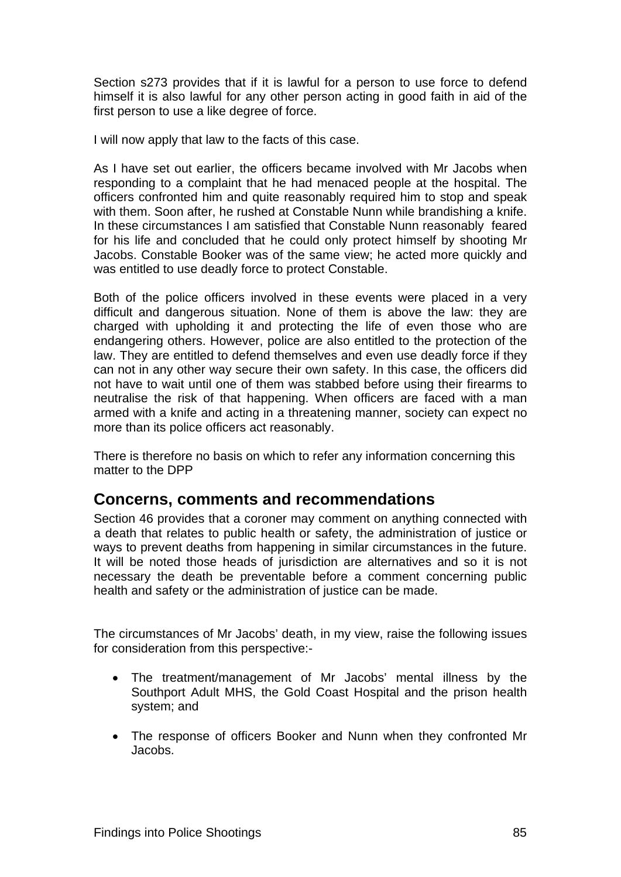<span id="page-99-0"></span>Section s273 provides that if it is lawful for a person to use force to defend himself it is also lawful for any other person acting in good faith in aid of the first person to use a like degree of force.

I will now apply that law to the facts of this case.

As I have set out earlier, the officers became involved with Mr Jacobs when responding to a complaint that he had menaced people at the hospital. The officers confronted him and quite reasonably required him to stop and speak with them. Soon after, he rushed at Constable Nunn while brandishing a knife. In these circumstances I am satisfied that Constable Nunn reasonably feared for his life and concluded that he could only protect himself by shooting Mr Jacobs. Constable Booker was of the same view; he acted more quickly and was entitled to use deadly force to protect Constable.

Both of the police officers involved in these events were placed in a very difficult and dangerous situation. None of them is above the law: they are charged with upholding it and protecting the life of even those who are endangering others. However, police are also entitled to the protection of the law. They are entitled to defend themselves and even use deadly force if they can not in any other way secure their own safety. In this case, the officers did not have to wait until one of them was stabbed before using their firearms to neutralise the risk of that happening. When officers are faced with a man armed with a knife and acting in a threatening manner, society can expect no more than its police officers act reasonably.

There is therefore no basis on which to refer any information concerning this matter to the DPP

# <span id="page-99-1"></span>**Concerns, comments and recommendations**

Section 46 provides that a coroner may comment on anything connected with a death that relates to public health or safety, the administration of justice or ways to prevent deaths from happening in similar circumstances in the future. It will be noted those heads of jurisdiction are alternatives and so it is not necessary the death be preventable before a comment concerning public health and safety or the administration of justice can be made.

The circumstances of Mr Jacobs' death, in my view, raise the following issues for consideration from this perspective:-

- The treatment/management of Mr Jacobs' mental illness by the Southport Adult MHS, the Gold Coast Hospital and the prison health system; and
- The response of officers Booker and Nunn when they confronted Mr Jacobs.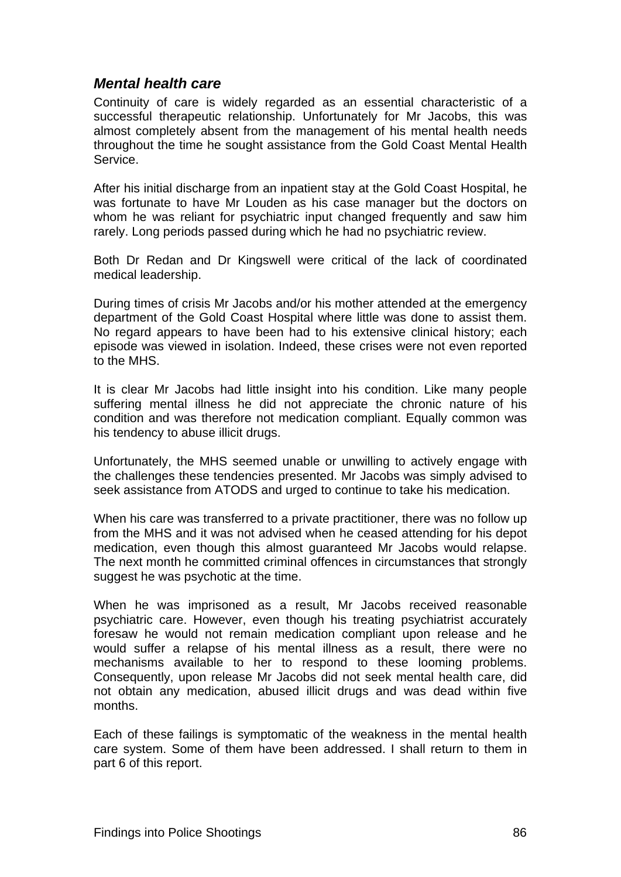# <span id="page-100-1"></span><span id="page-100-0"></span>*Mental health care*

Continuity of care is widely regarded as an essential characteristic of a successful therapeutic relationship. Unfortunately for Mr Jacobs, this was almost completely absent from the management of his mental health needs throughout the time he sought assistance from the Gold Coast Mental Health Service.

After his initial discharge from an inpatient stay at the Gold Coast Hospital, he was fortunate to have Mr Louden as his case manager but the doctors on whom he was reliant for psychiatric input changed frequently and saw him rarely. Long periods passed during which he had no psychiatric review.

Both Dr Redan and Dr Kingswell were critical of the lack of coordinated medical leadership.

During times of crisis Mr Jacobs and/or his mother attended at the emergency department of the Gold Coast Hospital where little was done to assist them. No regard appears to have been had to his extensive clinical history; each episode was viewed in isolation. Indeed, these crises were not even reported to the MHS.

It is clear Mr Jacobs had little insight into his condition. Like many people suffering mental illness he did not appreciate the chronic nature of his condition and was therefore not medication compliant. Equally common was his tendency to abuse illicit drugs.

Unfortunately, the MHS seemed unable or unwilling to actively engage with the challenges these tendencies presented. Mr Jacobs was simply advised to seek assistance from ATODS and urged to continue to take his medication.

When his care was transferred to a private practitioner, there was no follow up from the MHS and it was not advised when he ceased attending for his depot medication, even though this almost guaranteed Mr Jacobs would relapse. The next month he committed criminal offences in circumstances that strongly suggest he was psychotic at the time.

When he was imprisoned as a result, Mr Jacobs received reasonable psychiatric care. However, even though his treating psychiatrist accurately foresaw he would not remain medication compliant upon release and he would suffer a relapse of his mental illness as a result, there were no mechanisms available to her to respond to these looming problems. Consequently, upon release Mr Jacobs did not seek mental health care, did not obtain any medication, abused illicit drugs and was dead within five months.

Each of these failings is symptomatic of the weakness in the mental health care system. Some of them have been addressed. I shall return to them in part 6 of this report.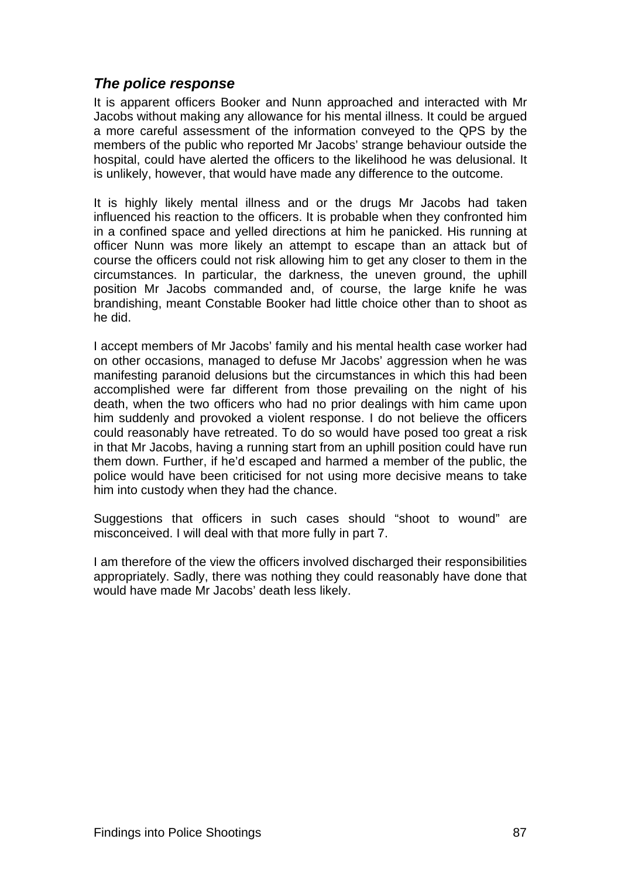# <span id="page-101-1"></span><span id="page-101-0"></span>*The police response*

It is apparent officers Booker and Nunn approached and interacted with Mr Jacobs without making any allowance for his mental illness. It could be argued a more careful assessment of the information conveyed to the QPS by the members of the public who reported Mr Jacobs' strange behaviour outside the hospital, could have alerted the officers to the likelihood he was delusional. It is unlikely, however, that would have made any difference to the outcome.

It is highly likely mental illness and or the drugs Mr Jacobs had taken influenced his reaction to the officers. It is probable when they confronted him in a confined space and yelled directions at him he panicked. His running at officer Nunn was more likely an attempt to escape than an attack but of course the officers could not risk allowing him to get any closer to them in the circumstances. In particular, the darkness, the uneven ground, the uphill position Mr Jacobs commanded and, of course, the large knife he was brandishing, meant Constable Booker had little choice other than to shoot as he did.

I accept members of Mr Jacobs' family and his mental health case worker had on other occasions, managed to defuse Mr Jacobs' aggression when he was manifesting paranoid delusions but the circumstances in which this had been accomplished were far different from those prevailing on the night of his death, when the two officers who had no prior dealings with him came upon him suddenly and provoked a violent response. I do not believe the officers could reasonably have retreated. To do so would have posed too great a risk in that Mr Jacobs, having a running start from an uphill position could have run them down. Further, if he'd escaped and harmed a member of the public, the police would have been criticised for not using more decisive means to take him into custody when they had the chance.

Suggestions that officers in such cases should "shoot to wound" are misconceived. I will deal with that more fully in part 7.

I am therefore of the view the officers involved discharged their responsibilities appropriately. Sadly, there was nothing they could reasonably have done that would have made Mr Jacobs' death less likely.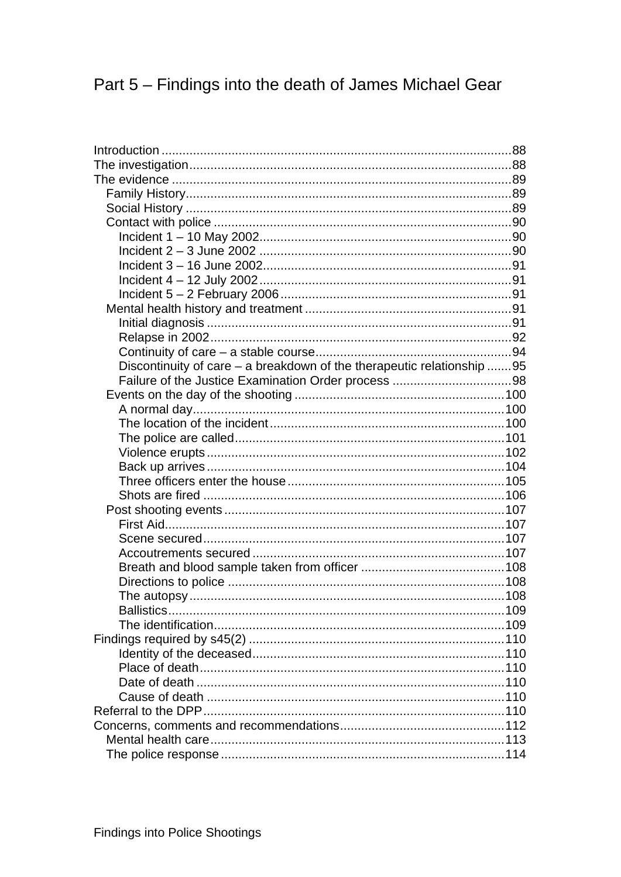# Part 5 - Findings into the death of James Michael Gear

| Discontinuity of care - a breakdown of the therapeutic relationship 95 |  |
|------------------------------------------------------------------------|--|
|                                                                        |  |
|                                                                        |  |
|                                                                        |  |
|                                                                        |  |
|                                                                        |  |
|                                                                        |  |
|                                                                        |  |
|                                                                        |  |
|                                                                        |  |
|                                                                        |  |
|                                                                        |  |
|                                                                        |  |
|                                                                        |  |
|                                                                        |  |
|                                                                        |  |
|                                                                        |  |
|                                                                        |  |
|                                                                        |  |
|                                                                        |  |
|                                                                        |  |
|                                                                        |  |
|                                                                        |  |
|                                                                        |  |
|                                                                        |  |
|                                                                        |  |
|                                                                        |  |
|                                                                        |  |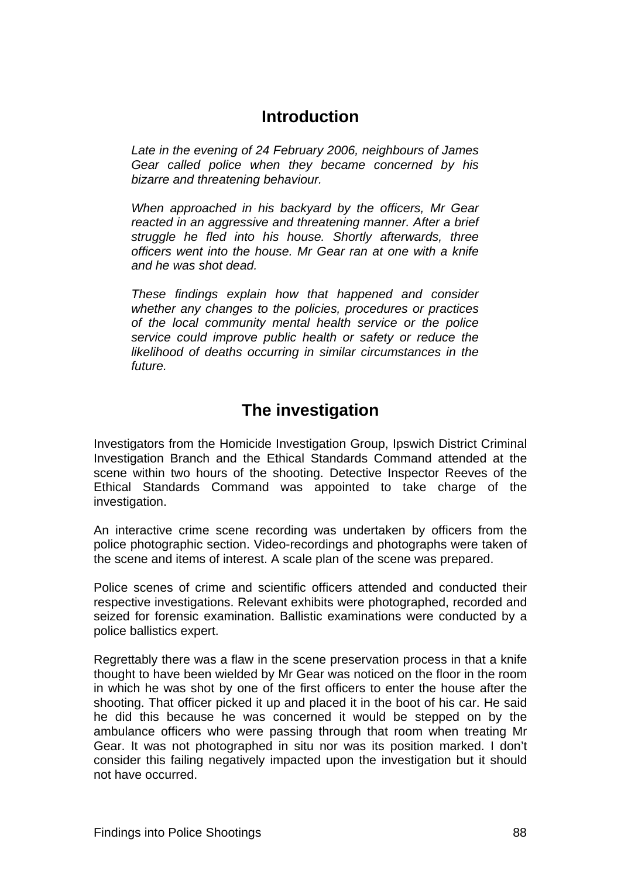# **Introduction**

<span id="page-103-1"></span><span id="page-103-0"></span>*Late in the evening of 24 February 2006, neighbours of James Gear called police when they became concerned by his bizarre and threatening behaviour.* 

*When approached in his backyard by the officers, Mr Gear reacted in an aggressive and threatening manner. After a brief struggle he fled into his house. Shortly afterwards, three officers went into the house. Mr Gear ran at one with a knife and he was shot dead.* 

*These findings explain how that happened and consider whether any changes to the policies, procedures or practices of the local community mental health service or the police service could improve public health or safety or reduce the likelihood of deaths occurring in similar circumstances in the future.* 

# **The investigation**

<span id="page-103-2"></span>Investigators from the Homicide Investigation Group, Ipswich District Criminal Investigation Branch and the Ethical Standards Command attended at the scene within two hours of the shooting. Detective Inspector Reeves of the Ethical Standards Command was appointed to take charge of the investigation.

An interactive crime scene recording was undertaken by officers from the police photographic section. Video-recordings and photographs were taken of the scene and items of interest. A scale plan of the scene was prepared.

Police scenes of crime and scientific officers attended and conducted their respective investigations. Relevant exhibits were photographed, recorded and seized for forensic examination. Ballistic examinations were conducted by a police ballistics expert.

Regrettably there was a flaw in the scene preservation process in that a knife thought to have been wielded by Mr Gear was noticed on the floor in the room in which he was shot by one of the first officers to enter the house after the shooting. That officer picked it up and placed it in the boot of his car. He said he did this because he was concerned it would be stepped on by the ambulance officers who were passing through that room when treating Mr Gear. It was not photographed in situ nor was its position marked. I don't consider this failing negatively impacted upon the investigation but it should not have occurred.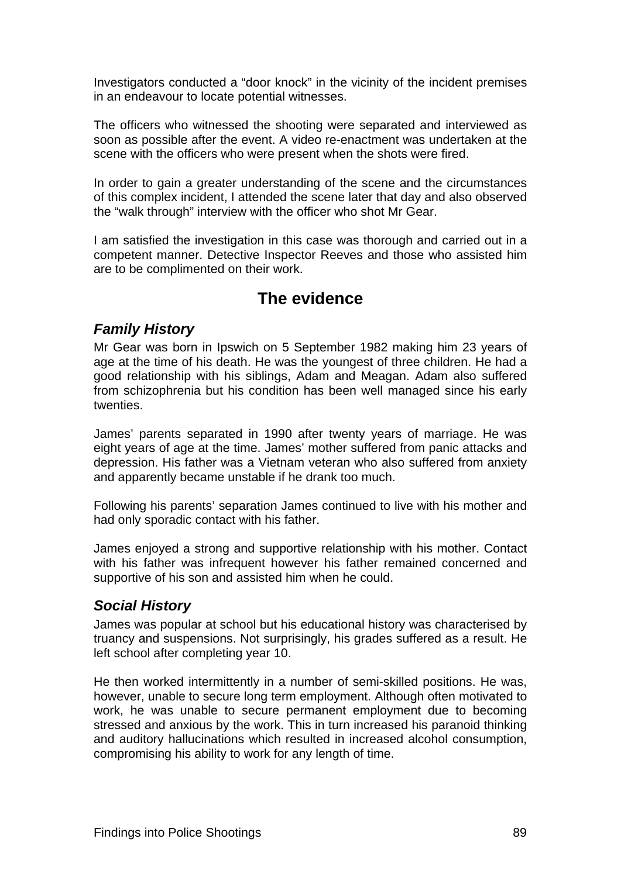<span id="page-104-0"></span>Investigators conducted a "door knock" in the vicinity of the incident premises in an endeavour to locate potential witnesses.

The officers who witnessed the shooting were separated and interviewed as soon as possible after the event. A video re-enactment was undertaken at the scene with the officers who were present when the shots were fired.

In order to gain a greater understanding of the scene and the circumstances of this complex incident, I attended the scene later that day and also observed the "walk through" interview with the officer who shot Mr Gear.

I am satisfied the investigation in this case was thorough and carried out in a competent manner. Detective Inspector Reeves and those who assisted him are to be complimented on their work.

# **The evidence**

# <span id="page-104-2"></span><span id="page-104-1"></span>*Family History*

Mr Gear was born in Ipswich on 5 September 1982 making him 23 years of age at the time of his death. He was the youngest of three children. He had a good relationship with his siblings, Adam and Meagan. Adam also suffered from schizophrenia but his condition has been well managed since his early twenties.

James' parents separated in 1990 after twenty years of marriage. He was eight years of age at the time. James' mother suffered from panic attacks and depression. His father was a Vietnam veteran who also suffered from anxiety and apparently became unstable if he drank too much.

Following his parents' separation James continued to live with his mother and had only sporadic contact with his father.

James enjoyed a strong and supportive relationship with his mother. Contact with his father was infrequent however his father remained concerned and supportive of his son and assisted him when he could.

# <span id="page-104-3"></span>*Social History*

James was popular at school but his educational history was characterised by truancy and suspensions. Not surprisingly, his grades suffered as a result. He left school after completing year 10.

He then worked intermittently in a number of semi-skilled positions. He was, however, unable to secure long term employment. Although often motivated to work, he was unable to secure permanent employment due to becoming stressed and anxious by the work. This in turn increased his paranoid thinking and auditory hallucinations which resulted in increased alcohol consumption, compromising his ability to work for any length of time.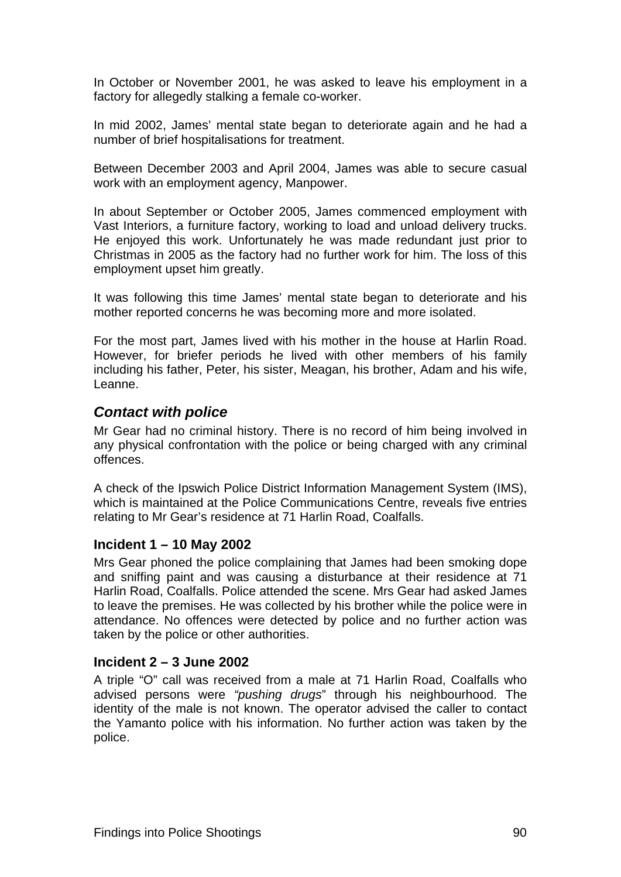<span id="page-105-0"></span>In October or November 2001, he was asked to leave his employment in a factory for allegedly stalking a female co-worker.

In mid 2002, James' mental state began to deteriorate again and he had a number of brief hospitalisations for treatment.

Between December 2003 and April 2004, James was able to secure casual work with an employment agency, Manpower.

In about September or October 2005, James commenced employment with Vast Interiors, a furniture factory, working to load and unload delivery trucks. He enjoyed this work. Unfortunately he was made redundant just prior to Christmas in 2005 as the factory had no further work for him. The loss of this employment upset him greatly.

It was following this time James' mental state began to deteriorate and his mother reported concerns he was becoming more and more isolated.

For the most part, James lived with his mother in the house at Harlin Road. However, for briefer periods he lived with other members of his family including his father, Peter, his sister, Meagan, his brother, Adam and his wife, Leanne.

# <span id="page-105-1"></span>*Contact with police*

Mr Gear had no criminal history. There is no record of him being involved in any physical confrontation with the police or being charged with any criminal offences.

A check of the Ipswich Police District Information Management System (IMS), which is maintained at the Police Communications Centre, reveals five entries relating to Mr Gear's residence at 71 Harlin Road, Coalfalls.

#### <span id="page-105-2"></span>**Incident 1 – 10 May 2002**

Mrs Gear phoned the police complaining that James had been smoking dope and sniffing paint and was causing a disturbance at their residence at 71 Harlin Road, Coalfalls. Police attended the scene. Mrs Gear had asked James to leave the premises. He was collected by his brother while the police were in attendance. No offences were detected by police and no further action was taken by the police or other authorities.

#### <span id="page-105-3"></span>**Incident 2 – 3 June 2002**

A triple "O" call was received from a male at 71 Harlin Road, Coalfalls who advised persons were *"pushing drugs*" through his neighbourhood. The identity of the male is not known. The operator advised the caller to contact the Yamanto police with his information. No further action was taken by the police.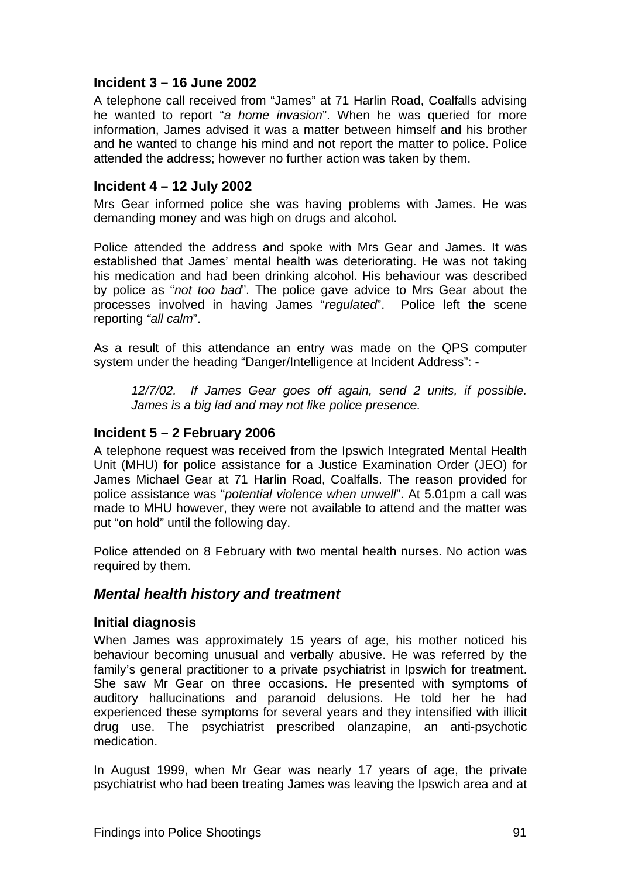# <span id="page-106-1"></span><span id="page-106-0"></span>**Incident 3 – 16 June 2002**

A telephone call received from "James" at 71 Harlin Road, Coalfalls advising he wanted to report "*a home invasion*". When he was queried for more information, James advised it was a matter between himself and his brother and he wanted to change his mind and not report the matter to police. Police attended the address; however no further action was taken by them.

# <span id="page-106-2"></span>**Incident 4 – 12 July 2002**

Mrs Gear informed police she was having problems with James. He was demanding money and was high on drugs and alcohol.

Police attended the address and spoke with Mrs Gear and James. It was established that James' mental health was deteriorating. He was not taking his medication and had been drinking alcohol. His behaviour was described by police as "*not too bad*". The police gave advice to Mrs Gear about the processes involved in having James "*regulated*". Police left the scene reporting *"all calm*".

As a result of this attendance an entry was made on the QPS computer system under the heading "Danger/Intelligence at Incident Address": -

*12/7/02. If James Gear goes off again, send 2 units, if possible. James is a big lad and may not like police presence.* 

# <span id="page-106-3"></span>**Incident 5 – 2 February 2006**

A telephone request was received from the Ipswich Integrated Mental Health Unit (MHU) for police assistance for a Justice Examination Order (JEO) for James Michael Gear at 71 Harlin Road, Coalfalls. The reason provided for police assistance was "*potential violence when unwell*". At 5.01pm a call was made to MHU however, they were not available to attend and the matter was put "on hold" until the following day.

Police attended on 8 February with two mental health nurses. No action was required by them.

# <span id="page-106-4"></span>*Mental health history and treatment*

#### <span id="page-106-5"></span>**Initial diagnosis**

When James was approximately 15 years of age, his mother noticed his behaviour becoming unusual and verbally abusive. He was referred by the family's general practitioner to a private psychiatrist in Ipswich for treatment. She saw Mr Gear on three occasions. He presented with symptoms of auditory hallucinations and paranoid delusions. He told her he had experienced these symptoms for several years and they intensified with illicit drug use. The psychiatrist prescribed olanzapine, an anti-psychotic medication.

In August 1999, when Mr Gear was nearly 17 years of age, the private psychiatrist who had been treating James was leaving the Ipswich area and at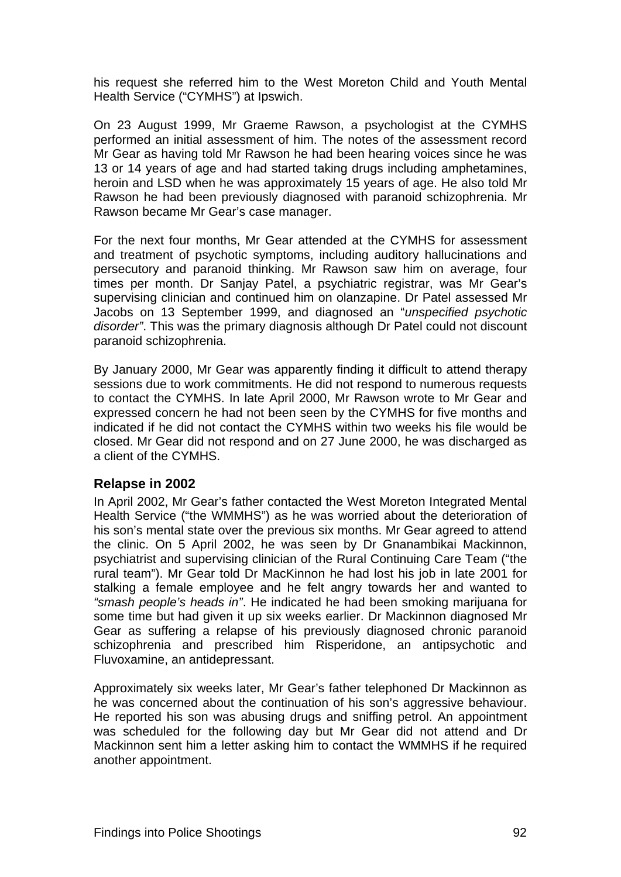<span id="page-107-0"></span>his request she referred him to the West Moreton Child and Youth Mental Health Service ("CYMHS") at Ipswich.

On 23 August 1999, Mr Graeme Rawson, a psychologist at the CYMHS performed an initial assessment of him. The notes of the assessment record Mr Gear as having told Mr Rawson he had been hearing voices since he was 13 or 14 years of age and had started taking drugs including amphetamines, heroin and LSD when he was approximately 15 years of age. He also told Mr Rawson he had been previously diagnosed with paranoid schizophrenia. Mr Rawson became Mr Gear's case manager.

For the next four months, Mr Gear attended at the CYMHS for assessment and treatment of psychotic symptoms, including auditory hallucinations and persecutory and paranoid thinking. Mr Rawson saw him on average, four times per month. Dr Sanjay Patel, a psychiatric registrar, was Mr Gear's supervising clinician and continued him on olanzapine. Dr Patel assessed Mr Jacobs on 13 September 1999, and diagnosed an "*unspecified psychotic disorder"*. This was the primary diagnosis although Dr Patel could not discount paranoid schizophrenia.

By January 2000, Mr Gear was apparently finding it difficult to attend therapy sessions due to work commitments. He did not respond to numerous requests to contact the CYMHS. In late April 2000, Mr Rawson wrote to Mr Gear and expressed concern he had not been seen by the CYMHS for five months and indicated if he did not contact the CYMHS within two weeks his file would be closed. Mr Gear did not respond and on 27 June 2000, he was discharged as a client of the CYMHS.

# <span id="page-107-1"></span>**Relapse in 2002**

In April 2002, Mr Gear's father contacted the West Moreton Integrated Mental Health Service ("the WMMHS") as he was worried about the deterioration of his son's mental state over the previous six months. Mr Gear agreed to attend the clinic. On 5 April 2002, he was seen by Dr Gnanambikai Mackinnon, psychiatrist and supervising clinician of the Rural Continuing Care Team ("the rural team"). Mr Gear told Dr MacKinnon he had lost his job in late 2001 for stalking a female employee and he felt angry towards her and wanted to *"smash people's heads in"*. He indicated he had been smoking marijuana for some time but had given it up six weeks earlier. Dr Mackinnon diagnosed Mr Gear as suffering a relapse of his previously diagnosed chronic paranoid schizophrenia and prescribed him Risperidone, an antipsychotic and Fluvoxamine, an antidepressant.

Approximately six weeks later, Mr Gear's father telephoned Dr Mackinnon as he was concerned about the continuation of his son's aggressive behaviour. He reported his son was abusing drugs and sniffing petrol. An appointment was scheduled for the following day but Mr Gear did not attend and Dr Mackinnon sent him a letter asking him to contact the WMMHS if he required another appointment.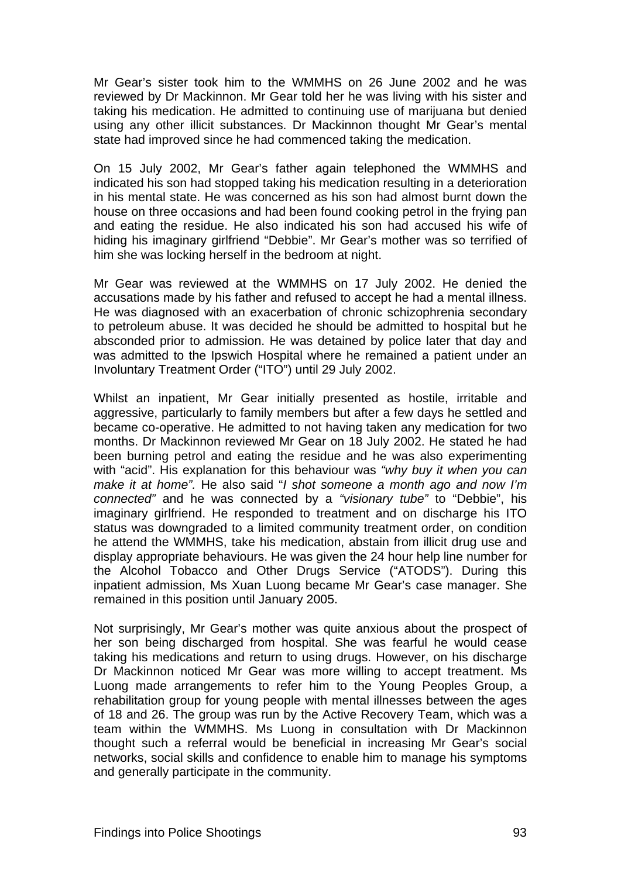Mr Gear's sister took him to the WMMHS on 26 June 2002 and he was reviewed by Dr Mackinnon. Mr Gear told her he was living with his sister and taking his medication. He admitted to continuing use of marijuana but denied using any other illicit substances. Dr Mackinnon thought Mr Gear's mental state had improved since he had commenced taking the medication.

On 15 July 2002, Mr Gear's father again telephoned the WMMHS and indicated his son had stopped taking his medication resulting in a deterioration in his mental state. He was concerned as his son had almost burnt down the house on three occasions and had been found cooking petrol in the frying pan and eating the residue. He also indicated his son had accused his wife of hiding his imaginary girlfriend "Debbie". Mr Gear's mother was so terrified of him she was locking herself in the bedroom at night.

Mr Gear was reviewed at the WMMHS on 17 July 2002. He denied the accusations made by his father and refused to accept he had a mental illness. He was diagnosed with an exacerbation of chronic schizophrenia secondary to petroleum abuse. It was decided he should be admitted to hospital but he absconded prior to admission. He was detained by police later that day and was admitted to the Ipswich Hospital where he remained a patient under an Involuntary Treatment Order ("ITO") until 29 July 2002.

Whilst an inpatient, Mr Gear initially presented as hostile, irritable and aggressive, particularly to family members but after a few days he settled and became co-operative. He admitted to not having taken any medication for two months. Dr Mackinnon reviewed Mr Gear on 18 July 2002. He stated he had been burning petrol and eating the residue and he was also experimenting with "acid". His explanation for this behaviour was *"why buy it when you can make it at home".* He also said "*I shot someone a month ago and now I'm connected"* and he was connected by a *"visionary tube"* to "Debbie", his imaginary girlfriend. He responded to treatment and on discharge his ITO status was downgraded to a limited community treatment order, on condition he attend the WMMHS, take his medication, abstain from illicit drug use and display appropriate behaviours. He was given the 24 hour help line number for the Alcohol Tobacco and Other Drugs Service ("ATODS"). During this inpatient admission, Ms Xuan Luong became Mr Gear's case manager. She remained in this position until January 2005.

Not surprisingly, Mr Gear's mother was quite anxious about the prospect of her son being discharged from hospital. She was fearful he would cease taking his medications and return to using drugs. However, on his discharge Dr Mackinnon noticed Mr Gear was more willing to accept treatment. Ms Luong made arrangements to refer him to the Young Peoples Group, a rehabilitation group for young people with mental illnesses between the ages of 18 and 26. The group was run by the Active Recovery Team, which was a team within the WMMHS. Ms Luong in consultation with Dr Mackinnon thought such a referral would be beneficial in increasing Mr Gear's social networks, social skills and confidence to enable him to manage his symptoms and generally participate in the community.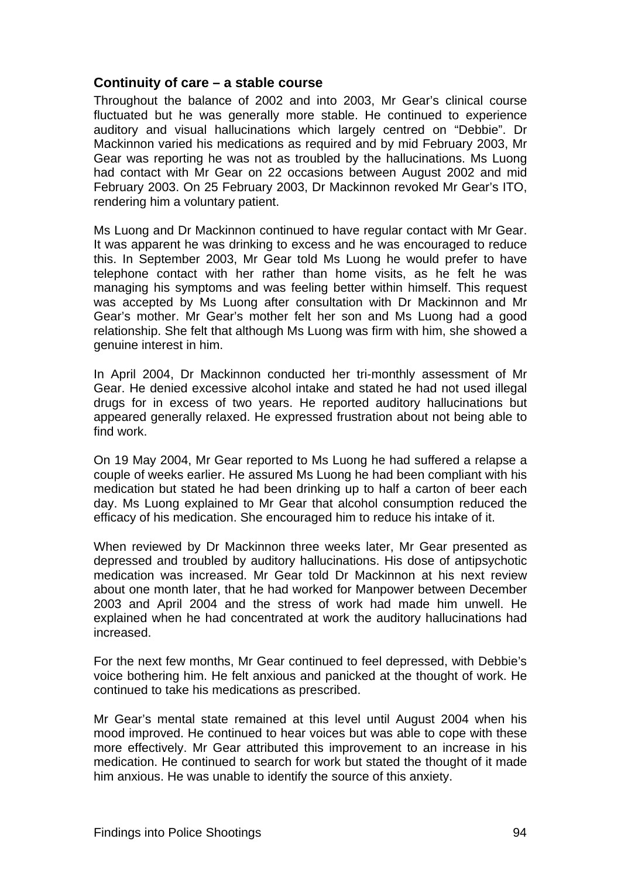### **Continuity of care – a stable course**

Throughout the balance of 2002 and into 2003, Mr Gear's clinical course fluctuated but he was generally more stable. He continued to experience auditory and visual hallucinations which largely centred on "Debbie". Dr Mackinnon varied his medications as required and by mid February 2003, Mr Gear was reporting he was not as troubled by the hallucinations. Ms Luong had contact with Mr Gear on 22 occasions between August 2002 and mid February 2003. On 25 February 2003, Dr Mackinnon revoked Mr Gear's ITO, rendering him a voluntary patient.

Ms Luong and Dr Mackinnon continued to have regular contact with Mr Gear. It was apparent he was drinking to excess and he was encouraged to reduce this. In September 2003, Mr Gear told Ms Luong he would prefer to have telephone contact with her rather than home visits, as he felt he was managing his symptoms and was feeling better within himself. This request was accepted by Ms Luong after consultation with Dr Mackinnon and Mr Gear's mother. Mr Gear's mother felt her son and Ms Luong had a good relationship. She felt that although Ms Luong was firm with him, she showed a genuine interest in him.

In April 2004, Dr Mackinnon conducted her tri-monthly assessment of Mr Gear. He denied excessive alcohol intake and stated he had not used illegal drugs for in excess of two years. He reported auditory hallucinations but appeared generally relaxed. He expressed frustration about not being able to find work.

On 19 May 2004, Mr Gear reported to Ms Luong he had suffered a relapse a couple of weeks earlier. He assured Ms Luong he had been compliant with his medication but stated he had been drinking up to half a carton of beer each day. Ms Luong explained to Mr Gear that alcohol consumption reduced the efficacy of his medication. She encouraged him to reduce his intake of it.

When reviewed by Dr Mackinnon three weeks later, Mr Gear presented as depressed and troubled by auditory hallucinations. His dose of antipsychotic medication was increased. Mr Gear told Dr Mackinnon at his next review about one month later, that he had worked for Manpower between December 2003 and April 2004 and the stress of work had made him unwell. He explained when he had concentrated at work the auditory hallucinations had increased.

For the next few months, Mr Gear continued to feel depressed, with Debbie's voice bothering him. He felt anxious and panicked at the thought of work. He continued to take his medications as prescribed.

Mr Gear's mental state remained at this level until August 2004 when his mood improved. He continued to hear voices but was able to cope with these more effectively. Mr Gear attributed this improvement to an increase in his medication. He continued to search for work but stated the thought of it made him anxious. He was unable to identify the source of this anxiety.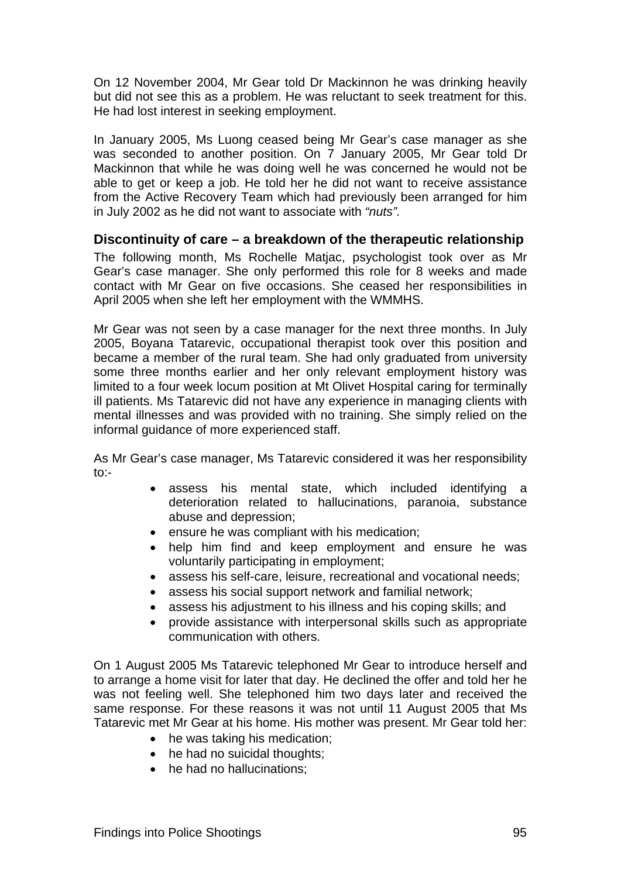On 12 November 2004, Mr Gear told Dr Mackinnon he was drinking heavily but did not see this as a problem. He was reluctant to seek treatment for this. He had lost interest in seeking employment.

In January 2005, Ms Luong ceased being Mr Gear's case manager as she was seconded to another position. On 7 January 2005, Mr Gear told Dr Mackinnon that while he was doing well he was concerned he would not be able to get or keep a job. He told her he did not want to receive assistance from the Active Recovery Team which had previously been arranged for him in July 2002 as he did not want to associate with *"nuts".*

### **Discontinuity of care – a breakdown of the therapeutic relationship**

The following month, Ms Rochelle Matjac, psychologist took over as Mr Gear's case manager. She only performed this role for 8 weeks and made contact with Mr Gear on five occasions. She ceased her responsibilities in April 2005 when she left her employment with the WMMHS.

Mr Gear was not seen by a case manager for the next three months. In July 2005, Boyana Tatarevic, occupational therapist took over this position and became a member of the rural team. She had only graduated from university some three months earlier and her only relevant employment history was limited to a four week locum position at Mt Olivet Hospital caring for terminally ill patients. Ms Tatarevic did not have any experience in managing clients with mental illnesses and was provided with no training. She simply relied on the informal guidance of more experienced staff.

As Mr Gear's case manager, Ms Tatarevic considered it was her responsibility to:-

- assess his mental state, which included identifying a deterioration related to hallucinations, paranoia, substance abuse and depression;
- ensure he was compliant with his medication;
- help him find and keep employment and ensure he was voluntarily participating in employment;
- assess his self-care, leisure, recreational and vocational needs;
- assess his social support network and familial network;
- assess his adjustment to his illness and his coping skills; and
- provide assistance with interpersonal skills such as appropriate communication with others.

On 1 August 2005 Ms Tatarevic telephoned Mr Gear to introduce herself and to arrange a home visit for later that day. He declined the offer and told her he was not feeling well. She telephoned him two days later and received the same response. For these reasons it was not until 11 August 2005 that Ms Tatarevic met Mr Gear at his home. His mother was present. Mr Gear told her:

- he was taking his medication;
- he had no suicidal thoughts:
- he had no hallucinations: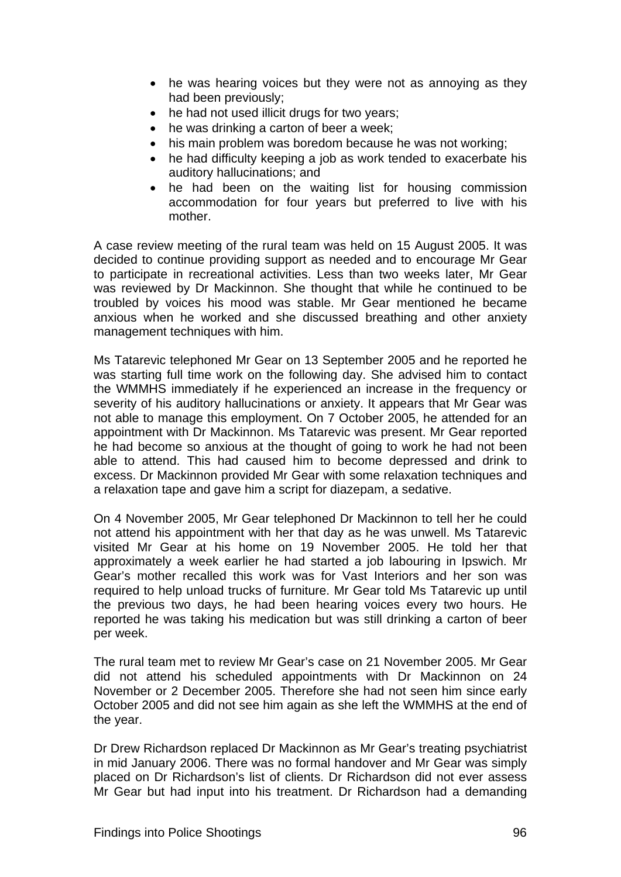- he was hearing voices but they were not as annoying as they had been previously;
- he had not used illicit drugs for two years;
- he was drinking a carton of beer a week:
- his main problem was boredom because he was not working;
- he had difficulty keeping a job as work tended to exacerbate his auditory hallucinations; and
- he had been on the waiting list for housing commission accommodation for four years but preferred to live with his mother.

A case review meeting of the rural team was held on 15 August 2005. It was decided to continue providing support as needed and to encourage Mr Gear to participate in recreational activities. Less than two weeks later, Mr Gear was reviewed by Dr Mackinnon. She thought that while he continued to be troubled by voices his mood was stable. Mr Gear mentioned he became anxious when he worked and she discussed breathing and other anxiety management techniques with him.

Ms Tatarevic telephoned Mr Gear on 13 September 2005 and he reported he was starting full time work on the following day. She advised him to contact the WMMHS immediately if he experienced an increase in the frequency or severity of his auditory hallucinations or anxiety. It appears that Mr Gear was not able to manage this employment. On 7 October 2005, he attended for an appointment with Dr Mackinnon. Ms Tatarevic was present. Mr Gear reported he had become so anxious at the thought of going to work he had not been able to attend. This had caused him to become depressed and drink to excess. Dr Mackinnon provided Mr Gear with some relaxation techniques and a relaxation tape and gave him a script for diazepam, a sedative.

On 4 November 2005, Mr Gear telephoned Dr Mackinnon to tell her he could not attend his appointment with her that day as he was unwell. Ms Tatarevic visited Mr Gear at his home on 19 November 2005. He told her that approximately a week earlier he had started a job labouring in Ipswich. Mr Gear's mother recalled this work was for Vast Interiors and her son was required to help unload trucks of furniture. Mr Gear told Ms Tatarevic up until the previous two days, he had been hearing voices every two hours. He reported he was taking his medication but was still drinking a carton of beer per week.

The rural team met to review Mr Gear's case on 21 November 2005. Mr Gear did not attend his scheduled appointments with Dr Mackinnon on 24 November or 2 December 2005. Therefore she had not seen him since early October 2005 and did not see him again as she left the WMMHS at the end of the year.

Dr Drew Richardson replaced Dr Mackinnon as Mr Gear's treating psychiatrist in mid January 2006. There was no formal handover and Mr Gear was simply placed on Dr Richardson's list of clients. Dr Richardson did not ever assess Mr Gear but had input into his treatment. Dr Richardson had a demanding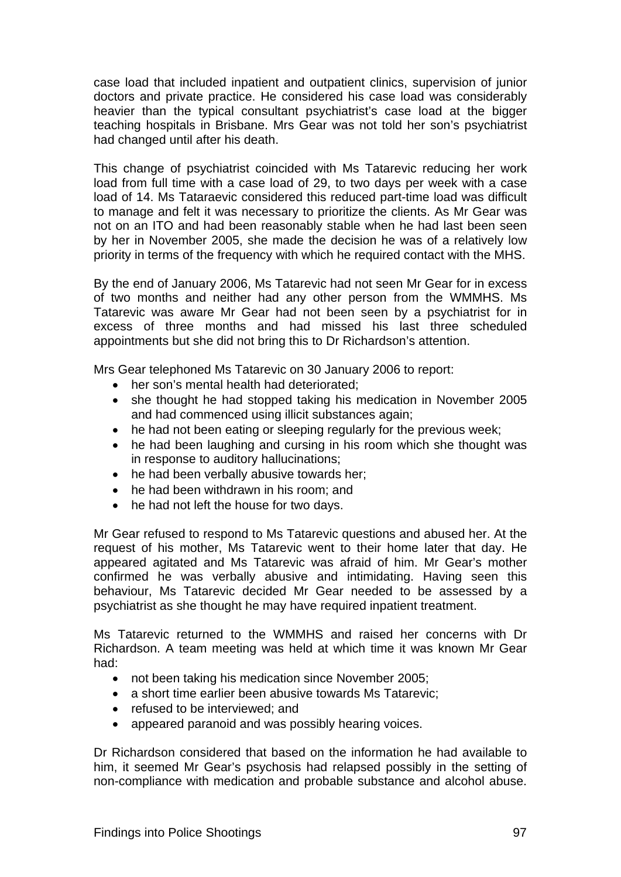case load that included inpatient and outpatient clinics, supervision of junior doctors and private practice. He considered his case load was considerably heavier than the typical consultant psychiatrist's case load at the bigger teaching hospitals in Brisbane. Mrs Gear was not told her son's psychiatrist had changed until after his death.

This change of psychiatrist coincided with Ms Tatarevic reducing her work load from full time with a case load of 29, to two days per week with a case load of 14. Ms Tataraevic considered this reduced part-time load was difficult to manage and felt it was necessary to prioritize the clients. As Mr Gear was not on an ITO and had been reasonably stable when he had last been seen by her in November 2005, she made the decision he was of a relatively low priority in terms of the frequency with which he required contact with the MHS.

By the end of January 2006, Ms Tatarevic had not seen Mr Gear for in excess of two months and neither had any other person from the WMMHS. Ms Tatarevic was aware Mr Gear had not been seen by a psychiatrist for in excess of three months and had missed his last three scheduled appointments but she did not bring this to Dr Richardson's attention.

Mrs Gear telephoned Ms Tatarevic on 30 January 2006 to report:

- her son's mental health had deteriorated:
- she thought he had stopped taking his medication in November 2005 and had commenced using illicit substances again;
- he had not been eating or sleeping regularly for the previous week;
- he had been laughing and cursing in his room which she thought was in response to auditory hallucinations;
- he had been verbally abusive towards her;
- he had been withdrawn in his room; and
- he had not left the house for two days.

Mr Gear refused to respond to Ms Tatarevic questions and abused her. At the request of his mother, Ms Tatarevic went to their home later that day. He appeared agitated and Ms Tatarevic was afraid of him. Mr Gear's mother confirmed he was verbally abusive and intimidating. Having seen this behaviour, Ms Tatarevic decided Mr Gear needed to be assessed by a psychiatrist as she thought he may have required inpatient treatment.

Ms Tatarevic returned to the WMMHS and raised her concerns with Dr Richardson. A team meeting was held at which time it was known Mr Gear had:

- not been taking his medication since November 2005;
- a short time earlier been abusive towards Ms Tatarevic;
- refused to be interviewed; and
- appeared paranoid and was possibly hearing voices.

Dr Richardson considered that based on the information he had available to him, it seemed Mr Gear's psychosis had relapsed possibly in the setting of non-compliance with medication and probable substance and alcohol abuse.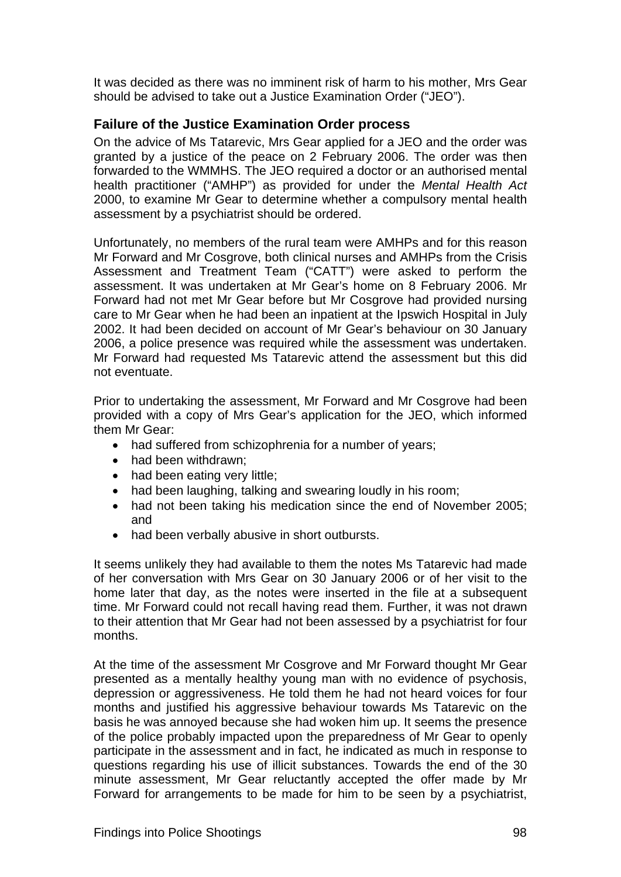It was decided as there was no imminent risk of harm to his mother, Mrs Gear should be advised to take out a Justice Examination Order ("JEO").

## **Failure of the Justice Examination Order process**

On the advice of Ms Tatarevic, Mrs Gear applied for a JEO and the order was granted by a justice of the peace on 2 February 2006. The order was then forwarded to the WMMHS. The JEO required a doctor or an authorised mental health practitioner ("AMHP") as provided for under the *Mental Health Act*  2000, to examine Mr Gear to determine whether a compulsory mental health assessment by a psychiatrist should be ordered.

Unfortunately, no members of the rural team were AMHPs and for this reason Mr Forward and Mr Cosgrove, both clinical nurses and AMHPs from the Crisis Assessment and Treatment Team ("CATT") were asked to perform the assessment. It was undertaken at Mr Gear's home on 8 February 2006. Mr Forward had not met Mr Gear before but Mr Cosgrove had provided nursing care to Mr Gear when he had been an inpatient at the Ipswich Hospital in July 2002. It had been decided on account of Mr Gear's behaviour on 30 January 2006, a police presence was required while the assessment was undertaken. Mr Forward had requested Ms Tatarevic attend the assessment but this did not eventuate.

Prior to undertaking the assessment, Mr Forward and Mr Cosgrove had been provided with a copy of Mrs Gear's application for the JEO, which informed them Mr Gear:

- had suffered from schizophrenia for a number of years;
- had been withdrawn;
- had been eating very little;
- had been laughing, talking and swearing loudly in his room;
- had not been taking his medication since the end of November 2005; and
- had been verbally abusive in short outbursts.

It seems unlikely they had available to them the notes Ms Tatarevic had made of her conversation with Mrs Gear on 30 January 2006 or of her visit to the home later that day, as the notes were inserted in the file at a subsequent time. Mr Forward could not recall having read them. Further, it was not drawn to their attention that Mr Gear had not been assessed by a psychiatrist for four months.

At the time of the assessment Mr Cosgrove and Mr Forward thought Mr Gear presented as a mentally healthy young man with no evidence of psychosis, depression or aggressiveness. He told them he had not heard voices for four months and justified his aggressive behaviour towards Ms Tatarevic on the basis he was annoyed because she had woken him up. It seems the presence of the police probably impacted upon the preparedness of Mr Gear to openly participate in the assessment and in fact, he indicated as much in response to questions regarding his use of illicit substances. Towards the end of the 30 minute assessment, Mr Gear reluctantly accepted the offer made by Mr Forward for arrangements to be made for him to be seen by a psychiatrist,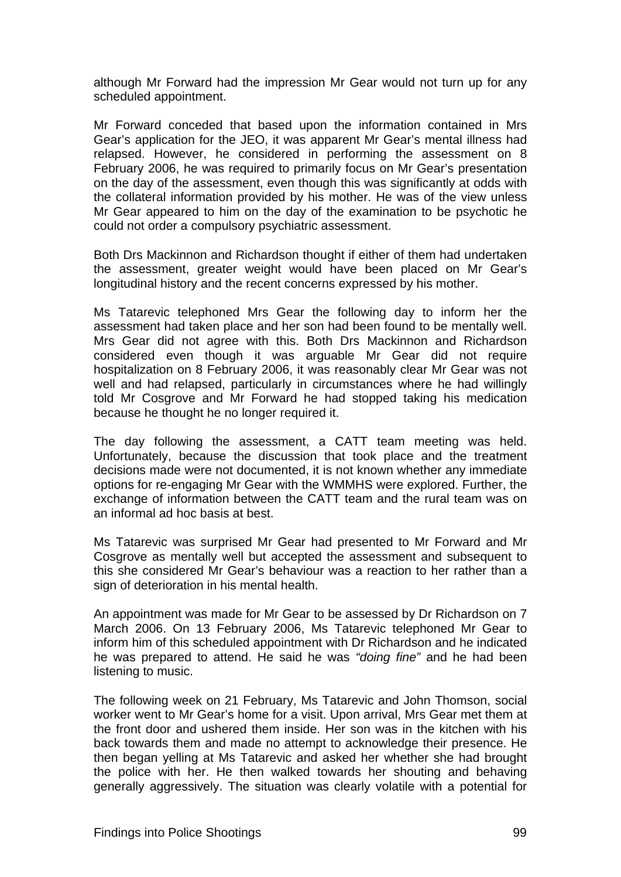although Mr Forward had the impression Mr Gear would not turn up for any scheduled appointment.

Mr Forward conceded that based upon the information contained in Mrs Gear's application for the JEO, it was apparent Mr Gear's mental illness had relapsed. However, he considered in performing the assessment on 8 February 2006, he was required to primarily focus on Mr Gear's presentation on the day of the assessment, even though this was significantly at odds with the collateral information provided by his mother. He was of the view unless Mr Gear appeared to him on the day of the examination to be psychotic he could not order a compulsory psychiatric assessment.

Both Drs Mackinnon and Richardson thought if either of them had undertaken the assessment, greater weight would have been placed on Mr Gear's longitudinal history and the recent concerns expressed by his mother.

Ms Tatarevic telephoned Mrs Gear the following day to inform her the assessment had taken place and her son had been found to be mentally well. Mrs Gear did not agree with this. Both Drs Mackinnon and Richardson considered even though it was arguable Mr Gear did not require hospitalization on 8 February 2006, it was reasonably clear Mr Gear was not well and had relapsed, particularly in circumstances where he had willingly told Mr Cosgrove and Mr Forward he had stopped taking his medication because he thought he no longer required it.

The day following the assessment, a CATT team meeting was held. Unfortunately, because the discussion that took place and the treatment decisions made were not documented, it is not known whether any immediate options for re-engaging Mr Gear with the WMMHS were explored. Further, the exchange of information between the CATT team and the rural team was on an informal ad hoc basis at best.

Ms Tatarevic was surprised Mr Gear had presented to Mr Forward and Mr Cosgrove as mentally well but accepted the assessment and subsequent to this she considered Mr Gear's behaviour was a reaction to her rather than a sign of deterioration in his mental health.

An appointment was made for Mr Gear to be assessed by Dr Richardson on 7 March 2006. On 13 February 2006, Ms Tatarevic telephoned Mr Gear to inform him of this scheduled appointment with Dr Richardson and he indicated he was prepared to attend. He said he was *"doing fine"* and he had been listening to music.

The following week on 21 February, Ms Tatarevic and John Thomson, social worker went to Mr Gear's home for a visit. Upon arrival, Mrs Gear met them at the front door and ushered them inside. Her son was in the kitchen with his back towards them and made no attempt to acknowledge their presence. He then began yelling at Ms Tatarevic and asked her whether she had brought the police with her. He then walked towards her shouting and behaving generally aggressively. The situation was clearly volatile with a potential for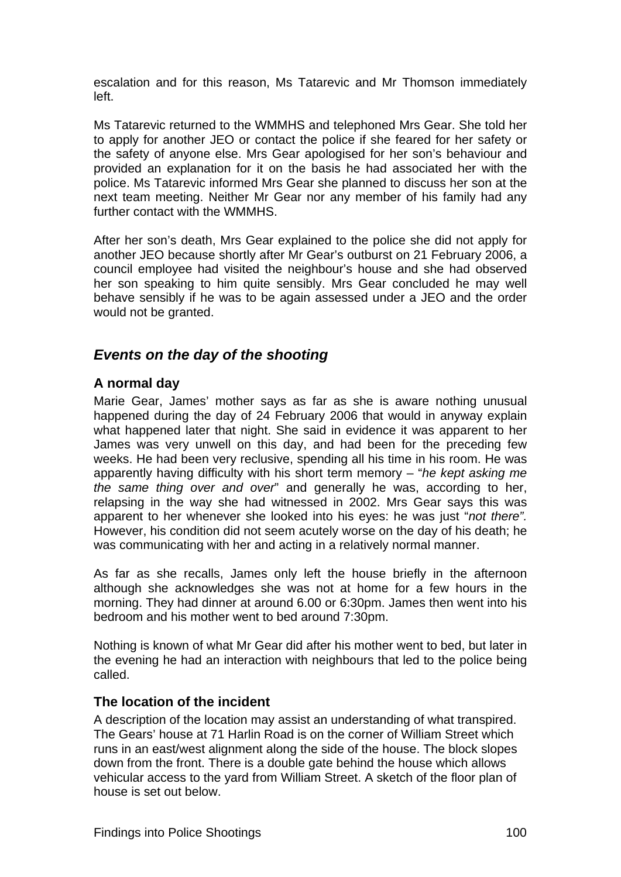escalation and for this reason, Ms Tatarevic and Mr Thomson immediately left.

Ms Tatarevic returned to the WMMHS and telephoned Mrs Gear. She told her to apply for another JEO or contact the police if she feared for her safety or the safety of anyone else. Mrs Gear apologised for her son's behaviour and provided an explanation for it on the basis he had associated her with the police. Ms Tatarevic informed Mrs Gear she planned to discuss her son at the next team meeting. Neither Mr Gear nor any member of his family had any further contact with the WMMHS.

After her son's death, Mrs Gear explained to the police she did not apply for another JEO because shortly after Mr Gear's outburst on 21 February 2006, a council employee had visited the neighbour's house and she had observed her son speaking to him quite sensibly. Mrs Gear concluded he may well behave sensibly if he was to be again assessed under a JEO and the order would not be granted.

## *Events on the day of the shooting*

### **A normal day**

Marie Gear, James' mother says as far as she is aware nothing unusual happened during the day of 24 February 2006 that would in anyway explain what happened later that night. She said in evidence it was apparent to her James was very unwell on this day, and had been for the preceding few weeks. He had been very reclusive, spending all his time in his room. He was apparently having difficulty with his short term memory – "*he kept asking me the same thing over and over*" and generally he was, according to her, relapsing in the way she had witnessed in 2002. Mrs Gear says this was apparent to her whenever she looked into his eyes: he was just "*not there".*  However, his condition did not seem acutely worse on the day of his death; he was communicating with her and acting in a relatively normal manner.

As far as she recalls, James only left the house briefly in the afternoon although she acknowledges she was not at home for a few hours in the morning. They had dinner at around 6.00 or 6:30pm. James then went into his bedroom and his mother went to bed around 7:30pm.

Nothing is known of what Mr Gear did after his mother went to bed, but later in the evening he had an interaction with neighbours that led to the police being called.

### **The location of the incident**

A description of the location may assist an understanding of what transpired. The Gears' house at 71 Harlin Road is on the corner of William Street which runs in an east/west alignment along the side of the house. The block slopes down from the front. There is a double gate behind the house which allows vehicular access to the yard from William Street. A sketch of the floor plan of house is set out below.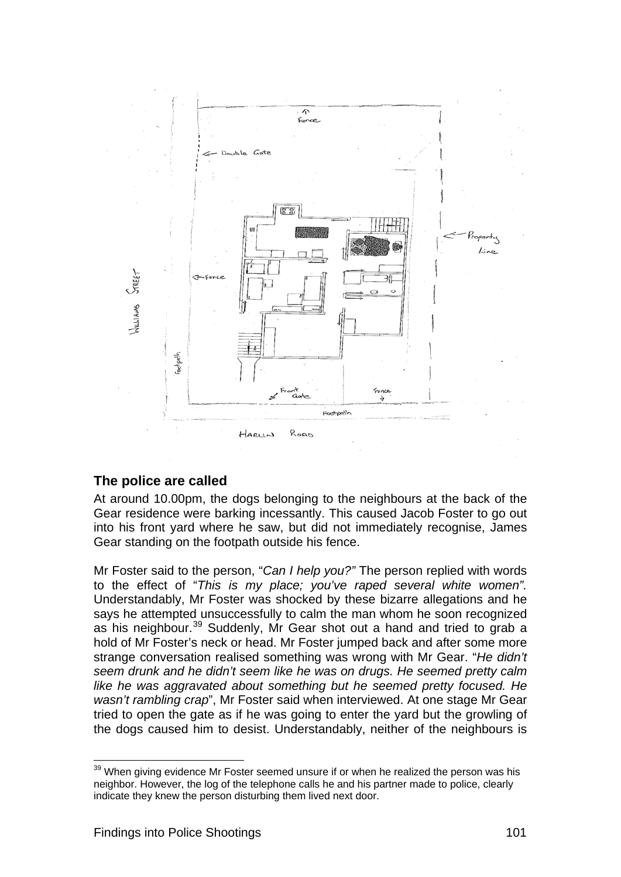

## **The police are called**

At around 10.00pm, the dogs belonging to the neighbours at the back of the Gear residence were barking incessantly. This caused Jacob Foster to go out into his front yard where he saw, but did not immediately recognise, James Gear standing on the footpath outside his fence.

Mr Foster said to the person, "*Can I help you?"* The person replied with words to the effect of "*This is my place; you've raped several white women".* Understandably, Mr Foster was shocked by these bizarre allegations and he says he attempted unsuccessfully to calm the man whom he soon recognized as his neighbour.<sup>[39](#page-116-0)</sup> Suddenly, Mr Gear shot out a hand and tried to grab a hold of Mr Foster's neck or head. Mr Foster jumped back and after some more strange conversation realised something was wrong with Mr Gear. "*He didn't seem drunk and he didn't seem like he was on drugs. He seemed pretty calm like he was aggravated about something but he seemed pretty focused. He wasn't rambling crap*", Mr Foster said when interviewed. At one stage Mr Gear tried to open the gate as if he was going to enter the yard but the growling of the dogs caused him to desist. Understandably, neither of the neighbours is

<span id="page-116-0"></span> $39$  When giving evidence Mr Foster seemed unsure if or when he realized the person was his neighbor. However, the log of the telephone calls he and his partner made to police, clearly indicate they knew the person disturbing them lived next door.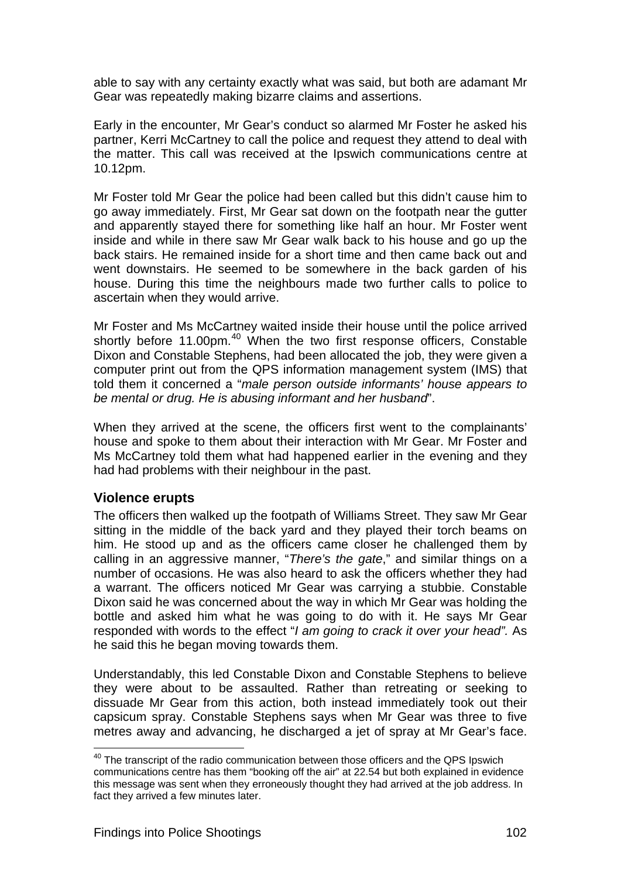able to say with any certainty exactly what was said, but both are adamant Mr Gear was repeatedly making bizarre claims and assertions.

Early in the encounter, Mr Gear's conduct so alarmed Mr Foster he asked his partner, Kerri McCartney to call the police and request they attend to deal with the matter. This call was received at the Ipswich communications centre at 10.12pm.

Mr Foster told Mr Gear the police had been called but this didn't cause him to go away immediately. First, Mr Gear sat down on the footpath near the gutter and apparently stayed there for something like half an hour. Mr Foster went inside and while in there saw Mr Gear walk back to his house and go up the back stairs. He remained inside for a short time and then came back out and went downstairs. He seemed to be somewhere in the back garden of his house. During this time the neighbours made two further calls to police to ascertain when they would arrive.

Mr Foster and Ms McCartney waited inside their house until the police arrived shortly before 11.00pm.<sup>[40](#page-117-0)</sup> When the two first response officers, Constable Dixon and Constable Stephens, had been allocated the job, they were given a computer print out from the QPS information management system (IMS) that told them it concerned a "*male person outside informants' house appears to be mental or drug. He is abusing informant and her husband*".

When they arrived at the scene, the officers first went to the complainants' house and spoke to them about their interaction with Mr Gear. Mr Foster and Ms McCartney told them what had happened earlier in the evening and they had had problems with their neighbour in the past.

### **Violence erupts**

l

The officers then walked up the footpath of Williams Street. They saw Mr Gear sitting in the middle of the back yard and they played their torch beams on him. He stood up and as the officers came closer he challenged them by calling in an aggressive manner, "*There's the gate*," and similar things on a number of occasions. He was also heard to ask the officers whether they had a warrant. The officers noticed Mr Gear was carrying a stubbie. Constable Dixon said he was concerned about the way in which Mr Gear was holding the bottle and asked him what he was going to do with it. He says Mr Gear responded with words to the effect "*I am going to crack it over your head".* As he said this he began moving towards them.

Understandably, this led Constable Dixon and Constable Stephens to believe they were about to be assaulted. Rather than retreating or seeking to dissuade Mr Gear from this action, both instead immediately took out their capsicum spray. Constable Stephens says when Mr Gear was three to five metres away and advancing, he discharged a jet of spray at Mr Gear's face.

<span id="page-117-0"></span> $40$  The transcript of the radio communication between those officers and the QPS Ipswich communications centre has them "booking off the air" at 22.54 but both explained in evidence this message was sent when they erroneously thought they had arrived at the job address. In fact they arrived a few minutes later.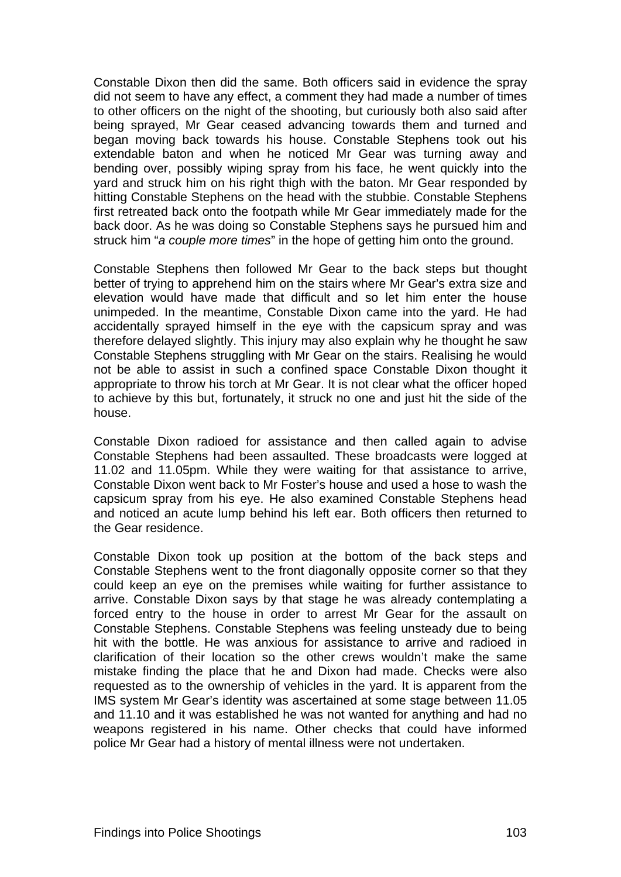Constable Dixon then did the same. Both officers said in evidence the spray did not seem to have any effect, a comment they had made a number of times to other officers on the night of the shooting, but curiously both also said after being sprayed, Mr Gear ceased advancing towards them and turned and began moving back towards his house. Constable Stephens took out his extendable baton and when he noticed Mr Gear was turning away and bending over, possibly wiping spray from his face, he went quickly into the yard and struck him on his right thigh with the baton. Mr Gear responded by hitting Constable Stephens on the head with the stubbie. Constable Stephens first retreated back onto the footpath while Mr Gear immediately made for the back door. As he was doing so Constable Stephens says he pursued him and struck him "*a couple more times*" in the hope of getting him onto the ground.

Constable Stephens then followed Mr Gear to the back steps but thought better of trying to apprehend him on the stairs where Mr Gear's extra size and elevation would have made that difficult and so let him enter the house unimpeded. In the meantime, Constable Dixon came into the yard. He had accidentally sprayed himself in the eye with the capsicum spray and was therefore delayed slightly. This injury may also explain why he thought he saw Constable Stephens struggling with Mr Gear on the stairs. Realising he would not be able to assist in such a confined space Constable Dixon thought it appropriate to throw his torch at Mr Gear. It is not clear what the officer hoped to achieve by this but, fortunately, it struck no one and just hit the side of the house.

Constable Dixon radioed for assistance and then called again to advise Constable Stephens had been assaulted. These broadcasts were logged at 11.02 and 11.05pm. While they were waiting for that assistance to arrive, Constable Dixon went back to Mr Foster's house and used a hose to wash the capsicum spray from his eye. He also examined Constable Stephens head and noticed an acute lump behind his left ear. Both officers then returned to the Gear residence.

Constable Dixon took up position at the bottom of the back steps and Constable Stephens went to the front diagonally opposite corner so that they could keep an eye on the premises while waiting for further assistance to arrive. Constable Dixon says by that stage he was already contemplating a forced entry to the house in order to arrest Mr Gear for the assault on Constable Stephens. Constable Stephens was feeling unsteady due to being hit with the bottle. He was anxious for assistance to arrive and radioed in clarification of their location so the other crews wouldn't make the same mistake finding the place that he and Dixon had made. Checks were also requested as to the ownership of vehicles in the yard. It is apparent from the IMS system Mr Gear's identity was ascertained at some stage between 11.05 and 11.10 and it was established he was not wanted for anything and had no weapons registered in his name. Other checks that could have informed police Mr Gear had a history of mental illness were not undertaken.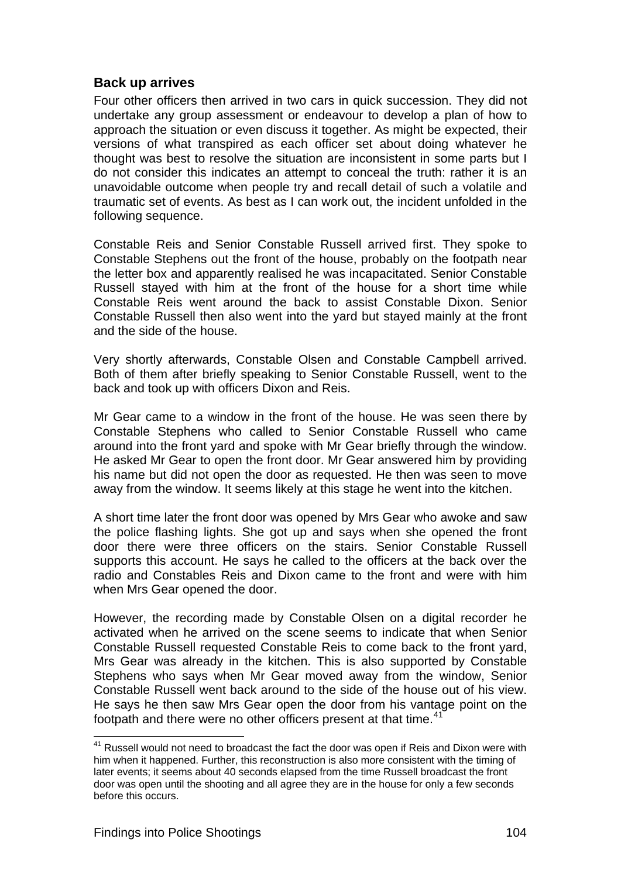### **Back up arrives**

Four other officers then arrived in two cars in quick succession. They did not undertake any group assessment or endeavour to develop a plan of how to approach the situation or even discuss it together. As might be expected, their versions of what transpired as each officer set about doing whatever he thought was best to resolve the situation are inconsistent in some parts but I do not consider this indicates an attempt to conceal the truth: rather it is an unavoidable outcome when people try and recall detail of such a volatile and traumatic set of events. As best as I can work out, the incident unfolded in the following sequence.

Constable Reis and Senior Constable Russell arrived first. They spoke to Constable Stephens out the front of the house, probably on the footpath near the letter box and apparently realised he was incapacitated. Senior Constable Russell stayed with him at the front of the house for a short time while Constable Reis went around the back to assist Constable Dixon. Senior Constable Russell then also went into the yard but stayed mainly at the front and the side of the house.

Very shortly afterwards, Constable Olsen and Constable Campbell arrived. Both of them after briefly speaking to Senior Constable Russell, went to the back and took up with officers Dixon and Reis.

Mr Gear came to a window in the front of the house. He was seen there by Constable Stephens who called to Senior Constable Russell who came around into the front yard and spoke with Mr Gear briefly through the window. He asked Mr Gear to open the front door. Mr Gear answered him by providing his name but did not open the door as requested. He then was seen to move away from the window. It seems likely at this stage he went into the kitchen.

A short time later the front door was opened by Mrs Gear who awoke and saw the police flashing lights. She got up and says when she opened the front door there were three officers on the stairs. Senior Constable Russell supports this account. He says he called to the officers at the back over the radio and Constables Reis and Dixon came to the front and were with him when Mrs Gear opened the door.

However, the recording made by Constable Olsen on a digital recorder he activated when he arrived on the scene seems to indicate that when Senior Constable Russell requested Constable Reis to come back to the front yard, Mrs Gear was already in the kitchen. This is also supported by Constable Stephens who says when Mr Gear moved away from the window, Senior Constable Russell went back around to the side of the house out of his view. He says he then saw Mrs Gear open the door from his vantage point on the footpath and there were no other officers present at that time.<sup>[41](#page-119-0)</sup>

<span id="page-119-0"></span> $41$  Russell would not need to broadcast the fact the door was open if Reis and Dixon were with him when it happened. Further, this reconstruction is also more consistent with the timing of later events; it seems about 40 seconds elapsed from the time Russell broadcast the front door was open until the shooting and all agree they are in the house for only a few seconds before this occurs.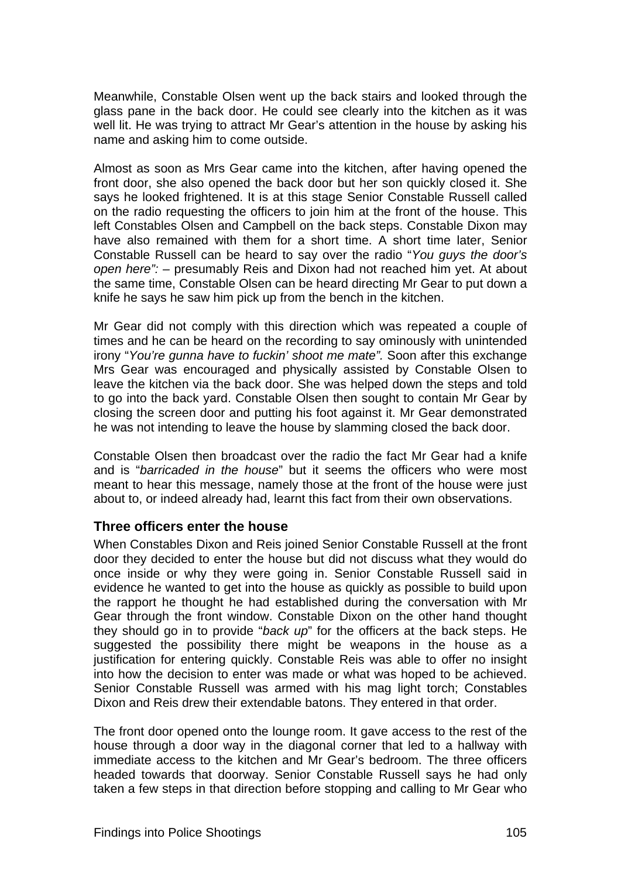Meanwhile, Constable Olsen went up the back stairs and looked through the glass pane in the back door. He could see clearly into the kitchen as it was well lit. He was trying to attract Mr Gear's attention in the house by asking his name and asking him to come outside.

Almost as soon as Mrs Gear came into the kitchen, after having opened the front door, she also opened the back door but her son quickly closed it. She says he looked frightened. It is at this stage Senior Constable Russell called on the radio requesting the officers to join him at the front of the house. This left Constables Olsen and Campbell on the back steps. Constable Dixon may have also remained with them for a short time. A short time later, Senior Constable Russell can be heard to say over the radio "*You guys the door's open here": –* presumably Reis and Dixon had not reached him yet. At about the same time, Constable Olsen can be heard directing Mr Gear to put down a knife he says he saw him pick up from the bench in the kitchen.

Mr Gear did not comply with this direction which was repeated a couple of times and he can be heard on the recording to say ominously with unintended irony "*You're gunna have to fuckin' shoot me mate".* Soon after this exchange Mrs Gear was encouraged and physically assisted by Constable Olsen to leave the kitchen via the back door. She was helped down the steps and told to go into the back yard. Constable Olsen then sought to contain Mr Gear by closing the screen door and putting his foot against it. Mr Gear demonstrated he was not intending to leave the house by slamming closed the back door.

Constable Olsen then broadcast over the radio the fact Mr Gear had a knife and is "*barricaded in the house*" but it seems the officers who were most meant to hear this message, namely those at the front of the house were just about to, or indeed already had, learnt this fact from their own observations.

### **Three officers enter the house**

When Constables Dixon and Reis joined Senior Constable Russell at the front door they decided to enter the house but did not discuss what they would do once inside or why they were going in. Senior Constable Russell said in evidence he wanted to get into the house as quickly as possible to build upon the rapport he thought he had established during the conversation with Mr Gear through the front window. Constable Dixon on the other hand thought they should go in to provide "*back up*" for the officers at the back steps. He suggested the possibility there might be weapons in the house as a justification for entering quickly. Constable Reis was able to offer no insight into how the decision to enter was made or what was hoped to be achieved. Senior Constable Russell was armed with his mag light torch; Constables Dixon and Reis drew their extendable batons. They entered in that order.

The front door opened onto the lounge room. It gave access to the rest of the house through a door way in the diagonal corner that led to a hallway with immediate access to the kitchen and Mr Gear's bedroom. The three officers headed towards that doorway. Senior Constable Russell says he had only taken a few steps in that direction before stopping and calling to Mr Gear who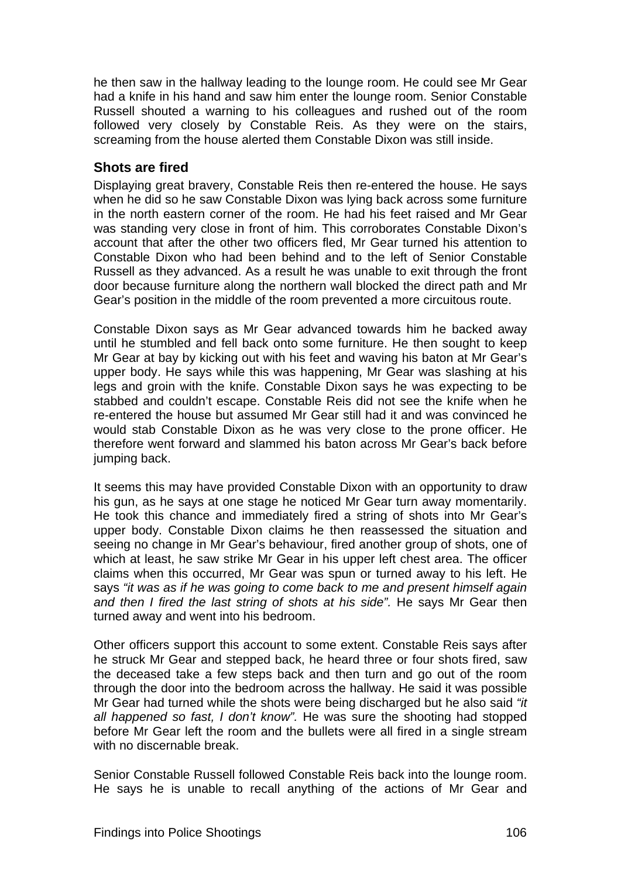he then saw in the hallway leading to the lounge room. He could see Mr Gear had a knife in his hand and saw him enter the lounge room. Senior Constable Russell shouted a warning to his colleagues and rushed out of the room followed very closely by Constable Reis. As they were on the stairs, screaming from the house alerted them Constable Dixon was still inside.

### **Shots are fired**

Displaying great bravery, Constable Reis then re-entered the house. He says when he did so he saw Constable Dixon was lying back across some furniture in the north eastern corner of the room. He had his feet raised and Mr Gear was standing very close in front of him. This corroborates Constable Dixon's account that after the other two officers fled, Mr Gear turned his attention to Constable Dixon who had been behind and to the left of Senior Constable Russell as they advanced. As a result he was unable to exit through the front door because furniture along the northern wall blocked the direct path and Mr Gear's position in the middle of the room prevented a more circuitous route.

Constable Dixon says as Mr Gear advanced towards him he backed away until he stumbled and fell back onto some furniture. He then sought to keep Mr Gear at bay by kicking out with his feet and waving his baton at Mr Gear's upper body. He says while this was happening, Mr Gear was slashing at his legs and groin with the knife. Constable Dixon says he was expecting to be stabbed and couldn't escape. Constable Reis did not see the knife when he re-entered the house but assumed Mr Gear still had it and was convinced he would stab Constable Dixon as he was very close to the prone officer. He therefore went forward and slammed his baton across Mr Gear's back before jumping back.

It seems this may have provided Constable Dixon with an opportunity to draw his gun, as he says at one stage he noticed Mr Gear turn away momentarily. He took this chance and immediately fired a string of shots into Mr Gear's upper body. Constable Dixon claims he then reassessed the situation and seeing no change in Mr Gear's behaviour, fired another group of shots, one of which at least, he saw strike Mr Gear in his upper left chest area. The officer claims when this occurred, Mr Gear was spun or turned away to his left. He says *"it was as if he was going to come back to me and present himself again and then I fired the last string of shots at his side".* He says Mr Gear then turned away and went into his bedroom.

Other officers support this account to some extent. Constable Reis says after he struck Mr Gear and stepped back, he heard three or four shots fired, saw the deceased take a few steps back and then turn and go out of the room through the door into the bedroom across the hallway. He said it was possible Mr Gear had turned while the shots were being discharged but he also said *"it all happened so fast, I don't know".* He was sure the shooting had stopped before Mr Gear left the room and the bullets were all fired in a single stream with no discernable break.

Senior Constable Russell followed Constable Reis back into the lounge room. He says he is unable to recall anything of the actions of Mr Gear and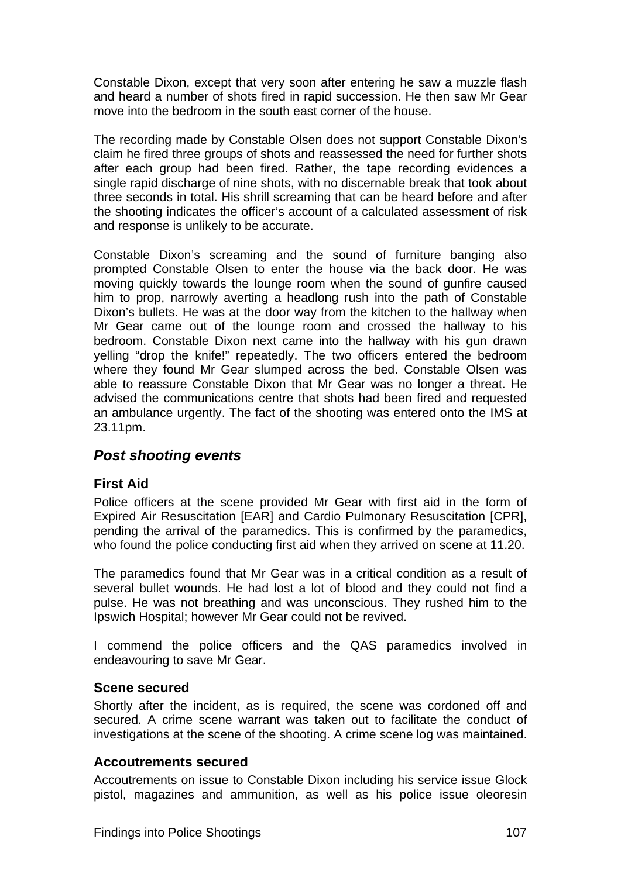Constable Dixon, except that very soon after entering he saw a muzzle flash and heard a number of shots fired in rapid succession. He then saw Mr Gear move into the bedroom in the south east corner of the house.

The recording made by Constable Olsen does not support Constable Dixon's claim he fired three groups of shots and reassessed the need for further shots after each group had been fired. Rather, the tape recording evidences a single rapid discharge of nine shots, with no discernable break that took about three seconds in total. His shrill screaming that can be heard before and after the shooting indicates the officer's account of a calculated assessment of risk and response is unlikely to be accurate.

Constable Dixon's screaming and the sound of furniture banging also prompted Constable Olsen to enter the house via the back door. He was moving quickly towards the lounge room when the sound of gunfire caused him to prop, narrowly averting a headlong rush into the path of Constable Dixon's bullets. He was at the door way from the kitchen to the hallway when Mr Gear came out of the lounge room and crossed the hallway to his bedroom. Constable Dixon next came into the hallway with his gun drawn yelling "drop the knife!" repeatedly. The two officers entered the bedroom where they found Mr Gear slumped across the bed. Constable Olsen was able to reassure Constable Dixon that Mr Gear was no longer a threat. He advised the communications centre that shots had been fired and requested an ambulance urgently. The fact of the shooting was entered onto the IMS at 23.11pm.

## *Post shooting events*

### **First Aid**

Police officers at the scene provided Mr Gear with first aid in the form of Expired Air Resuscitation [EAR] and Cardio Pulmonary Resuscitation [CPR], pending the arrival of the paramedics. This is confirmed by the paramedics, who found the police conducting first aid when they arrived on scene at 11.20.

The paramedics found that Mr Gear was in a critical condition as a result of several bullet wounds. He had lost a lot of blood and they could not find a pulse. He was not breathing and was unconscious. They rushed him to the Ipswich Hospital; however Mr Gear could not be revived.

I commend the police officers and the QAS paramedics involved in endeavouring to save Mr Gear.

### **Scene secured**

Shortly after the incident, as is required, the scene was cordoned off and secured. A crime scene warrant was taken out to facilitate the conduct of investigations at the scene of the shooting. A crime scene log was maintained.

### **Accoutrements secured**

Accoutrements on issue to Constable Dixon including his service issue Glock pistol, magazines and ammunition, as well as his police issue oleoresin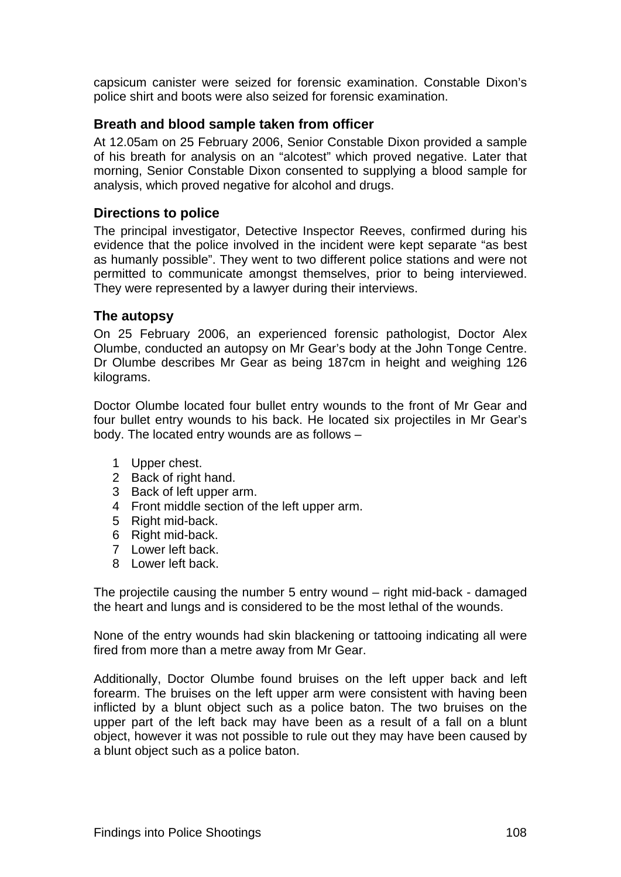capsicum canister were seized for forensic examination. Constable Dixon's police shirt and boots were also seized for forensic examination.

### **Breath and blood sample taken from officer**

At 12.05am on 25 February 2006, Senior Constable Dixon provided a sample of his breath for analysis on an "alcotest" which proved negative. Later that morning, Senior Constable Dixon consented to supplying a blood sample for analysis, which proved negative for alcohol and drugs.

### **Directions to police**

The principal investigator, Detective Inspector Reeves, confirmed during his evidence that the police involved in the incident were kept separate "as best as humanly possible". They went to two different police stations and were not permitted to communicate amongst themselves, prior to being interviewed. They were represented by a lawyer during their interviews.

### **The autopsy**

On 25 February 2006, an experienced forensic pathologist, Doctor Alex Olumbe, conducted an autopsy on Mr Gear's body at the John Tonge Centre. Dr Olumbe describes Mr Gear as being 187cm in height and weighing 126 kilograms.

Doctor Olumbe located four bullet entry wounds to the front of Mr Gear and four bullet entry wounds to his back. He located six projectiles in Mr Gear's body. The located entry wounds are as follows –

- 1 Upper chest.
- 2 Back of right hand.
- 3 Back of left upper arm.
- 4 Front middle section of the left upper arm.
- 5 Right mid-back.
- 6 Right mid-back.
- 7 Lower left back.
- 8 Lower left back.

The projectile causing the number 5 entry wound – right mid-back - damaged the heart and lungs and is considered to be the most lethal of the wounds.

None of the entry wounds had skin blackening or tattooing indicating all were fired from more than a metre away from Mr Gear.

Additionally, Doctor Olumbe found bruises on the left upper back and left forearm. The bruises on the left upper arm were consistent with having been inflicted by a blunt object such as a police baton. The two bruises on the upper part of the left back may have been as a result of a fall on a blunt object, however it was not possible to rule out they may have been caused by a blunt object such as a police baton.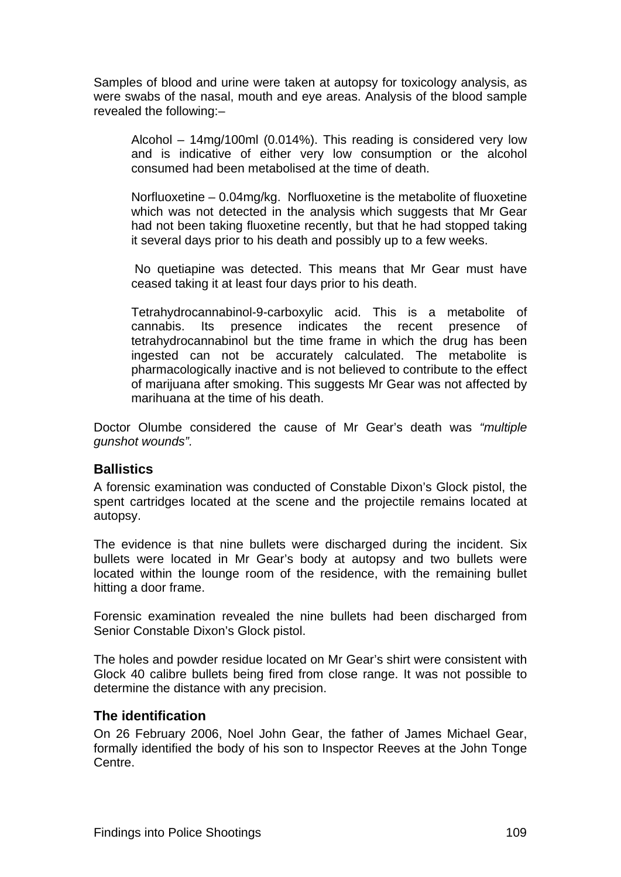Samples of blood and urine were taken at autopsy for toxicology analysis, as were swabs of the nasal, mouth and eye areas. Analysis of the blood sample revealed the following:–

Alcohol – 14mg/100ml (0.014%). This reading is considered very low and is indicative of either very low consumption or the alcohol consumed had been metabolised at the time of death.

Norfluoxetine – 0.04mg/kg. Norfluoxetine is the metabolite of fluoxetine which was not detected in the analysis which suggests that Mr Gear had not been taking fluoxetine recently, but that he had stopped taking it several days prior to his death and possibly up to a few weeks.

 No quetiapine was detected. This means that Mr Gear must have ceased taking it at least four days prior to his death.

Tetrahydrocannabinol-9-carboxylic acid. This is a metabolite of cannabis. Its presence indicates the recent presence of tetrahydrocannabinol but the time frame in which the drug has been ingested can not be accurately calculated. The metabolite is pharmacologically inactive and is not believed to contribute to the effect of marijuana after smoking. This suggests Mr Gear was not affected by marihuana at the time of his death.

Doctor Olumbe considered the cause of Mr Gear's death was *"multiple gunshot wounds".* 

### **Ballistics**

A forensic examination was conducted of Constable Dixon's Glock pistol, the spent cartridges located at the scene and the projectile remains located at autopsy.

The evidence is that nine bullets were discharged during the incident. Six bullets were located in Mr Gear's body at autopsy and two bullets were located within the lounge room of the residence, with the remaining bullet hitting a door frame.

Forensic examination revealed the nine bullets had been discharged from Senior Constable Dixon's Glock pistol.

The holes and powder residue located on Mr Gear's shirt were consistent with Glock 40 calibre bullets being fired from close range. It was not possible to determine the distance with any precision.

### **The identification**

On 26 February 2006, Noel John Gear, the father of James Michael Gear, formally identified the body of his son to Inspector Reeves at the John Tonge Centre.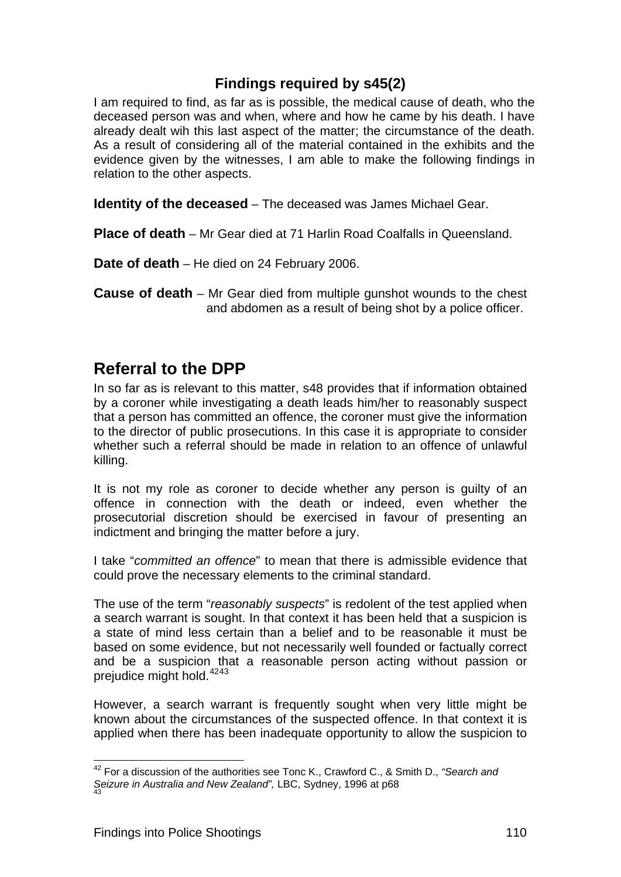## **Findings required by s45(2)**

I am required to find, as far as is possible, the medical cause of death, who the deceased person was and when, where and how he came by his death. I have already dealt wih this last aspect of the matter; the circumstance of the death. As a result of considering all of the material contained in the exhibits and the evidence given by the witnesses, I am able to make the following findings in relation to the other aspects.

**Identity of the deceased** – The deceased was James Michael Gear.

**Place of death** – Mr Gear died at 71 Harlin Road Coalfalls in Queensland.

**Date of death** – He died on 24 February 2006.

**Cause of death** – Mr Gear died from multiple gunshot wounds to the chest and abdomen as a result of being shot by a police officer.

## **Referral to the DPP**

In so far as is relevant to this matter, s48 provides that if information obtained by a coroner while investigating a death leads him/her to reasonably suspect that a person has committed an offence, the coroner must give the information to the director of public prosecutions. In this case it is appropriate to consider whether such a referral should be made in relation to an offence of unlawful killing.

It is not my role as coroner to decide whether any person is guilty of an offence in connection with the death or indeed, even whether the prosecutorial discretion should be exercised in favour of presenting an indictment and bringing the matter before a jury.

I take "*committed an offence*" to mean that there is admissible evidence that could prove the necessary elements to the criminal standard.

The use of the term "*reasonably suspects*" is redolent of the test applied when a search warrant is sought. In that context it has been held that a suspicion is a state of mind less certain than a belief and to be reasonable it must be based on some evidence, but not necessarily well founded or factually correct and be a suspicion that a reasonable person acting without passion or prejudice might hold.<sup>[42](#page-125-0)[43](#page-125-1)</sup>

However, a search warrant is frequently sought when very little might be known about the circumstances of the suspected offence. In that context it is applied when there has been inadequate opportunity to allow the suspicion to

<span id="page-125-1"></span><span id="page-125-0"></span>l 42 For a discussion of the authorities see Tonc K., Crawford C., & Smith D., *"Search and*  Seizure in Australia and New Zealand", LBC, Sydney, 1996 at p68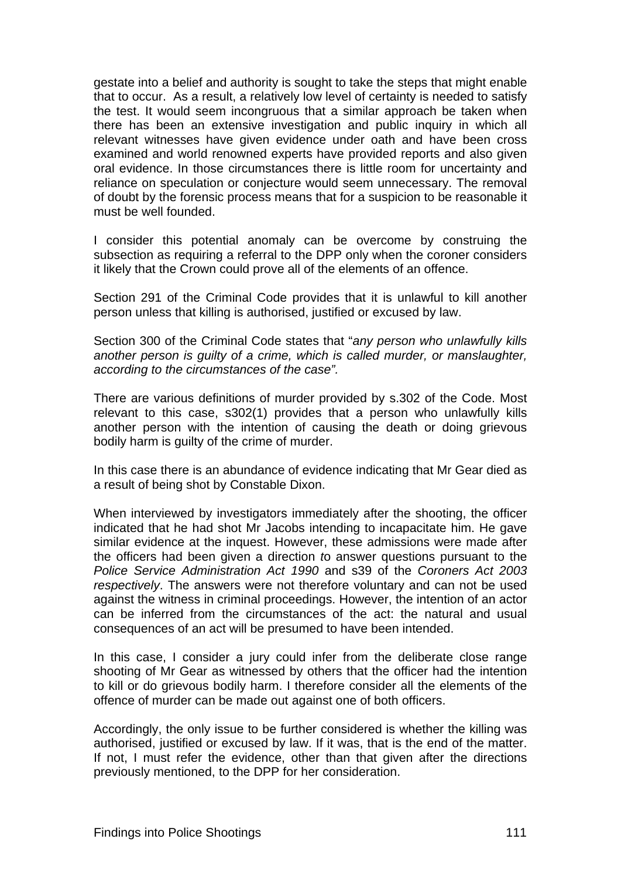gestate into a belief and authority is sought to take the steps that might enable that to occur. As a result, a relatively low level of certainty is needed to satisfy the test. It would seem incongruous that a similar approach be taken when there has been an extensive investigation and public inquiry in which all relevant witnesses have given evidence under oath and have been cross examined and world renowned experts have provided reports and also given oral evidence. In those circumstances there is little room for uncertainty and reliance on speculation or conjecture would seem unnecessary. The removal of doubt by the forensic process means that for a suspicion to be reasonable it must be well founded.

I consider this potential anomaly can be overcome by construing the subsection as requiring a referral to the DPP only when the coroner considers it likely that the Crown could prove all of the elements of an offence.

Section 291 of the Criminal Code provides that it is unlawful to kill another person unless that killing is authorised, justified or excused by law.

Section 300 of the Criminal Code states that "*any person who unlawfully kills another person is guilty of a crime, which is called murder, or manslaughter, according to the circumstances of the case".* 

There are various definitions of murder provided by s.302 of the Code. Most relevant to this case, s302(1) provides that a person who unlawfully kills another person with the intention of causing the death or doing grievous bodily harm is guilty of the crime of murder.

In this case there is an abundance of evidence indicating that Mr Gear died as a result of being shot by Constable Dixon.

When interviewed by investigators immediately after the shooting, the officer indicated that he had shot Mr Jacobs intending to incapacitate him. He gave similar evidence at the inquest. However, these admissions were made after the officers had been given a direction *t*o answer questions pursuant to the *Police Service Administration Act 1990* and s39 of the *Coroners Act 2003 respectively*. The answers were not therefore voluntary and can not be used against the witness in criminal proceedings. However, the intention of an actor can be inferred from the circumstances of the act: the natural and usual consequences of an act will be presumed to have been intended.

In this case, I consider a jury could infer from the deliberate close range shooting of Mr Gear as witnessed by others that the officer had the intention to kill or do grievous bodily harm. I therefore consider all the elements of the offence of murder can be made out against one of both officers.

Accordingly, the only issue to be further considered is whether the killing was authorised, justified or excused by law. If it was, that is the end of the matter. If not, I must refer the evidence, other than that given after the directions previously mentioned, to the DPP for her consideration.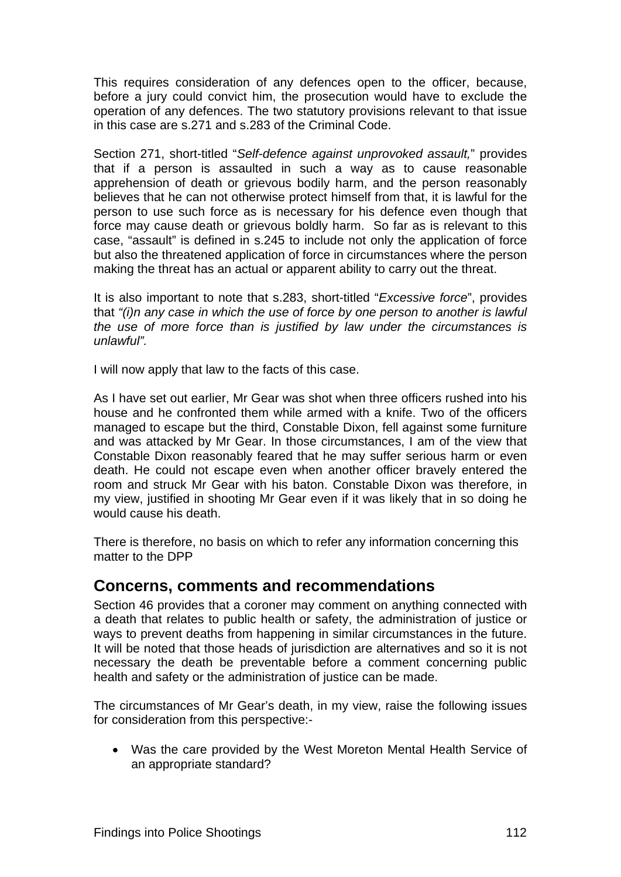This requires consideration of any defences open to the officer, because, before a jury could convict him, the prosecution would have to exclude the operation of any defences. The two statutory provisions relevant to that issue in this case are s.271 and s.283 of the Criminal Code.

Section 271, short-titled "*Self-defence against unprovoked assault,*" provides that if a person is assaulted in such a way as to cause reasonable apprehension of death or grievous bodily harm, and the person reasonably believes that he can not otherwise protect himself from that, it is lawful for the person to use such force as is necessary for his defence even though that force may cause death or grievous boldly harm. So far as is relevant to this case, "assault" is defined in s.245 to include not only the application of force but also the threatened application of force in circumstances where the person making the threat has an actual or apparent ability to carry out the threat.

It is also important to note that s.283, short-titled "*Excessive force*", provides that *"(i)n any case in which the use of force by one person to another is lawful the use of more force than is justified by law under the circumstances is unlawful".* 

I will now apply that law to the facts of this case.

As I have set out earlier, Mr Gear was shot when three officers rushed into his house and he confronted them while armed with a knife. Two of the officers managed to escape but the third, Constable Dixon, fell against some furniture and was attacked by Mr Gear. In those circumstances, I am of the view that Constable Dixon reasonably feared that he may suffer serious harm or even death. He could not escape even when another officer bravely entered the room and struck Mr Gear with his baton. Constable Dixon was therefore, in my view, justified in shooting Mr Gear even if it was likely that in so doing he would cause his death.

There is therefore, no basis on which to refer any information concerning this matter to the DPP

## **Concerns, comments and recommendations**

Section 46 provides that a coroner may comment on anything connected with a death that relates to public health or safety, the administration of justice or ways to prevent deaths from happening in similar circumstances in the future. It will be noted that those heads of jurisdiction are alternatives and so it is not necessary the death be preventable before a comment concerning public health and safety or the administration of justice can be made.

The circumstances of Mr Gear's death, in my view, raise the following issues for consideration from this perspective:-

• Was the care provided by the West Moreton Mental Health Service of an appropriate standard?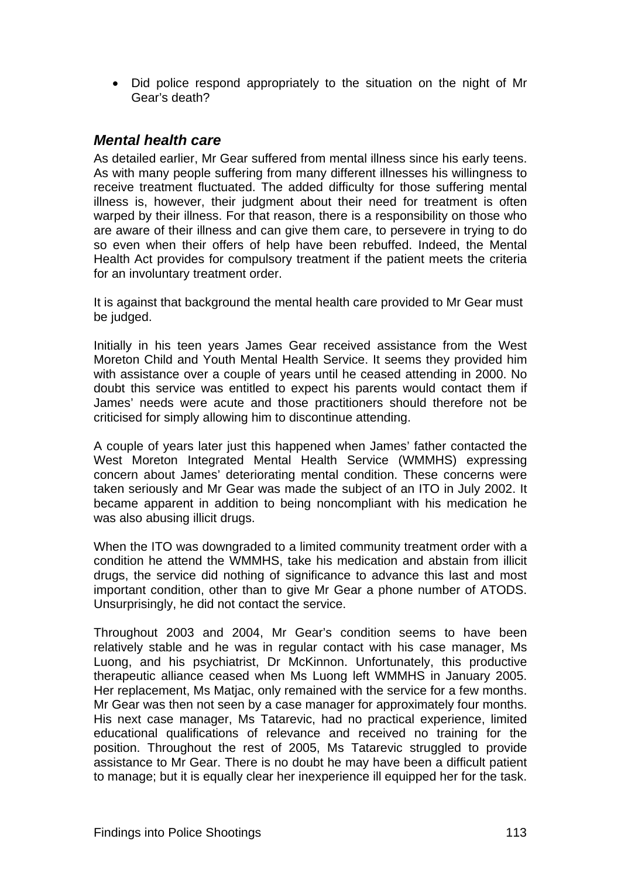• Did police respond appropriately to the situation on the night of Mr Gear's death?

## *Mental health care*

As detailed earlier, Mr Gear suffered from mental illness since his early teens. As with many people suffering from many different illnesses his willingness to receive treatment fluctuated. The added difficulty for those suffering mental illness is, however, their judgment about their need for treatment is often warped by their illness. For that reason, there is a responsibility on those who are aware of their illness and can give them care, to persevere in trying to do so even when their offers of help have been rebuffed. Indeed, the Mental Health Act provides for compulsory treatment if the patient meets the criteria for an involuntary treatment order.

It is against that background the mental health care provided to Mr Gear must be judged.

Initially in his teen years James Gear received assistance from the West Moreton Child and Youth Mental Health Service. It seems they provided him with assistance over a couple of years until he ceased attending in 2000. No doubt this service was entitled to expect his parents would contact them if James' needs were acute and those practitioners should therefore not be criticised for simply allowing him to discontinue attending.

A couple of years later just this happened when James' father contacted the West Moreton Integrated Mental Health Service (WMMHS) expressing concern about James' deteriorating mental condition. These concerns were taken seriously and Mr Gear was made the subject of an ITO in July 2002. It became apparent in addition to being noncompliant with his medication he was also abusing illicit drugs.

When the ITO was downgraded to a limited community treatment order with a condition he attend the WMMHS, take his medication and abstain from illicit drugs, the service did nothing of significance to advance this last and most important condition, other than to give Mr Gear a phone number of ATODS. Unsurprisingly, he did not contact the service.

Throughout 2003 and 2004, Mr Gear's condition seems to have been relatively stable and he was in regular contact with his case manager, Ms Luong, and his psychiatrist, Dr McKinnon. Unfortunately, this productive therapeutic alliance ceased when Ms Luong left WMMHS in January 2005. Her replacement, Ms Matjac, only remained with the service for a few months. Mr Gear was then not seen by a case manager for approximately four months. His next case manager, Ms Tatarevic, had no practical experience, limited educational qualifications of relevance and received no training for the position. Throughout the rest of 2005, Ms Tatarevic struggled to provide assistance to Mr Gear. There is no doubt he may have been a difficult patient to manage; but it is equally clear her inexperience ill equipped her for the task.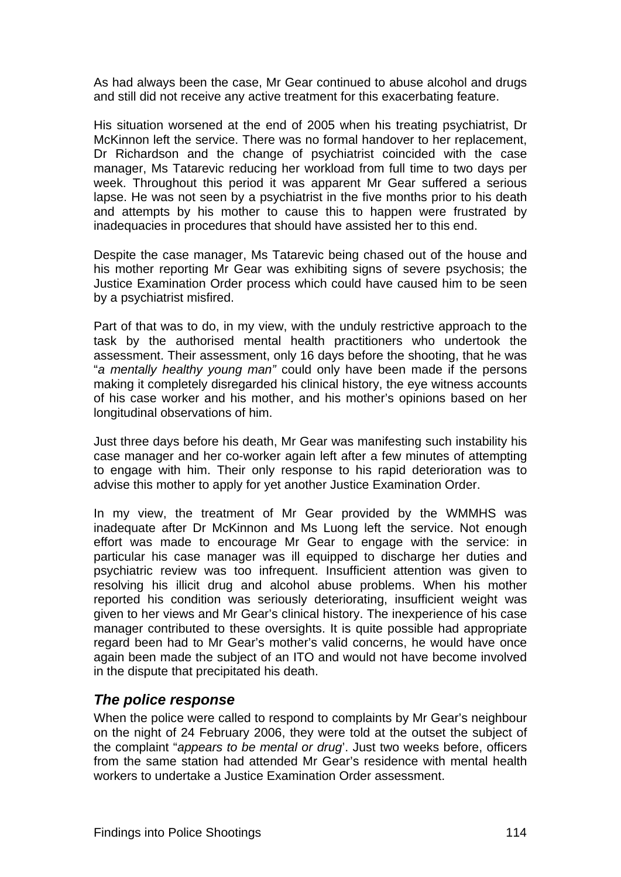As had always been the case, Mr Gear continued to abuse alcohol and drugs and still did not receive any active treatment for this exacerbating feature.

His situation worsened at the end of 2005 when his treating psychiatrist, Dr McKinnon left the service. There was no formal handover to her replacement, Dr Richardson and the change of psychiatrist coincided with the case manager, Ms Tatarevic reducing her workload from full time to two days per week. Throughout this period it was apparent Mr Gear suffered a serious lapse. He was not seen by a psychiatrist in the five months prior to his death and attempts by his mother to cause this to happen were frustrated by inadequacies in procedures that should have assisted her to this end.

Despite the case manager, Ms Tatarevic being chased out of the house and his mother reporting Mr Gear was exhibiting signs of severe psychosis; the Justice Examination Order process which could have caused him to be seen by a psychiatrist misfired.

Part of that was to do, in my view, with the unduly restrictive approach to the task by the authorised mental health practitioners who undertook the assessment. Their assessment, only 16 days before the shooting, that he was "*a mentally healthy young man"* could only have been made if the persons making it completely disregarded his clinical history, the eye witness accounts of his case worker and his mother, and his mother's opinions based on her longitudinal observations of him.

Just three days before his death, Mr Gear was manifesting such instability his case manager and her co-worker again left after a few minutes of attempting to engage with him. Their only response to his rapid deterioration was to advise this mother to apply for yet another Justice Examination Order.

In my view, the treatment of Mr Gear provided by the WMMHS was inadequate after Dr McKinnon and Ms Luong left the service. Not enough effort was made to encourage Mr Gear to engage with the service: in particular his case manager was ill equipped to discharge her duties and psychiatric review was too infrequent. Insufficient attention was given to resolving his illicit drug and alcohol abuse problems. When his mother reported his condition was seriously deteriorating, insufficient weight was given to her views and Mr Gear's clinical history. The inexperience of his case manager contributed to these oversights. It is quite possible had appropriate regard been had to Mr Gear's mother's valid concerns, he would have once again been made the subject of an ITO and would not have become involved in the dispute that precipitated his death.

## *The police response*

When the police were called to respond to complaints by Mr Gear's neighbour on the night of 24 February 2006, they were told at the outset the subject of the complaint "*appears to be mental or drug*'. Just two weeks before, officers from the same station had attended Mr Gear's residence with mental health workers to undertake a Justice Examination Order assessment.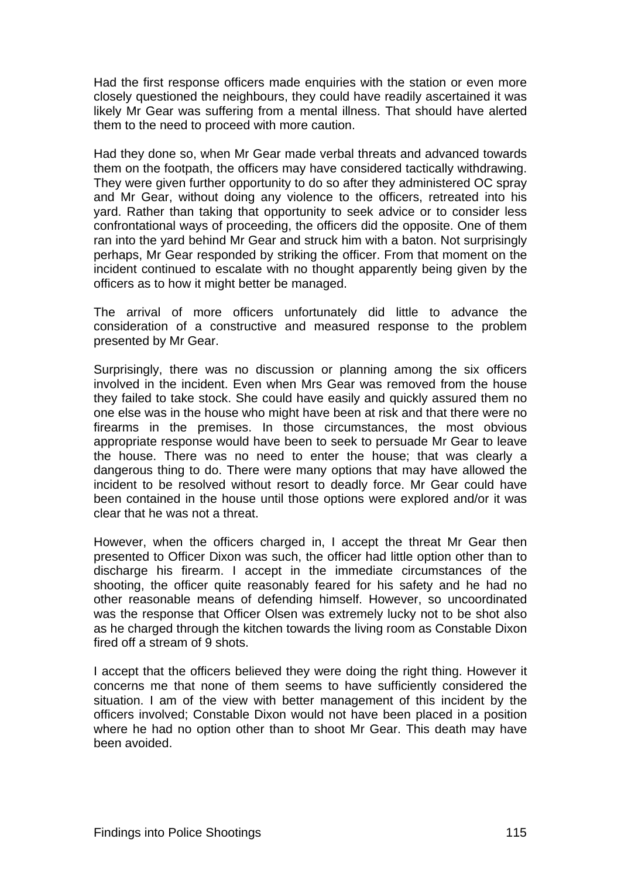Had the first response officers made enquiries with the station or even more closely questioned the neighbours, they could have readily ascertained it was likely Mr Gear was suffering from a mental illness. That should have alerted them to the need to proceed with more caution.

Had they done so, when Mr Gear made verbal threats and advanced towards them on the footpath, the officers may have considered tactically withdrawing. They were given further opportunity to do so after they administered OC spray and Mr Gear, without doing any violence to the officers, retreated into his yard. Rather than taking that opportunity to seek advice or to consider less confrontational ways of proceeding, the officers did the opposite. One of them ran into the yard behind Mr Gear and struck him with a baton. Not surprisingly perhaps, Mr Gear responded by striking the officer. From that moment on the incident continued to escalate with no thought apparently being given by the officers as to how it might better be managed.

The arrival of more officers unfortunately did little to advance the consideration of a constructive and measured response to the problem presented by Mr Gear.

Surprisingly, there was no discussion or planning among the six officers involved in the incident. Even when Mrs Gear was removed from the house they failed to take stock. She could have easily and quickly assured them no one else was in the house who might have been at risk and that there were no firearms in the premises. In those circumstances, the most obvious appropriate response would have been to seek to persuade Mr Gear to leave the house. There was no need to enter the house; that was clearly a dangerous thing to do. There were many options that may have allowed the incident to be resolved without resort to deadly force. Mr Gear could have been contained in the house until those options were explored and/or it was clear that he was not a threat.

However, when the officers charged in, I accept the threat Mr Gear then presented to Officer Dixon was such, the officer had little option other than to discharge his firearm. I accept in the immediate circumstances of the shooting, the officer quite reasonably feared for his safety and he had no other reasonable means of defending himself. However, so uncoordinated was the response that Officer Olsen was extremely lucky not to be shot also as he charged through the kitchen towards the living room as Constable Dixon fired off a stream of 9 shots.

I accept that the officers believed they were doing the right thing. However it concerns me that none of them seems to have sufficiently considered the situation. I am of the view with better management of this incident by the officers involved; Constable Dixon would not have been placed in a position where he had no option other than to shoot Mr Gear. This death may have been avoided.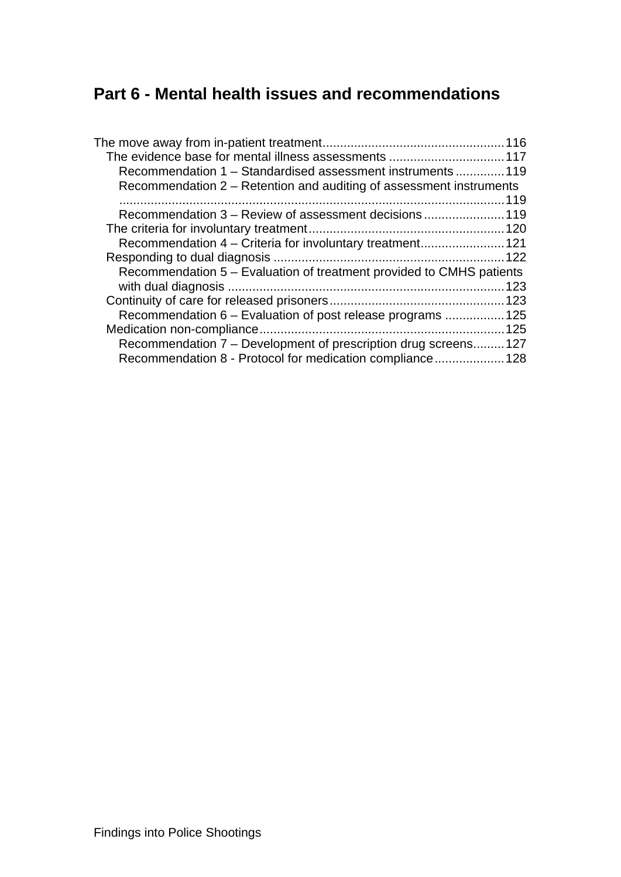# **Part 6 - Mental health issues and recommendations**

| Recommendation 1 – Standardised assessment instruments  119          |      |
|----------------------------------------------------------------------|------|
| Recommendation 2 – Retention and auditing of assessment instruments  |      |
|                                                                      |      |
| Recommendation 3 – Review of assessment decisions 119                |      |
|                                                                      |      |
| Recommendation 4 – Criteria for involuntary treatment121             |      |
|                                                                      |      |
| Recommendation 5 – Evaluation of treatment provided to CMHS patients |      |
|                                                                      | .123 |
|                                                                      |      |
| Recommendation 6 – Evaluation of post release programs  125          |      |
|                                                                      |      |
| Recommendation 7 – Development of prescription drug screens127       |      |
| Recommendation 8 - Protocol for medication compliance 128            |      |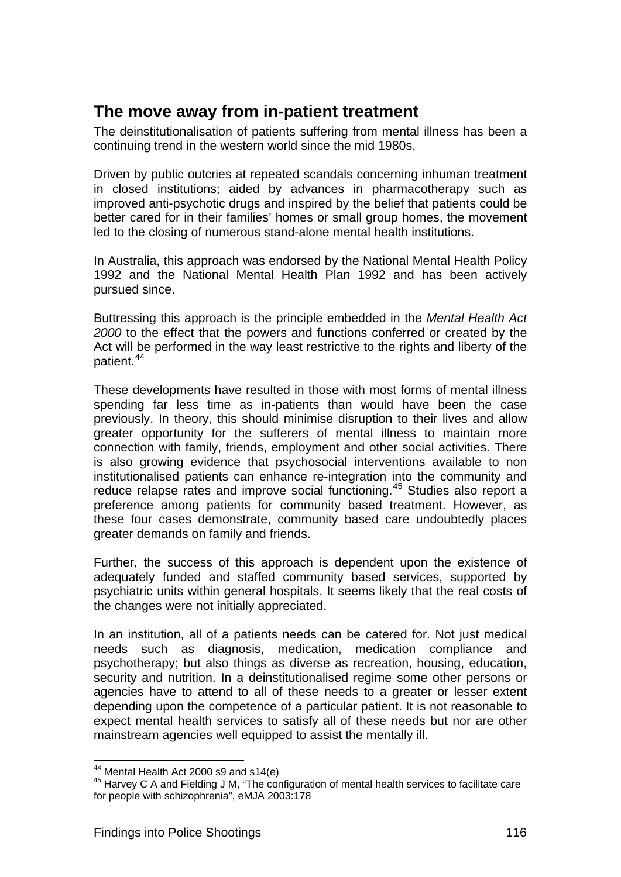## <span id="page-132-1"></span><span id="page-132-0"></span>**The move away from in-patient treatment**

The deinstitutionalisation of patients suffering from mental illness has been a continuing trend in the western world since the mid 1980s.

Driven by public outcries at repeated scandals concerning inhuman treatment in closed institutions; aided by advances in pharmacotherapy such as improved anti-psychotic drugs and inspired by the belief that patients could be better cared for in their families' homes or small group homes, the movement led to the closing of numerous stand-alone mental health institutions.

In Australia, this approach was endorsed by the National Mental Health Policy 1992 and the National Mental Health Plan 1992 and has been actively pursued since.

Buttressing this approach is the principle embedded in the *Mental Health Act 2000* to the effect that the powers and functions conferred or created by the Act will be performed in the way least restrictive to the rights and liberty of the patient.[44](#page-132-2) 

These developments have resulted in those with most forms of mental illness spending far less time as in-patients than would have been the case previously. In theory, this should minimise disruption to their lives and allow greater opportunity for the sufferers of mental illness to maintain more connection with family, friends, employment and other social activities. There is also growing evidence that psychosocial interventions available to non institutionalised patients can enhance re-integration into the community and reduce relapse rates and improve social functioning.<sup>45</sup> Studies also report a preference among patients for community based treatment. However, as these four cases demonstrate, community based care undoubtedly places greater demands on family and friends.

Further, the success of this approach is dependent upon the existence of adequately funded and staffed community based services, supported by psychiatric units within general hospitals. It seems likely that the real costs of the changes were not initially appreciated.

In an institution, all of a patients needs can be catered for. Not just medical needs such as diagnosis, medication, medication compliance and psychotherapy; but also things as diverse as recreation, housing, education, security and nutrition. In a deinstitutionalised regime some other persons or agencies have to attend to all of these needs to a greater or lesser extent depending upon the competence of a particular patient. It is not reasonable to expect mental health services to satisfy all of these needs but nor are other mainstream agencies well equipped to assist the mentally ill.

<span id="page-132-2"></span> $44$  Mental Health Act 2000 s9 and s14(e)

<span id="page-132-3"></span><sup>45</sup> Harvey C A and Fielding J M, "The configuration of mental health services to facilitate care for people with schizophrenia", eMJA 2003:178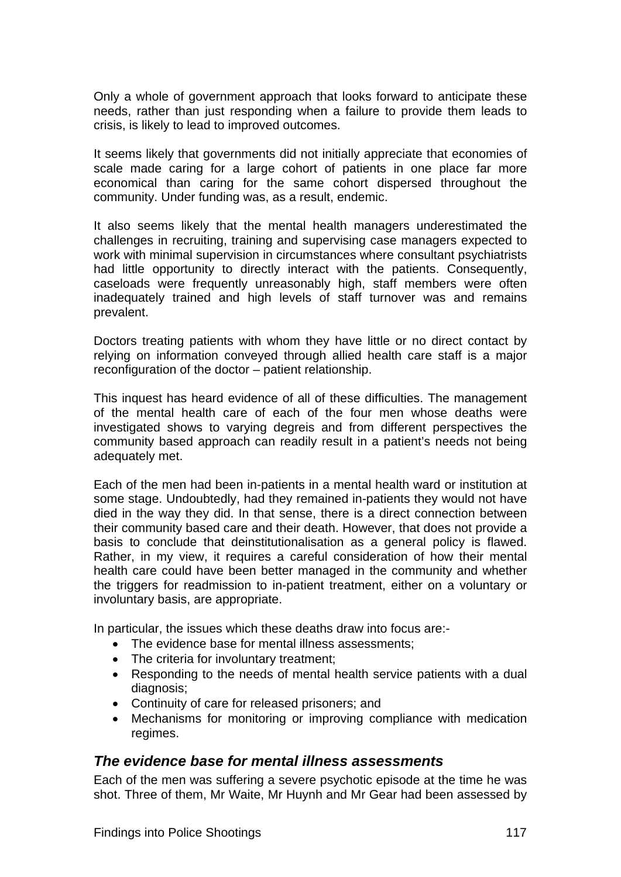<span id="page-133-0"></span>Only a whole of government approach that looks forward to anticipate these needs, rather than just responding when a failure to provide them leads to crisis, is likely to lead to improved outcomes.

It seems likely that governments did not initially appreciate that economies of scale made caring for a large cohort of patients in one place far more economical than caring for the same cohort dispersed throughout the community. Under funding was, as a result, endemic.

It also seems likely that the mental health managers underestimated the challenges in recruiting, training and supervising case managers expected to work with minimal supervision in circumstances where consultant psychiatrists had little opportunity to directly interact with the patients. Consequently, caseloads were frequently unreasonably high, staff members were often inadequately trained and high levels of staff turnover was and remains prevalent.

Doctors treating patients with whom they have little or no direct contact by relying on information conveyed through allied health care staff is a major reconfiguration of the doctor – patient relationship.

This inquest has heard evidence of all of these difficulties. The management of the mental health care of each of the four men whose deaths were investigated shows to varying degreis and from different perspectives the community based approach can readily result in a patient's needs not being adequately met.

Each of the men had been in-patients in a mental health ward or institution at some stage. Undoubtedly, had they remained in-patients they would not have died in the way they did. In that sense, there is a direct connection between their community based care and their death. However, that does not provide a basis to conclude that deinstitutionalisation as a general policy is flawed. Rather, in my view, it requires a careful consideration of how their mental health care could have been better managed in the community and whether the triggers for readmission to in-patient treatment, either on a voluntary or involuntary basis, are appropriate.

In particular, the issues which these deaths draw into focus are:-

- The evidence base for mental illness assessments;
- The criteria for involuntary treatment;
- Responding to the needs of mental health service patients with a dual diagnosis;
- Continuity of care for released prisoners; and
- Mechanisms for monitoring or improving compliance with medication regimes.

### <span id="page-133-1"></span>*The evidence base for mental illness assessments*

Each of the men was suffering a severe psychotic episode at the time he was shot. Three of them, Mr Waite, Mr Huynh and Mr Gear had been assessed by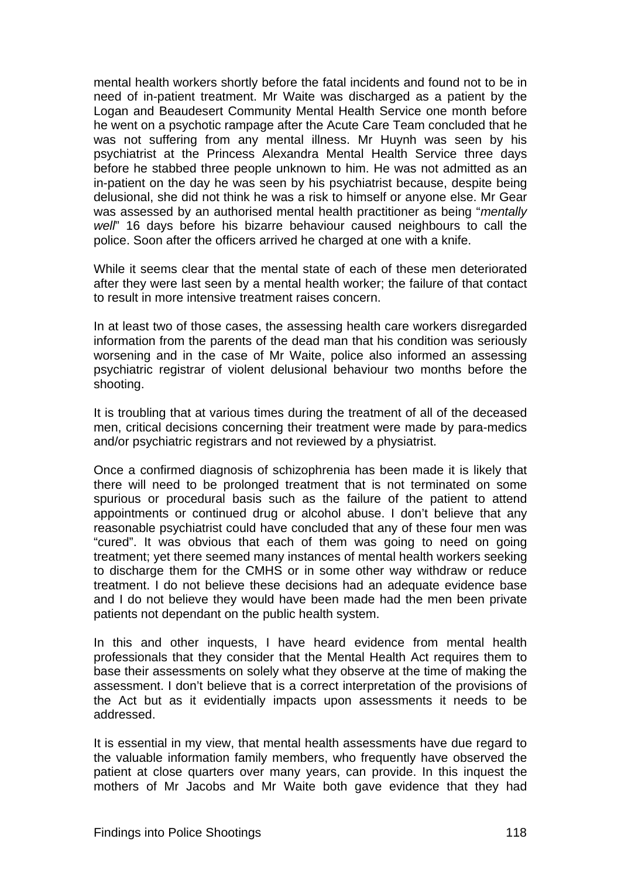mental health workers shortly before the fatal incidents and found not to be in need of in-patient treatment. Mr Waite was discharged as a patient by the Logan and Beaudesert Community Mental Health Service one month before he went on a psychotic rampage after the Acute Care Team concluded that he was not suffering from any mental illness. Mr Huynh was seen by his psychiatrist at the Princess Alexandra Mental Health Service three days before he stabbed three people unknown to him. He was not admitted as an in-patient on the day he was seen by his psychiatrist because, despite being delusional, she did not think he was a risk to himself or anyone else. Mr Gear was assessed by an authorised mental health practitioner as being "*mentally well*" 16 days before his bizarre behaviour caused neighbours to call the police. Soon after the officers arrived he charged at one with a knife.

While it seems clear that the mental state of each of these men deteriorated after they were last seen by a mental health worker; the failure of that contact to result in more intensive treatment raises concern.

In at least two of those cases, the assessing health care workers disregarded information from the parents of the dead man that his condition was seriously worsening and in the case of Mr Waite, police also informed an assessing psychiatric registrar of violent delusional behaviour two months before the shooting.

It is troubling that at various times during the treatment of all of the deceased men, critical decisions concerning their treatment were made by para-medics and/or psychiatric registrars and not reviewed by a physiatrist.

Once a confirmed diagnosis of schizophrenia has been made it is likely that there will need to be prolonged treatment that is not terminated on some spurious or procedural basis such as the failure of the patient to attend appointments or continued drug or alcohol abuse. I don't believe that any reasonable psychiatrist could have concluded that any of these four men was "cured". It was obvious that each of them was going to need on going treatment; yet there seemed many instances of mental health workers seeking to discharge them for the CMHS or in some other way withdraw or reduce treatment. I do not believe these decisions had an adequate evidence base and I do not believe they would have been made had the men been private patients not dependant on the public health system.

In this and other inquests, I have heard evidence from mental health professionals that they consider that the Mental Health Act requires them to base their assessments on solely what they observe at the time of making the assessment. I don't believe that is a correct interpretation of the provisions of the Act but as it evidentially impacts upon assessments it needs to be addressed.

It is essential in my view, that mental health assessments have due regard to the valuable information family members, who frequently have observed the patient at close quarters over many years, can provide. In this inquest the mothers of Mr Jacobs and Mr Waite both gave evidence that they had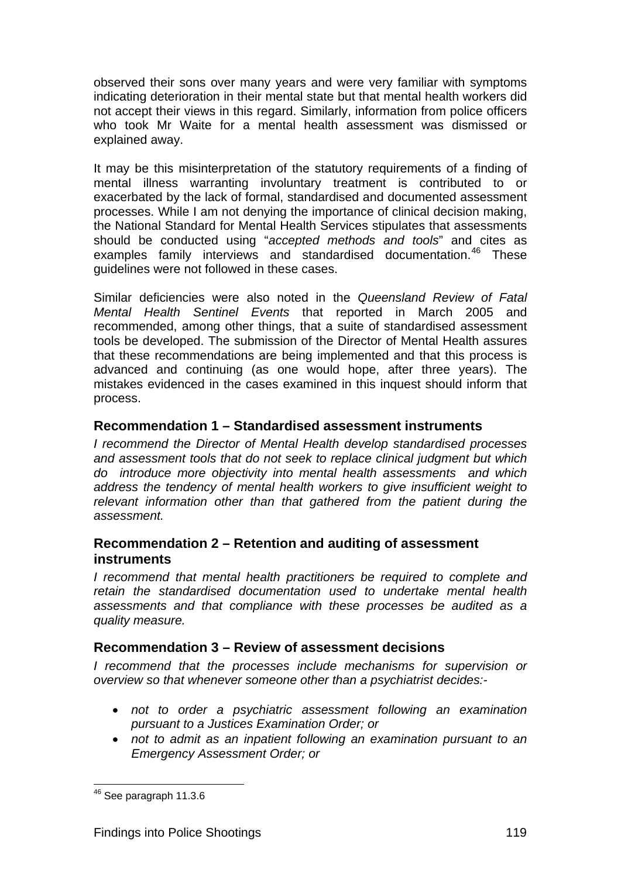<span id="page-135-0"></span>observed their sons over many years and were very familiar with symptoms indicating deterioration in their mental state but that mental health workers did not accept their views in this regard. Similarly, information from police officers who took Mr Waite for a mental health assessment was dismissed or explained away.

It may be this misinterpretation of the statutory requirements of a finding of mental illness warranting involuntary treatment is contributed to or exacerbated by the lack of formal, standardised and documented assessment processes. While I am not denying the importance of clinical decision making, the National Standard for Mental Health Services stipulates that assessments should be conducted using "*accepted methods and tools*" and cites as examples family interviews and standardised documentation.<sup>[46](#page-135-4)</sup> These guidelines were not followed in these cases.

Similar deficiencies were also noted in the *Queensland Review of Fatal Mental Health Sentinel Events* that reported in March 2005 and recommended, among other things, that a suite of standardised assessment tools be developed. The submission of the Director of Mental Health assures that these recommendations are being implemented and that this process is advanced and continuing (as one would hope, after three years). The mistakes evidenced in the cases examined in this inquest should inform that process.

## <span id="page-135-1"></span>**Recommendation 1 – Standardised assessment instruments**

*I recommend the Director of Mental Health develop standardised processes and assessment tools that do not seek to replace clinical judgment but which do introduce more objectivity into mental health assessments and which address the tendency of mental health workers to give insufficient weight to relevant information other than that gathered from the patient during the assessment.* 

## <span id="page-135-2"></span>**Recommendation 2 – Retention and auditing of assessment instruments**

*I recommend that mental health practitioners be required to complete and retain the standardised documentation used to undertake mental health assessments and that compliance with these processes be audited as a quality measure.*

### <span id="page-135-3"></span>**Recommendation 3 – Review of assessment decisions**

*I recommend that the processes include mechanisms for supervision or overview so that whenever someone other than a psychiatrist decides:-* 

- *not to order a psychiatric assessment following an examination pursuant to a Justices Examination Order; or*
- *not to admit as an inpatient following an examination pursuant to an Emergency Assessment Order; or*

<span id="page-135-4"></span>l  $46$  See paragraph 11.3.6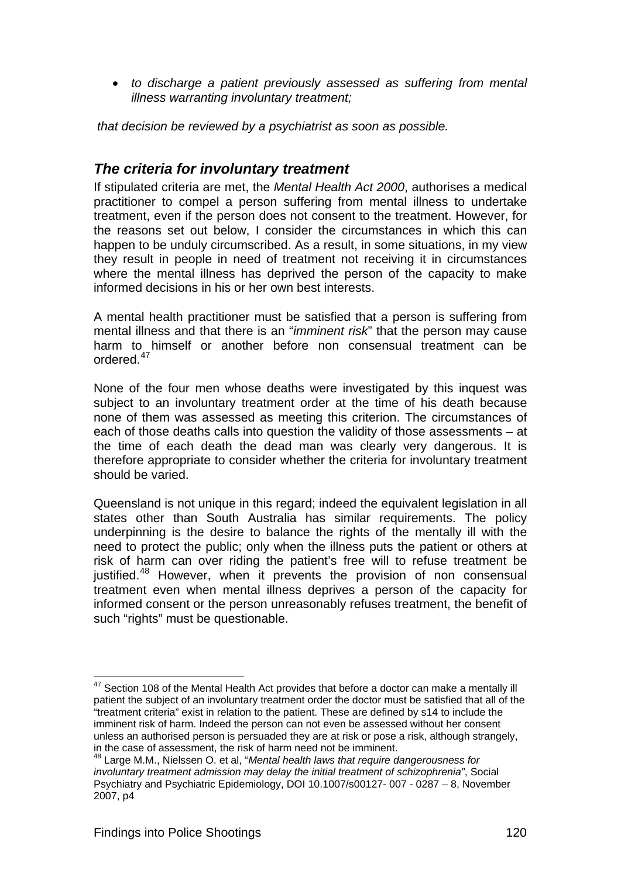<span id="page-136-0"></span>• *to discharge a patient previously assessed as suffering from mental illness warranting involuntary treatment;* 

 *that decision be reviewed by a psychiatrist as soon as possible.* 

## <span id="page-136-1"></span>*The criteria for involuntary treatment*

If stipulated criteria are met, the *Mental Health Act 2000*, authorises a medical practitioner to compel a person suffering from mental illness to undertake treatment, even if the person does not consent to the treatment. However, for the reasons set out below, I consider the circumstances in which this can happen to be unduly circumscribed. As a result, in some situations, in my view they result in people in need of treatment not receiving it in circumstances where the mental illness has deprived the person of the capacity to make informed decisions in his or her own best interests.

A mental health practitioner must be satisfied that a person is suffering from mental illness and that there is an "*imminent risk*" that the person may cause harm to himself or another before non consensual treatment can be ordered.[47](#page-136-2)

None of the four men whose deaths were investigated by this inquest was subject to an involuntary treatment order at the time of his death because none of them was assessed as meeting this criterion. The circumstances of each of those deaths calls into question the validity of those assessments – at the time of each death the dead man was clearly very dangerous. It is therefore appropriate to consider whether the criteria for involuntary treatment should be varied.

Queensland is not unique in this regard; indeed the equivalent legislation in all states other than South Australia has similar requirements. The policy underpinning is the desire to balance the rights of the mentally ill with the need to protect the public; only when the illness puts the patient or others at risk of harm can over riding the patient's free will to refuse treatment be justified.<sup>[48](#page-136-3)</sup> However, when it prevents the provision of non consensual treatment even when mental illness deprives a person of the capacity for informed consent or the person unreasonably refuses treatment, the benefit of such "rights" must be questionable.

<span id="page-136-2"></span> $47$  Section 108 of the Mental Health Act provides that before a doctor can make a mentally ill patient the subject of an involuntary treatment order the doctor must be satisfied that all of the "treatment criteria" exist in relation to the patient. These are defined by s14 to include the imminent risk of harm. Indeed the person can not even be assessed without her consent unless an authorised person is persuaded they are at risk or pose a risk, although strangely, in the case of assessment, the risk of harm need not be imminent.

<span id="page-136-3"></span><sup>48</sup> Large M.M., Nielssen O. et al, "*Mental health laws that require dangerousness for involuntary treatment admission may delay the initial treatment of schizophrenia"*, Social Psychiatry and Psychiatric Epidemiology, DOI 10.1007/s00127- 007 - 0287 – 8, November 2007, p4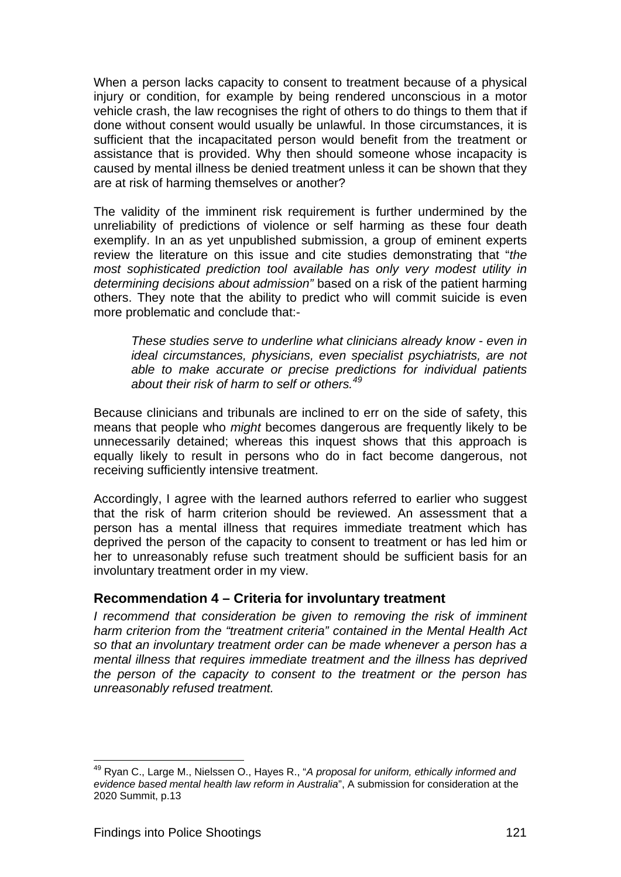<span id="page-137-0"></span>When a person lacks capacity to consent to treatment because of a physical injury or condition, for example by being rendered unconscious in a motor vehicle crash, the law recognises the right of others to do things to them that if done without consent would usually be unlawful. In those circumstances, it is sufficient that the incapacitated person would benefit from the treatment or assistance that is provided. Why then should someone whose incapacity is caused by mental illness be denied treatment unless it can be shown that they are at risk of harming themselves or another?

The validity of the imminent risk requirement is further undermined by the unreliability of predictions of violence or self harming as these four death exemplify. In an as yet unpublished submission, a group of eminent experts review the literature on this issue and cite studies demonstrating that "*the most sophisticated prediction tool available has only very modest utility in determining decisions about admission"* based on a risk of the patient harming others. They note that the ability to predict who will commit suicide is even more problematic and conclude that:-

*These studies serve to underline what clinicians already know - even in ideal circumstances, physicians, even specialist psychiatrists, are not able to make accurate or precise predictions for individual patients about their risk of harm to self or others.[49](#page-137-2)*

Because clinicians and tribunals are inclined to err on the side of safety, this means that people who *might* becomes dangerous are frequently likely to be unnecessarily detained; whereas this inquest shows that this approach is equally likely to result in persons who do in fact become dangerous, not receiving sufficiently intensive treatment.

Accordingly, I agree with the learned authors referred to earlier who suggest that the risk of harm criterion should be reviewed. An assessment that a person has a mental illness that requires immediate treatment which has deprived the person of the capacity to consent to treatment or has led him or her to unreasonably refuse such treatment should be sufficient basis for an involuntary treatment order in my view.

### <span id="page-137-1"></span>**Recommendation 4 – Criteria for involuntary treatment**

*I recommend that consideration be given to removing the risk of imminent harm criterion from the "treatment criteria" contained in the Mental Health Act so that an involuntary treatment order can be made whenever a person has a mental illness that requires immediate treatment and the illness has deprived the person of the capacity to consent to the treatment or the person has unreasonably refused treatment.* 

<span id="page-137-2"></span><sup>49</sup> Ryan C., Large M., Nielssen O., Hayes R., "*A proposal for uniform, ethically informed and evidence based mental health law reform in Australia*", A submission for consideration at the 2020 Summit, p.13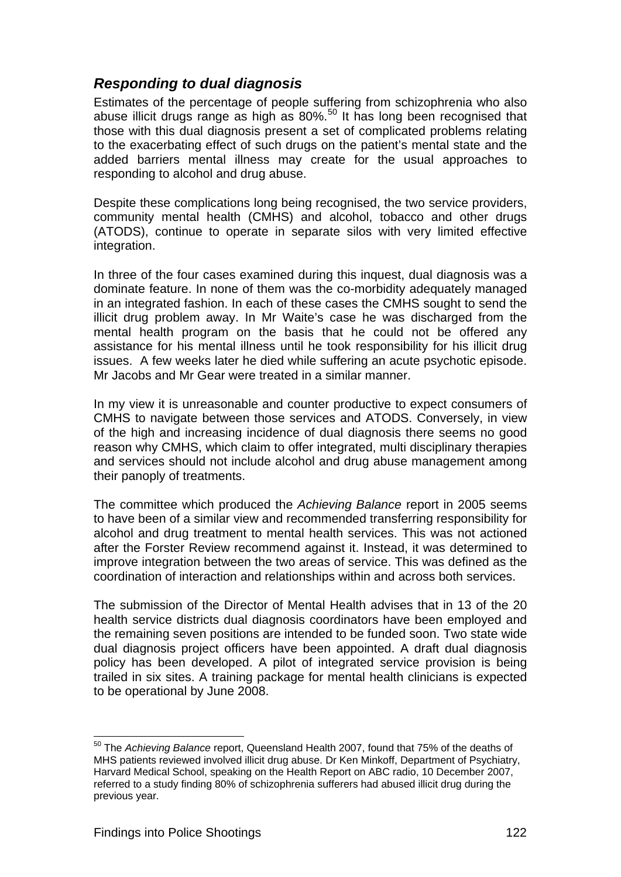## <span id="page-138-1"></span><span id="page-138-0"></span>*Responding to dual diagnosis*

Estimates of the percentage of people suffering from schizophrenia who also abuse illicit drugs range as high as  $80\%$ .<sup>[50](#page-138-2)</sup> It has long been recognised that those with this dual diagnosis present a set of complicated problems relating to the exacerbating effect of such drugs on the patient's mental state and the added barriers mental illness may create for the usual approaches to responding to alcohol and drug abuse.

Despite these complications long being recognised, the two service providers, community mental health (CMHS) and alcohol, tobacco and other drugs (ATODS), continue to operate in separate silos with very limited effective integration.

In three of the four cases examined during this inquest, dual diagnosis was a dominate feature. In none of them was the co-morbidity adequately managed in an integrated fashion. In each of these cases the CMHS sought to send the illicit drug problem away. In Mr Waite's case he was discharged from the mental health program on the basis that he could not be offered any assistance for his mental illness until he took responsibility for his illicit drug issues. A few weeks later he died while suffering an acute psychotic episode. Mr Jacobs and Mr Gear were treated in a similar manner.

In my view it is unreasonable and counter productive to expect consumers of CMHS to navigate between those services and ATODS. Conversely, in view of the high and increasing incidence of dual diagnosis there seems no good reason why CMHS, which claim to offer integrated, multi disciplinary therapies and services should not include alcohol and drug abuse management among their panoply of treatments.

The committee which produced the *Achieving Balance* report in 2005 seems to have been of a similar view and recommended transferring responsibility for alcohol and drug treatment to mental health services. This was not actioned after the Forster Review recommend against it. Instead, it was determined to improve integration between the two areas of service. This was defined as the coordination of interaction and relationships within and across both services.

The submission of the Director of Mental Health advises that in 13 of the 20 health service districts dual diagnosis coordinators have been employed and the remaining seven positions are intended to be funded soon. Two state wide dual diagnosis project officers have been appointed. A draft dual diagnosis policy has been developed. A pilot of integrated service provision is being trailed in six sites. A training package for mental health clinicians is expected to be operational by June 2008.

<span id="page-138-2"></span><sup>50</sup> The *Achieving Balance* report, Queensland Health 2007, found that 75% of the deaths of MHS patients reviewed involved illicit drug abuse. Dr Ken Minkoff, Department of Psychiatry, Harvard Medical School, speaking on the Health Report on ABC radio, 10 December 2007, referred to a study finding 80% of schizophrenia sufferers had abused illicit drug during the previous year.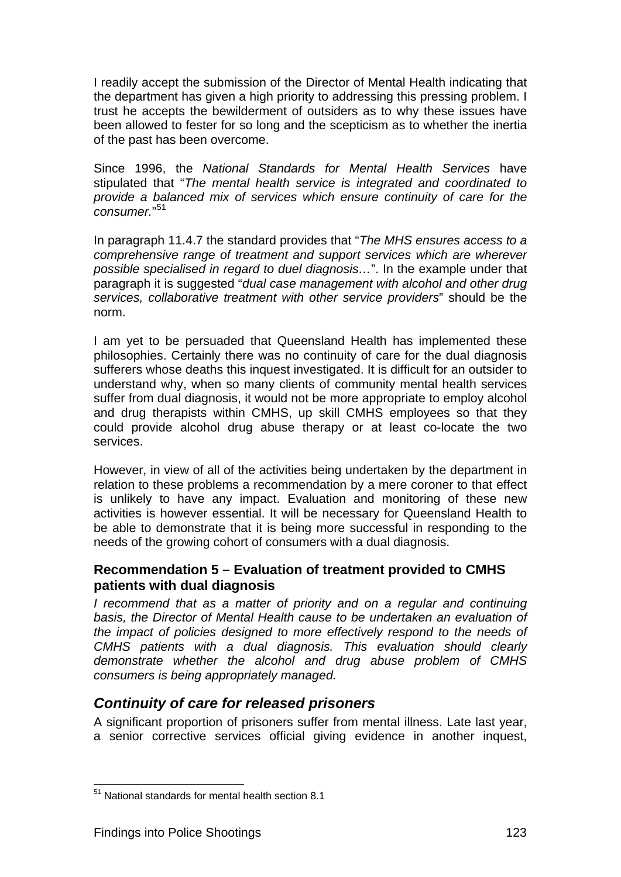<span id="page-139-0"></span>I readily accept the submission of the Director of Mental Health indicating that the department has given a high priority to addressing this pressing problem. I trust he accepts the bewilderment of outsiders as to why these issues have been allowed to fester for so long and the scepticism as to whether the inertia of the past has been overcome.

Since 1996, the *National Standards for Mental Health Services* have stipulated that "*The mental health service is integrated and coordinated to provide a balanced mix of services which ensure continuity of care for the consumer.*" [51](#page-139-3)

In paragraph 11.4.7 the standard provides that "*The MHS ensures access to a comprehensive range of treatment and support services which are wherever possible specialised in regard to duel diagnosis…*". In the example under that paragraph it is suggested "*dual case management with alcohol and other drug services, collaborative treatment with other service providers*" should be the norm.

I am yet to be persuaded that Queensland Health has implemented these philosophies. Certainly there was no continuity of care for the dual diagnosis sufferers whose deaths this inquest investigated. It is difficult for an outsider to understand why, when so many clients of community mental health services suffer from dual diagnosis, it would not be more appropriate to employ alcohol and drug therapists within CMHS, up skill CMHS employees so that they could provide alcohol drug abuse therapy or at least co-locate the two services.

However, in view of all of the activities being undertaken by the department in relation to these problems a recommendation by a mere coroner to that effect is unlikely to have any impact. Evaluation and monitoring of these new activities is however essential. It will be necessary for Queensland Health to be able to demonstrate that it is being more successful in responding to the needs of the growing cohort of consumers with a dual diagnosis.

## <span id="page-139-1"></span>**Recommendation 5 – Evaluation of treatment provided to CMHS patients with dual diagnosis**

*I recommend that as a matter of priority and on a regular and continuing basis, the Director of Mental Health cause to be undertaken an evaluation of the impact of policies designed to more effectively respond to the needs of CMHS patients with a dual diagnosis. This evaluation should clearly demonstrate whether the alcohol and drug abuse problem of CMHS consumers is being appropriately managed.* 

## <span id="page-139-2"></span>*Continuity of care for released prisoners*

A significant proportion of prisoners suffer from mental illness. Late last year, a senior corrective services official giving evidence in another inquest,

<span id="page-139-3"></span><sup>&</sup>lt;sup>51</sup> National standards for mental health section 8.1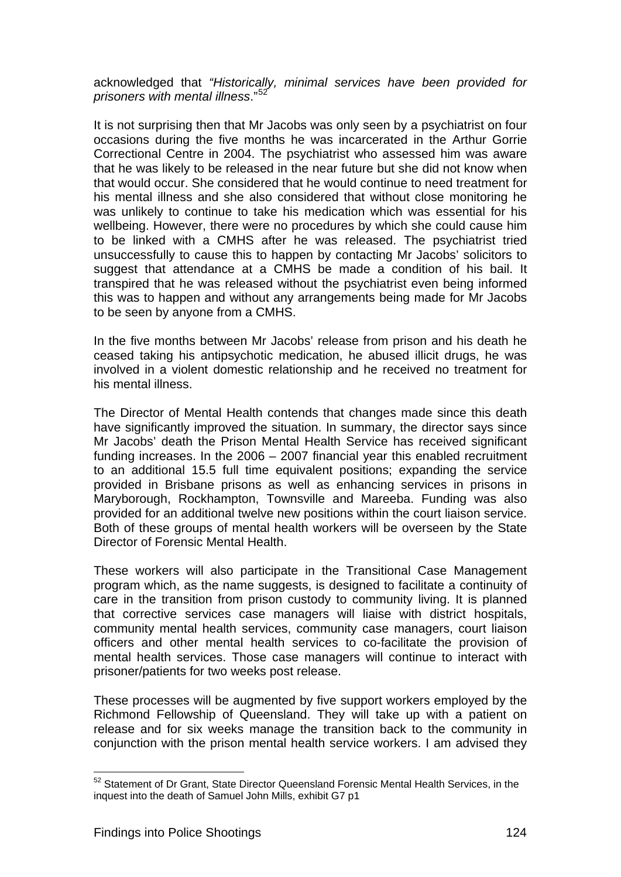acknowledged that *"Historically, minimal services have been provided for prisoners with mental illness*."[52](#page-140-0) 

It is not surprising then that Mr Jacobs was only seen by a psychiatrist on four occasions during the five months he was incarcerated in the Arthur Gorrie Correctional Centre in 2004. The psychiatrist who assessed him was aware that he was likely to be released in the near future but she did not know when that would occur. She considered that he would continue to need treatment for his mental illness and she also considered that without close monitoring he was unlikely to continue to take his medication which was essential for his wellbeing. However, there were no procedures by which she could cause him to be linked with a CMHS after he was released. The psychiatrist tried unsuccessfully to cause this to happen by contacting Mr Jacobs' solicitors to suggest that attendance at a CMHS be made a condition of his bail. It transpired that he was released without the psychiatrist even being informed this was to happen and without any arrangements being made for Mr Jacobs to be seen by anyone from a CMHS.

In the five months between Mr Jacobs' release from prison and his death he ceased taking his antipsychotic medication, he abused illicit drugs, he was involved in a violent domestic relationship and he received no treatment for his mental illness.

The Director of Mental Health contends that changes made since this death have significantly improved the situation. In summary, the director says since Mr Jacobs' death the Prison Mental Health Service has received significant funding increases. In the 2006 – 2007 financial year this enabled recruitment to an additional 15.5 full time equivalent positions; expanding the service provided in Brisbane prisons as well as enhancing services in prisons in Maryborough, Rockhampton, Townsville and Mareeba. Funding was also provided for an additional twelve new positions within the court liaison service. Both of these groups of mental health workers will be overseen by the State Director of Forensic Mental Health.

These workers will also participate in the Transitional Case Management program which, as the name suggests, is designed to facilitate a continuity of care in the transition from prison custody to community living. It is planned that corrective services case managers will liaise with district hospitals, community mental health services, community case managers, court liaison officers and other mental health services to co-facilitate the provision of mental health services. Those case managers will continue to interact with prisoner/patients for two weeks post release.

These processes will be augmented by five support workers employed by the Richmond Fellowship of Queensland. They will take up with a patient on release and for six weeks manage the transition back to the community in conjunction with the prison mental health service workers. I am advised they

<span id="page-140-0"></span> $52$  Statement of Dr Grant, State Director Queensland Forensic Mental Health Services, in the inquest into the death of Samuel John Mills, exhibit G7 p1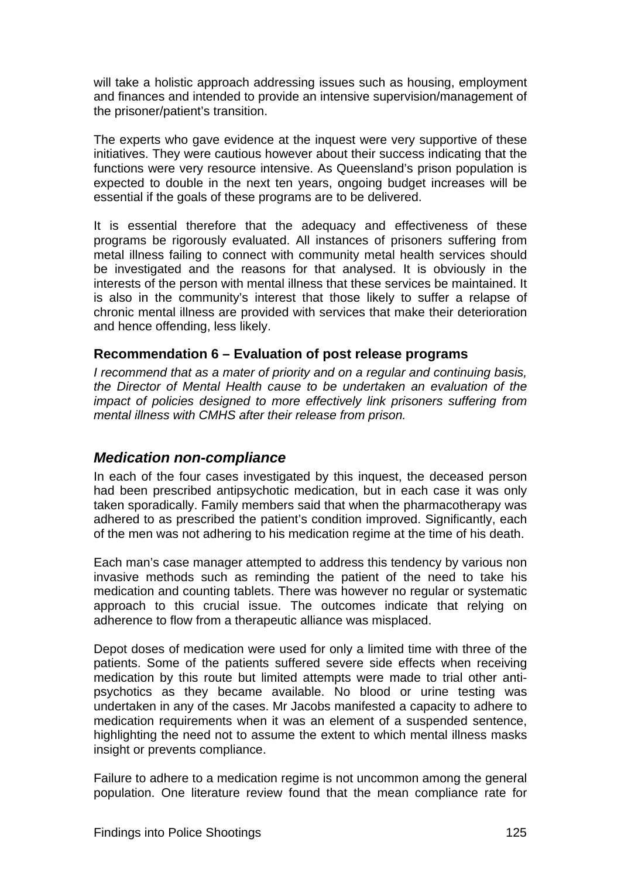<span id="page-141-0"></span>will take a holistic approach addressing issues such as housing, employment and finances and intended to provide an intensive supervision/management of the prisoner/patient's transition.

The experts who gave evidence at the inquest were very supportive of these initiatives. They were cautious however about their success indicating that the functions were very resource intensive. As Queensland's prison population is expected to double in the next ten years, ongoing budget increases will be essential if the goals of these programs are to be delivered.

It is essential therefore that the adequacy and effectiveness of these programs be rigorously evaluated. All instances of prisoners suffering from metal illness failing to connect with community metal health services should be investigated and the reasons for that analysed. It is obviously in the interests of the person with mental illness that these services be maintained. It is also in the community's interest that those likely to suffer a relapse of chronic mental illness are provided with services that make their deterioration and hence offending, less likely.

### <span id="page-141-1"></span>**Recommendation 6 – Evaluation of post release programs**

*I recommend that as a mater of priority and on a regular and continuing basis, the Director of Mental Health cause to be undertaken an evaluation of the impact of policies designed to more effectively link prisoners suffering from mental illness with CMHS after their release from prison.* 

### <span id="page-141-2"></span>*Medication non-compliance*

In each of the four cases investigated by this inquest, the deceased person had been prescribed antipsychotic medication, but in each case it was only taken sporadically. Family members said that when the pharmacotherapy was adhered to as prescribed the patient's condition improved. Significantly, each of the men was not adhering to his medication regime at the time of his death.

Each man's case manager attempted to address this tendency by various non invasive methods such as reminding the patient of the need to take his medication and counting tablets. There was however no regular or systematic approach to this crucial issue. The outcomes indicate that relying on adherence to flow from a therapeutic alliance was misplaced.

Depot doses of medication were used for only a limited time with three of the patients. Some of the patients suffered severe side effects when receiving medication by this route but limited attempts were made to trial other antipsychotics as they became available. No blood or urine testing was undertaken in any of the cases. Mr Jacobs manifested a capacity to adhere to medication requirements when it was an element of a suspended sentence, highlighting the need not to assume the extent to which mental illness masks insight or prevents compliance.

Failure to adhere to a medication regime is not uncommon among the general population. One literature review found that the mean compliance rate for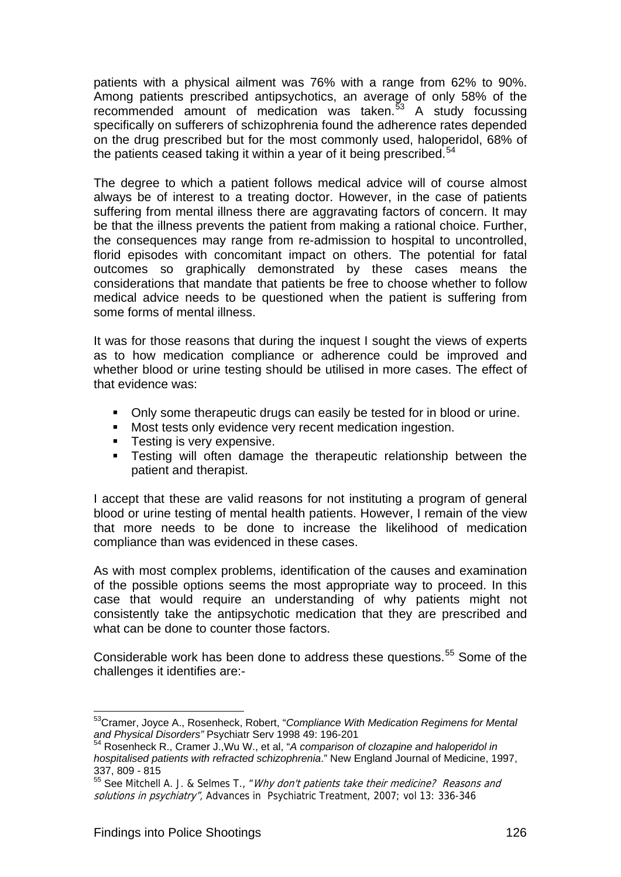patients with a physical ailment was 76% with a range from 62% to 90%. Among patients prescribed antipsychotics, an average of only 58% of the recommended amount of medication was taken.<sup>[53](#page-142-0)</sup> A study focussing specifically on sufferers of schizophrenia found the adherence rates depended on the drug prescribed but for the most commonly used, haloperidol, 68% of the patients ceased taking it within a year of it being prescribed.<sup>[54](#page-142-1)</sup>

The degree to which a patient follows medical advice will of course almost always be of interest to a treating doctor. However, in the case of patients suffering from mental illness there are aggravating factors of concern. It may be that the illness prevents the patient from making a rational choice. Further, the consequences may range from re-admission to hospital to uncontrolled, florid episodes with concomitant impact on others. The potential for fatal outcomes so graphically demonstrated by these cases means the considerations that mandate that patients be free to choose whether to follow medical advice needs to be questioned when the patient is suffering from some forms of mental illness.

It was for those reasons that during the inquest I sought the views of experts as to how medication compliance or adherence could be improved and whether blood or urine testing should be utilised in more cases. The effect of that evidence was:

- Only some therapeutic drugs can easily be tested for in blood or urine.
- Most tests only evidence very recent medication ingestion.
- **Testing is very expensive.**
- **Testing will often damage the therapeutic relationship between the** patient and therapist.

I accept that these are valid reasons for not instituting a program of general blood or urine testing of mental health patients. However, I remain of the view that more needs to be done to increase the likelihood of medication compliance than was evidenced in these cases.

As with most complex problems, identification of the causes and examination of the possible options seems the most appropriate way to proceed. In this case that would require an understanding of why patients might not consistently take the antipsychotic medication that they are prescribed and what can be done to counter those factors.

Considerable work has been done to address these questions.<sup>55</sup> Some of the challenges it identifies are:-

<span id="page-142-0"></span>l <sup>53</sup>Cramer, Joyce A., Rosenheck, Robert, "*Compliance With Medication Regimens for Mental*<br>and Physical Disorders" Psychiatr Serv 1998 49: 196-201<br><sup>54</sup> Beserbest: D. Carry 1111 111

<span id="page-142-1"></span>**Rosenheck R., Cramer J., Wu W., et al, "A comparison of clozapine and haloperidol in** *hospitalised patients with refracted schizophrenia*." New England Journal of Medicine, 1997, 337, 809 - 815

<span id="page-142-2"></span> $55$  See Mitchell A. J. & Selmes T., "Why don't patients take their medicine? Reasons and solutions in psychiatry", Advances in Psychiatric Treatment, 2007; vol 13: 336-346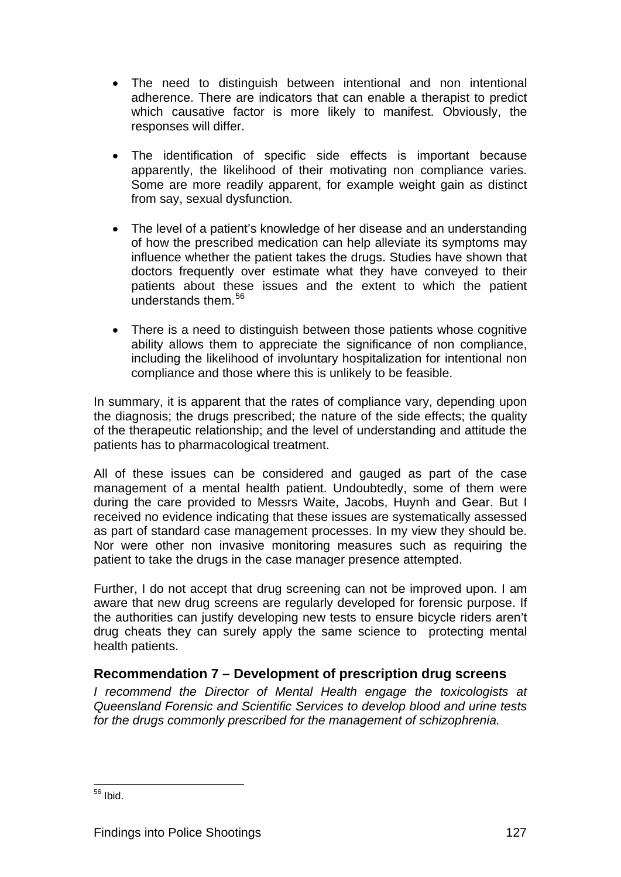- <span id="page-143-0"></span>• The need to distinguish between intentional and non intentional adherence. There are indicators that can enable a therapist to predict which causative factor is more likely to manifest. Obviously, the responses will differ.
- The identification of specific side effects is important because apparently, the likelihood of their motivating non compliance varies. Some are more readily apparent, for example weight gain as distinct from say, sexual dysfunction.
- The level of a patient's knowledge of her disease and an understanding of how the prescribed medication can help alleviate its symptoms may influence whether the patient takes the drugs. Studies have shown that doctors frequently over estimate what they have conveyed to their patients about these issues and the extent to which the patient understands them.<sup>[56](#page-143-2)</sup>
- There is a need to distinguish between those patients whose cognitive ability allows them to appreciate the significance of non compliance, including the likelihood of involuntary hospitalization for intentional non compliance and those where this is unlikely to be feasible.

In summary, it is apparent that the rates of compliance vary, depending upon the diagnosis; the drugs prescribed; the nature of the side effects; the quality of the therapeutic relationship; and the level of understanding and attitude the patients has to pharmacological treatment.

All of these issues can be considered and gauged as part of the case management of a mental health patient. Undoubtedly, some of them were during the care provided to Messrs Waite, Jacobs, Huynh and Gear. But I received no evidence indicating that these issues are systematically assessed as part of standard case management processes. In my view they should be. Nor were other non invasive monitoring measures such as requiring the patient to take the drugs in the case manager presence attempted.

Further, I do not accept that drug screening can not be improved upon. I am aware that new drug screens are regularly developed for forensic purpose. If the authorities can justify developing new tests to ensure bicycle riders aren't drug cheats they can surely apply the same science to protecting mental health patients.

## <span id="page-143-1"></span>**Recommendation 7 – Development of prescription drug screens**

*I recommend the Director of Mental Health engage the toxicologists at Queensland Forensic and Scientific Services to develop blood and urine tests for the drugs commonly prescribed for the management of schizophrenia.* 

<span id="page-143-2"></span>l <sup>56</sup> Ibid.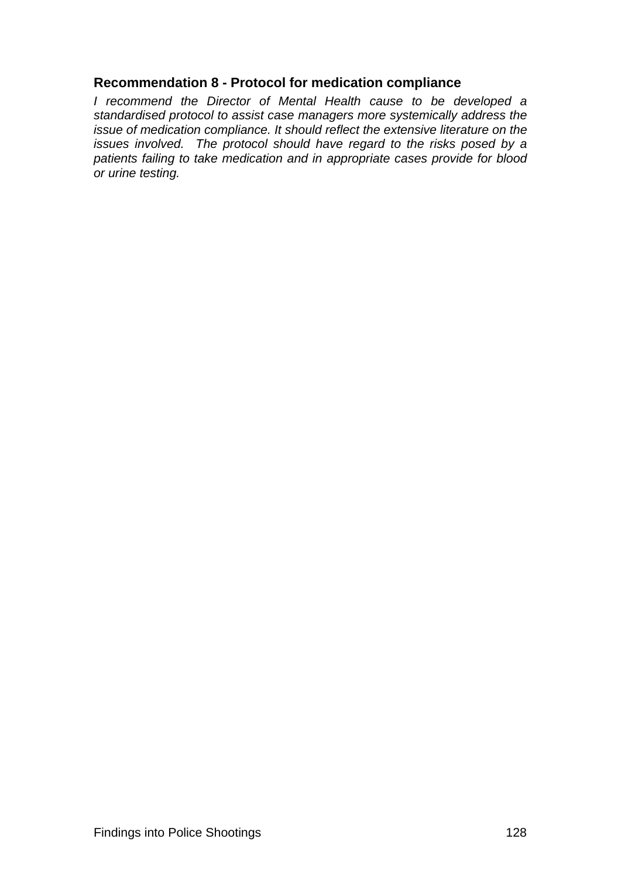#### <span id="page-144-0"></span>**Recommendation 8 - Protocol for medication compliance**

*I recommend the Director of Mental Health cause to be developed a standardised protocol to assist case managers more systemically address the issue of medication compliance. It should reflect the extensive literature on the issues involved. The protocol should have regard to the risks posed by a patients failing to take medication and in appropriate cases provide for blood or urine testing.*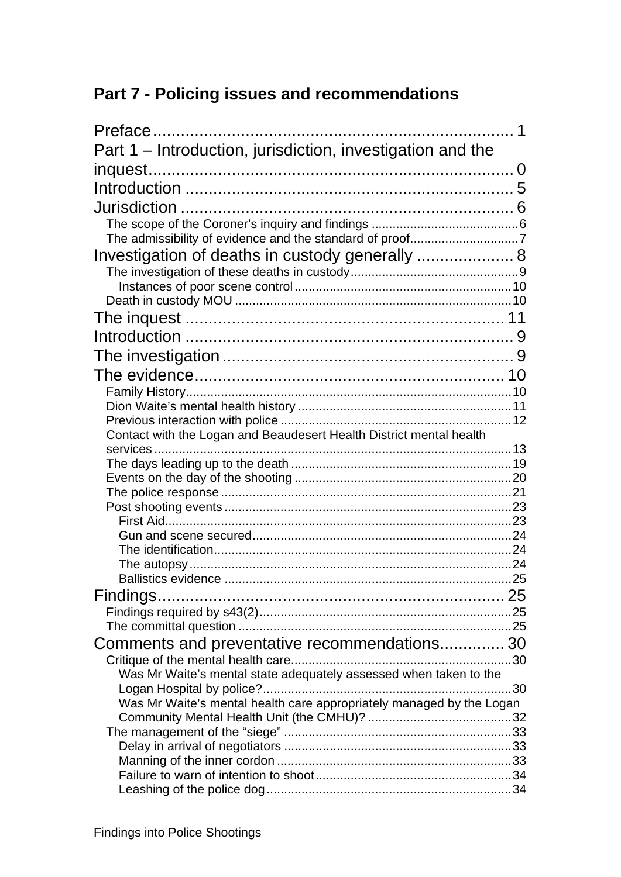# <span id="page-145-0"></span>**Part 7 - Policing issues and recommendations**

| Part 1 – Introduction, jurisdiction, investigation and the           |  |
|----------------------------------------------------------------------|--|
|                                                                      |  |
|                                                                      |  |
|                                                                      |  |
|                                                                      |  |
|                                                                      |  |
| Investigation of deaths in custody generally  8                      |  |
|                                                                      |  |
|                                                                      |  |
|                                                                      |  |
|                                                                      |  |
|                                                                      |  |
|                                                                      |  |
|                                                                      |  |
|                                                                      |  |
|                                                                      |  |
|                                                                      |  |
| Contact with the Logan and Beaudesert Health District mental health  |  |
|                                                                      |  |
|                                                                      |  |
|                                                                      |  |
|                                                                      |  |
|                                                                      |  |
|                                                                      |  |
|                                                                      |  |
|                                                                      |  |
|                                                                      |  |
|                                                                      |  |
|                                                                      |  |
|                                                                      |  |
| Comments and preventative recommendations 30                         |  |
|                                                                      |  |
| Was Mr Waite's mental state adequately assessed when taken to the    |  |
| Was Mr Waite's mental health care appropriately managed by the Logan |  |
|                                                                      |  |
|                                                                      |  |
|                                                                      |  |
|                                                                      |  |
|                                                                      |  |
|                                                                      |  |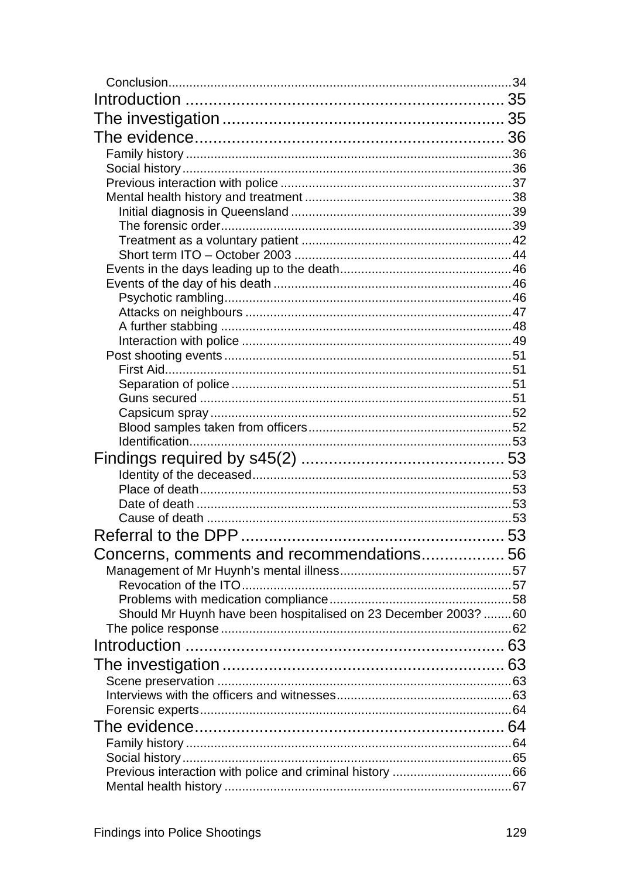| Should Mr Huynh have been hospitalised on 23 December 2003?  60 |  |
|-----------------------------------------------------------------|--|
|                                                                 |  |
|                                                                 |  |
|                                                                 |  |
|                                                                 |  |
|                                                                 |  |
|                                                                 |  |
|                                                                 |  |
|                                                                 |  |
|                                                                 |  |
|                                                                 |  |
|                                                                 |  |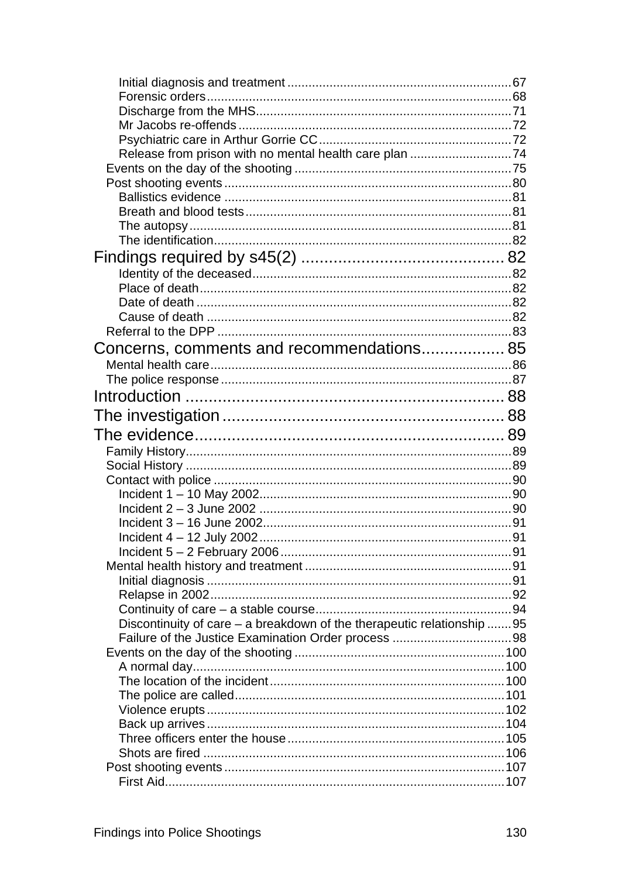| Concerns, comments and recommendations 85                              |  |
|------------------------------------------------------------------------|--|
|                                                                        |  |
|                                                                        |  |
|                                                                        |  |
|                                                                        |  |
|                                                                        |  |
|                                                                        |  |
|                                                                        |  |
|                                                                        |  |
|                                                                        |  |
|                                                                        |  |
|                                                                        |  |
|                                                                        |  |
|                                                                        |  |
|                                                                        |  |
|                                                                        |  |
|                                                                        |  |
|                                                                        |  |
|                                                                        |  |
| Discontinuity of care – a breakdown of the therapeutic relationship 95 |  |
|                                                                        |  |
|                                                                        |  |
|                                                                        |  |
|                                                                        |  |
|                                                                        |  |
|                                                                        |  |
|                                                                        |  |
|                                                                        |  |
|                                                                        |  |
|                                                                        |  |
|                                                                        |  |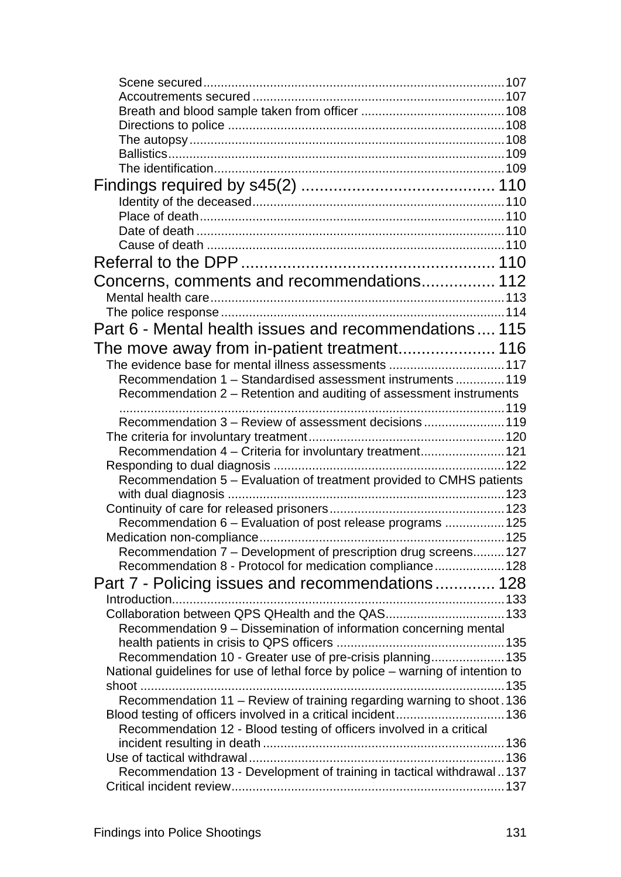| Concerns, comments and recommendations 112                                      |  |
|---------------------------------------------------------------------------------|--|
|                                                                                 |  |
|                                                                                 |  |
| Part 6 - Mental health issues and recommendations 115                           |  |
|                                                                                 |  |
| The evidence base for mental illness assessments 117                            |  |
| Recommendation 1 - Standardised assessment instruments  119                     |  |
| Recommendation 2 – Retention and auditing of assessment instruments             |  |
|                                                                                 |  |
| Recommendation 3 - Review of assessment decisions 119                           |  |
|                                                                                 |  |
| Recommendation 4 - Criteria for involuntary treatment 121                       |  |
|                                                                                 |  |
| Recommendation 5 - Evaluation of treatment provided to CMHS patients            |  |
|                                                                                 |  |
|                                                                                 |  |
| Recommendation 6 – Evaluation of post release programs  125                     |  |
|                                                                                 |  |
| Recommendation 7 - Development of prescription drug screens 127                 |  |
| Recommendation 8 - Protocol for medication compliance 128                       |  |
| Part 7 - Policing issues and recommendations 128                                |  |
|                                                                                 |  |
| Collaboration between QPS QHealth and the QAS 133                               |  |
| Recommendation 9 - Dissemination of information concerning mental               |  |
|                                                                                 |  |
| Recommendation 10 - Greater use of pre-crisis planning 135                      |  |
| National guidelines for use of lethal force by police - warning of intention to |  |
|                                                                                 |  |
| Recommendation 11 - Review of training regarding warning to shoot. 136          |  |
| Blood testing of officers involved in a critical incident 136                   |  |
| Recommendation 12 - Blood testing of officers involved in a critical            |  |
|                                                                                 |  |
|                                                                                 |  |
| Recommendation 13 - Development of training in tactical withdrawal137           |  |
|                                                                                 |  |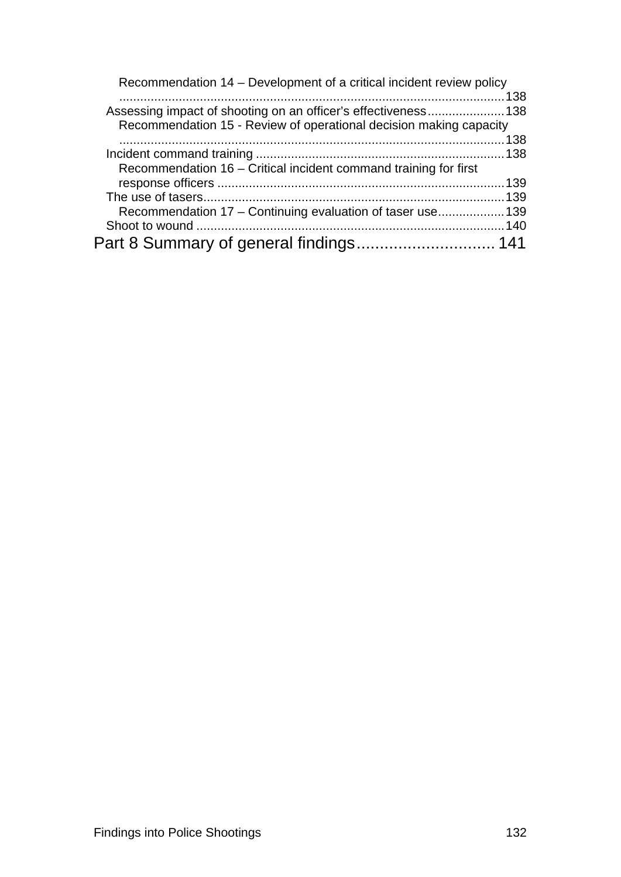| Recommendation 14 – Development of a critical incident review policy |  |
|----------------------------------------------------------------------|--|
|                                                                      |  |
| Assessing impact of shooting on an officer's effectiveness138        |  |
| Recommendation 15 - Review of operational decision making capacity   |  |
|                                                                      |  |
|                                                                      |  |
| Recommendation 16 – Critical incident command training for first     |  |
|                                                                      |  |
|                                                                      |  |
| Recommendation 17 – Continuing evaluation of taser use 139           |  |
|                                                                      |  |
|                                                                      |  |
|                                                                      |  |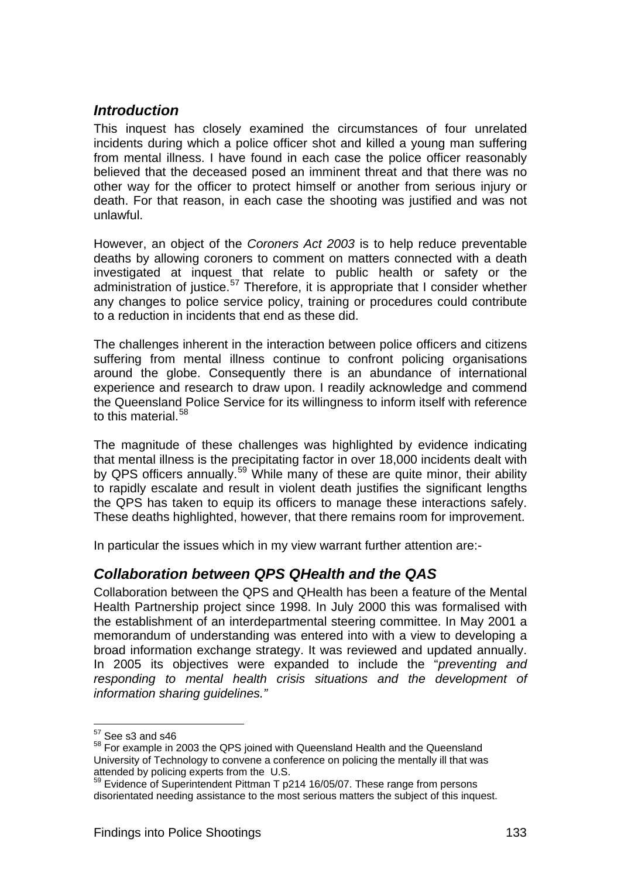# <span id="page-150-0"></span>*Introduction*

This inquest has closely examined the circumstances of four unrelated incidents during which a police officer shot and killed a young man suffering from mental illness. I have found in each case the police officer reasonably believed that the deceased posed an imminent threat and that there was no other way for the officer to protect himself or another from serious injury or death. For that reason, in each case the shooting was justified and was not unlawful.

However, an object of the *Coroners Act 2003* is to help reduce preventable deaths by allowing coroners to comment on matters connected with a death investigated at inquest that relate to public health or safety or the administration of justice.<sup>57</sup> Therefore, it is appropriate that I consider whether any changes to police service policy, training or procedures could contribute to a reduction in incidents that end as these did.

The challenges inherent in the interaction between police officers and citizens suffering from mental illness continue to confront policing organisations around the globe. Consequently there is an abundance of international experience and research to draw upon. I readily acknowledge and commend the Queensland Police Service for its willingness to inform itself with reference to this material.<sup>[58](#page-150-3)</sup>

The magnitude of these challenges was highlighted by evidence indicating that mental illness is the precipitating factor in over 18,000 incidents dealt with by QPS officers annually.<sup>59</sup> While many of these are quite minor, their ability to rapidly escalate and result in violent death justifies the significant lengths the QPS has taken to equip its officers to manage these interactions safely. These deaths highlighted, however, that there remains room for improvement.

In particular the issues which in my view warrant further attention are:-

# <span id="page-150-1"></span>*Collaboration between QPS QHealth and the QAS*

Collaboration between the QPS and QHealth has been a feature of the Mental Health Partnership project since 1998. In July 2000 this was formalised with the establishment of an interdepartmental steering committee. In May 2001 a memorandum of understanding was entered into with a view to developing a broad information exchange strategy. It was reviewed and updated annually. In 2005 its objectives were expanded to include the "*preventing and responding to mental health crisis situations and the development of information sharing guidelines."*

l

 $57$  See s3 and s46

<span id="page-150-3"></span><span id="page-150-2"></span><sup>&</sup>lt;sup>58</sup> For example in 2003 the QPS joined with Queensland Health and the Queensland University of Technology to convene a conference on policing the mentally ill that was attended by policing experts from the U.S.

<span id="page-150-4"></span>Superiority Superintendent Pittman T p214 16/05/07. These range from persons disorientated needing assistance to the most serious matters the subject of this inquest.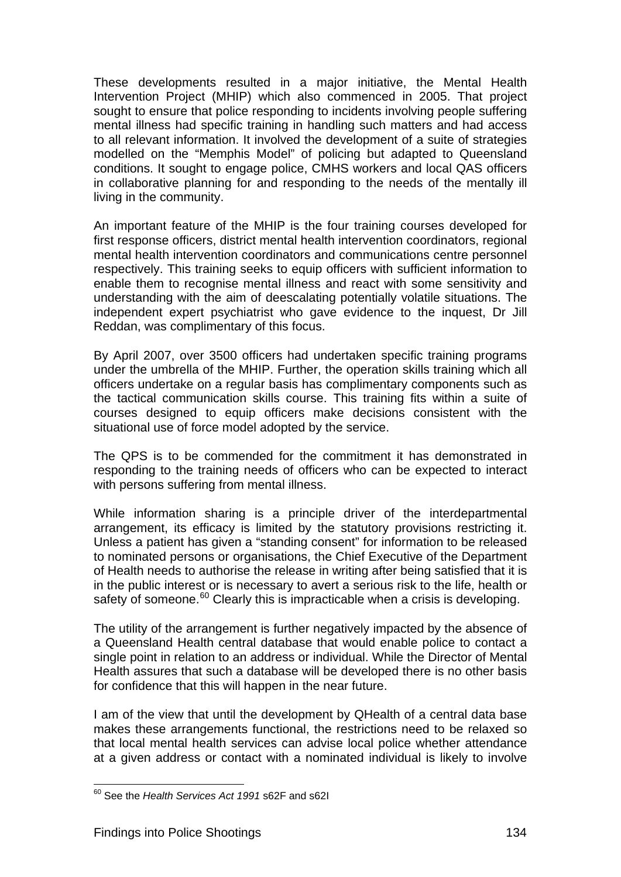These developments resulted in a major initiative, the Mental Health Intervention Project (MHIP) which also commenced in 2005. That project sought to ensure that police responding to incidents involving people suffering mental illness had specific training in handling such matters and had access to all relevant information. It involved the development of a suite of strategies modelled on the "Memphis Model" of policing but adapted to Queensland conditions. It sought to engage police, CMHS workers and local QAS officers in collaborative planning for and responding to the needs of the mentally ill living in the community.

An important feature of the MHIP is the four training courses developed for first response officers, district mental health intervention coordinators, regional mental health intervention coordinators and communications centre personnel respectively. This training seeks to equip officers with sufficient information to enable them to recognise mental illness and react with some sensitivity and understanding with the aim of deescalating potentially volatile situations. The independent expert psychiatrist who gave evidence to the inquest, Dr Jill Reddan, was complimentary of this focus.

By April 2007, over 3500 officers had undertaken specific training programs under the umbrella of the MHIP. Further, the operation skills training which all officers undertake on a regular basis has complimentary components such as the tactical communication skills course. This training fits within a suite of courses designed to equip officers make decisions consistent with the situational use of force model adopted by the service.

The QPS is to be commended for the commitment it has demonstrated in responding to the training needs of officers who can be expected to interact with persons suffering from mental illness.

While information sharing is a principle driver of the interdepartmental arrangement, its efficacy is limited by the statutory provisions restricting it. Unless a patient has given a "standing consent" for information to be released to nominated persons or organisations, the Chief Executive of the Department of Health needs to authorise the release in writing after being satisfied that it is in the public interest or is necessary to avert a serious risk to the life, health or safety of someone.<sup>60</sup> Clearly this is impracticable when a crisis is developing.

The utility of the arrangement is further negatively impacted by the absence of a Queensland Health central database that would enable police to contact a single point in relation to an address or individual. While the Director of Mental Health assures that such a database will be developed there is no other basis for confidence that this will happen in the near future.

I am of the view that until the development by QHealth of a central data base makes these arrangements functional, the restrictions need to be relaxed so that local mental health services can advise local police whether attendance at a given address or contact with a nominated individual is likely to involve

l

<span id="page-151-0"></span><sup>60</sup> See the *Health Services Act 1991* s62F and s62I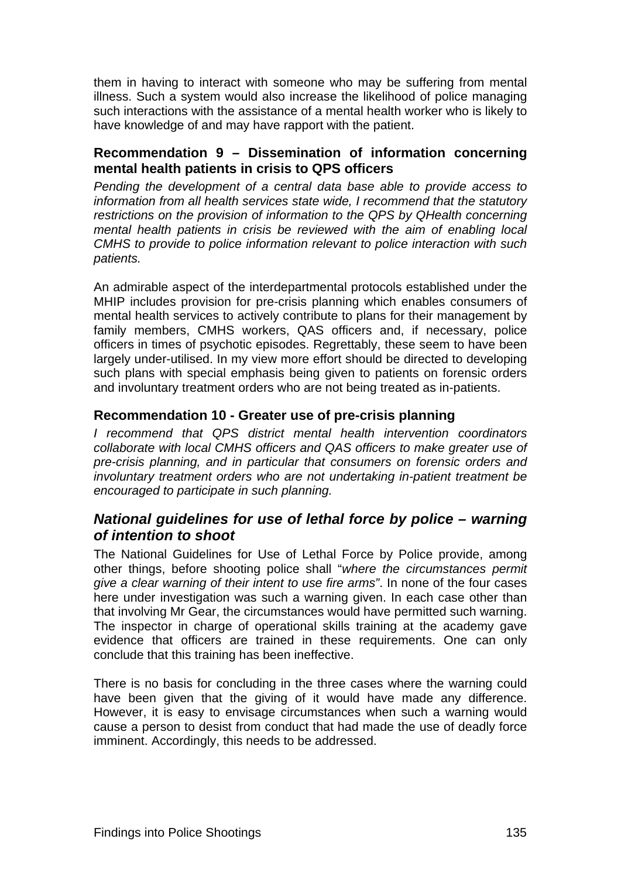them in having to interact with someone who may be suffering from mental illness. Such a system would also increase the likelihood of police managing such interactions with the assistance of a mental health worker who is likely to have knowledge of and may have rapport with the patient.

#### <span id="page-152-0"></span>**Recommendation 9 – Dissemination of information concerning mental health patients in crisis to QPS officers**

*Pending the development of a central data base able to provide access to information from all health services state wide, I recommend that the statutory restrictions on the provision of information to the QPS by QHealth concerning mental health patients in crisis be reviewed with the aim of enabling local CMHS to provide to police information relevant to police interaction with such patients.* 

An admirable aspect of the interdepartmental protocols established under the MHIP includes provision for pre-crisis planning which enables consumers of mental health services to actively contribute to plans for their management by family members, CMHS workers, QAS officers and, if necessary, police officers in times of psychotic episodes. Regrettably, these seem to have been largely under-utilised. In my view more effort should be directed to developing such plans with special emphasis being given to patients on forensic orders and involuntary treatment orders who are not being treated as in-patients.

#### <span id="page-152-1"></span>**Recommendation 10 - Greater use of pre-crisis planning**

*I recommend that QPS district mental health intervention coordinators collaborate with local CMHS officers and QAS officers to make greater use of pre-crisis planning, and in particular that consumers on forensic orders and involuntary treatment orders who are not undertaking in-patient treatment be encouraged to participate in such planning.* 

# <span id="page-152-2"></span>*National guidelines for use of lethal force by police – warning of intention to shoot*

The National Guidelines for Use of Lethal Force by Police provide, among other things, before shooting police shall "*where the circumstances permit give a clear warning of their intent to use fire arms"*. In none of the four cases here under investigation was such a warning given. In each case other than that involving Mr Gear, the circumstances would have permitted such warning. The inspector in charge of operational skills training at the academy gave evidence that officers are trained in these requirements. One can only conclude that this training has been ineffective.

There is no basis for concluding in the three cases where the warning could have been given that the giving of it would have made any difference. However, it is easy to envisage circumstances when such a warning would cause a person to desist from conduct that had made the use of deadly force imminent. Accordingly, this needs to be addressed.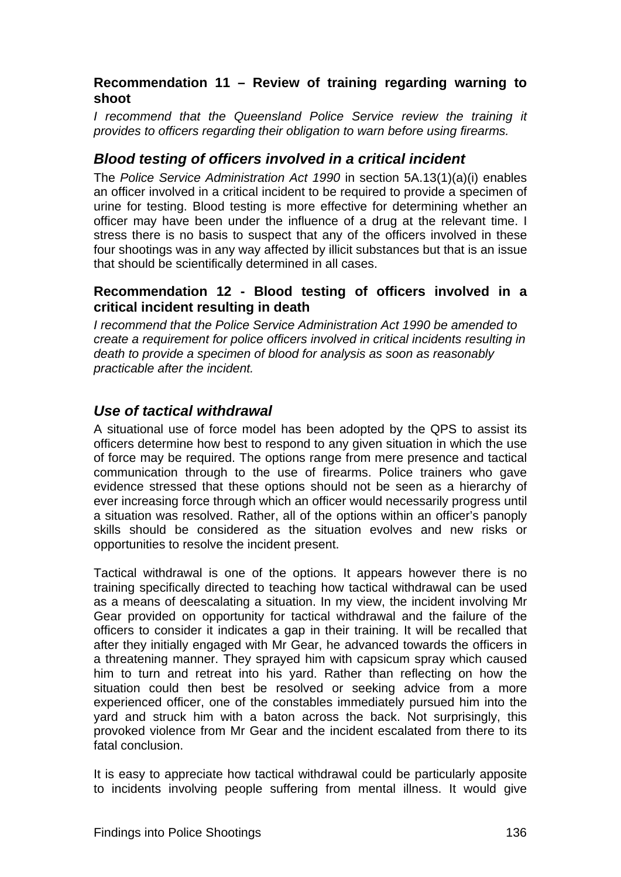# <span id="page-153-0"></span>**Recommendation 11 – Review of training regarding warning to shoot**

*I recommend that the Queensland Police Service review the training it provides to officers regarding their obligation to warn before using firearms.* 

# <span id="page-153-1"></span>*Blood testing of officers involved in a critical incident*

The *Police Service Administration Act 1990* in section 5A.13(1)(a)(i) enables an officer involved in a critical incident to be required to provide a specimen of urine for testing. Blood testing is more effective for determining whether an officer may have been under the influence of a drug at the relevant time. I stress there is no basis to suspect that any of the officers involved in these four shootings was in any way affected by illicit substances but that is an issue that should be scientifically determined in all cases.

#### <span id="page-153-2"></span>**Recommendation 12 - Blood testing of officers involved in a critical incident resulting in death**

*I recommend that the Police Service Administration Act 1990 be amended to create a requirement for police officers involved in critical incidents resulting in death to provide a specimen of blood for analysis as soon as reasonably practicable after the incident.*

# <span id="page-153-3"></span>*Use of tactical withdrawal*

A situational use of force model has been adopted by the QPS to assist its officers determine how best to respond to any given situation in which the use of force may be required. The options range from mere presence and tactical communication through to the use of firearms. Police trainers who gave evidence stressed that these options should not be seen as a hierarchy of ever increasing force through which an officer would necessarily progress until a situation was resolved. Rather, all of the options within an officer's panoply skills should be considered as the situation evolves and new risks or opportunities to resolve the incident present.

Tactical withdrawal is one of the options. It appears however there is no training specifically directed to teaching how tactical withdrawal can be used as a means of deescalating a situation. In my view, the incident involving Mr Gear provided on opportunity for tactical withdrawal and the failure of the officers to consider it indicates a gap in their training. It will be recalled that after they initially engaged with Mr Gear, he advanced towards the officers in a threatening manner. They sprayed him with capsicum spray which caused him to turn and retreat into his yard. Rather than reflecting on how the situation could then best be resolved or seeking advice from a more experienced officer, one of the constables immediately pursued him into the yard and struck him with a baton across the back. Not surprisingly, this provoked violence from Mr Gear and the incident escalated from there to its fatal conclusion.

It is easy to appreciate how tactical withdrawal could be particularly apposite to incidents involving people suffering from mental illness. It would give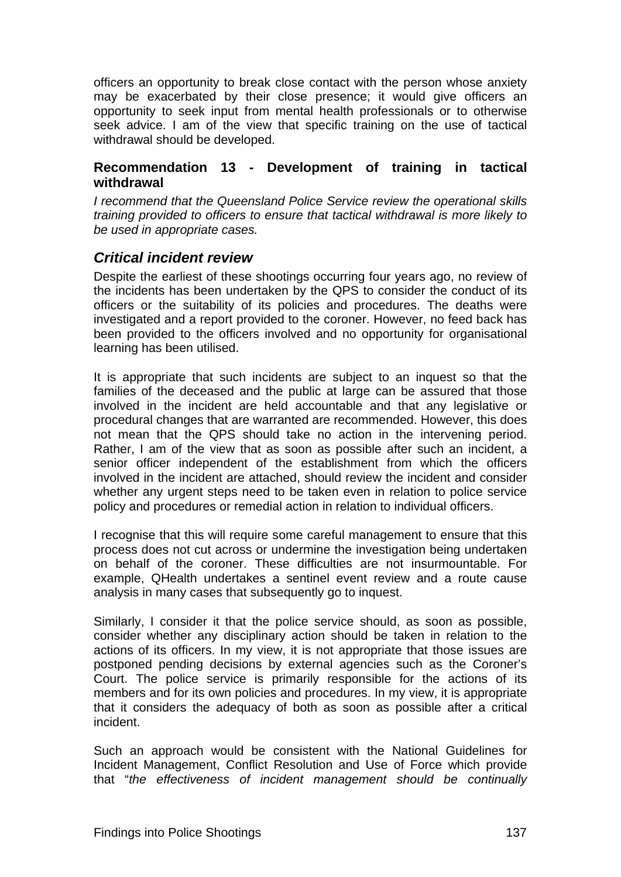officers an opportunity to break close contact with the person whose anxiety may be exacerbated by their close presence; it would give officers an opportunity to seek input from mental health professionals or to otherwise seek advice. I am of the view that specific training on the use of tactical withdrawal should be developed.

#### <span id="page-154-0"></span>**Recommendation 13 - Development of training in tactical withdrawal**

*I recommend that the Queensland Police Service review the operational skills training provided to officers to ensure that tactical withdrawal is more likely to be used in appropriate cases.* 

# <span id="page-154-1"></span>*Critical incident review*

Despite the earliest of these shootings occurring four years ago, no review of the incidents has been undertaken by the QPS to consider the conduct of its officers or the suitability of its policies and procedures. The deaths were investigated and a report provided to the coroner. However, no feed back has been provided to the officers involved and no opportunity for organisational learning has been utilised.

It is appropriate that such incidents are subject to an inquest so that the families of the deceased and the public at large can be assured that those involved in the incident are held accountable and that any legislative or procedural changes that are warranted are recommended. However, this does not mean that the QPS should take no action in the intervening period. Rather, I am of the view that as soon as possible after such an incident, a senior officer independent of the establishment from which the officers involved in the incident are attached, should review the incident and consider whether any urgent steps need to be taken even in relation to police service policy and procedures or remedial action in relation to individual officers.

I recognise that this will require some careful management to ensure that this process does not cut across or undermine the investigation being undertaken on behalf of the coroner. These difficulties are not insurmountable. For example, QHealth undertakes a sentinel event review and a route cause analysis in many cases that subsequently go to inquest.

Similarly, I consider it that the police service should, as soon as possible, consider whether any disciplinary action should be taken in relation to the actions of its officers. In my view, it is not appropriate that those issues are postponed pending decisions by external agencies such as the Coroner's Court. The police service is primarily responsible for the actions of its members and for its own policies and procedures. In my view, it is appropriate that it considers the adequacy of both as soon as possible after a critical incident.

Such an approach would be consistent with the National Guidelines for Incident Management, Conflict Resolution and Use of Force which provide that "*the effectiveness of incident management should be continually*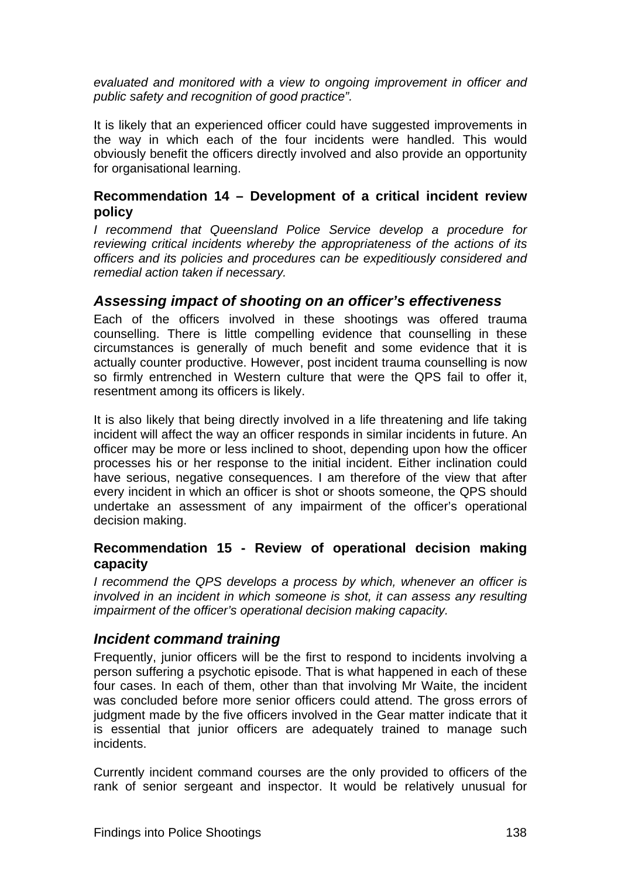*evaluated and monitored with a view to ongoing improvement in officer and public safety and recognition of good practice".* 

It is likely that an experienced officer could have suggested improvements in the way in which each of the four incidents were handled. This would obviously benefit the officers directly involved and also provide an opportunity for organisational learning.

#### <span id="page-155-0"></span>**Recommendation 14 – Development of a critical incident review policy**

*I recommend that Queensland Police Service develop a procedure for reviewing critical incidents whereby the appropriateness of the actions of its officers and its policies and procedures can be expeditiously considered and remedial action taken if necessary.* 

# <span id="page-155-1"></span>*Assessing impact of shooting on an officer's effectiveness*

Each of the officers involved in these shootings was offered trauma counselling. There is little compelling evidence that counselling in these circumstances is generally of much benefit and some evidence that it is actually counter productive. However, post incident trauma counselling is now so firmly entrenched in Western culture that were the QPS fail to offer it, resentment among its officers is likely.

It is also likely that being directly involved in a life threatening and life taking incident will affect the way an officer responds in similar incidents in future. An officer may be more or less inclined to shoot, depending upon how the officer processes his or her response to the initial incident. Either inclination could have serious, negative consequences. I am therefore of the view that after every incident in which an officer is shot or shoots someone, the QPS should undertake an assessment of any impairment of the officer's operational decision making.

#### <span id="page-155-2"></span>**Recommendation 15 - Review of operational decision making capacity**

*I recommend the QPS develops a process by which, whenever an officer is involved in an incident in which someone is shot, it can assess any resulting impairment of the officer's operational decision making capacity.* 

# <span id="page-155-3"></span>*Incident command training*

Frequently, junior officers will be the first to respond to incidents involving a person suffering a psychotic episode. That is what happened in each of these four cases. In each of them, other than that involving Mr Waite, the incident was concluded before more senior officers could attend. The gross errors of judgment made by the five officers involved in the Gear matter indicate that it is essential that junior officers are adequately trained to manage such incidents.

Currently incident command courses are the only provided to officers of the rank of senior sergeant and inspector. It would be relatively unusual for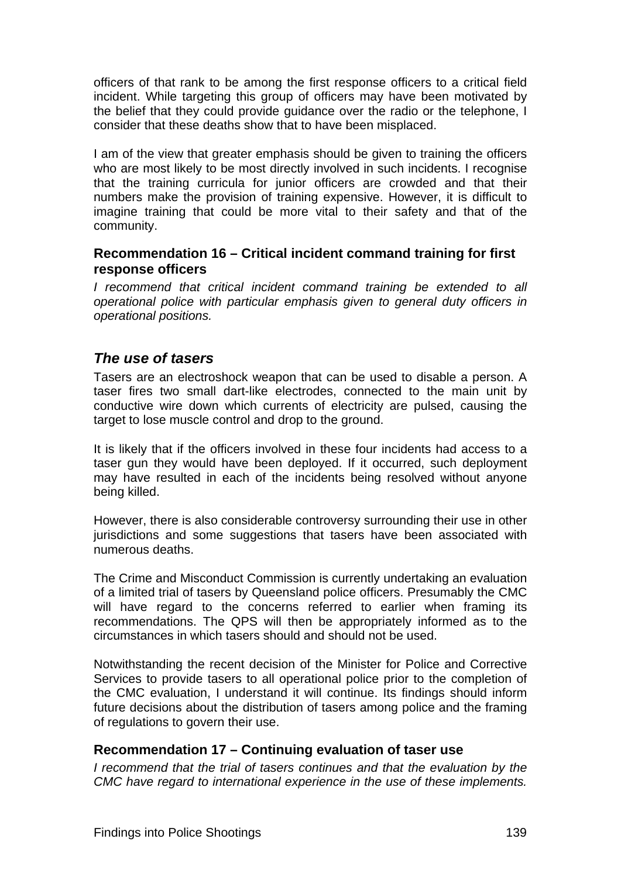officers of that rank to be among the first response officers to a critical field incident. While targeting this group of officers may have been motivated by the belief that they could provide guidance over the radio or the telephone, I consider that these deaths show that to have been misplaced.

I am of the view that greater emphasis should be given to training the officers who are most likely to be most directly involved in such incidents. I recognise that the training curricula for junior officers are crowded and that their numbers make the provision of training expensive. However, it is difficult to imagine training that could be more vital to their safety and that of the community.

#### <span id="page-156-0"></span>**Recommendation 16 – Critical incident command training for first response officers**

*I recommend that critical incident command training be extended to all operational police with particular emphasis given to general duty officers in operational positions.* 

# <span id="page-156-1"></span>*The use of tasers*

Tasers are an electroshock weapon that can be used to disable a person. A taser fires two small dart-like electrodes, connected to the main unit by conductive wire down which currents of electricity are pulsed, causing the target to lose muscle control and drop to the ground.

It is likely that if the officers involved in these four incidents had access to a taser gun they would have been deployed. If it occurred, such deployment may have resulted in each of the incidents being resolved without anyone being killed.

However, there is also considerable controversy surrounding their use in other jurisdictions and some suggestions that tasers have been associated with numerous deaths.

The Crime and Misconduct Commission is currently undertaking an evaluation of a limited trial of tasers by Queensland police officers. Presumably the CMC will have regard to the concerns referred to earlier when framing its recommendations. The QPS will then be appropriately informed as to the circumstances in which tasers should and should not be used.

Notwithstanding the recent decision of the Minister for Police and Corrective Services to provide tasers to all operational police prior to the completion of the CMC evaluation, I understand it will continue. Its findings should inform future decisions about the distribution of tasers among police and the framing of regulations to govern their use.

#### <span id="page-156-2"></span>**Recommendation 17 – Continuing evaluation of taser use**

*I recommend that the trial of tasers continues and that the evaluation by the CMC have regard to international experience in the use of these implements.*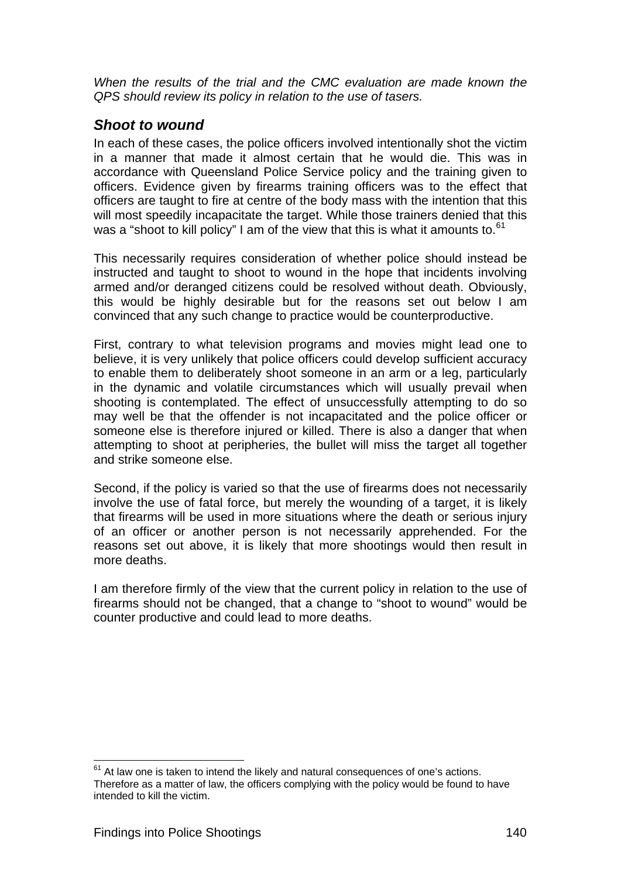*When the results of the trial and the CMC evaluation are made known the QPS should review its policy in relation to the use of tasers.* 

# <span id="page-157-0"></span>*Shoot to wound*

In each of these cases, the police officers involved intentionally shot the victim in a manner that made it almost certain that he would die. This was in accordance with Queensland Police Service policy and the training given to officers. Evidence given by firearms training officers was to the effect that officers are taught to fire at centre of the body mass with the intention that this will most speedily incapacitate the target. While those trainers denied that this was a "shoot to kill policy" I am of the view that this is what it amounts to. $61$ 

This necessarily requires consideration of whether police should instead be instructed and taught to shoot to wound in the hope that incidents involving armed and/or deranged citizens could be resolved without death. Obviously, this would be highly desirable but for the reasons set out below I am convinced that any such change to practice would be counterproductive.

First, contrary to what television programs and movies might lead one to believe, it is very unlikely that police officers could develop sufficient accuracy to enable them to deliberately shoot someone in an arm or a leg, particularly in the dynamic and volatile circumstances which will usually prevail when shooting is contemplated. The effect of unsuccessfully attempting to do so may well be that the offender is not incapacitated and the police officer or someone else is therefore injured or killed. There is also a danger that when attempting to shoot at peripheries, the bullet will miss the target all together and strike someone else.

Second, if the policy is varied so that the use of firearms does not necessarily involve the use of fatal force, but merely the wounding of a target, it is likely that firearms will be used in more situations where the death or serious injury of an officer or another person is not necessarily apprehended. For the reasons set out above, it is likely that more shootings would then result in more deaths.

I am therefore firmly of the view that the current policy in relation to the use of firearms should not be changed, that a change to "shoot to wound" would be counter productive and could lead to more deaths.

<span id="page-157-1"></span>l  $61$  At law one is taken to intend the likely and natural consequences of one's actions. Therefore as a matter of law, the officers complying with the policy would be found to have intended to kill the victim.